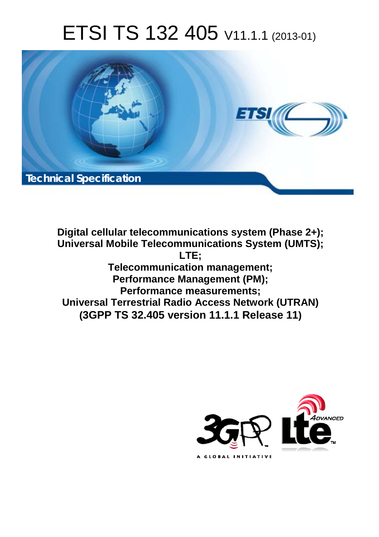# ETSI TS 132 405 V11.1.1 (2013-01)



**Digital cellular telecommunications system (Phase 2+); Universal Mobile Telecommunications System (UMTS); LTE; Telecommunication management; Performance Management (PM); Performance measurements; Universal Terrestrial Radio Access Network (UTRAN) (3GPP TS 32.405 version 11.1.1 Release 11)**

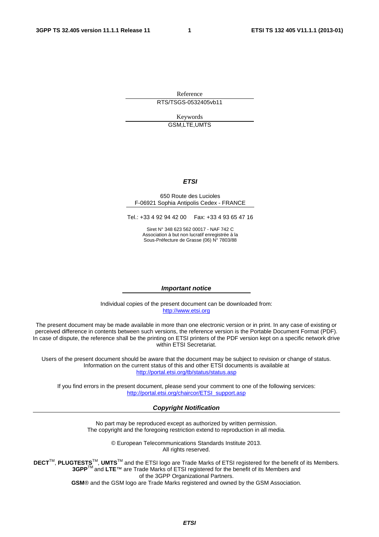Reference RTS/TSGS-0532405vb11

> Keywords GSM,LTE,UMTS

#### *ETSI*

#### 650 Route des Lucioles F-06921 Sophia Antipolis Cedex - FRANCE

Tel.: +33 4 92 94 42 00 Fax: +33 4 93 65 47 16

Siret N° 348 623 562 00017 - NAF 742 C Association à but non lucratif enregistrée à la Sous-Préfecture de Grasse (06) N° 7803/88

#### *Important notice*

Individual copies of the present document can be downloaded from: [http://www.etsi.org](http://www.etsi.org/)

The present document may be made available in more than one electronic version or in print. In any case of existing or perceived difference in contents between such versions, the reference version is the Portable Document Format (PDF). In case of dispute, the reference shall be the printing on ETSI printers of the PDF version kept on a specific network drive within ETSI Secretariat.

Users of the present document should be aware that the document may be subject to revision or change of status. Information on the current status of this and other ETSI documents is available at <http://portal.etsi.org/tb/status/status.asp>

If you find errors in the present document, please send your comment to one of the following services: [http://portal.etsi.org/chaircor/ETSI\\_support.asp](http://portal.etsi.org/chaircor/ETSI_support.asp)

#### *Copyright Notification*

No part may be reproduced except as authorized by written permission. The copyright and the foregoing restriction extend to reproduction in all media.

> © European Telecommunications Standards Institute 2013. All rights reserved.

**DECT**TM, **PLUGTESTS**TM, **UMTS**TM and the ETSI logo are Trade Marks of ETSI registered for the benefit of its Members. **3GPP**TM and **LTE**™ are Trade Marks of ETSI registered for the benefit of its Members and of the 3GPP Organizational Partners.

**GSM**® and the GSM logo are Trade Marks registered and owned by the GSM Association.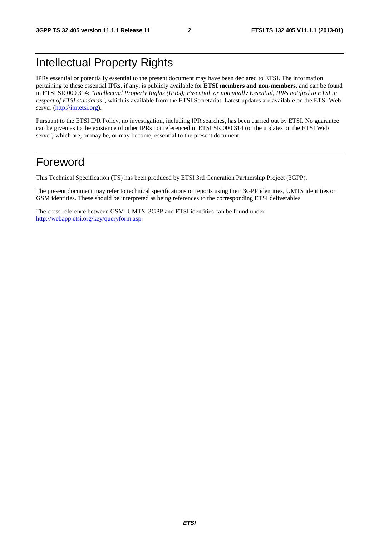### Intellectual Property Rights

IPRs essential or potentially essential to the present document may have been declared to ETSI. The information pertaining to these essential IPRs, if any, is publicly available for **ETSI members and non-members**, and can be found in ETSI SR 000 314: *"Intellectual Property Rights (IPRs); Essential, or potentially Essential, IPRs notified to ETSI in respect of ETSI standards"*, which is available from the ETSI Secretariat. Latest updates are available on the ETSI Web server ([http://ipr.etsi.org\)](http://webapp.etsi.org/IPR/home.asp).

Pursuant to the ETSI IPR Policy, no investigation, including IPR searches, has been carried out by ETSI. No guarantee can be given as to the existence of other IPRs not referenced in ETSI SR 000 314 (or the updates on the ETSI Web server) which are, or may be, or may become, essential to the present document.

### Foreword

This Technical Specification (TS) has been produced by ETSI 3rd Generation Partnership Project (3GPP).

The present document may refer to technical specifications or reports using their 3GPP identities, UMTS identities or GSM identities. These should be interpreted as being references to the corresponding ETSI deliverables.

The cross reference between GSM, UMTS, 3GPP and ETSI identities can be found under [http://webapp.etsi.org/key/queryform.asp.](http://webapp.etsi.org/key/queryform.asp)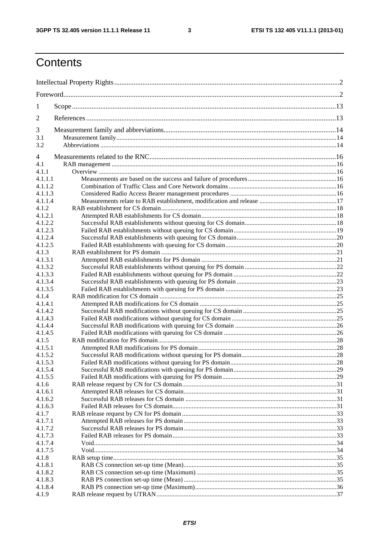$\mathbf{3}$ 

## Contents

| 1                  |  |  |
|--------------------|--|--|
| $\overline{2}$     |  |  |
| 3                  |  |  |
| 3.1                |  |  |
| 3.2                |  |  |
| 4                  |  |  |
| 4.1                |  |  |
| 4.1.1              |  |  |
| 4.1.1.1            |  |  |
| 4.1.1.2            |  |  |
| 4.1.1.3            |  |  |
| 4.1.1.4            |  |  |
| 4.1.2              |  |  |
| 4.1.2.1            |  |  |
| 4.1.2.2            |  |  |
| 4.1.2.3            |  |  |
| 4.1.2.4            |  |  |
| 4.1.2.5            |  |  |
| 4.1.3              |  |  |
| 4.1.3.1            |  |  |
| 4.1.3.2            |  |  |
| 4.1.3.3            |  |  |
| 4.1.3.4            |  |  |
| 4.1.3.5            |  |  |
| 4.1.4              |  |  |
| 4.1.4.1            |  |  |
| 4.1.4.2            |  |  |
| 4.1.4.3            |  |  |
| 4.1.4.4            |  |  |
| 4.1.4.5            |  |  |
| 4.1.5              |  |  |
| 4.1.5.1            |  |  |
| 4.1.5.2<br>4.1.5.3 |  |  |
| 4.1.5.4            |  |  |
| 4.1.5.5            |  |  |
| 4.1.6              |  |  |
| 4.1.6.1            |  |  |
| 4.1.6.2            |  |  |
| 4.1.6.3            |  |  |
| 4.1.7              |  |  |
| 4.1.7.1            |  |  |
| 4.1.7.2            |  |  |
| 4.1.7.3            |  |  |
| 4.1.7.4            |  |  |
| 4.1.7.5            |  |  |
| 4.1.8              |  |  |
| 4.1.8.1            |  |  |
| 4.1.8.2            |  |  |
| 4.1.8.3            |  |  |
| 4.1.8.4            |  |  |
| 4.1.9              |  |  |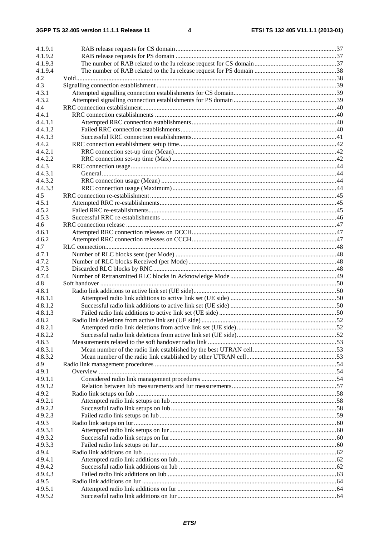| 4.1.9.1 |  |
|---------|--|
| 4.1.9.2 |  |
| 4.1.9.3 |  |
| 4.1.9.4 |  |
| 4.2     |  |
| 4.3     |  |
| 4.3.1   |  |
| 4.3.2   |  |
| 4.4     |  |
| 4.4.1   |  |
| 4.4.1.1 |  |
| 4.4.1.2 |  |
| 4.4.1.3 |  |
| 4.4.2   |  |
| 4.4.2.1 |  |
| 4.4.2.2 |  |
| 4.4.3   |  |
| 4.4.3.1 |  |
| 4.4.3.2 |  |
| 4.4.3.3 |  |
| 4.5     |  |
| 4.5.1   |  |
| 4.5.2   |  |
| 4.5.3   |  |
| 4.6     |  |
| 4.6.1   |  |
| 4.6.2   |  |
| 4.7     |  |
|         |  |
| 4.7.1   |  |
| 4.7.2   |  |
| 4.7.3   |  |
| 4.7.4   |  |
| 4.8     |  |
| 4.8.1   |  |
| 4.8.1.1 |  |
| 4.8.1.2 |  |
| 4.8.1.3 |  |
| 4.8.2   |  |
| 4.8.2.1 |  |
| 4.8.2.2 |  |
| 4.8.3   |  |
| 4.8.3.1 |  |
| 4.8.3.2 |  |
| 4.9     |  |
| 4.9.1   |  |
| 4.9.1.1 |  |
| 4.9.1.2 |  |
| 4.9.2   |  |
| 4.9.2.1 |  |
| 4.9.2.2 |  |
| 4.9.2.3 |  |
| 4.9.3   |  |
| 4.9.3.1 |  |
| 4.9.3.2 |  |
| 4.9.3.3 |  |
| 4.9.4   |  |
| 4.9.4.1 |  |
| 4.9.4.2 |  |
| 4.9.4.3 |  |
| 4.9.5   |  |
| 4.9.5.1 |  |
| 4.9.5.2 |  |
|         |  |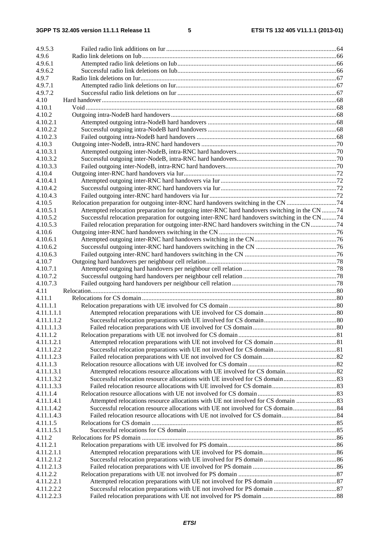| 4.9.5.3    |                                                                                               |  |
|------------|-----------------------------------------------------------------------------------------------|--|
| 4.9.6      |                                                                                               |  |
| 4.9.6.1    |                                                                                               |  |
|            |                                                                                               |  |
| 4.9.6.2    |                                                                                               |  |
| 4.9.7      |                                                                                               |  |
| 4.9.7.1    |                                                                                               |  |
| 4.9.7.2    |                                                                                               |  |
| 4.10       |                                                                                               |  |
| 4.10.1     |                                                                                               |  |
| 4.10.2     |                                                                                               |  |
| 4.10.2.1   |                                                                                               |  |
| 4.10.2.2   |                                                                                               |  |
| 4.10.2.3   |                                                                                               |  |
| 4.10.3     |                                                                                               |  |
| 4.10.3.1   |                                                                                               |  |
| 4.10.3.2   |                                                                                               |  |
| 4.10.3.3   |                                                                                               |  |
| 4.10.4     |                                                                                               |  |
| 4.10.4.1   |                                                                                               |  |
| 4.10.4.2   |                                                                                               |  |
| 4.10.4.3   |                                                                                               |  |
| 4.10.5     |                                                                                               |  |
| 4.10.5.1   | Attempted relocation preparation for outgoing inter-RNC hard handovers switching in the CN 74 |  |
|            |                                                                                               |  |
| 4.10.5.2   | Successful relocation preparation for outgoing inter-RNC hard handovers switching in the CN74 |  |
| 4.10.5.3   | Failed relocation preparation for outgoing inter-RNC hard handovers switching in the CN74     |  |
| 4.10.6     |                                                                                               |  |
| 4.10.6.1   |                                                                                               |  |
| 4.10.6.2   |                                                                                               |  |
| 4.10.6.3   |                                                                                               |  |
| 4.10.7     |                                                                                               |  |
| 4.10.7.1   |                                                                                               |  |
| 4.10.7.2   |                                                                                               |  |
| 4.10.7.3   |                                                                                               |  |
| 4.11       |                                                                                               |  |
| 4.11.1     |                                                                                               |  |
| 4.11.1.1   |                                                                                               |  |
| 4.11.1.1.1 |                                                                                               |  |
| 4.11.1.1.2 |                                                                                               |  |
| 4.11.1.1.3 | Failed relocation preparations with UE involved for CS domain.                                |  |
| 4.11.1.2   |                                                                                               |  |
| 4.11.1.2.1 |                                                                                               |  |
| 4.11.1.2.2 |                                                                                               |  |
| 4.11.1.2.3 |                                                                                               |  |
| 4.11.1.3   |                                                                                               |  |
| 4.11.1.3.1 |                                                                                               |  |
| 4.11.1.3.2 |                                                                                               |  |
| 4.11.1.3.3 |                                                                                               |  |
| 4.11.1.4   |                                                                                               |  |
| 4.11.1.4.1 | Attempted relocations resource allocations with UE not involved for CS domain 83              |  |
|            |                                                                                               |  |
| 4.11.1.4.2 |                                                                                               |  |
| 4.11.1.4.3 |                                                                                               |  |
| 4.11.1.5   |                                                                                               |  |
| 4.11.1.5.1 |                                                                                               |  |
| 4.11.2     |                                                                                               |  |
| 4.11.2.1   |                                                                                               |  |
| 4.11.2.1.1 |                                                                                               |  |
| 4.11.2.1.2 |                                                                                               |  |
| 4.11.2.1.3 |                                                                                               |  |
| 4.11.2.2   |                                                                                               |  |
| 4.11.2.2.1 |                                                                                               |  |
| 4.11.2.2.2 |                                                                                               |  |
| 4.11.2.2.3 |                                                                                               |  |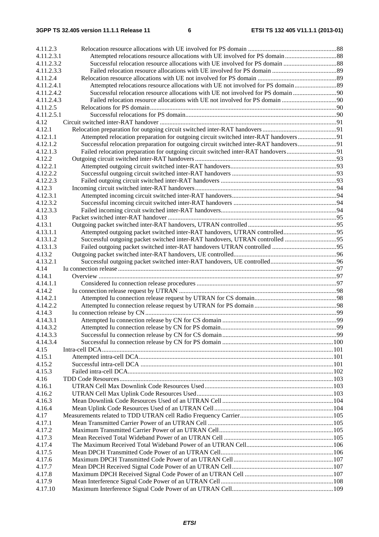#### **3GPP TS 32.405 version 11.1.1 Release 11 6 ETSI TS 132 405 V11.1.1 (2013-01)**

| 4.11.2.3             |                                                                                       |    |
|----------------------|---------------------------------------------------------------------------------------|----|
| 4.11.2.3.1           |                                                                                       |    |
| 4.11.2.3.2           |                                                                                       |    |
| 4.11.2.3.3           |                                                                                       |    |
| 4.11.2.4             |                                                                                       |    |
| 4.11.2.4.1           |                                                                                       |    |
| 4.11.2.4.2           |                                                                                       |    |
| 4.11.2.4.3           |                                                                                       |    |
| 4.11.2.5             |                                                                                       |    |
| 4.11.2.5.1           |                                                                                       |    |
| 4.12                 |                                                                                       |    |
| 4.12.1               |                                                                                       |    |
| 4.12.1.1             | Attempted relocation preparation for outgoing circuit switched inter-RAT handovers91  |    |
| 4.12.1.2             | Successful relocation preparation for outgoing circuit switched inter-RAT handovers91 |    |
| 4.12.1.3             | Failed relocation preparation for outgoing circuit switched inter-RAT handovers91     |    |
| 4.12.2               |                                                                                       |    |
| 4.12.2.1             |                                                                                       |    |
| 4.12.2.2             |                                                                                       |    |
| 4.12.2.3             |                                                                                       |    |
| 4.12.3               |                                                                                       |    |
| 4.12.3.1             |                                                                                       |    |
| 4.12.3.2             |                                                                                       |    |
| 4.12.3.3             |                                                                                       |    |
| 4.13                 |                                                                                       |    |
| 4.13.1               |                                                                                       |    |
| 4.13.1.1<br>4.13.1.2 |                                                                                       |    |
| 4.13.1.3             |                                                                                       |    |
| 4.13.2               |                                                                                       |    |
| 4.13.2.1             |                                                                                       |    |
| 4.14                 |                                                                                       |    |
| 4.14.1               |                                                                                       |    |
| 4.14.1.1             |                                                                                       |    |
| 4.14.2               |                                                                                       |    |
| 4.14.2.1             |                                                                                       |    |
| 4.14.2.2             |                                                                                       |    |
| 4.14.3               |                                                                                       |    |
| 4.14.3.1             |                                                                                       |    |
| 4.14.3.2             |                                                                                       | 99 |
| 4.14.3.3             |                                                                                       |    |
| 4.14.3.4             |                                                                                       |    |
| 4.15                 |                                                                                       |    |
| 4.15.1               |                                                                                       |    |
| 4.15.2               |                                                                                       |    |
| 4.15.3               |                                                                                       |    |
| 4.16                 |                                                                                       |    |
| 4.16.1               |                                                                                       |    |
| 4.16.2               |                                                                                       |    |
| 4.16.3               |                                                                                       |    |
| 4.16.4               |                                                                                       |    |
| 4.17                 |                                                                                       |    |
| 4.17.1               |                                                                                       |    |
| 4.17.2               |                                                                                       |    |
| 4.17.3               |                                                                                       |    |
| 4.17.4               |                                                                                       |    |
| 4.17.5               |                                                                                       |    |
| 4.17.6               |                                                                                       |    |
| 4.17.7               |                                                                                       |    |
| 4.17.8               |                                                                                       |    |
| 4.17.9<br>4.17.10    |                                                                                       |    |
|                      |                                                                                       |    |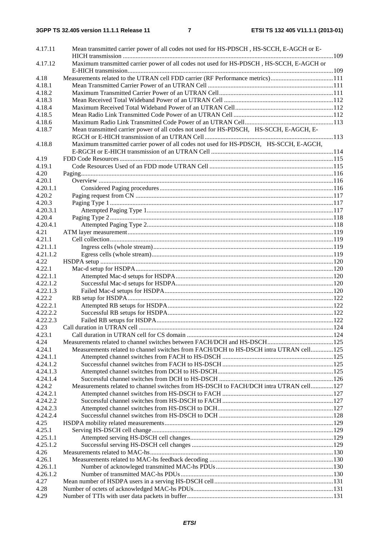| 4.17.11              | Mean transmitted carrier power of all codes not used for HS-PDSCH, HS-SCCH, E-AGCH or E- |  |
|----------------------|------------------------------------------------------------------------------------------|--|
|                      |                                                                                          |  |
| 4.17.12              | Maximum transmitted carrier power of all codes not used for HS-PDSCH, HS-SCCH, E-AGCH or |  |
|                      |                                                                                          |  |
| 4.18                 | Measurements related to the UTRAN cell FDD carrier (RF Performance metrics)111           |  |
| 4.18.1               |                                                                                          |  |
| 4.18.2               |                                                                                          |  |
| 4.18.3               |                                                                                          |  |
| 4.18.4               |                                                                                          |  |
| 4.18.5               |                                                                                          |  |
| 4.18.6               |                                                                                          |  |
| 4.18.7               | Mean transmitted carrier power of all codes not used for HS-PDSCH, HS-SCCH, E-AGCH, E-   |  |
|                      |                                                                                          |  |
| 4.18.8               | Maximum transmitted carrier power of all codes not used for HS-PDSCH, HS-SCCH, E-AGCH,   |  |
|                      |                                                                                          |  |
| 4.19                 |                                                                                          |  |
| 4.19.1               |                                                                                          |  |
| 4.20                 |                                                                                          |  |
| 4.20.1               |                                                                                          |  |
| 4.20.1.1             |                                                                                          |  |
| 4.20.2               |                                                                                          |  |
| 4.20.3               |                                                                                          |  |
| 4.20.3.1             |                                                                                          |  |
| 4.20.4               |                                                                                          |  |
| 4.20.4.1             |                                                                                          |  |
| 4.21                 |                                                                                          |  |
| 4.21.1               |                                                                                          |  |
| 4.21.1.1             |                                                                                          |  |
| 4.21.1.2             |                                                                                          |  |
| 4.22                 |                                                                                          |  |
| 4.22.1               |                                                                                          |  |
| 4.22.1.1             |                                                                                          |  |
| 4.22.1.2             |                                                                                          |  |
| 4.22.1.3             |                                                                                          |  |
| 4.22.2               |                                                                                          |  |
| 4.22.2.1             |                                                                                          |  |
| 4.22.2.2             |                                                                                          |  |
| 4.22.2.3             |                                                                                          |  |
| 4.23                 |                                                                                          |  |
| 4.23.1               |                                                                                          |  |
| 4.24                 |                                                                                          |  |
| 4.24.1               | Measurements related to channel switches from FACH/DCH to HS-DSCH intra UTRAN cell125    |  |
| 4.24.1.1             |                                                                                          |  |
| 4.24.1.2             |                                                                                          |  |
| 4.24.1.3             |                                                                                          |  |
| 4.24.1.4             | Measurements related to channel switches from HS-DSCH to FACH/DCH intra UTRAN cell127    |  |
| 4.24.2               |                                                                                          |  |
| 4.24.2.1             |                                                                                          |  |
| 4.24.2.2             |                                                                                          |  |
| 4.24.2.3<br>4.24.2.4 |                                                                                          |  |
|                      |                                                                                          |  |
| 4.25                 |                                                                                          |  |
| 4.25.1               |                                                                                          |  |
| 4.25.1.1<br>4.25.1.2 |                                                                                          |  |
|                      |                                                                                          |  |
| 4.26<br>4.26.1       |                                                                                          |  |
| 4.26.1.1             |                                                                                          |  |
| 4.26.1.2             |                                                                                          |  |
| 4.27                 |                                                                                          |  |
| 4.28                 |                                                                                          |  |
| 4.29                 |                                                                                          |  |
|                      |                                                                                          |  |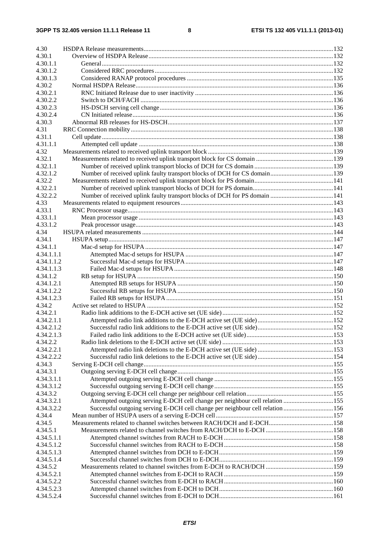| 4.30       |                                                                               |  |
|------------|-------------------------------------------------------------------------------|--|
| 4.30.1     |                                                                               |  |
| 4.30.1.1   |                                                                               |  |
| 4.30.1.2   |                                                                               |  |
| 4.30.1.3   |                                                                               |  |
| 4.30.2     |                                                                               |  |
| 4.30.2.1   |                                                                               |  |
| 4.30.2.2   |                                                                               |  |
| 4.30.2.3   |                                                                               |  |
| 4.30.2.4   |                                                                               |  |
| 4.30.3     |                                                                               |  |
| 4.31       |                                                                               |  |
| 4.31.1     |                                                                               |  |
| 4.31.1.1   |                                                                               |  |
| 4.32       |                                                                               |  |
| 4.32.1     |                                                                               |  |
| 4.32.1.1   |                                                                               |  |
| 4.32.1.2   |                                                                               |  |
| 4.32.2     |                                                                               |  |
| 4.32.2.1   |                                                                               |  |
| 4.32.2.2   |                                                                               |  |
| 4.33       |                                                                               |  |
| 4.33.1     |                                                                               |  |
| 4.33.1.1   |                                                                               |  |
| 4.33.1.2   |                                                                               |  |
| 4.34       |                                                                               |  |
| 4.34.1     |                                                                               |  |
| 4.34.1.1   |                                                                               |  |
| 4.34.1.1.1 |                                                                               |  |
| 4.34.1.1.2 |                                                                               |  |
| 4.34.1.1.3 |                                                                               |  |
| 4.34.1.2   |                                                                               |  |
| 4.34.1.2.1 |                                                                               |  |
| 4.34.1.2.2 |                                                                               |  |
| 4.34.1.2.3 |                                                                               |  |
| 4.34.2     |                                                                               |  |
| 4.34.2.1   |                                                                               |  |
| 4.34.2.1.1 |                                                                               |  |
| 4.34.2.1.2 |                                                                               |  |
| 4.34.2.1.3 |                                                                               |  |
| 4.34.2.2   |                                                                               |  |
| 4.34.2.2.1 |                                                                               |  |
| 4.34.2.2.2 |                                                                               |  |
| 4.34.3     |                                                                               |  |
| 4.34.3.1   |                                                                               |  |
| 4.34.3.1.1 |                                                                               |  |
| 4.34.3.1.2 |                                                                               |  |
| 4.34.3.2   |                                                                               |  |
| 4.34.3.2.1 | Attempted outgoing serving E-DCH cell change per neighbour cell relation 155  |  |
| 4.34.3.2.2 | Successful outgoing serving E-DCH cell change per neighbour cell relation 156 |  |
| 4.34.4     |                                                                               |  |
| 4.34.5     |                                                                               |  |
| 4.34.5.1   |                                                                               |  |
| 4.34.5.1.1 |                                                                               |  |
| 4.34.5.1.2 |                                                                               |  |
| 4.34.5.1.3 |                                                                               |  |
| 4.34.5.1.4 |                                                                               |  |
| 4.34.5.2   |                                                                               |  |
| 4.34.5.2.1 |                                                                               |  |
| 4.34.5.2.2 |                                                                               |  |
| 4.34.5.2.3 |                                                                               |  |
| 4.34.5.2.4 |                                                                               |  |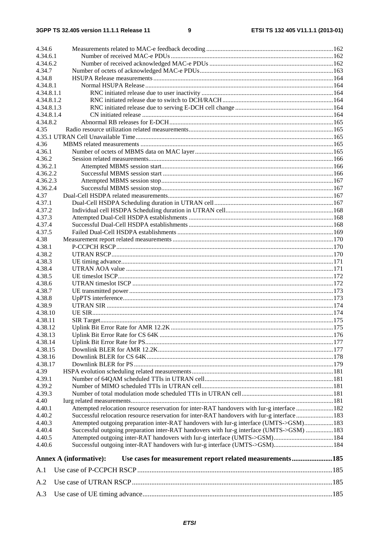| 4.34.6         |                                                                                             |  |
|----------------|---------------------------------------------------------------------------------------------|--|
| 4.34.6.1       |                                                                                             |  |
| 4.34.6.2       |                                                                                             |  |
| 4.34.7         |                                                                                             |  |
| 4.34.8         |                                                                                             |  |
| 4.34.8.1       |                                                                                             |  |
| 4.34.8.1.1     |                                                                                             |  |
| 4.34.8.1.2     |                                                                                             |  |
| 4.34.8.1.3     |                                                                                             |  |
| 4.34.8.1.4     |                                                                                             |  |
| 4.34.8.2       |                                                                                             |  |
| 4.35           |                                                                                             |  |
|                |                                                                                             |  |
| 4.36           |                                                                                             |  |
| 4.36.1         |                                                                                             |  |
| 4.36.2         |                                                                                             |  |
| 4.36.2.1       |                                                                                             |  |
| 4.36.2.2       |                                                                                             |  |
| 4.36.2.3       |                                                                                             |  |
| 4.36.2.4       |                                                                                             |  |
| 4.37<br>4.37.1 |                                                                                             |  |
| 4.37.2         |                                                                                             |  |
| 4.37.3         |                                                                                             |  |
| 4.37.4         |                                                                                             |  |
| 4.37.5         |                                                                                             |  |
| 4.38           |                                                                                             |  |
| 4.38.1         |                                                                                             |  |
| 4.38.2         |                                                                                             |  |
| 4.38.3         |                                                                                             |  |
| 4.38.4         |                                                                                             |  |
| 4.38.5         |                                                                                             |  |
| 4.38.6         |                                                                                             |  |
| 4.38.7         |                                                                                             |  |
| 4.38.8         |                                                                                             |  |
| 4.38.9         |                                                                                             |  |
| 4.38.10        |                                                                                             |  |
| 4.38.11        |                                                                                             |  |
| 4.38.12        |                                                                                             |  |
| 4.38.13        |                                                                                             |  |
| 4.38.14        |                                                                                             |  |
| 4.38.15        |                                                                                             |  |
| 4.38.16        |                                                                                             |  |
| 4.38.17        |                                                                                             |  |
| 4.39           |                                                                                             |  |
| 4.39.1         |                                                                                             |  |
| 4.39.2         |                                                                                             |  |
| 4.39.3         |                                                                                             |  |
| 4.40           |                                                                                             |  |
| 4.40.1         | Attempted relocation resource reservation for inter-RAT handovers with Iur-g interface 182  |  |
| 4.40.2         | Successful relocation resource reservation for inter-RAT handovers with Iur-g interface 183 |  |
| 4.40.3         | Attempted outgoing preparation inter-RAT handovers with Iur-g interface (UMTS->GSM) 183     |  |
| 4.40.4         | Successful outgoing preparation inter-RAT handovers with Iur-g interface (UMTS->GSM)  183   |  |
| 4.40.5         | Attempted outgoing inter-RAT handovers with Iur-g interface (UMTS->GSM)184                  |  |
| 4.40.6         |                                                                                             |  |
|                | Use cases for measurement report related measurements185<br>Annex A (informative):          |  |
| A.1            |                                                                                             |  |
| A.2            |                                                                                             |  |
| A.3            |                                                                                             |  |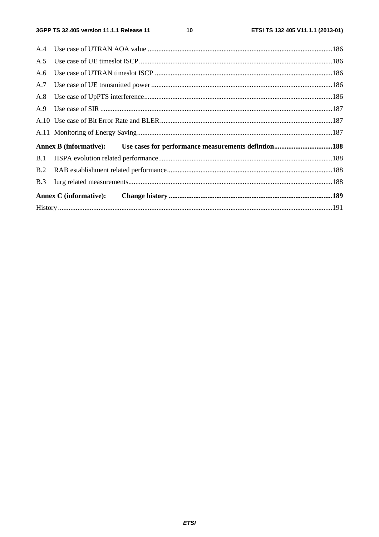| A.6 |  |  |
|-----|--|--|
|     |  |  |
|     |  |  |
|     |  |  |
|     |  |  |
|     |  |  |
|     |  |  |
|     |  |  |
| B.2 |  |  |
| B.3 |  |  |
|     |  |  |
|     |  |  |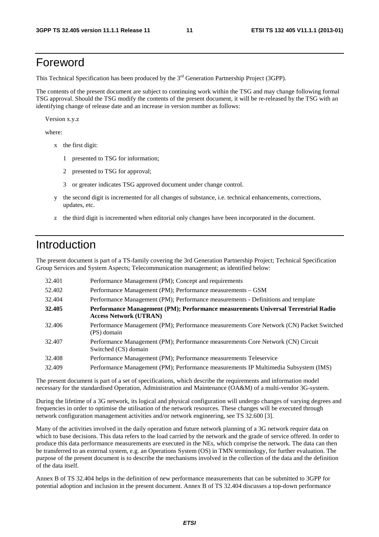### Foreword

This Technical Specification has been produced by the 3<sup>rd</sup> Generation Partnership Project (3GPP).

The contents of the present document are subject to continuing work within the TSG and may change following formal TSG approval. Should the TSG modify the contents of the present document, it will be re-released by the TSG with an identifying change of release date and an increase in version number as follows:

Version x.y.z

where:

- x the first digit:
	- 1 presented to TSG for information;
	- 2 presented to TSG for approval;
	- 3 or greater indicates TSG approved document under change control.
- y the second digit is incremented for all changes of substance, i.e. technical enhancements, corrections, updates, etc.
- z the third digit is incremented when editorial only changes have been incorporated in the document.

### Introduction

The present document is part of a TS-family covering the 3rd Generation Partnership Project; Technical Specification Group Services and System Aspects; Telecommunication management; as identified below:

| 32.401 | Performance Management (PM); Concept and requirements                                                              |
|--------|--------------------------------------------------------------------------------------------------------------------|
| 52.402 | Performance Management (PM); Performance measurements – GSM                                                        |
| 32.404 | Performance Management (PM); Performance measurements - Definitions and template                                   |
| 32.405 | Performance Management (PM); Performance measurements Universal Terrestrial Radio<br><b>Access Network (UTRAN)</b> |
| 32.406 | Performance Management (PM); Performance measurements Core Network (CN) Packet Switched<br>(PS) domain             |
| 32.407 | Performance Management (PM); Performance measurements Core Network (CN) Circuit<br>Switched (CS) domain            |
| 32.408 | Performance Management (PM); Performance measurements Teleservice                                                  |
| 32.409 | Performance Management (PM); Performance measurements IP Multimedia Subsystem (IMS)                                |

The present document is part of a set of specifications, which describe the requirements and information model necessary for the standardised Operation, Administration and Maintenance (OA&M) of a multi-vendor 3G-system.

During the lifetime of a 3G network, its logical and physical configuration will undergo changes of varying degrees and frequencies in order to optimise the utilisation of the network resources. These changes will be executed through network configuration management activities and/or network engineering, see TS 32.600 [3].

Many of the activities involved in the daily operation and future network planning of a 3G network require data on which to base decisions. This data refers to the load carried by the network and the grade of service offered. In order to produce this data performance measurements are executed in the NEs, which comprise the network. The data can then be transferred to an external system, e.g. an Operations System (OS) in TMN terminology, for further evaluation. The purpose of the present document is to describe the mechanisms involved in the collection of the data and the definition of the data itself.

Annex B of TS 32.404 helps in the definition of new performance measurements that can be submitted to 3GPP for potential adoption and inclusion in the present document. Annex B of TS 32.404 discusses a top-down performance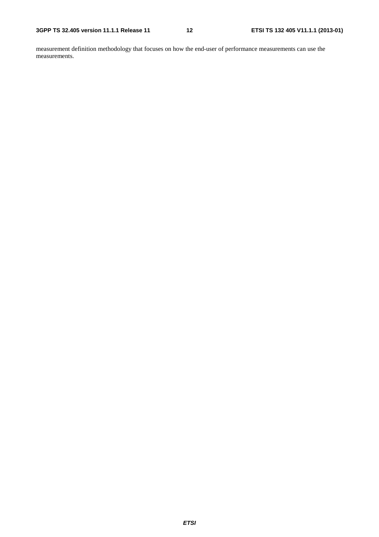measurement definition methodology that focuses on how the end-user of performance measurements can use the measurements.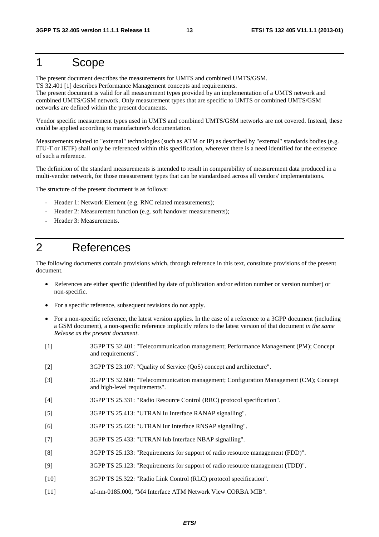### 1 Scope

The present document describes the measurements for UMTS and combined UMTS/GSM. TS 32.401 [1] describes Performance Management concepts and requirements.

The present document is valid for all measurement types provided by an implementation of a UMTS network and combined UMTS/GSM network. Only measurement types that are specific to UMTS or combined UMTS/GSM networks are defined within the present documents.

Vendor specific measurement types used in UMTS and combined UMTS/GSM networks are not covered. Instead, these could be applied according to manufacturer's documentation.

Measurements related to "external" technologies (such as ATM or IP) as described by "external" standards bodies (e.g. ITU-T or IETF) shall only be referenced within this specification, wherever there is a need identified for the existence of such a reference.

The definition of the standard measurements is intended to result in comparability of measurement data produced in a multi-vendor network, for those measurement types that can be standardised across all vendors' implementations.

The structure of the present document is as follows:

- Header 1: Network Element (e.g. RNC related measurements);
- Header 2: Measurement function (e.g. soft handover measurements);
- Header 3: Measurements.

### 2 References

The following documents contain provisions which, through reference in this text, constitute provisions of the present document.

- References are either specific (identified by date of publication and/or edition number or version number) or non-specific.
- For a specific reference, subsequent revisions do not apply.
- For a non-specific reference, the latest version applies. In the case of a reference to a 3GPP document (including a GSM document), a non-specific reference implicitly refers to the latest version of that document *in the same Release as the present document*.

| $[1]$             | 3GPP TS 32.401: "Telecommunication management; Performance Management (PM); Concept<br>and requirements".              |
|-------------------|------------------------------------------------------------------------------------------------------------------------|
| $[2]$             | 3GPP TS 23.107: "Quality of Service (QoS) concept and architecture".                                                   |
| $\lceil 3 \rceil$ | 3GPP TS 32.600: "Telecommunication management; Configuration Management (CM); Concept<br>and high-level requirements". |
| $[4]$             | 3GPP TS 25.331: "Radio Resource Control (RRC) protocol specification".                                                 |
| $[5]$             | 3GPP TS 25.413: "UTRAN Iu Interface RANAP signalling".                                                                 |
| [6]               | 3GPP TS 25.423: "UTRAN Iur Interface RNSAP signalling".                                                                |
| $[7]$             | 3GPP TS 25.433: "UTRAN Iub Interface NBAP signalling".                                                                 |
| [8]               | 3GPP TS 25.133: "Requirements for support of radio resource management (FDD)".                                         |
| $[9]$             | 3GPP TS 25.123: "Requirements for support of radio resource management (TDD)".                                         |
| $[10]$            | 3GPP TS 25.322: "Radio Link Control (RLC) protocol specification".                                                     |
| $[11]$            | af-nm-0185.000, "M4 Interface ATM Network View CORBA MIB".                                                             |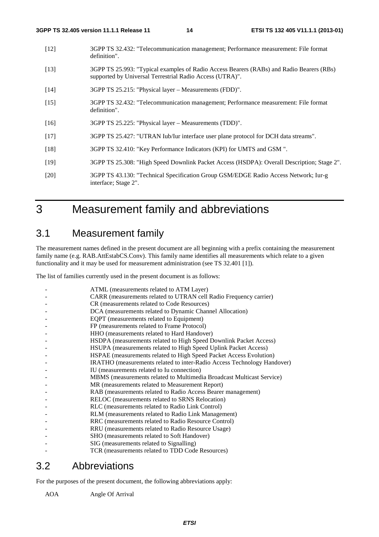- [12] 3GPP TS 32.432: "Telecommunication management; Performance measurement: File format definition".
- [13] 3GPP TS 25.993: "Typical examples of Radio Access Bearers (RABs) and Radio Bearers (RBs) supported by Universal Terrestrial Radio Access (UTRA)".
- [14] 3GPP TS 25.215: "Physical layer Measurements (FDD)".
- [15] 3GPP TS 32.432: "Telecommunication management; Performance measurement: File format definition".
- [16] 3GPP TS 25.225: "Physical layer Measurements (TDD)".
- [17] 3GPP TS 25.427: "UTRAN Iub/Iur interface user plane protocol for DCH data streams".
- [18] 3GPP TS 32.410: "Key Performance Indicators (KPI) for UMTS and GSM ".
- [19] 3GPP TS 25.308: "High Speed Downlink Packet Access (HSDPA): Overall Description; Stage 2".
- [20] 3GPP TS 43.130: "Technical Specification Group GSM/EDGE Radio Access Network; Iur-g interface; Stage 2".

### 3 Measurement family and abbreviations

### 3.1 Measurement family

The measurement names defined in the present document are all beginning with a prefix containing the measurement family name (e.g. RAB.AttEstabCS.Conv). This family name identifies all measurements which relate to a given functionality and it may be used for measurement administration (see TS 32.401 [1]).

The list of families currently used in the present document is as follows:

| ATML (measurements related to ATM Layer)                                |
|-------------------------------------------------------------------------|
| CARR (measurements related to UTRAN cell Radio Frequency carrier)       |
| CR (measurements related to Code Resources)                             |
| DCA (measurements related to Dynamic Channel Allocation)                |
| EQPT (measurements related to Equipment)                                |
| FP (measurements related to Frame Protocol)                             |
| HHO (measurements related to Hard Handover)                             |
| HSDPA (measurements related to High Speed Downlink Packet Access)       |
| HSUPA (measurements related to High Speed Uplink Packet Access)         |
| HSPAE (measurements related to High Speed Packet Access Evolution)      |
| IRATHO (measurements related to inter-Radio Access Technology Handover) |
| IU (measurements related to Iu connection)                              |
| MBMS (measurements related to Multimedia Broadcast Multicast Service)   |
| MR (measurements related to Measurement Report)                         |
| RAB (measurements related to Radio Access Bearer management)            |
| RELOC (measurements related to SRNS Relocation)                         |
| RLC (measurements related to Radio Link Control)                        |
| RLM (measurements related to Radio Link Management)                     |
| RRC (measurements related to Radio Resource Control)                    |
| RRU (measurements related to Radio Resource Usage)                      |
| SHO (measurements related to Soft Handover)                             |
| SIG (measurements related to Signalling)                                |
| TCR (measurements related to TDD Code Resources)                        |
|                                                                         |

### 3.2 Abbreviations

For the purposes of the present document, the following abbreviations apply:

AOA Angle Of Arrival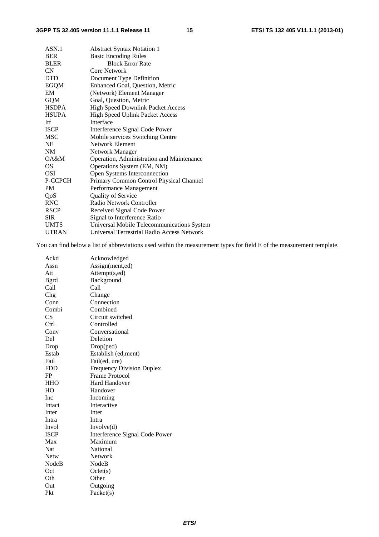| <b>Abstract Syntax Notation 1</b>          |
|--------------------------------------------|
| <b>Basic Encoding Rules</b>                |
| <b>Block Error Rate</b>                    |
| Core Network                               |
| Document Type Definition                   |
| Enhanced Goal, Question, Metric            |
| (Network) Element Manager                  |
| Goal, Question, Metric                     |
| High Speed Downlink Packet Access          |
| <b>High Speed Uplink Packet Access</b>     |
| Interface                                  |
| Interference Signal Code Power             |
| Mobile services Switching Centre           |
| Network Element                            |
| Network Manager                            |
| Operation, Administration and Maintenance  |
| Operations System (EM, NM)                 |
| Open Systems Interconnection               |
| Primary Common Control Physical Channel    |
| Performance Management                     |
| <b>Quality of Service</b>                  |
| Radio Network Controller                   |
| Received Signal Code Power                 |
| Signal to Interference Ratio               |
| Universal Mobile Telecommunications System |
| Universal Terrestrial Radio Access Network |
|                                            |

You can find below a list of abbreviations used within the measurement types for field E of the measurement template.

| Ackd         | Acknowledged                     |
|--------------|----------------------------------|
| Assn         | Assign(ment,ed)                  |
| Att          | Attempt(s,ed)                    |
| Bgrd         | Background                       |
| Call         | Call                             |
| Chg          | Change                           |
| Conn         | Connection                       |
| Combi        | Combined                         |
| <b>CS</b>    | Circuit switched                 |
| Ctrl         | Controlled                       |
| Conv         | Conversational                   |
| Del          | Deletion                         |
| Drop         | Drop(ped)                        |
| Estab        | Establish (ed, ment)             |
| Fail         | Fail(ed, ure)                    |
| <b>FDD</b>   | <b>Frequency Division Duplex</b> |
| FP           | Frame Protocol                   |
| <b>HHO</b>   | Hard Handover                    |
| HO           | Handover                         |
| Inc          | Incoming                         |
| Intact       | Interactive                      |
| Inter        | Inter                            |
| Intra        | Intra                            |
| Invol        | Involve(d)                       |
| <b>ISCP</b>  | Interference Signal Code Power   |
| Max          | Maximum                          |
| Nat          | National                         |
| Netw         | Network                          |
| <b>NodeB</b> | NodeB                            |
| Oct          | Octet(s)                         |
| Oth          | Other                            |
| Out          | Outgoing                         |
| Pkt          | Packet(s)                        |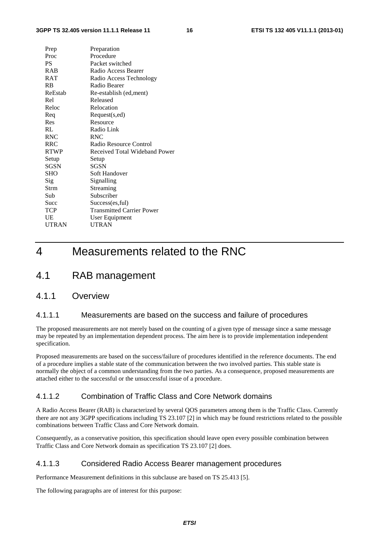| Prep        | Preparation                      |
|-------------|----------------------------------|
| Proc        | Procedure                        |
| <b>PS</b>   | Packet switched                  |
| RAB         | Radio Access Bearer              |
| <b>RAT</b>  | Radio Access Technology          |
| <b>RB</b>   | Radio Bearer                     |
| ReEstab     | Re-establish (ed, ment)          |
| Rel         | Released                         |
| Reloc       | Relocation                       |
| Req         | Request(s,ed)                    |
| Res         | Resource                         |
| RL          | Radio Link                       |
| <b>RNC</b>  | <b>RNC</b>                       |
| <b>RRC</b>  | Radio Resource Control           |
| <b>RTWP</b> | Received Total Wideband Power    |
| Setup       | Setup                            |
| <b>SGSN</b> | SGSN                             |
| <b>SHO</b>  | Soft Handover                    |
| Sig         | Signalling                       |
| Strm        | Streaming                        |
| Sub         | Subscriber                       |
| Succ        | Success(es, ful)                 |
| <b>TCP</b>  | <b>Transmitted Carrier Power</b> |
| UE          | User Equipment                   |
| UTRAN       | UTRAN                            |
|             |                                  |

### 4 Measurements related to the RNC

### 4.1 RAB management

#### 4.1.1 Overview

#### 4.1.1.1 Measurements are based on the success and failure of procedures

The proposed measurements are not merely based on the counting of a given type of message since a same message may be repeated by an implementation dependent process. The aim here is to provide implementation independent specification.

Proposed measurements are based on the success/failure of procedures identified in the reference documents. The end of a procedure implies a stable state of the communication between the two involved parties. This stable state is normally the object of a common understanding from the two parties. As a consequence, proposed measurements are attached either to the successful or the unsuccessful issue of a procedure.

#### 4.1.1.2 Combination of Traffic Class and Core Network domains

A Radio Access Bearer (RAB) is characterized by several QOS parameters among them is the Traffic Class. Currently there are not any 3GPP specifications including TS 23.107 [2] in which may be found restrictions related to the possible combinations between Traffic Class and Core Network domain.

Consequently, as a conservative position, this specification should leave open every possible combination between Traffic Class and Core Network domain as specification TS 23.107 [2] does.

#### 4.1.1.3 Considered Radio Access Bearer management procedures

Performance Measurement definitions in this subclause are based on TS 25.413 [5].

The following paragraphs are of interest for this purpose: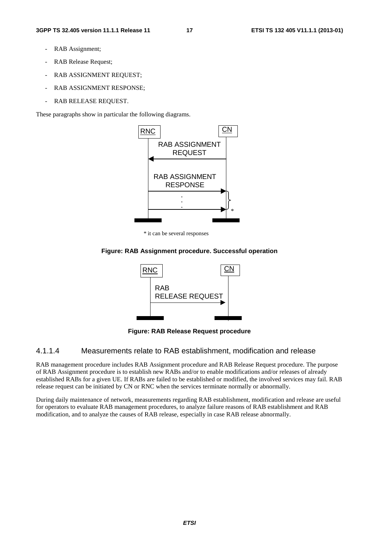- RAB Assignment;
- RAB Release Request;
- RAB ASSIGNMENT REQUEST;
- RAB ASSIGNMENT RESPONSE:
- RAB RELEASE REQUEST.

These paragraphs show in particular the following diagrams.



\* it can be several responses

#### **Figure: RAB Assignment procedure. Successful operation**



**Figure: RAB Release Request procedure** 

#### 4.1.1.4 Measurements relate to RAB establishment, modification and release

RAB management procedure includes RAB Assignment procedure and RAB Release Request procedure. The purpose of RAB Assignment procedure is to establish new RABs and/or to enable modifications and/or releases of already established RABs for a given UE. If RABs are failed to be established or modified, the involved services may fail. RAB release request can be initiated by CN or RNC when the services terminate normally or abnormally.

During daily maintenance of network, measurements regarding RAB establishment, modification and release are useful for operators to evaluate RAB management procedures, to analyze failure reasons of RAB establishment and RAB modification, and to analyze the causes of RAB release, especially in case RAB release abnormally.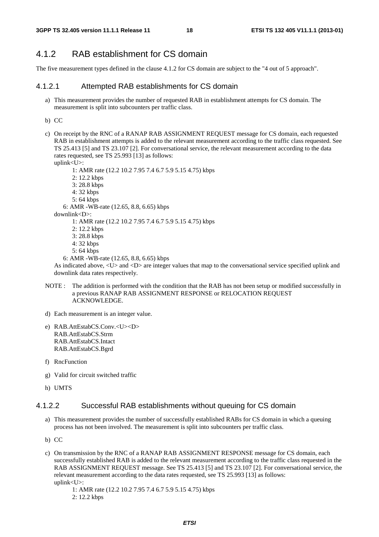#### 4.1.2 RAB establishment for CS domain

The five measurement types defined in the clause 4.1.2 for CS domain are subject to the "4 out of 5 approach".

#### 4.1.2.1 Attempted RAB establishments for CS domain

a) This measurement provides the number of requested RAB in establishment attempts for CS domain. The measurement is split into subcounters per traffic class.

b) CC

c) On receipt by the RNC of a RANAP RAB ASSIGNMENT REQUEST message for CS domain, each requested RAB in establishment attempts is added to the relevant measurement according to the traffic class requested. See TS 25.413 [5] and TS 23.107 [2]. For conversational service, the relevant measurement according to the data rates requested, see TS 25.993 [13] as follows:

uplink<U>: 1: AMR rate (12.2 10.2 7.95 7.4 6.7 5.9 5.15 4.75) kbps 2: 12.2 kbps 3: 28.8 kbps 4: 32 kbps 5: 64 kbps 6: AMR -WB-rate (12.65, 8.8, 6.65) kbps downlink<D>: 1: AMR rate (12.2 10.2 7.95 7.4 6.7 5.9 5.15 4.75) kbps 2: 12.2 kbps 3: 28.8 kbps

- 4: 32 kbps
- 5: 64 kbps

6: AMR -WB-rate (12.65, 8.8, 6.65) kbps

As indicated above, <U> and <D> are integer values that map to the conversational service specified uplink and downlink data rates respectively.

- NOTE : The addition is performed with the condition that the RAB has not been setup or modified successfully in a previous RANAP RAB ASSIGNMENT RESPONSE or RELOCATION REQUEST ACKNOWLEDGE.
- d) Each measurement is an integer value.
- e) RAB.AttEstabCS.Conv.<U><D> RAB.AttEstabCS.Strm RAB.AttEstabCS.Intact RAB.AttEstabCS.Bgrd
- f) RncFunction
- g) Valid for circuit switched traffic
- h) UMTS

#### 4.1.2.2 Successful RAB establishments without queuing for CS domain

- a) This measurement provides the number of successfully established RABs for CS domain in which a queuing process has not been involved. The measurement is split into subcounters per traffic class.
- b) CC
- c) On transmission by the RNC of a RANAP RAB ASSIGNMENT RESPONSE message for CS domain, each successfully established RAB is added to the relevant measurement according to the traffic class requested in the RAB ASSIGNMENT REQUEST message. See TS 25.413 [5] and TS 23.107 [2]. For conversational service, the relevant measurement according to the data rates requested, see TS 25.993 [13] as follows: uplink<U>:
	- 1: AMR rate (12.2 10.2 7.95 7.4 6.7 5.9 5.15 4.75) kbps 2: 12.2 kbps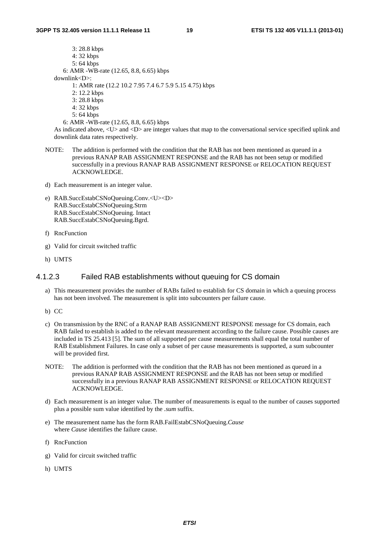3: 28.8 kbps 4: 32 kbps 5: 64 kbps 6: AMR -WB-rate (12.65, 8.8, 6.65) kbps downlink<D>: 1: AMR rate (12.2 10.2 7.95 7.4 6.7 5.9 5.15 4.75) kbps 2: 12.2 kbps 3: 28.8 kbps 4: 32 kbps

5: 64 kbps

6: AMR -WB-rate (12.65, 8.8, 6.65) kbps

As indicated above, <U> and <D> are integer values that map to the conversational service specified uplink and downlink data rates respectively.

- NOTE: The addition is performed with the condition that the RAB has not been mentioned as queued in a previous RANAP RAB ASSIGNMENT RESPONSE and the RAB has not been setup or modified successfully in a previous RANAP RAB ASSIGNMENT RESPONSE or RELOCATION REQUEST ACKNOWLEDGE.
- d) Each measurement is an integer value.
- e) RAB.SuccEstabCSNoQueuing.Conv.<U><D> RAB.SuccEstabCSNoQueuing.Strm RAB.SuccEstabCSNoQueuing. Intact RAB.SuccEstabCSNoQueuing.Bgrd.
- f) RncFunction
- g) Valid for circuit switched traffic
- h) UMTS

#### 4.1.2.3 Failed RAB establishments without queuing for CS domain

- a) This measurement provides the number of RABs failed to establish for CS domain in which a queuing process has not been involved. The measurement is split into subcounters per failure cause.
- b) CC
- c) On transmission by the RNC of a RANAP RAB ASSIGNMENT RESPONSE message for CS domain, each RAB failed to establish is added to the relevant measurement according to the failure cause. Possible causes are included in TS 25.413 [5]. The sum of all supported per cause measurements shall equal the total number of RAB Establishment Failures. In case only a subset of per cause measurements is supported, a sum subcounter will be provided first.
- NOTE: The addition is performed with the condition that the RAB has not been mentioned as queued in a previous RANAP RAB ASSIGNMENT RESPONSE and the RAB has not been setup or modified successfully in a previous RANAP RAB ASSIGNMENT RESPONSE or RELOCATION REQUEST ACKNOWLEDGE.
- d) Each measurement is an integer value. The number of measurements is equal to the number of causes supported plus a possible sum value identified by the *.sum* suffix.
- e) The measurement name has the form RAB.FailEstabCSNoQueuing.*Cause* where *Cause* identifies the failure cause.
- f) RncFunction
- g) Valid for circuit switched traffic
- h) UMTS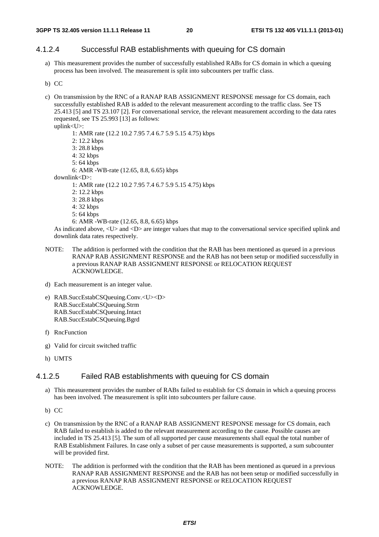#### 4.1.2.4 Successful RAB establishments with queuing for CS domain

- a) This measurement provides the number of successfully established RABs for CS domain in which a queuing process has been involved. The measurement is split into subcounters per traffic class.
- b) CC
- c) On transmission by the RNC of a RANAP RAB ASSIGNMENT RESPONSE message for CS domain, each successfully established RAB is added to the relevant measurement according to the traffic class. See TS 25.413 [5] and TS 23.107 [2]. For conversational service, the relevant measurement according to the data rates requested, see TS 25.993 [13] as follows: uplink<U>:

```
 1: AMR rate (12.2 10.2 7.95 7.4 6.7 5.9 5.15 4.75) kbps 
        2: 12.2 kbps 
        3: 28.8 kbps 
        4: 32 kbps 
        5: 64 kbps 
        6: AMR -WB-rate (12.65, 8.8, 6.65) kbps 
downlink<D>: 
        1: AMR rate (12.2 10.2 7.95 7.4 6.7 5.9 5.15 4.75) kbps 
        2: 12.2 kbps 
        3: 28.8 kbps 
        4: 32 kbps 
        5: 64 kbps
```
6: AMR -WB-rate (12.65, 8.8, 6.65) kbps

As indicated above, <U> and <D> are integer values that map to the conversational service specified uplink and downlink data rates respectively.

- NOTE: The addition is performed with the condition that the RAB has been mentioned as queued in a previous RANAP RAB ASSIGNMENT RESPONSE and the RAB has not been setup or modified successfully in a previous RANAP RAB ASSIGNMENT RESPONSE or RELOCATION REQUEST ACKNOWLEDGE.
- d) Each measurement is an integer value.
- e) RAB.SuccEstabCSQueuing.Conv.<U><D> RAB.SuccEstabCSQueuing.Strm RAB.SuccEstabCSQueuing.Intact RAB.SuccEstabCSQueuing.Bgrd
- f) RncFunction
- g) Valid for circuit switched traffic
- h) UMTS

#### 4.1.2.5 Failed RAB establishments with queuing for CS domain

- a) This measurement provides the number of RABs failed to establish for CS domain in which a queuing process has been involved. The measurement is split into subcounters per failure cause.
- b) CC
- c) On transmission by the RNC of a RANAP RAB ASSIGNMENT RESPONSE message for CS domain, each RAB failed to establish is added to the relevant measurement according to the cause. Possible causes are included in TS 25.413 [5]. The sum of all supported per cause measurements shall equal the total number of RAB Establishment Failures. In case only a subset of per cause measurements is supported, a sum subcounter will be provided first.
- NOTE: The addition is performed with the condition that the RAB has been mentioned as queued in a previous RANAP RAB ASSIGNMENT RESPONSE and the RAB has not been setup or modified successfully in a previous RANAP RAB ASSIGNMENT RESPONSE or RELOCATION REQUEST ACKNOWLEDGE.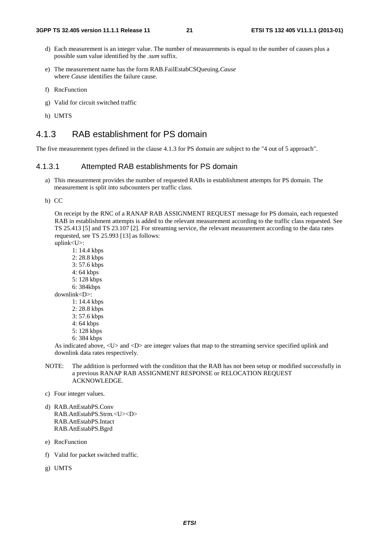- d) Each measurement is an integer value. The number of measurements is equal to the number of causes plus a possible sum value identified by the *.sum* suffix.
- e) The measurement name has the form RAB.FailEstabCSQueuing.*Cause* where *Cause* identifies the failure cause.
- f) RncFunction
- g) Valid for circuit switched traffic
- h) UMTS

#### 4.1.3 RAB establishment for PS domain

The five measurement types defined in the clause 4.1.3 for PS domain are subject to the "4 out of 5 approach".

#### 4.1.3.1 Attempted RAB establishments for PS domain

- a) This measurement provides the number of requested RABs in establishment attempts for PS domain. The measurement is split into subcounters per traffic class.
- b) CC

On receipt by the RNC of a RANAP RAB ASSIGNMENT REQUEST message for PS domain, each requested RAB in establishment attempts is added to the relevant measurement according to the traffic class requested. See TS 25.413 [5] and TS 23.107 [2]. For streaming service, the relevant measurement according to the data rates requested, see TS 25.993 [13] as follows:

uplink<U>:

- 1: 14.4 kbps 2: 28.8 kbps 3: 57.6 kbps 4: 64 kbps 5: 128 kbps 6: 384kbps downlink<D>: 1: 14.4 kbps 2: 28.8 kbps
	- 3: 57.6 kbps
	- 4: 64 kbps
	- 5: 128 kbps
	- 6: 384 kbps

As indicated above, <U> and <D> are integer values that map to the streaming service specified uplink and downlink data rates respectively.

- NOTE: The addition is performed with the condition that the RAB has not been setup or modified successfully in a previous RANAP RAB ASSIGNMENT RESPONSE or RELOCATION REQUEST ACKNOWLEDGE.
- c) Four integer values.
- d) RAB.AttEstabPS.Conv RAB.AttEstabPS.Strm.<U><D> RAB.AttEstabPS.Intact RAB.AttEstabPS.Bgrd
- e) RncFunction
- f) Valid for packet switched traffic.
- g) UMTS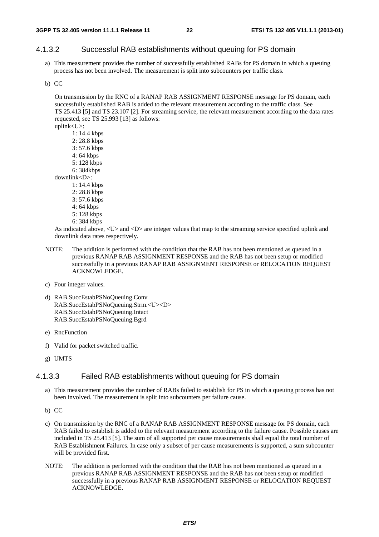#### 4.1.3.2 Successful RAB establishments without queuing for PS domain

a) This measurement provides the number of successfully established RABs for PS domain in which a queuing process has not been involved. The measurement is split into subcounters per traffic class.

#### b) CC

On transmission by the RNC of a RANAP RAB ASSIGNMENT RESPONSE message for PS domain, each successfully established RAB is added to the relevant measurement according to the traffic class. See TS 25.413 [5] and TS 23.107 [2]. For streaming service, the relevant measurement according to the data rates requested, see TS 25.993 [13] as follows:

uplink<U>:

 1: 14.4 kbps 2: 28.8 kbps 3: 57.6 kbps 4: 64 kbps 5: 128 kbps 6: 384kbps

downlink<D>:

- 1: 14.4 kbps 2: 28.8 kbps
- 3: 57.6 kbps
- 4: 64 kbps
- 5: 128 kbps
- 6: 384 kbps

As indicated above, <U> and <D> are integer values that map to the streaming service specified uplink and downlink data rates respectively.

- NOTE: The addition is performed with the condition that the RAB has not been mentioned as queued in a previous RANAP RAB ASSIGNMENT RESPONSE and the RAB has not been setup or modified successfully in a previous RANAP RAB ASSIGNMENT RESPONSE or RELOCATION REQUEST ACKNOWLEDGE.
- c) Four integer values.
- d) RAB.SuccEstabPSNoQueuing.Conv RAB.SuccEstabPSNoQueuing.Strm.<U><D> RAB.SuccEstabPSNoQueuing.Intact RAB.SuccEstabPSNoQueuing.Bgrd
- e) RncFunction
- f) Valid for packet switched traffic.
- g) UMTS

#### 4.1.3.3 Failed RAB establishments without queuing for PS domain

- a) This measurement provides the number of RABs failed to establish for PS in which a queuing process has not been involved. The measurement is split into subcounters per failure cause.
- b) CC
- c) On transmission by the RNC of a RANAP RAB ASSIGNMENT RESPONSE message for PS domain, each RAB failed to establish is added to the relevant measurement according to the failure cause. Possible causes are included in TS 25.413 [5]. The sum of all supported per cause measurements shall equal the total number of RAB Establishment Failures. In case only a subset of per cause measurements is supported, a sum subcounter will be provided first.
- NOTE: The addition is performed with the condition that the RAB has not been mentioned as queued in a previous RANAP RAB ASSIGNMENT RESPONSE and the RAB has not been setup or modified successfully in a previous RANAP RAB ASSIGNMENT RESPONSE or RELOCATION REQUEST ACKNOWLEDGE.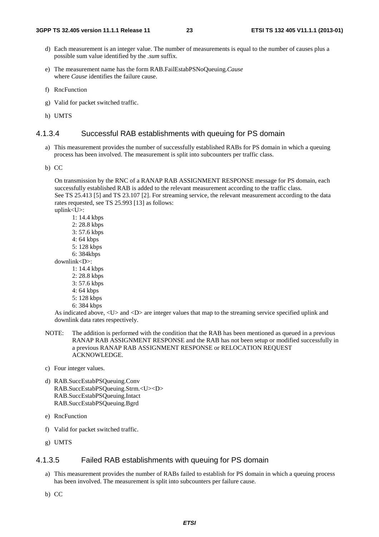- d) Each measurement is an integer value. The number of measurements is equal to the number of causes plus a possible sum value identified by the *.sum* suffix.
- e) The measurement name has the form RAB.FailEstabPSNoQueuing.*Cause* where *Cause* identifies the failure cause.
- f) RncFunction
- g) Valid for packet switched traffic.
- h) UMTS

#### 4.1.3.4 Successful RAB establishments with queuing for PS domain

- a) This measurement provides the number of successfully established RABs for PS domain in which a queuing process has been involved. The measurement is split into subcounters per traffic class.
- b) CC

On transmission by the RNC of a RANAP RAB ASSIGNMENT RESPONSE message for PS domain, each successfully established RAB is added to the relevant measurement according to the traffic class. See TS 25.413 [5] and TS 23.107 [2]. For streaming service, the relevant measurement according to the data rates requested, see TS 25.993 [13] as follows:

uplink<U>:

 1: 14.4 kbps 2: 28.8 kbps 3: 57.6 kbps 4: 64 kbps 5: 128 kbps 6: 384kbps downlink<D>: 1: 14.4 kbps 2: 28.8 kbps 3: 57.6 kbps 4: 64 kbps 5: 128 kbps 6: 384 kbps

As indicated above, <U> and <D> are integer values that map to the streaming service specified uplink and downlink data rates respectively.

- NOTE: The addition is performed with the condition that the RAB has been mentioned as queued in a previous RANAP RAB ASSIGNMENT RESPONSE and the RAB has not been setup or modified successfully in a previous RANAP RAB ASSIGNMENT RESPONSE or RELOCATION REQUEST ACKNOWLEDGE.
- c) Four integer values.
- d) RAB.SuccEstabPSQueuing.Conv RAB.SuccEstabPSQueuing.Strm.<U><D> RAB.SuccEstabPSQueuing.Intact RAB.SuccEstabPSQueuing.Bgrd
- e) RncFunction
- f) Valid for packet switched traffic.
- g) UMTS

#### 4.1.3.5 Failed RAB establishments with queuing for PS domain

- a) This measurement provides the number of RABs failed to establish for PS domain in which a queuing process has been involved. The measurement is split into subcounters per failure cause.
- b) CC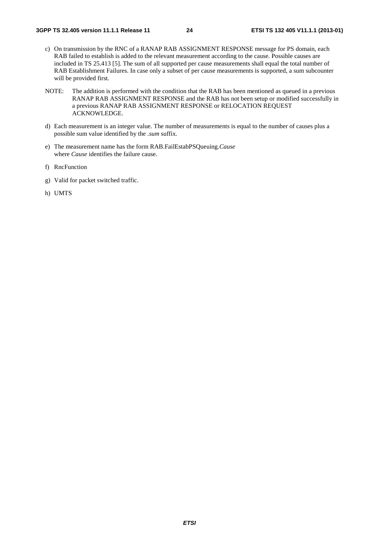- c) On transmission by the RNC of a RANAP RAB ASSIGNMENT RESPONSE message for PS domain, each RAB failed to establish is added to the relevant measurement according to the cause. Possible causes are included in TS 25.413 [5]. The sum of all supported per cause measurements shall equal the total number of RAB Establishment Failures. In case only a subset of per cause measurements is supported, a sum subcounter will be provided first.
- NOTE: The addition is performed with the condition that the RAB has been mentioned as queued in a previous RANAP RAB ASSIGNMENT RESPONSE and the RAB has not been setup or modified successfully in a previous RANAP RAB ASSIGNMENT RESPONSE or RELOCATION REQUEST ACKNOWLEDGE.
- d) Each measurement is an integer value. The number of measurements is equal to the number of causes plus a possible sum value identified by the *.sum* suffix.
- e) The measurement name has the form RAB.FailEstabPSQueuing.*Cause* where *Cause* identifies the failure cause.
- f) RncFunction
- g) Valid for packet switched traffic.
- h) UMTS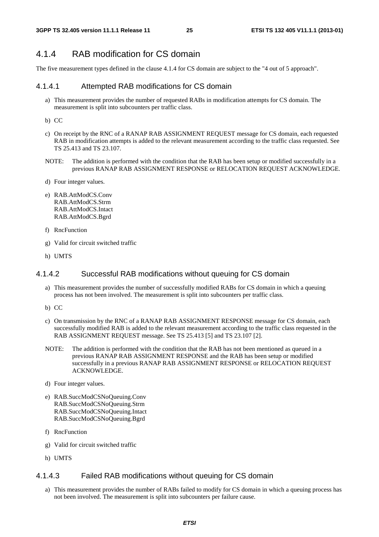#### 4.1.4 RAB modification for CS domain

The five measurement types defined in the clause 4.1.4 for CS domain are subject to the "4 out of 5 approach".

#### 4.1.4.1 Attempted RAB modifications for CS domain

- a) This measurement provides the number of requested RABs in modification attempts for CS domain. The measurement is split into subcounters per traffic class.
- b) CC
- c) On receipt by the RNC of a RANAP RAB ASSIGNMENT REQUEST message for CS domain, each requested RAB in modification attempts is added to the relevant measurement according to the traffic class requested. See TS 25.413 and TS 23.107.
- NOTE: The addition is performed with the condition that the RAB has been setup or modified successfully in a previous RANAP RAB ASSIGNMENT RESPONSE or RELOCATION REQUEST ACKNOWLEDGE.
- d) Four integer values.
- e) RAB.AttModCS.Conv RAB.AttModCS.Strm RAB.AttModCS.Intact RAB.AttModCS.Bgrd
- f) RncFunction
- g) Valid for circuit switched traffic
- h) UMTS

#### 4.1.4.2 Successful RAB modifications without queuing for CS domain

- a) This measurement provides the number of successfully modified RABs for CS domain in which a queuing process has not been involved. The measurement is split into subcounters per traffic class.
- b) CC
- c) On transmission by the RNC of a RANAP RAB ASSIGNMENT RESPONSE message for CS domain, each successfully modified RAB is added to the relevant measurement according to the traffic class requested in the RAB ASSIGNMENT REQUEST message. See TS 25.413 [5] and TS 23.107 [2].
- NOTE: The addition is performed with the condition that the RAB has not been mentioned as queued in a previous RANAP RAB ASSIGNMENT RESPONSE and the RAB has been setup or modified successfully in a previous RANAP RAB ASSIGNMENT RESPONSE or RELOCATION REQUEST ACKNOWLEDGE.
- d) Four integer values.
- e) RAB.SuccModCSNoQueuing.Conv RAB.SuccModCSNoQueuing.Strm RAB.SuccModCSNoQueuing.Intact RAB.SuccModCSNoQueuing.Bgrd
- f) RncFunction
- g) Valid for circuit switched traffic
- h) UMTS

#### 4.1.4.3 Failed RAB modifications without queuing for CS domain

a) This measurement provides the number of RABs failed to modify for CS domain in which a queuing process has not been involved. The measurement is split into subcounters per failure cause.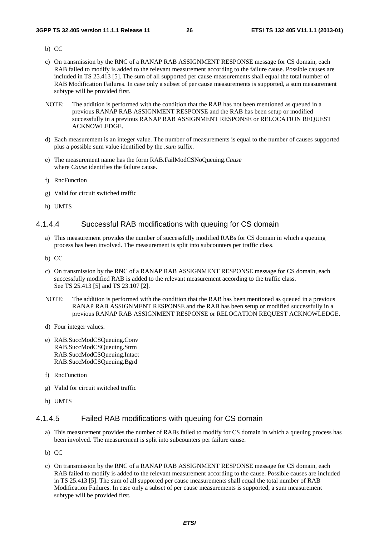- b) CC
- c) On transmission by the RNC of a RANAP RAB ASSIGNMENT RESPONSE message for CS domain, each RAB failed to modify is added to the relevant measurement according to the failure cause. Possible causes are included in TS 25.413 [5]. The sum of all supported per cause measurements shall equal the total number of RAB Modification Failures. In case only a subset of per cause measurements is supported, a sum measurement subtype will be provided first.
- NOTE: The addition is performed with the condition that the RAB has not been mentioned as queued in a previous RANAP RAB ASSIGNMENT RESPONSE and the RAB has been setup or modified successfully in a previous RANAP RAB ASSIGNMENT RESPONSE or RELOCATION REQUEST ACKNOWLEDGE.
- d) Each measurement is an integer value. The number of measurements is equal to the number of causes supported plus a possible sum value identified by the *.sum* suffix.
- e) The measurement name has the form RAB.FailModCSNoQueuing.*Cause* where *Cause* identifies the failure cause.
- f) RncFunction
- g) Valid for circuit switched traffic
- h) UMTS

#### 4.1.4.4 Successful RAB modifications with queuing for CS domain

- a) This measurement provides the number of successfully modified RABs for CS domain in which a queuing process has been involved. The measurement is split into subcounters per traffic class.
- b) CC
- c) On transmission by the RNC of a RANAP RAB ASSIGNMENT RESPONSE message for CS domain, each successfully modified RAB is added to the relevant measurement according to the traffic class. See TS 25.413 [5] and TS 23.107 [2].
- NOTE: The addition is performed with the condition that the RAB has been mentioned as queued in a previous RANAP RAB ASSIGNMENT RESPONSE and the RAB has been setup or modified successfully in a previous RANAP RAB ASSIGNMENT RESPONSE or RELOCATION REQUEST ACKNOWLEDGE.
- d) Four integer values.
- e) RAB.SuccModCSQueuing.Conv RAB.SuccModCSQueuing.Strm RAB.SuccModCSQueuing.Intact RAB.SuccModCSQueuing.Bgrd
- f) RncFunction
- g) Valid for circuit switched traffic
- h) UMTS

#### 4.1.4.5 Failed RAB modifications with queuing for CS domain

- a) This measurement provides the number of RABs failed to modify for CS domain in which a queuing process has been involved. The measurement is split into subcounters per failure cause.
- b) CC
- c) On transmission by the RNC of a RANAP RAB ASSIGNMENT RESPONSE message for CS domain, each RAB failed to modify is added to the relevant measurement according to the cause. Possible causes are included in TS 25.413 [5]. The sum of all supported per cause measurements shall equal the total number of RAB Modification Failures. In case only a subset of per cause measurements is supported, a sum measurement subtype will be provided first.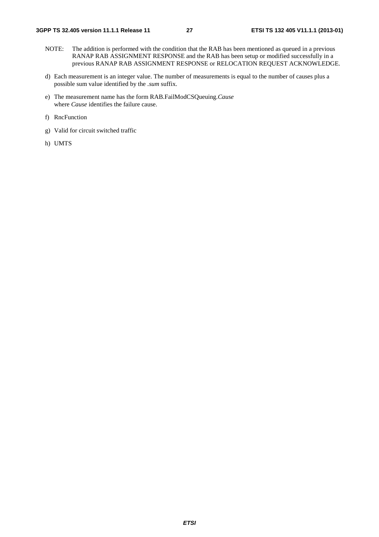- NOTE: The addition is performed with the condition that the RAB has been mentioned as queued in a previous RANAP RAB ASSIGNMENT RESPONSE and the RAB has been setup or modified successfully in a previous RANAP RAB ASSIGNMENT RESPONSE or RELOCATION REQUEST ACKNOWLEDGE.
- d) Each measurement is an integer value. The number of measurements is equal to the number of causes plus a possible sum value identified by the *.sum* suffix.
- e) The measurement name has the form RAB.FailModCSQueuing.*Cause* where *Cause* identifies the failure cause.
- f) RncFunction
- g) Valid for circuit switched traffic
- h) UMTS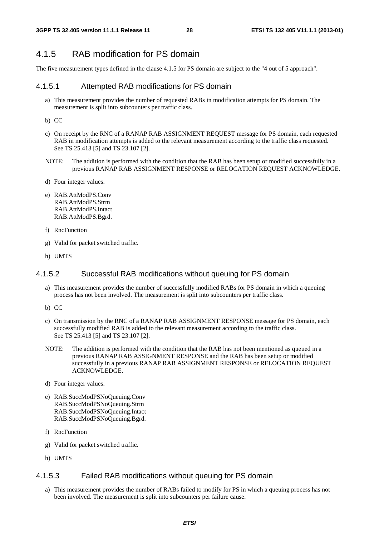#### 4.1.5 RAB modification for PS domain

The five measurement types defined in the clause 4.1.5 for PS domain are subject to the "4 out of 5 approach".

#### 4.1.5.1 Attempted RAB modifications for PS domain

- a) This measurement provides the number of requested RABs in modification attempts for PS domain. The measurement is split into subcounters per traffic class.
- b) CC
- c) On receipt by the RNC of a RANAP RAB ASSIGNMENT REQUEST message for PS domain, each requested RAB in modification attempts is added to the relevant measurement according to the traffic class requested. See TS 25.413 [5] and TS 23.107 [2].
- NOTE: The addition is performed with the condition that the RAB has been setup or modified successfully in a previous RANAP RAB ASSIGNMENT RESPONSE or RELOCATION REQUEST ACKNOWLEDGE.
- d) Four integer values.
- e) RAB.AttModPS.Conv RAB.AttModPS.Strm RAB.AttModPS.Intact RAB.AttModPS.Bgrd.
- f) RncFunction
- g) Valid for packet switched traffic.
- h) UMTS

#### 4.1.5.2 Successful RAB modifications without queuing for PS domain

- a) This measurement provides the number of successfully modified RABs for PS domain in which a queuing process has not been involved. The measurement is split into subcounters per traffic class.
- b) CC
- c) On transmission by the RNC of a RANAP RAB ASSIGNMENT RESPONSE message for PS domain, each successfully modified RAB is added to the relevant measurement according to the traffic class. See TS 25.413 [5] and TS 23.107 [2].
- NOTE: The addition is performed with the condition that the RAB has not been mentioned as queued in a previous RANAP RAB ASSIGNMENT RESPONSE and the RAB has been setup or modified successfully in a previous RANAP RAB ASSIGNMENT RESPONSE or RELOCATION REQUEST ACKNOWLEDGE.
- d) Four integer values.
- e) RAB.SuccModPSNoQueuing.Conv RAB.SuccModPSNoQueuing.Strm RAB.SuccModPSNoQueuing.Intact RAB.SuccModPSNoQueuing.Bgrd.
- f) RncFunction
- g) Valid for packet switched traffic.
- h) UMTS

#### 4.1.5.3 Failed RAB modifications without queuing for PS domain

a) This measurement provides the number of RABs failed to modify for PS in which a queuing process has not been involved. The measurement is split into subcounters per failure cause.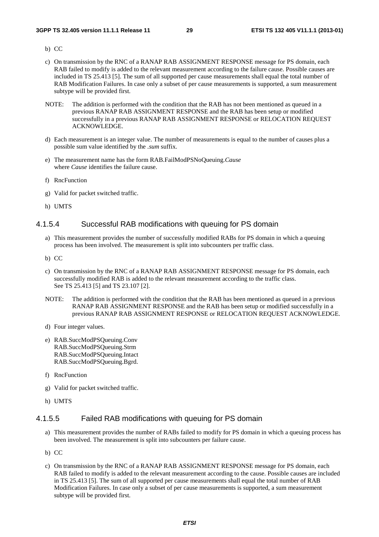- b) CC
- c) On transmission by the RNC of a RANAP RAB ASSIGNMENT RESPONSE message for PS domain, each RAB failed to modify is added to the relevant measurement according to the failure cause. Possible causes are included in TS 25.413 [5]. The sum of all supported per cause measurements shall equal the total number of RAB Modification Failures. In case only a subset of per cause measurements is supported, a sum measurement subtype will be provided first.
- NOTE: The addition is performed with the condition that the RAB has not been mentioned as queued in a previous RANAP RAB ASSIGNMENT RESPONSE and the RAB has been setup or modified successfully in a previous RANAP RAB ASSIGNMENT RESPONSE or RELOCATION REQUEST ACKNOWLEDGE.
- d) Each measurement is an integer value. The number of measurements is equal to the number of causes plus a possible sum value identified by the *.sum* suffix.
- e) The measurement name has the form RAB.FailModPSNoQueuing.*Cause* where *Cause* identifies the failure cause.
- f) RncFunction
- g) Valid for packet switched traffic.
- h) UMTS

#### 4.1.5.4 Successful RAB modifications with queuing for PS domain

- a) This measurement provides the number of successfully modified RABs for PS domain in which a queuing process has been involved. The measurement is split into subcounters per traffic class.
- b) CC
- c) On transmission by the RNC of a RANAP RAB ASSIGNMENT RESPONSE message for PS domain, each successfully modified RAB is added to the relevant measurement according to the traffic class. See TS 25.413 [5] and TS 23.107 [2].
- NOTE: The addition is performed with the condition that the RAB has been mentioned as queued in a previous RANAP RAB ASSIGNMENT RESPONSE and the RAB has been setup or modified successfully in a previous RANAP RAB ASSIGNMENT RESPONSE or RELOCATION REQUEST ACKNOWLEDGE.
- d) Four integer values.
- e) RAB.SuccModPSQueuing.Conv RAB.SuccModPSQueuing.Strm RAB.SuccModPSQueuing.Intact RAB.SuccModPSQueuing.Bgrd.
- f) RncFunction
- g) Valid for packet switched traffic.
- h) UMTS

#### 4.1.5.5 Failed RAB modifications with queuing for PS domain

- a) This measurement provides the number of RABs failed to modify for PS domain in which a queuing process has been involved. The measurement is split into subcounters per failure cause.
- b) CC
- c) On transmission by the RNC of a RANAP RAB ASSIGNMENT RESPONSE message for PS domain, each RAB failed to modify is added to the relevant measurement according to the cause. Possible causes are included in TS 25.413 [5]. The sum of all supported per cause measurements shall equal the total number of RAB Modification Failures. In case only a subset of per cause measurements is supported, a sum measurement subtype will be provided first.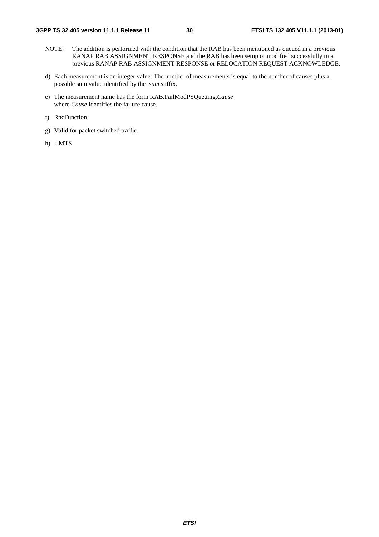- NOTE: The addition is performed with the condition that the RAB has been mentioned as queued in a previous RANAP RAB ASSIGNMENT RESPONSE and the RAB has been setup or modified successfully in a previous RANAP RAB ASSIGNMENT RESPONSE or RELOCATION REQUEST ACKNOWLEDGE.
- d) Each measurement is an integer value. The number of measurements is equal to the number of causes plus a possible sum value identified by the *.sum* suffix.
- e) The measurement name has the form RAB.FailModPSQueuing.*Cause* where *Cause* identifies the failure cause.
- f) RncFunction
- g) Valid for packet switched traffic.
- h) UMTS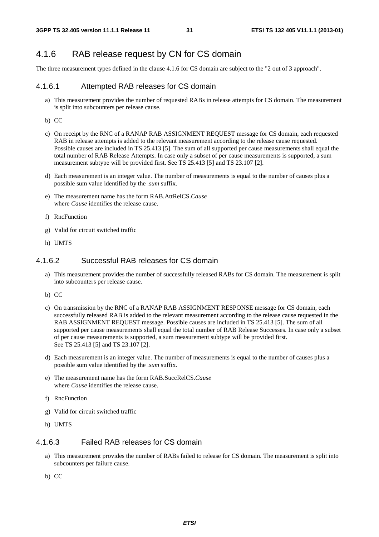### 4.1.6 RAB release request by CN for CS domain

The three measurement types defined in the clause 4.1.6 for CS domain are subject to the "2 out of 3 approach".

#### 4.1.6.1 Attempted RAB releases for CS domain

- a) This measurement provides the number of requested RABs in release attempts for CS domain. The measurement is split into subcounters per release cause.
- b) CC
- c) On receipt by the RNC of a RANAP RAB ASSIGNMENT REQUEST message for CS domain, each requested RAB in release attempts is added to the relevant measurement according to the release cause requested. Possible causes are included in TS 25.413 [5]. The sum of all supported per cause measurements shall equal the total number of RAB Release Attempts. In case only a subset of per cause measurements is supported, a sum measurement subtype will be provided first. See TS 25.413 [5] and TS 23.107 [2].
- d) Each measurement is an integer value. The number of measurements is equal to the number of causes plus a possible sum value identified by the *.sum* suffix.
- e) The measurement name has the form RAB.AttRelCS.*Cause* where *Cause* identifies the release cause.
- f) RncFunction
- g) Valid for circuit switched traffic
- h) UMTS

#### 4.1.6.2 Successful RAB releases for CS domain

- a) This measurement provides the number of successfully released RABs for CS domain. The measurement is split into subcounters per release cause.
- b) CC
- c) On transmission by the RNC of a RANAP RAB ASSIGNMENT RESPONSE message for CS domain, each successfully released RAB is added to the relevant measurement according to the release cause requested in the RAB ASSIGNMENT REQUEST message. Possible causes are included in TS 25.413 [5]. The sum of all supported per cause measurements shall equal the total number of RAB Release Successes. In case only a subset of per cause measurements is supported, a sum measurement subtype will be provided first. See TS 25.413 [5] and TS 23.107 [2].
- d) Each measurement is an integer value. The number of measurements is equal to the number of causes plus a possible sum value identified by the *.sum* suffix.
- e) The measurement name has the form RAB.SuccRelCS.*Cause* where *Cause* identifies the release cause.
- f) RncFunction
- g) Valid for circuit switched traffic
- h) UMTS

#### 4.1.6.3 Failed RAB releases for CS domain

- a) This measurement provides the number of RABs failed to release for CS domain. The measurement is split into subcounters per failure cause.
- b) CC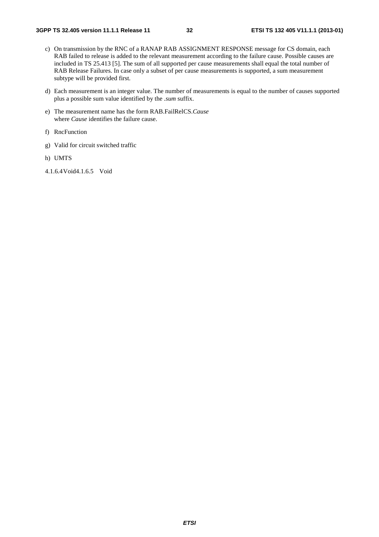- c) On transmission by the RNC of a RANAP RAB ASSIGNMENT RESPONSE message for CS domain, each RAB failed to release is added to the relevant measurement according to the failure cause. Possible causes are included in TS 25.413 [5]. The sum of all supported per cause measurements shall equal the total number of RAB Release Failures. In case only a subset of per cause measurements is supported, a sum measurement subtype will be provided first.
- d) Each measurement is an integer value. The number of measurements is equal to the number of causes supported plus a possible sum value identified by the *.sum* suffix.
- e) The measurement name has the form RAB.FailRelCS.*Cause* where *Cause* identifies the failure cause.
- f) RncFunction
- g) Valid for circuit switched traffic
- h) UMTS
- 4.1.6.4 Void4.1.6.5 Void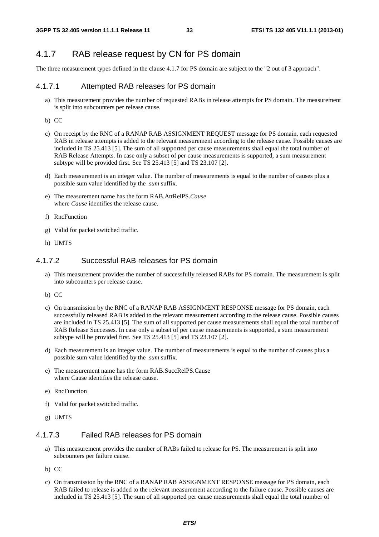#### 4.1.7 RAB release request by CN for PS domain

The three measurement types defined in the clause 4.1.7 for PS domain are subject to the "2 out of 3 approach".

#### 4.1.7.1 Attempted RAB releases for PS domain

a) This measurement provides the number of requested RABs in release attempts for PS domain. The measurement is split into subcounters per release cause.

b) CC

- c) On receipt by the RNC of a RANAP RAB ASSIGNMENT REQUEST message for PS domain, each requested RAB in release attempts is added to the relevant measurement according to the release cause. Possible causes are included in TS 25.413 [5]. The sum of all supported per cause measurements shall equal the total number of RAB Release Attempts. In case only a subset of per cause measurements is supported, a sum measurement subtype will be provided first. See TS 25.413 [5] and TS 23.107 [2].
- d) Each measurement is an integer value. The number of measurements is equal to the number of causes plus a possible sum value identified by the *.sum* suffix.
- e) The measurement name has the form RAB.AttRelPS.*Cause* where *Cause* identifies the release cause.
- f) RncFunction
- g) Valid for packet switched traffic.
- h) UMTS

#### 4.1.7.2 Successful RAB releases for PS domain

- a) This measurement provides the number of successfully released RABs for PS domain. The measurement is split into subcounters per release cause.
- b) CC
- c) On transmission by the RNC of a RANAP RAB ASSIGNMENT RESPONSE message for PS domain, each successfully released RAB is added to the relevant measurement according to the release cause. Possible causes are included in TS 25.413 [5]. The sum of all supported per cause measurements shall equal the total number of RAB Release Successes. In case only a subset of per cause measurements is supported, a sum measurement subtype will be provided first. See TS 25.413 [5] and TS 23.107 [2].
- d) Each measurement is an integer value. The number of measurements is equal to the number of causes plus a possible sum value identified by the *.sum* suffix.
- e) The measurement name has the form RAB.SuccRelPS.Cause where Cause identifies the release cause.
- e) RncFunction
- f) Valid for packet switched traffic.
- g) UMTS

#### 4.1.7.3 Failed RAB releases for PS domain

- a) This measurement provides the number of RABs failed to release for PS. The measurement is split into subcounters per failure cause.
- b) CC
- c) On transmission by the RNC of a RANAP RAB ASSIGNMENT RESPONSE message for PS domain, each RAB failed to release is added to the relevant measurement according to the failure cause. Possible causes are included in TS 25.413 [5]. The sum of all supported per cause measurements shall equal the total number of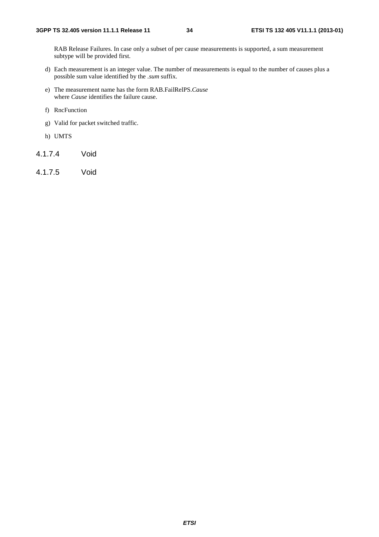RAB Release Failures. In case only a subset of per cause measurements is supported, a sum measurement subtype will be provided first.

- d) Each measurement is an integer value. The number of measurements is equal to the number of causes plus a possible sum value identified by the *.sum* suffix.
- e) The measurement name has the form RAB.FailRelPS.*Cause* where *Cause* identifies the failure cause.
- f) RncFunction
- g) Valid for packet switched traffic.
- h) UMTS
- 4.1.7.4 Void
- 4.1.7.5 Void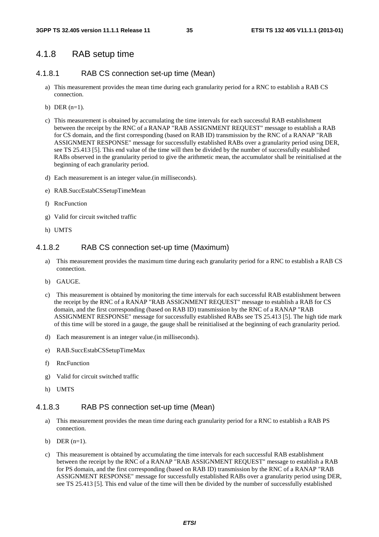#### 4.1.8 RAB setup time

#### 4.1.8.1 RAB CS connection set-up time (Mean)

- a) This measurement provides the mean time during each granularity period for a RNC to establish a RAB CS connection.
- b) DER  $(n=1)$ .
- c) This measurement is obtained by accumulating the time intervals for each successful RAB establishment between the receipt by the RNC of a RANAP "RAB ASSIGNMENT REQUEST" message to establish a RAB for CS domain, and the first corresponding (based on RAB ID) transmission by the RNC of a RANAP "RAB ASSIGNMENT RESPONSE" message for successfully established RABs over a granularity period using DER, see TS 25.413 [5]. This end value of the time will then be divided by the number of successfully established RABs observed in the granularity period to give the arithmetic mean, the accumulator shall be reinitialised at the beginning of each granularity period.
- d) Each measurement is an integer value.(in milliseconds).
- e) RAB.SuccEstabCSSetupTimeMean
- f) RncFunction
- g) Valid for circuit switched traffic
- h) UMTS

#### 4.1.8.2 RAB CS connection set-up time (Maximum)

- a) This measurement provides the maximum time during each granularity period for a RNC to establish a RAB CS connection.
- b) GAUGE.
- c) This measurement is obtained by monitoring the time intervals for each successful RAB establishment between the receipt by the RNC of a RANAP "RAB ASSIGNMENT REQUEST" message to establish a RAB for CS domain, and the first corresponding (based on RAB ID) transmission by the RNC of a RANAP "RAB ASSIGNMENT RESPONSE" message for successfully established RABs see TS 25.413 [5]. The high tide mark of this time will be stored in a gauge, the gauge shall be reinitialised at the beginning of each granularity period.
- d) Each measurement is an integer value.(in milliseconds).
- e) RAB.SuccEstabCSSetupTimeMax
- f) RncFunction
- g) Valid for circuit switched traffic
- h) UMTS

#### 4.1.8.3 RAB PS connection set-up time (Mean)

- a) This measurement provides the mean time during each granularity period for a RNC to establish a RAB PS connection.
- b) DER  $(n=1)$ .
- c) This measurement is obtained by accumulating the time intervals for each successful RAB establishment between the receipt by the RNC of a RANAP "RAB ASSIGNMENT REQUEST" message to establish a RAB for PS domain, and the first corresponding (based on RAB ID) transmission by the RNC of a RANAP "RAB ASSIGNMENT RESPONSE" message for successfully established RABs over a granularity period using DER, see TS 25.413 [5]. This end value of the time will then be divided by the number of successfully established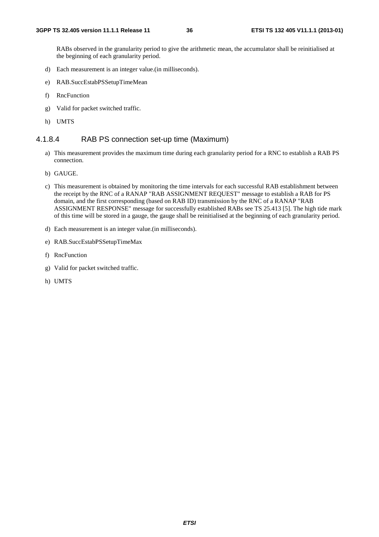RABs observed in the granularity period to give the arithmetic mean, the accumulator shall be reinitialised at the beginning of each granularity period.

- d) Each measurement is an integer value.(in milliseconds).
- e) RAB.SuccEstabPSSetupTimeMean
- f) RncFunction
- g) Valid for packet switched traffic.
- h) UMTS

#### 4.1.8.4 RAB PS connection set-up time (Maximum)

- a) This measurement provides the maximum time during each granularity period for a RNC to establish a RAB PS connection.
- b) GAUGE.
- c) This measurement is obtained by monitoring the time intervals for each successful RAB establishment between the receipt by the RNC of a RANAP "RAB ASSIGNMENT REQUEST" message to establish a RAB for PS domain, and the first corresponding (based on RAB ID) transmission by the RNC of a RANAP "RAB ASSIGNMENT RESPONSE" message for successfully established RABs see TS 25.413 [5]. The high tide mark of this time will be stored in a gauge, the gauge shall be reinitialised at the beginning of each granularity period.
- d) Each measurement is an integer value.(in milliseconds).
- e) RAB.SuccEstabPSSetupTimeMax
- f) RncFunction
- g) Valid for packet switched traffic.
- h) UMTS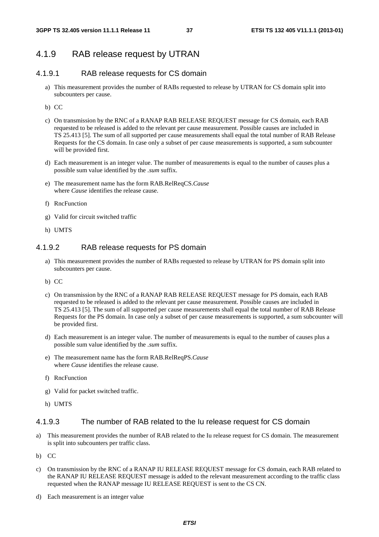# 4.1.9 RAB release request by UTRAN

## 4.1.9.1 RAB release requests for CS domain

- a) This measurement provides the number of RABs requested to release by UTRAN for CS domain split into subcounters per cause.
- b) CC
- c) On transmission by the RNC of a RANAP RAB RELEASE REQUEST message for CS domain, each RAB requested to be released is added to the relevant per cause measurement. Possible causes are included in TS 25.413 [5]. The sum of all supported per cause measurements shall equal the total number of RAB Release Requests for the CS domain. In case only a subset of per cause measurements is supported, a sum subcounter will be provided first.
- d) Each measurement is an integer value. The number of measurements is equal to the number of causes plus a possible sum value identified by the *.sum* suffix.
- e) The measurement name has the form RAB.RelReqCS.*Cause* where *Cause* identifies the release cause.
- f) RncFunction
- g) Valid for circuit switched traffic
- h) UMTS

## 4.1.9.2 RAB release requests for PS domain

- a) This measurement provides the number of RABs requested to release by UTRAN for PS domain split into subcounters per cause.
- b) CC
- c) On transmission by the RNC of a RANAP RAB RELEASE REQUEST message for PS domain, each RAB requested to be released is added to the relevant per cause measurement. Possible causes are included in TS 25.413 [5]. The sum of all supported per cause measurements shall equal the total number of RAB Release Requests for the PS domain. In case only a subset of per cause measurements is supported, a sum subcounter will be provided first.
- d) Each measurement is an integer value. The number of measurements is equal to the number of causes plus a possible sum value identified by the *.sum* suffix.
- e) The measurement name has the form RAB.RelReqPS.*Cause* where *Cause* identifies the release cause.
- f) RncFunction
- g) Valid for packet switched traffic.
- h) UMTS

### 4.1.9.3 The number of RAB related to the Iu release request for CS domain

- a) This measurement provides the number of RAB related to the Iu release request for CS domain. The measurement is split into subcounters per traffic class.
- b) CC
- c) On transmission by the RNC of a RANAP IU RELEASE REQUEST message for CS domain, each RAB related to the RANAP IU RELEASE REQUEST message is added to the relevant measurement according to the traffic class requested when the RANAP message IU RELEASE REQUEST is sent to the CS CN.
- d) Each measurement is an integer value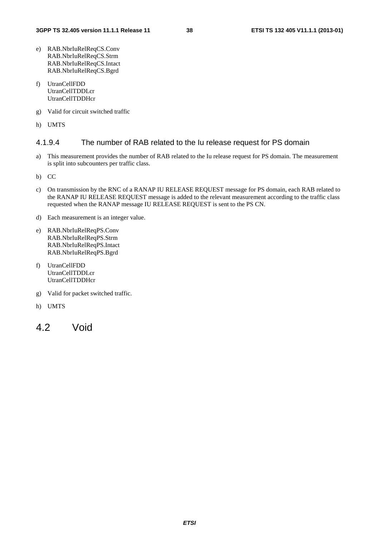- e) RAB.NbrIuRelReqCS.Conv RAB.NbrIuRelReqCS.Strm RAB.NbrIuRelReqCS.Intact RAB.NbrIuRelReqCS.Bgrd
- f) UtranCellFDD UtranCellTDDLcr UtranCellTDDHcr
- g) Valid for circuit switched traffic
- h) UMTS

## 4.1.9.4 The number of RAB related to the Iu release request for PS domain

- a) This measurement provides the number of RAB related to the Iu release request for PS domain. The measurement is split into subcounters per traffic class.
- b) CC
- c) On transmission by the RNC of a RANAP IU RELEASE REQUEST message for PS domain, each RAB related to the RANAP IU RELEASE REQUEST message is added to the relevant measurement according to the traffic class requested when the RANAP message IU RELEASE REQUEST is sent to the PS CN.
- d) Each measurement is an integer value.
- e) RAB.NbrIuRelReqPS.Conv RAB.NbrIuRelReqPS.Strm RAB.NbrIuRelReqPS.Intact RAB.NbrIuRelReqPS.Bgrd
- f) UtranCellFDD UtranCellTDDLcr UtranCellTDDHcr
- g) Valid for packet switched traffic.
- h) UMTS
- 4.2 Void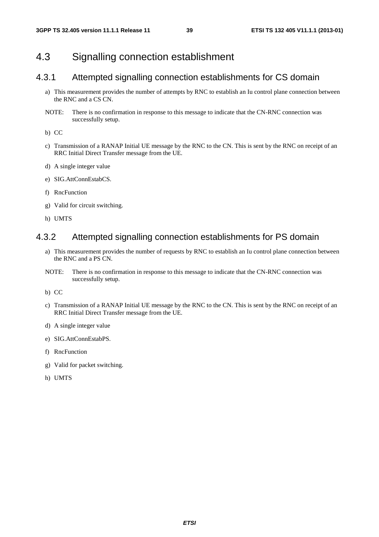# 4.3 Signalling connection establishment

# 4.3.1 Attempted signalling connection establishments for CS domain

- a) This measurement provides the number of attempts by RNC to establish an Iu control plane connection between the RNC and a CS CN.
- NOTE: There is no confirmation in response to this message to indicate that the CN-RNC connection was successfully setup.

b) CC

- c) Transmission of a RANAP Initial UE message by the RNC to the CN. This is sent by the RNC on receipt of an RRC Initial Direct Transfer message from the UE.
- d) A single integer value
- e) SIG.AttConnEstabCS.
- f) RncFunction
- g) Valid for circuit switching.
- h) UMTS

## 4.3.2 Attempted signalling connection establishments for PS domain

- a) This measurement provides the number of requests by RNC to establish an Iu control plane connection between the RNC and a PS CN.
- NOTE: There is no confirmation in response to this message to indicate that the CN-RNC connection was successfully setup.

b) CC

- c) Transmission of a RANAP Initial UE message by the RNC to the CN. This is sent by the RNC on receipt of an RRC Initial Direct Transfer message from the UE.
- d) A single integer value
- e) SIG.AttConnEstabPS.
- f) RncFunction
- g) Valid for packet switching.
- h) UMTS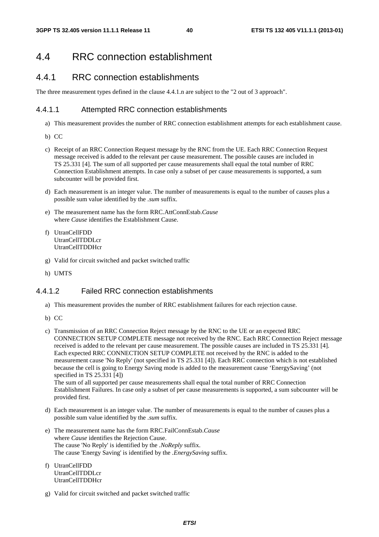# 4.4 RRC connection establishment

# 4.4.1 RRC connection establishments

The three measurement types defined in the clause 4.4.1.n are subject to the "2 out of 3 approach".

### 4.4.1.1 Attempted RRC connection establishments

- a) This measurement provides the number of RRC connection establishment attempts for each establishment cause.
- b) CC
- c) Receipt of an RRC Connection Request message by the RNC from the UE. Each RRC Connection Request message received is added to the relevant per cause measurement. The possible causes are included in TS 25.331 [4]. The sum of all supported per cause measurements shall equal the total number of RRC Connection Establishment attempts. In case only a subset of per cause measurements is supported, a sum subcounter will be provided first.
- d) Each measurement is an integer value. The number of measurements is equal to the number of causes plus a possible sum value identified by the *.sum* suffix.
- e) The measurement name has the form RRC.AttConnEstab.*Cause* where *Cause* identifies the Establishment Cause.
- f) UtranCellFDD UtranCellTDDLcr UtranCellTDDHcr
- g) Valid for circuit switched and packet switched traffic
- h) UMTS

## 4.4.1.2 Failed RRC connection establishments

- a) This measurement provides the number of RRC establishment failures for each rejection cause.
- b) CC
- c) Transmission of an RRC Connection Reject message by the RNC to the UE or an expected RRC CONNECTION SETUP COMPLETE message not received by the RNC. Each RRC Connection Reject message received is added to the relevant per cause measurement. The possible causes are included in TS 25.331 [4]. Each expected RRC CONNECTION SETUP COMPLETE not received by the RNC is added to the measurement cause 'No Reply' (not specified in TS 25.331 [4]). Each RRC connection which is not established because the cell is going to Energy Saving mode is added to the measurement cause 'EnergySaving' (not specified in TS 25.331 [4]) The sum of all supported per cause measurements shall equal the total number of RRC Connection Establishment Failures. In case only a subset of per cause measurements is supported, a sum subcounter will be provided first.
- d) Each measurement is an integer value. The number of measurements is equal to the number of causes plus a possible sum value identified by the *.sum* suffix.
- e) The measurement name has the form RRC.FailConnEstab.*Cause* where *Cause* identifies the Rejection Cause. The cause 'No Reply' is identified by the *.NoReply* suffix. The cause 'Energy Saving' is identified by the *.EnergySaving* suffix.
- f) UtranCellFDD UtranCellTDDLcr UtranCellTDDHcr
- g) Valid for circuit switched and packet switched traffic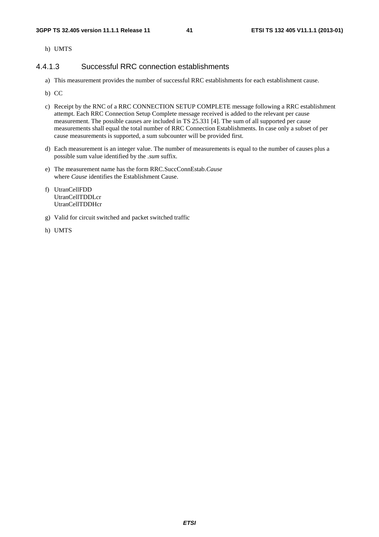h) UMTS

### 4.4.1.3 Successful RRC connection establishments

- a) This measurement provides the number of successful RRC establishments for each establishment cause.
- b) CC
- c) Receipt by the RNC of a RRC CONNECTION SETUP COMPLETE message following a RRC establishment attempt. Each RRC Connection Setup Complete message received is added to the relevant per cause measurement. The possible causes are included in TS 25.331 [4]. The sum of all supported per cause measurements shall equal the total number of RRC Connection Establishments. In case only a subset of per cause measurements is supported, a sum subcounter will be provided first.
- d) Each measurement is an integer value. The number of measurements is equal to the number of causes plus a possible sum value identified by the *.sum* suffix.
- e) The measurement name has the form RRC.SuccConnEstab.*Cause* where *Cause* identifies the Establishment Cause.
- f) UtranCellFDD UtranCellTDDLcr UtranCellTDDHcr
- g) Valid for circuit switched and packet switched traffic
- h) UMTS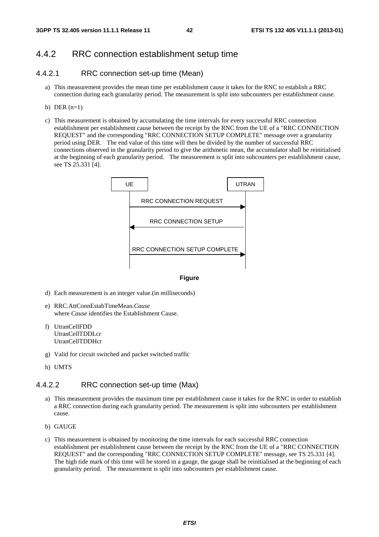# 4.4.2 RRC connection establishment setup time

## 4.4.2.1 RRC connection set-up time (Mean)

- a) This measurement provides the mean time per establishment cause it takes for the RNC to establish a RRC connection during each granularity period. The measurement is split into subcounters per establishment cause.
- b) DER  $(n=1)$
- c) This measurement is obtained by accumulating the time intervals for every successful RRC connection establishment per establishment cause between the receipt by the RNC from the UE of a "RRC CONNECTION REQUEST" and the corresponding "RRC CONNECTION SETUP COMPLETE" message over a granularity period using DER. The end value of this time will then be divided by the number of successful RRC connections observed in the granularity period to give the arithmetic mean, the accumulator shall be reinitialised at the beginning of each granularity period. The measurement is split into subcounters per establishment cause, see TS 25.331 [4].



#### **Figure**

- d) Each measurement is an integer value.(in milliseconds)
- e) RRC.AttConnEstabTimeMean.*Cause* where *Cause* identifies the Establishment Cause.
- f) UtranCellFDD UtranCellTDDLcr UtranCellTDDHcr
- g) Valid for circuit switched and packet switched traffic
- h) UMTS

### 4.4.2.2 RRC connection set-up time (Max)

- a) This measurement provides the maximum time per establishment cause it takes for the RNC in order to establish a RRC connection during each granularity period. The measurement is split into subcounters per establishment cause.
- b) GAUGE
- c) This measurement is obtained by monitoring the time intervals for each successful RRC connection establishment per establishment cause between the receipt by the RNC from the UE of a "RRC CONNECTION REQUEST" and the corresponding "RRC CONNECTION SETUP COMPLETE" message, see TS 25.331 [4]. The high tide mark of this time will be stored in a gauge, the gauge shall be reinitialised at the beginning of each granularity period. The measurement is split into subcounters per establishment cause.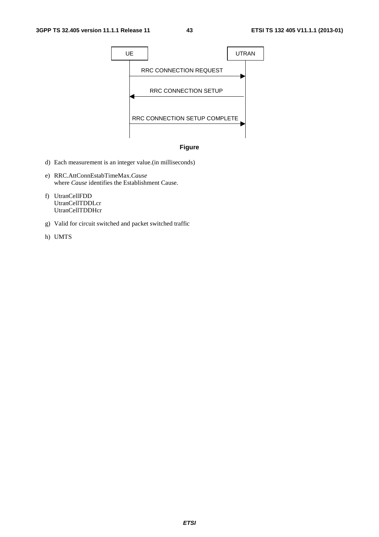



- d) Each measurement is an integer value.(in milliseconds)
- e) RRC.AttConnEstabTimeMax.*Cause* where *Cause* identifies the Establishment Cause.
- f) UtranCellFDD UtranCellTDDLcr UtranCellTDDHcr
- g) Valid for circuit switched and packet switched traffic
- h) UMTS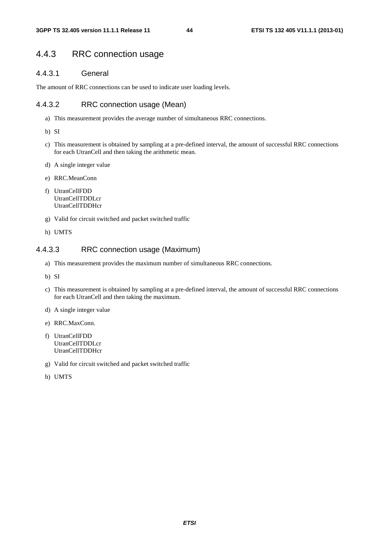# 4.4.3 RRC connection usage

## 4.4.3.1 General

The amount of RRC connections can be used to indicate user loading levels.

## 4.4.3.2 RRC connection usage (Mean)

- a) This measurement provides the average number of simultaneous RRC connections.
- b) SI
- c) This measurement is obtained by sampling at a pre-defined interval, the amount of successful RRC connections for each UtranCell and then taking the arithmetic mean.
- d) A single integer value
- e) RRC.MeanConn
- f) UtranCellFDD UtranCellTDDLcr UtranCellTDDHcr
- g) Valid for circuit switched and packet switched traffic
- h) UMTS

## 4.4.3.3 RRC connection usage (Maximum)

- a) This measurement provides the maximum number of simultaneous RRC connections.
- b) SI
- c) This measurement is obtained by sampling at a pre-defined interval, the amount of successful RRC connections for each UtranCell and then taking the maximum.
- d) A single integer value
- e) RRC.MaxConn.
- f) UtranCellFDD UtranCellTDDLcr UtranCellTDDHcr
- g) Valid for circuit switched and packet switched traffic
- h) UMTS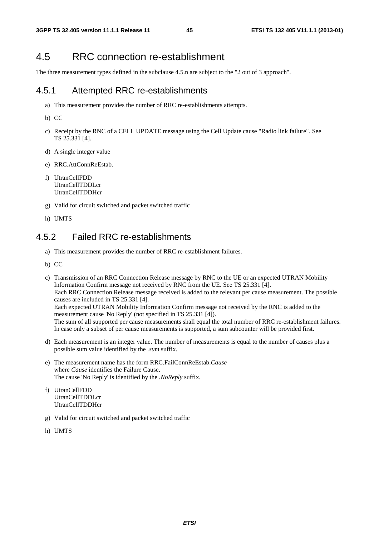# 4.5 RRC connection re-establishment

The three measurement types defined in the subclause 4.5.n are subject to the "2 out of 3 approach".

## 4.5.1 Attempted RRC re-establishments

- a) This measurement provides the number of RRC re-establishments attempts.
- b) CC
- c) Receipt by the RNC of a CELL UPDATE message using the Cell Update cause "Radio link failure". See TS 25.331 [4].
- d) A single integer value
- e) RRC.AttConnReEstab.
- f) UtranCellFDD UtranCellTDDLcr UtranCellTDDHcr
- g) Valid for circuit switched and packet switched traffic
- h) UMTS

# 4.5.2 Failed RRC re-establishments

- a) This measurement provides the number of RRC re-establishment failures.
- b) CC
- c) Transmission of an RRC Connection Release message by RNC to the UE or an expected UTRAN Mobility Information Confirm message not received by RNC from the UE. See TS 25.331 [4]. Each RRC Connection Release message received is added to the relevant per cause measurement. The possible causes are included in TS 25.331 [4]. Each expected UTRAN Mobility Information Confirm message not received by the RNC is added to the measurement cause 'No Reply' (not specified in TS 25.331 [4]). The sum of all supported per cause measurements shall equal the total number of RRC re-establishment failures. In case only a subset of per cause measurements is supported, a sum subcounter will be provided first.
- d) Each measurement is an integer value. The number of measurements is equal to the number of causes plus a possible sum value identified by the *.sum* suffix.
- e) The measurement name has the form RRC.FailConnReEstab.*Cause* where *Cause* identifies the Failure Cause. The cause 'No Reply' is identified by the *.NoReply* suffix.
- f) UtranCellFDD UtranCellTDDLcr UtranCellTDDHcr
- g) Valid for circuit switched and packet switched traffic
- h) UMTS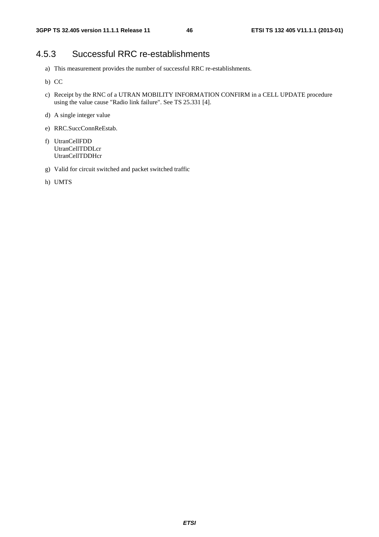# 4.5.3 Successful RRC re-establishments

- a) This measurement provides the number of successful RRC re-establishments.
- b) CC
- c) Receipt by the RNC of a UTRAN MOBILITY INFORMATION CONFIRM in a CELL UPDATE procedure using the value cause "Radio link failure". See TS 25.331 [4].
- d) A single integer value
- e) RRC.SuccConnReEstab.
- f) UtranCellFDD UtranCellTDDLcr UtranCellTDDHcr
- g) Valid for circuit switched and packet switched traffic
- h) UMTS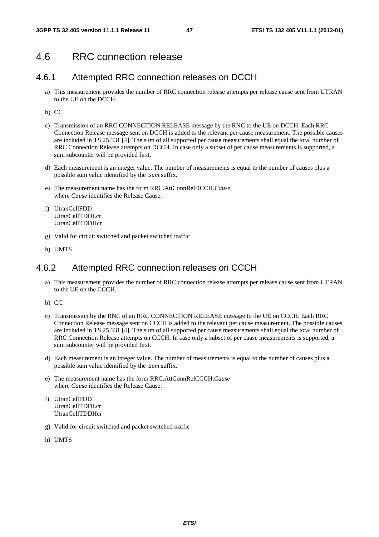# 4.6 RRC connection release

## 4.6.1 Attempted RRC connection releases on DCCH

- a) This measurement provides the number of RRC connection release attempts per release cause sent from UTRAN to the UE on the DCCH.
- b) CC
- c) Transmission of an RRC CONNECTION RELEASE message by the RNC to the UE on DCCH. Each RRC Connection Release message sent on DCCH is added to the relevant per cause measurement. The possible causes are included in TS 25.331 [4]. The sum of all supported per cause measurements shall equal the total number of RRC Connection Release attempts on DCCH. In case only a subset of per cause measurements is supported, a sum subcounter will be provided first.
- d) Each measurement is an integer value. The number of measurements is equal to the number of causes plus a possible sum value identified by the *.sum* suffix.
- e) The measurement name has the form RRC.AttConnRelDCCH.*Cause* where *Cause* identifies the Release Cause.
- f) UtranCellFDD UtranCellTDDLcr UtranCellTDDHcr
- g) Valid for circuit switched and packet switched traffic
- h) UMTS

# 4.6.2 Attempted RRC connection releases on CCCH

- a) This measurement provides the number of RRC connection release attempts per release cause sent from UTRAN to the UE on the CCCH.
- b) CC
- c) Transmission by the RNC of an RRC CONNECTION RELEASE message to the UE on CCCH. Each RRC Connection Release message sent on CCCH is added to the relevant per cause measurement. The possible causes are included in TS 25.331 [4]. The sum of all supported per cause measurements shall equal the total number of RRC Connection Release attempts on CCCH. In case only a subset of per cause measurements is supported, a sum subcounter will be provided first.
- d) Each measurement is an integer value. The number of measurements is equal to the number of causes plus a possible sum value identified by the *.sum* suffix.
- e) The measurement name has the form RRC.AttConnRelCCCH.*Cause* where *Cause* identifies the Release Cause.
- f) UtranCellFDD UtranCellTDDLcr UtranCellTDDHcr
- g) Valid for circuit switched and packet switched traffic
- h) UMTS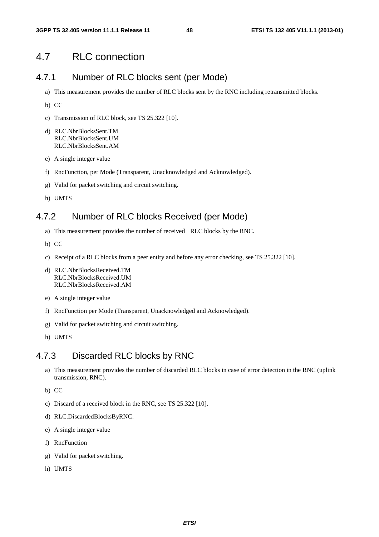# 4.7 RLC connection

# 4.7.1 Number of RLC blocks sent (per Mode)

- a) This measurement provides the number of RLC blocks sent by the RNC including retransmitted blocks.
- b) CC
- c) Transmission of RLC block, see TS 25.322 [10].
- d) RLC.NbrBlocksSent.TM RLC.NbrBlocksSent.UM RLC.NbrBlocksSent.AM
- e) A single integer value
- f) RncFunction, per Mode (Transparent, Unacknowledged and Acknowledged).
- g) Valid for packet switching and circuit switching.
- h) UMTS

# 4.7.2 Number of RLC blocks Received (per Mode)

- a) This measurement provides the number of received RLC blocks by the RNC.
- b) CC
- c) Receipt of a RLC blocks from a peer entity and before any error checking, see TS 25.322 [10].
- d) RLC.NbrBlocksReceived.TM RLC.NbrBlocksReceived.UM RLC.NbrBlocksReceived.AM
- e) A single integer value
- f) RncFunction per Mode (Transparent, Unacknowledged and Acknowledged).
- g) Valid for packet switching and circuit switching.
- h) UMTS

# 4.7.3 Discarded RLC blocks by RNC

- a) This measurement provides the number of discarded RLC blocks in case of error detection in the RNC (uplink transmission, RNC).
- b) CC
- c) Discard of a received block in the RNC, see TS 25.322 [10].
- d) RLC.DiscardedBlocksByRNC.
- e) A single integer value
- f) RncFunction
- g) Valid for packet switching.
- h) UMTS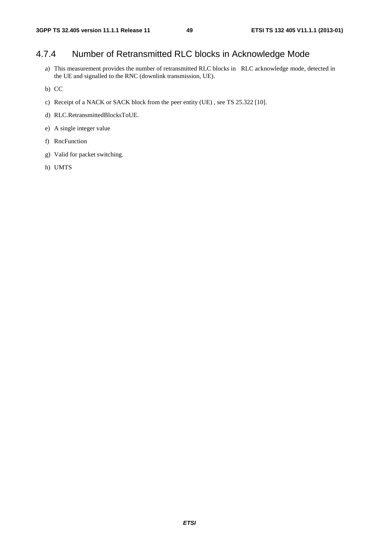# 4.7.4 Number of Retransmitted RLC blocks in Acknowledge Mode

- a) This measurement provides the number of retransmitted RLC blocks in RLC acknowledge mode, detected in the UE and signalled to the RNC (downlink transmission, UE).
- b) CC
- c) Receipt of a NACK or SACK block from the peer entity (UE) , see TS 25.322 [10].
- d) RLC.RetransmittedBlocksToUE.
- e) A single integer value
- f) RncFunction
- g) Valid for packet switching.
- h) UMTS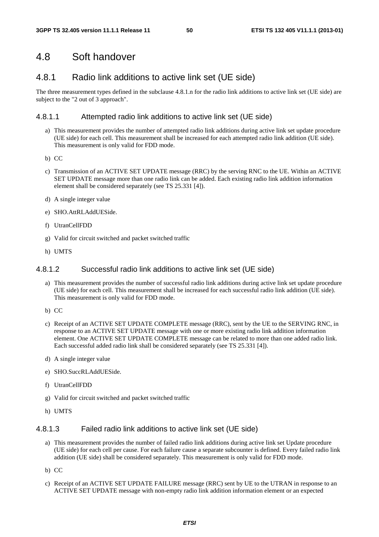# 4.8 Soft handover

# 4.8.1 Radio link additions to active link set (UE side)

The three measurement types defined in the subclause 4.8.1.n for the radio link additions to active link set (UE side) are subject to the "2 out of 3 approach".

### 4.8.1.1 Attempted radio link additions to active link set (UE side)

- a) This measurement provides the number of attempted radio link additions during active link set update procedure (UE side) for each cell. This measurement shall be increased for each attempted radio link addition (UE side). This measurement is only valid for FDD mode.
- b) CC
- c) Transmission of an ACTIVE SET UPDATE message (RRC) by the serving RNC to the UE. Within an ACTIVE SET UPDATE message more than one radio link can be added. Each existing radio link addition information element shall be considered separately (see TS 25.331 [4]).
- d) A single integer value
- e) SHO.AttRLAddUESide.
- f) UtranCellFDD
- g) Valid for circuit switched and packet switched traffic
- h) UMTS

### 4.8.1.2 Successful radio link additions to active link set (UE side)

- a) This measurement provides the number of successful radio link additions during active link set update procedure (UE side) for each cell. This measurement shall be increased for each successful radio link addition (UE side). This measurement is only valid for FDD mode.
- b) CC
- c) Receipt of an ACTIVE SET UPDATE COMPLETE message (RRC), sent by the UE to the SERVING RNC, in response to an ACTIVE SET UPDATE message with one or more existing radio link addition information element. One ACTIVE SET UPDATE COMPLETE message can be related to more than one added radio link. Each successful added radio link shall be considered separately (see TS 25.331 [4]).
- d) A single integer value
- e) SHO.SuccRLAddUESide.
- f) UtranCellFDD
- g) Valid for circuit switched and packet switched traffic
- h) UMTS

## 4.8.1.3 Failed radio link additions to active link set (UE side)

- a) This measurement provides the number of failed radio link additions during active link set Update procedure (UE side) for each cell per cause. For each failure cause a separate subcounter is defined. Every failed radio link addition (UE side) shall be considered separately. This measurement is only valid for FDD mode.
- b) CC
- c) Receipt of an ACTIVE SET UPDATE FAILURE message (RRC) sent by UE to the UTRAN in response to an ACTIVE SET UPDATE message with non-empty radio link addition information element or an expected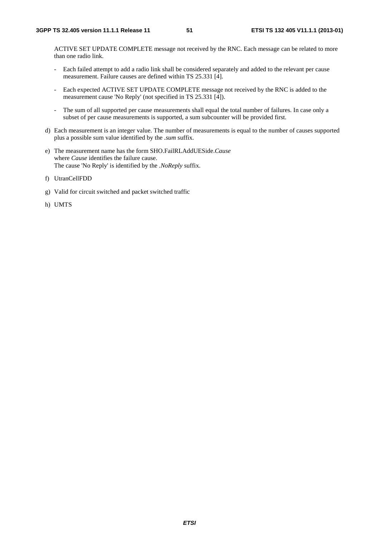ACTIVE SET UPDATE COMPLETE message not received by the RNC. Each message can be related to more than one radio link.

- Each failed attempt to add a radio link shall be considered separately and added to the relevant per cause measurement. Failure causes are defined within TS 25.331 [4].
- Each expected ACTIVE SET UPDATE COMPLETE message not received by the RNC is added to the measurement cause 'No Reply' (not specified in TS 25.331 [4]).
- The sum of all supported per cause measurements shall equal the total number of failures. In case only a subset of per cause measurements is supported, a sum subcounter will be provided first.
- d) Each measurement is an integer value. The number of measurements is equal to the number of causes supported plus a possible sum value identified by the *.sum* suffix.
- e) The measurement name has the form SHO.FailRLAddUESide.*Cause* where *Cause* identifies the failure cause. The cause 'No Reply' is identified by the *.NoReply* suffix.
- f) UtranCellFDD
- g) Valid for circuit switched and packet switched traffic
- h) UMTS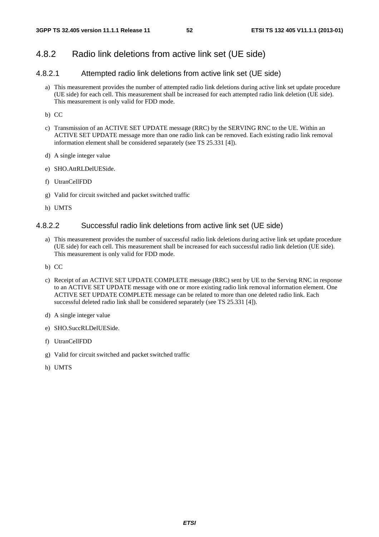## 4.8.2 Radio link deletions from active link set (UE side)

## 4.8.2.1 Attempted radio link deletions from active link set (UE side)

- a) This measurement provides the number of attempted radio link deletions during active link set update procedure (UE side) for each cell. This measurement shall be increased for each attempted radio link deletion (UE side). This measurement is only valid for FDD mode.
- b) CC
- c) Transmission of an ACTIVE SET UPDATE message (RRC) by the SERVING RNC to the UE. Within an ACTIVE SET UPDATE message more than one radio link can be removed. Each existing radio link removal information element shall be considered separately (see TS 25.331 [4]).
- d) A single integer value
- e) SHO.AttRLDelUESide.
- f) UtranCellFDD
- g) Valid for circuit switched and packet switched traffic
- h) UMTS

### 4.8.2.2 Successful radio link deletions from active link set (UE side)

- a) This measurement provides the number of successful radio link deletions during active link set update procedure (UE side) for each cell. This measurement shall be increased for each successful radio link deletion (UE side). This measurement is only valid for FDD mode.
- b) CC
- c) Receipt of an ACTIVE SET UPDATE COMPLETE message (RRC) sent by UE to the Serving RNC in response to an ACTIVE SET UPDATE message with one or more existing radio link removal information element. One ACTIVE SET UPDATE COMPLETE message can be related to more than one deleted radio link. Each successful deleted radio link shall be considered separately (see TS 25.331 [4]).
- d) A single integer value
- e) SHO.SuccRLDelUESide.
- f) UtranCellFDD
- g) Valid for circuit switched and packet switched traffic
- h) UMTS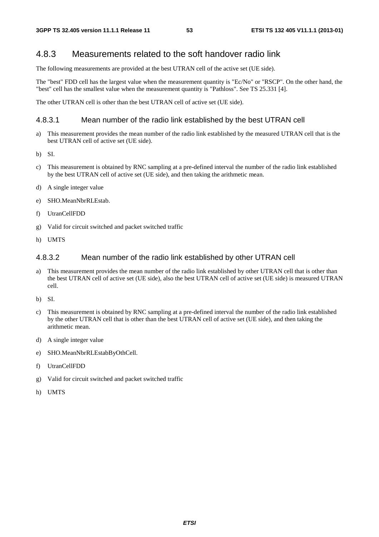# 4.8.3 Measurements related to the soft handover radio link

The following measurements are provided at the best UTRAN cell of the active set (UE side).

The "best" FDD cell has the largest value when the measurement quantity is "Ec/No" or "RSCP". On the other hand, the "best" cell has the smallest value when the measurement quantity is "Pathloss". See TS 25.331 [4].

The other UTRAN cell is other than the best UTRAN cell of active set (UE side).

## 4.8.3.1 Mean number of the radio link established by the best UTRAN cell

- a) This measurement provides the mean number of the radio link established by the measured UTRAN cell that is the best UTRAN cell of active set (UE side).
- b) SI.
- c) This measurement is obtained by RNC sampling at a pre-defined interval the number of the radio link established by the best UTRAN cell of active set (UE side), and then taking the arithmetic mean.
- d) A single integer value
- e) SHO.MeanNbrRLEstab.
- f) UtranCellFDD
- g) Valid for circuit switched and packet switched traffic
- h) UMTS

### 4.8.3.2 Mean number of the radio link established by other UTRAN cell

- a) This measurement provides the mean number of the radio link established by other UTRAN cell that is other than the best UTRAN cell of active set (UE side), also the best UTRAN cell of active set (UE side) is measured UTRAN cell.
- b) SI.
- c) This measurement is obtained by RNC sampling at a pre-defined interval the number of the radio link established by the other UTRAN cell that is other than the best UTRAN cell of active set (UE side), and then taking the arithmetic mean.
- d) A single integer value
- e) SHO.MeanNbrRLEstabByOthCell.
- f) UtranCellFDD
- g) Valid for circuit switched and packet switched traffic
- h) UMTS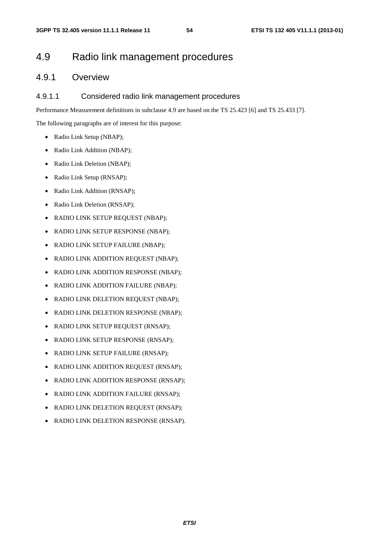# 4.9 Radio link management procedures

# 4.9.1 Overview

### 4.9.1.1 Considered radio link management procedures

Performance Measurement definitions in subclause 4.9 are based on the TS 25.423 [6] and TS 25.433 [7].

The following paragraphs are of interest for this purpose:

- Radio Link Setup (NBAP);
- Radio Link Addition (NBAP);
- Radio Link Deletion (NBAP);
- Radio Link Setup (RNSAP);
- Radio Link Addition (RNSAP);
- Radio Link Deletion (RNSAP);
- RADIO LINK SETUP REQUEST (NBAP);
- RADIO LINK SETUP RESPONSE (NBAP);
- RADIO LINK SETUP FAILURE (NBAP);
- RADIO LINK ADDITION REQUEST (NBAP);
- RADIO LINK ADDITION RESPONSE (NBAP);
- RADIO LINK ADDITION FAILURE (NBAP);
- RADIO LINK DELETION REQUEST (NBAP);
- RADIO LINK DELETION RESPONSE (NBAP);
- RADIO LINK SETUP REQUEST (RNSAP);
- RADIO LINK SETUP RESPONSE (RNSAP);
- RADIO LINK SETUP FAILURE (RNSAP):
- RADIO LINK ADDITION REQUEST (RNSAP);
- RADIO LINK ADDITION RESPONSE (RNSAP);
- RADIO LINK ADDITION FAILURE (RNSAP);
- RADIO LINK DELETION REQUEST (RNSAP);
- RADIO LINK DELETION RESPONSE (RNSAP).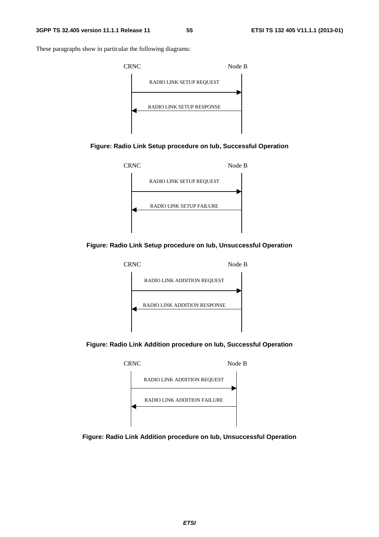These paragraphs show in particular the following diagrams:











**Figure: Radio Link Addition procedure on Iub, Successful Operation** 



**Figure: Radio Link Addition procedure on Iub, Unsuccessful Operation**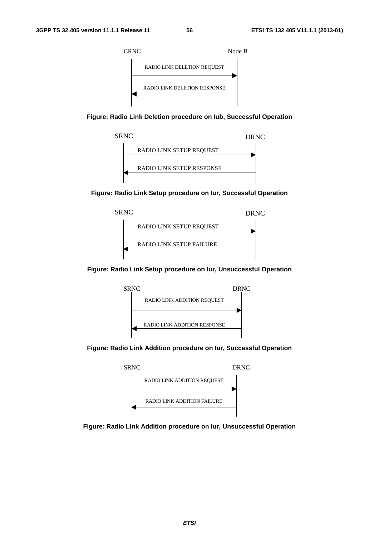

**Figure: Radio Link Deletion procedure on Iub, Successful Operation** 



**Figure: Radio Link Setup procedure on Iur, Successful Operation** 



**Figure: Radio Link Setup procedure on Iur, Unsuccessful Operation** 



**Figure: Radio Link Addition procedure on Iur, Successful Operation** 



**Figure: Radio Link Addition procedure on Iur, Unsuccessful Operation**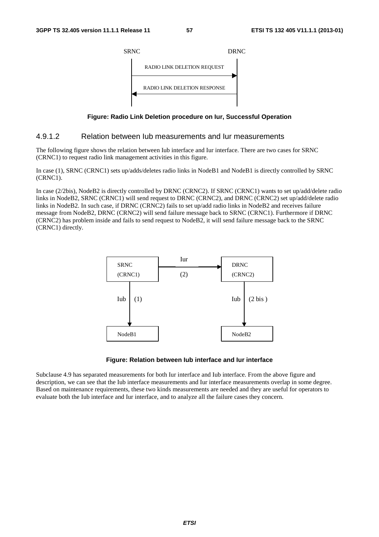

**Figure: Radio Link Deletion procedure on Iur, Successful Operation** 

### 4.9.1.2 Relation between Iub measurements and Iur measurements

The following figure shows the relation between Iub interface and Iur interface. There are two cases for SRNC (CRNC1) to request radio link management activities in this figure.

In case (1), SRNC (CRNC1) sets up/adds/deletes radio links in NodeB1 and NodeB1 is directly controlled by SRNC (CRNC1).

In case (2/2bis), NodeB2 is directly controlled by DRNC (CRNC2). If SRNC (CRNC1) wants to set up/add/delete radio links in NodeB2, SRNC (CRNC1) will send request to DRNC (CRNC2), and DRNC (CRNC2) set up/add/delete radio links in NodeB2. In such case, if DRNC (CRNC2) fails to set up/add radio links in NodeB2 and receives failure message from NodeB2, DRNC (CRNC2) will send failure message back to SRNC (CRNC1). Furthermore if DRNC (CRNC2) has problem inside and fails to send request to NodeB2, it will send failure message back to the SRNC (CRNC1) directly.



#### **Figure: Relation between Iub interface and Iur interface**

Subclause 4.9 has separated measurements for both Iur interface and Iub interface. From the above figure and description, we can see that the Iub interface measurements and Iur interface measurements overlap in some degree. Based on maintenance requirements, these two kinds measurements are needed and they are useful for operators to evaluate both the Iub interface and Iur interface, and to analyze all the failure cases they concern.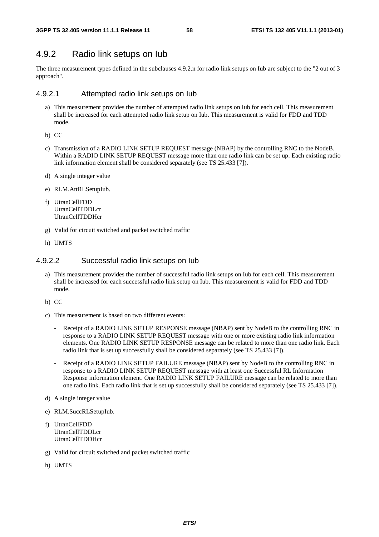# 4.9.2 Radio link setups on Iub

The three measurement types defined in the subclauses 4.9.2.n for radio link setups on Iub are subject to the "2 out of 3 approach".

### 4.9.2.1 Attempted radio link setups on Iub

- a) This measurement provides the number of attempted radio link setups on Iub for each cell. This measurement shall be increased for each attempted radio link setup on Iub. This measurement is valid for FDD and TDD mode.
- b) CC
- c) Transmission of a RADIO LINK SETUP REQUEST message (NBAP) by the controlling RNC to the NodeB. Within a RADIO LINK SETUP REQUEST message more than one radio link can be set up. Each existing radio link information element shall be considered separately (see TS 25.433 [7]).
- d) A single integer value
- e) RLM.AttRLSetupIub.
- f) UtranCellFDD UtranCellTDDLcr UtranCellTDDHcr
- g) Valid for circuit switched and packet switched traffic
- h) UMTS

### 4.9.2.2 Successful radio link setups on Iub

- a) This measurement provides the number of successful radio link setups on Iub for each cell. This measurement shall be increased for each successful radio link setup on Iub. This measurement is valid for FDD and TDD mode.
- b) CC
- c) This measurement is based on two different events:
	- Receipt of a RADIO LINK SETUP RESPONSE message (NBAP) sent by NodeB to the controlling RNC in response to a RADIO LINK SETUP REQUEST message with one or more existing radio link information elements. One RADIO LINK SETUP RESPONSE message can be related to more than one radio link. Each radio link that is set up successfully shall be considered separately (see TS 25.433 [7]).
	- Receipt of a RADIO LINK SETUP FAILURE message (NBAP) sent by NodeB to the controlling RNC in response to a RADIO LINK SETUP REQUEST message with at least one Successful RL Information Response information element. One RADIO LINK SETUP FAILURE message can be related to more than one radio link. Each radio link that is set up successfully shall be considered separately (see TS 25.433 [7]).
- d) A single integer value
- e) RLM.SuccRLSetupIub.
- f) UtranCellFDD UtranCellTDDLcr UtranCellTDDHcr
- g) Valid for circuit switched and packet switched traffic
- h) UMTS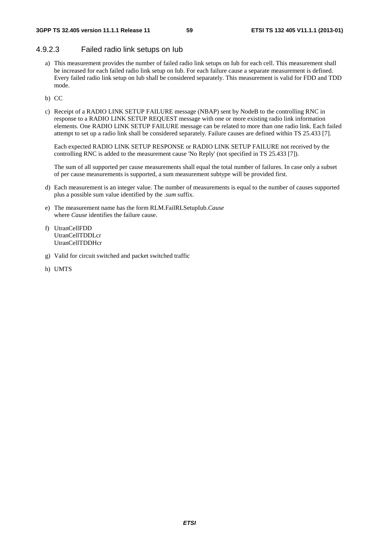## 4.9.2.3 Failed radio link setups on Iub

- a) This measurement provides the number of failed radio link setups on Iub for each cell. This measurement shall be increased for each failed radio link setup on Iub. For each failure cause a separate measurement is defined. Every failed radio link setup on Iub shall be considered separately. This measurement is valid for FDD and TDD mode.
- b) CC
- c) Receipt of a RADIO LINK SETUP FAILURE message (NBAP) sent by NodeB to the controlling RNC in response to a RADIO LINK SETUP REQUEST message with one or more existing radio link information elements. One RADIO LINK SETUP FAILURE message can be related to more than one radio link. Each failed attempt to set up a radio link shall be considered separately. Failure causes are defined within TS 25.433 [7].

Each expected RADIO LINK SETUP RESPONSE or RADIO LINK SETUP FAILURE not received by the controlling RNC is added to the measurement cause 'No Reply' (not specified in TS 25.433 [7]).

The sum of all supported per cause measurements shall equal the total number of failures. In case only a subset of per cause measurements is supported, a sum measurement subtype will be provided first.

- d) Each measurement is an integer value. The number of measurements is equal to the number of causes supported plus a possible sum value identified by the *.sum* suffix.
- e) The measurement name has the form RLM.FailRLSetupIub.*Cause* where *Cause* identifies the failure cause.
- f) UtranCellFDD UtranCellTDDLcr UtranCellTDDHcr
- g) Valid for circuit switched and packet switched traffic
- h) UMTS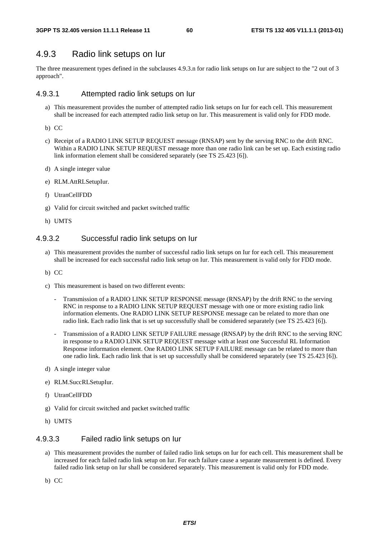# 4.9.3 Radio link setups on Iur

The three measurement types defined in the subclauses 4.9.3.n for radio link setups on Iur are subject to the "2 out of 3 approach".

### 4.9.3.1 Attempted radio link setups on Iur

- a) This measurement provides the number of attempted radio link setups on Iur for each cell. This measurement shall be increased for each attempted radio link setup on Iur. This measurement is valid only for FDD mode.
- b) CC
- c) Receipt of a RADIO LINK SETUP REQUEST message (RNSAP) sent by the serving RNC to the drift RNC. Within a RADIO LINK SETUP REQUEST message more than one radio link can be set up. Each existing radio link information element shall be considered separately (see TS 25.423 [6]).
- d) A single integer value
- e) RLM.AttRLSetupIur.
- f) UtranCellFDD
- g) Valid for circuit switched and packet switched traffic
- h) UMTS

### 4.9.3.2 Successful radio link setups on Iur

- a) This measurement provides the number of successful radio link setups on Iur for each cell. This measurement shall be increased for each successful radio link setup on Iur. This measurement is valid only for FDD mode.
- b) CC
- c) This measurement is based on two different events:
	- Transmission of a RADIO LINK SETUP RESPONSE message (RNSAP) by the drift RNC to the serving RNC in response to a RADIO LINK SETUP REQUEST message with one or more existing radio link information elements. One RADIO LINK SETUP RESPONSE message can be related to more than one radio link. Each radio link that is set up successfully shall be considered separately (see TS 25.423 [6]).
	- Transmission of a RADIO LINK SETUP FAILURE message (RNSAP) by the drift RNC to the serving RNC in response to a RADIO LINK SETUP REQUEST message with at least one Successful RL Information Response information element. One RADIO LINK SETUP FAILURE message can be related to more than one radio link. Each radio link that is set up successfully shall be considered separately (see TS 25.423 [6]).
- d) A single integer value
- e) RLM.SuccRLSetupIur.
- f) UtranCellFDD
- g) Valid for circuit switched and packet switched traffic
- h) UMTS

## 4.9.3.3 Failed radio link setups on Iur

- a) This measurement provides the number of failed radio link setups on Iur for each cell. This measurement shall be increased for each failed radio link setup on Iur. For each failure cause a separate measurement is defined. Every failed radio link setup on Iur shall be considered separately. This measurement is valid only for FDD mode.
- b) CC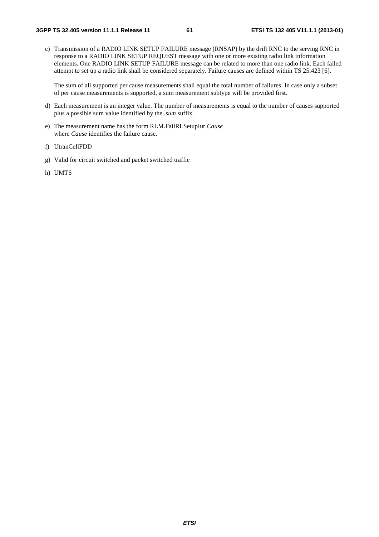c) Transmission of a RADIO LINK SETUP FAILURE message (RNSAP) by the drift RNC to the serving RNC in response to a RADIO LINK SETUP REQUEST message with one or more existing radio link information elements. One RADIO LINK SETUP FAILURE message can be related to more than one radio link. Each failed attempt to set up a radio link shall be considered separately. Failure causes are defined within TS 25.423 [6].

The sum of all supported per cause measurements shall equal the total number of failures. In case only a subset of per cause measurements is supported, a sum measurement subtype will be provided first.

- d) Each measurement is an integer value. The number of measurements is equal to the number of causes supported plus a possible sum value identified by the *.sum* suffix.
- e) The measurement name has the form RLM.FailRLSetupIur.*Cause* where *Cause* identifies the failure cause.
- f) UtranCellFDD
- g) Valid for circuit switched and packet switched traffic
- h) UMTS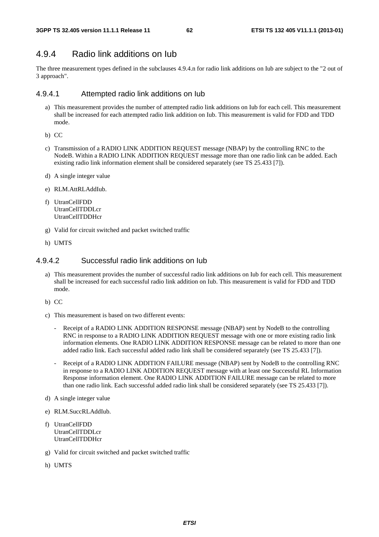# 4.9.4 Radio link additions on Iub

The three measurement types defined in the subclauses 4.9.4.n for radio link additions on Iub are subject to the "2 out of 3 approach".

### 4.9.4.1 Attempted radio link additions on Iub

- a) This measurement provides the number of attempted radio link additions on Iub for each cell. This measurement shall be increased for each attempted radio link addition on Iub. This measurement is valid for FDD and TDD mode.
- b) CC
- c) Transmission of a RADIO LINK ADDITION REQUEST message (NBAP) by the controlling RNC to the NodeB. Within a RADIO LINK ADDITION REQUEST message more than one radio link can be added. Each existing radio link information element shall be considered separately (see TS 25.433 [7]).
- d) A single integer value
- e) RLM.AttRLAddIub.
- f) UtranCellFDD UtranCellTDDLcr UtranCellTDDHcr
- g) Valid for circuit switched and packet switched traffic
- h) UMTS

## 4.9.4.2 Successful radio link additions on Iub

- a) This measurement provides the number of successful radio link additions on Iub for each cell. This measurement shall be increased for each successful radio link addition on Iub. This measurement is valid for FDD and TDD mode.
- b) CC
- c) This measurement is based on two different events:
	- Receipt of a RADIO LINK ADDITION RESPONSE message (NBAP) sent by NodeB to the controlling RNC in response to a RADIO LINK ADDITION REQUEST message with one or more existing radio link information elements. One RADIO LINK ADDITION RESPONSE message can be related to more than one added radio link. Each successful added radio link shall be considered separately (see TS 25.433 [7]).
	- Receipt of a RADIO LINK ADDITION FAILURE message (NBAP) sent by NodeB to the controlling RNC in response to a RADIO LINK ADDITION REQUEST message with at least one Successful RL Information Response information element. One RADIO LINK ADDITION FAILURE message can be related to more than one radio link. Each successful added radio link shall be considered separately (see TS 25.433 [7]).
- d) A single integer value
- e) RLM.SuccRLAddIub.
- f) UtranCellFDD UtranCellTDDLcr UtranCellTDDHcr
- g) Valid for circuit switched and packet switched traffic
- h) UMTS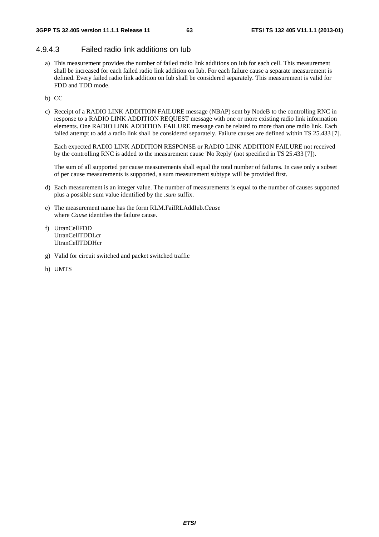## 4.9.4.3 Failed radio link additions on Iub

- a) This measurement provides the number of failed radio link additions on Iub for each cell. This measurement shall be increased for each failed radio link addition on Iub. For each failure cause a separate measurement is defined. Every failed radio link addition on Iub shall be considered separately. This measurement is valid for FDD and TDD mode.
- b) CC
- c) Receipt of a RADIO LINK ADDITION FAILURE message (NBAP) sent by NodeB to the controlling RNC in response to a RADIO LINK ADDITION REQUEST message with one or more existing radio link information elements. One RADIO LINK ADDITION FAILURE message can be related to more than one radio link. Each failed attempt to add a radio link shall be considered separately. Failure causes are defined within TS 25.433 [7].

Each expected RADIO LINK ADDITION RESPONSE or RADIO LINK ADDITION FAILURE not received by the controlling RNC is added to the measurement cause 'No Reply' (not specified in TS 25.433 [7]).

The sum of all supported per cause measurements shall equal the total number of failures. In case only a subset of per cause measurements is supported, a sum measurement subtype will be provided first.

- d) Each measurement is an integer value. The number of measurements is equal to the number of causes supported plus a possible sum value identified by the *.sum* suffix.
- e) The measurement name has the form RLM.FailRLAddIub.*Cause* where *Cause* identifies the failure cause.
- f) UtranCellFDD UtranCellTDDLcr UtranCellTDDHcr
- g) Valid for circuit switched and packet switched traffic
- h) UMTS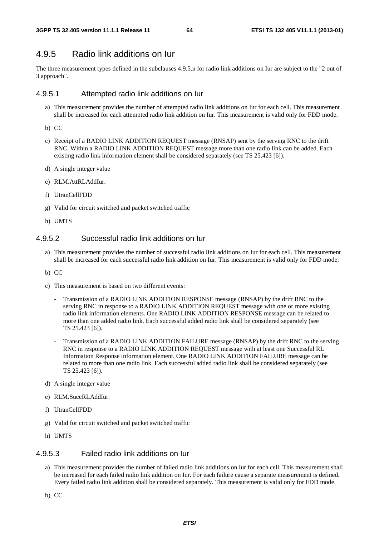# 4.9.5 Radio link additions on Iur

The three measurement types defined in the subclauses 4.9.5.n for radio link additions on Iur are subject to the "2 out of 3 approach".

### 4.9.5.1 Attempted radio link additions on Iur

- a) This measurement provides the number of attempted radio link additions on Iur for each cell. This measurement shall be increased for each attempted radio link addition on Iur. This measurement is valid only for FDD mode.
- b) CC
- c) Receipt of a RADIO LINK ADDITION REQUEST message (RNSAP) sent by the serving RNC to the drift RNC. Within a RADIO LINK ADDITION REQUEST message more than one radio link can be added. Each existing radio link information element shall be considered separately (see TS 25.423 [6]).
- d) A single integer value
- e) RLM.AttRLAddIur.
- f) UtranCellFDD
- g) Valid for circuit switched and packet switched traffic
- h) UMTS

### 4.9.5.2 Successful radio link additions on Iur

- a) This measurement provides the number of successful radio link additions on Iur for each cell. This measurement shall be increased for each successful radio link addition on Iur. This measurement is valid only for FDD mode.
- b) CC
- c) This measurement is based on two different events:
	- Transmission of a RADIO LINK ADDITION RESPONSE message (RNSAP) by the drift RNC to the serving RNC in response to a RADIO LINK ADDITION REQUEST message with one or more existing radio link information elements. One RADIO LINK ADDITION RESPONSE message can be related to more than one added radio link. Each successful added radio link shall be considered separately (see TS 25.423 [6]).
	- Transmission of a RADIO LINK ADDITION FAILURE message (RNSAP) by the drift RNC to the serving RNC in response to a RADIO LINK ADDITION REQUEST message with at least one Successful RL Information Response information element. One RADIO LINK ADDITION FAILURE message can be related to more than one radio link. Each successful added radio link shall be considered separately (see TS 25.423 [6]).
- d) A single integer value
- e) RLM.SuccRLAddIur.
- f) UtranCellFDD
- g) Valid for circuit switched and packet switched traffic
- h) UMTS

### 4.9.5.3 Failed radio link additions on Iur

- a) This measurement provides the number of failed radio link additions on Iur for each cell. This measurement shall be increased for each failed radio link addition on Iur. For each failure cause a separate measurement is defined. Every failed radio link addition shall be considered separately. This measurement is valid only for FDD mode.
- b) CC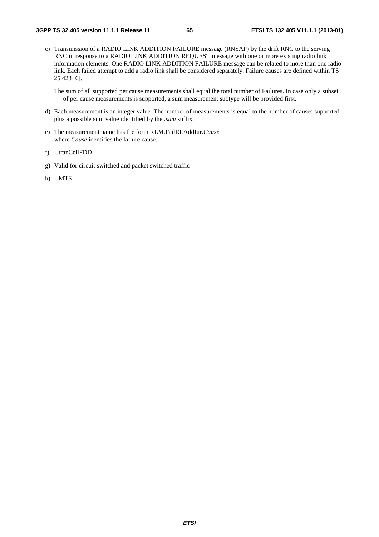c) Transmission of a RADIO LINK ADDITION FAILURE message (RNSAP) by the drift RNC to the serving RNC in response to a RADIO LINK ADDITION REQUEST message with one or more existing radio link information elements. One RADIO LINK ADDITION FAILURE message can be related to more than one radio link. Each failed attempt to add a radio link shall be considered separately. Failure causes are defined within TS 25.423 [6].

The sum of all supported per cause measurements shall equal the total number of Failures. In case only a subset of per cause measurements is supported, a sum measurement subtype will be provided first.

- d) Each measurement is an integer value. The number of measurements is equal to the number of causes supported plus a possible sum value identified by the *.sum* suffix.
- e) The measurement name has the form RLM.FailRLAddIur.*Cause* where *Cause* identifies the failure cause.
- f) UtranCellFDD
- g) Valid for circuit switched and packet switched traffic
- h) UMTS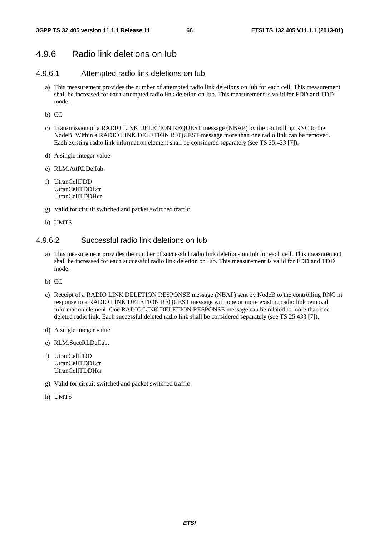# 4.9.6 Radio link deletions on Iub

## 4.9.6.1 Attempted radio link deletions on Iub

- a) This measurement provides the number of attempted radio link deletions on Iub for each cell. This measurement shall be increased for each attempted radio link deletion on Iub. This measurement is valid for FDD and TDD mode.
- b) CC
- c) Transmission of a RADIO LINK DELETION REQUEST message (NBAP) by the controlling RNC to the NodeB. Within a RADIO LINK DELETION REQUEST message more than one radio link can be removed. Each existing radio link information element shall be considered separately (see TS 25.433 [7]).
- d) A single integer value
- e) RLM.AttRLDelIub.
- f) UtranCellFDD UtranCellTDDLcr UtranCellTDDHcr
- g) Valid for circuit switched and packet switched traffic
- h) UMTS

## 4.9.6.2 Successful radio link deletions on Iub

- a) This measurement provides the number of successful radio link deletions on Iub for each cell. This measurement shall be increased for each successful radio link deletion on Iub. This measurement is valid for FDD and TDD mode.
- b) CC
- c) Receipt of a RADIO LINK DELETION RESPONSE message (NBAP) sent by NodeB to the controlling RNC in response to a RADIO LINK DELETION REQUEST message with one or more existing radio link removal information element. One RADIO LINK DELETION RESPONSE message can be related to more than one deleted radio link. Each successful deleted radio link shall be considered separately (see TS 25.433 [7]).
- d) A single integer value
- e) RLM.SuccRLDelIub.
- f) UtranCellFDD UtranCellTDDLcr **UtranCellTDDHcr**
- g) Valid for circuit switched and packet switched traffic
- h) UMTS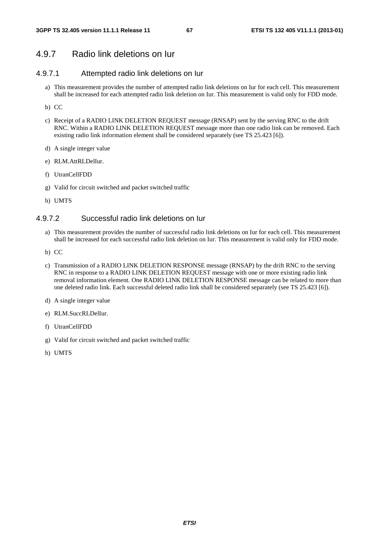# 4.9.7 Radio link deletions on Iur

## 4.9.7.1 Attempted radio link deletions on Iur

- a) This measurement provides the number of attempted radio link deletions on Iur for each cell. This measurement shall be increased for each attempted radio link deletion on Iur. This measurement is valid only for FDD mode.
- b) CC
- c) Receipt of a RADIO LINK DELETION REQUEST message (RNSAP) sent by the serving RNC to the drift RNC. Within a RADIO LINK DELETION REQUEST message more than one radio link can be removed. Each existing radio link information element shall be considered separately (see TS 25.423 [6]).
- d) A single integer value
- e) RLM.AttRLDelIur.
- f) UtranCellFDD
- g) Valid for circuit switched and packet switched traffic
- h) UMTS

### 4.9.7.2 Successful radio link deletions on Iur

- a) This measurement provides the number of successful radio link deletions on Iur for each cell. This measurement shall be increased for each successful radio link deletion on Iur. This measurement is valid only for FDD mode.
- b) CC
- c) Transmission of a RADIO LINK DELETION RESPONSE message (RNSAP) by the drift RNC to the serving RNC in response to a RADIO LINK DELETION REQUEST message with one or more existing radio link removal information element. One RADIO LINK DELETION RESPONSE message can be related to more than one deleted radio link. Each successful deleted radio link shall be considered separately (see TS 25.423 [6]).
- d) A single integer value
- e) RLM.SuccRLDelIur.
- f) UtranCellFDD
- g) Valid for circuit switched and packet switched traffic
- h) UMTS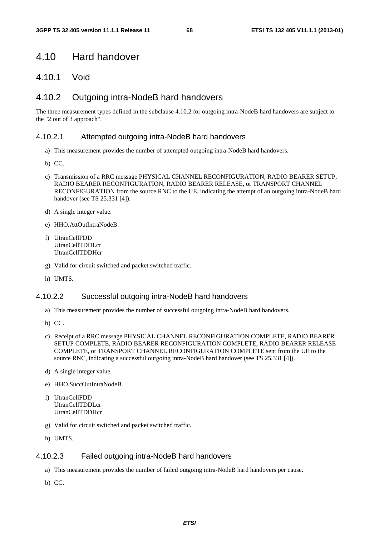# 4.10 Hard handover

# 4.10.1 Void

# 4.10.2 Outgoing intra-NodeB hard handovers

The three measurement types defined in the subclause 4.10.2 for outgoing intra-NodeB hard handovers are subject to the "2 out of 3 approach".

## 4.10.2.1 Attempted outgoing intra-NodeB hard handovers

- a) This measurement provides the number of attempted outgoing intra-NodeB hard handovers.
- b) CC.
- c) Transmission of a RRC message PHYSICAL CHANNEL RECONFIGURATION, RADIO BEARER SETUP, RADIO BEARER RECONFIGURATION, RADIO BEARER RELEASE, or TRANSPORT CHANNEL RECONFIGURATION from the source RNC to the UE, indicating the attempt of an outgoing intra-NodeB hard handover (see TS 25.331 [4]).
- d) A single integer value.
- e) HHO.AttOutIntraNodeB.
- f) UtranCellFDD UtranCellTDDLcr UtranCellTDDHcr
- g) Valid for circuit switched and packet switched traffic.
- h) UMTS.

### 4.10.2.2 Successful outgoing intra-NodeB hard handovers

- a) This measurement provides the number of successful outgoing intra-NodeB hard handovers.
- b) CC.
- c) Receipt of a RRC message PHYSICAL CHANNEL RECONFIGURATION COMPLETE, RADIO BEARER SETUP COMPLETE, RADIO BEARER RECONFIGURATION COMPLETE, RADIO BEARER RELEASE COMPLETE, or TRANSPORT CHANNEL RECONFIGURATION COMPLETE sent from the UE to the source RNC, indicating a successful outgoing intra-NodeB hard handover (see TS 25.331 [4]).
- d) A single integer value.
- e) HHO.SuccOutIntraNodeB.
- f) UtranCellFDD UtranCellTDDLcr UtranCellTDDHcr
- g) Valid for circuit switched and packet switched traffic.
- h) UMTS.

### 4.10.2.3 Failed outgoing intra-NodeB hard handovers

- a) This measurement provides the number of failed outgoing intra-NodeB hard handovers per cause.
- b) CC.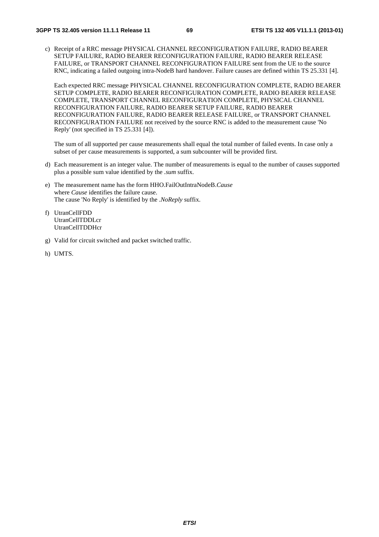c) Receipt of a RRC message PHYSICAL CHANNEL RECONFIGURATION FAILURE, RADIO BEARER SETUP FAILURE, RADIO BEARER RECONFIGURATION FAILURE, RADIO BEARER RELEASE FAILURE, or TRANSPORT CHANNEL RECONFIGURATION FAILURE sent from the UE to the source RNC, indicating a failed outgoing intra-NodeB hard handover. Failure causes are defined within TS 25.331 [4].

Each expected RRC message PHYSICAL CHANNEL RECONFIGURATION COMPLETE, RADIO BEARER SETUP COMPLETE, RADIO BEARER RECONFIGURATION COMPLETE, RADIO BEARER RELEASE COMPLETE, TRANSPORT CHANNEL RECONFIGURATION COMPLETE, PHYSICAL CHANNEL RECONFIGURATION FAILURE, RADIO BEARER SETUP FAILURE, RADIO BEARER RECONFIGURATION FAILURE, RADIO BEARER RELEASE FAILURE, or TRANSPORT CHANNEL RECONFIGURATION FAILURE not received by the source RNC is added to the measurement cause 'No Reply' (not specified in TS 25.331 [4]).

The sum of all supported per cause measurements shall equal the total number of failed events. In case only a subset of per cause measurements is supported, a sum subcounter will be provided first.

- d) Each measurement is an integer value. The number of measurements is equal to the number of causes supported plus a possible sum value identified by the *.sum* suffix.
- e) The measurement name has the form HHO.FailOutIntraNodeB.*Cause* where *Cause* identifies the failure cause. The cause 'No Reply' is identified by the .*NoReply* suffix.
- f) UtranCellFDD UtranCellTDDLcr UtranCellTDDHcr
- g) Valid for circuit switched and packet switched traffic.
- h) UMTS.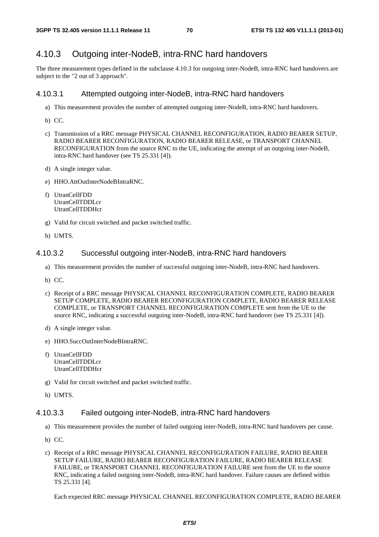## 4.10.3 Outgoing inter-NodeB, intra-RNC hard handovers

The three measurement types defined in the subclause 4.10.3 for outgoing inter-NodeB, intra-RNC hard handovers are subject to the "2 out of 3 approach".

### 4.10.3.1 Attempted outgoing inter-NodeB, intra-RNC hard handovers

- a) This measurement provides the number of attempted outgoing inter-NodeB, intra-RNC hard handovers.
- b) CC.
- c) Transmission of a RRC message PHYSICAL CHANNEL RECONFIGURATION, RADIO BEARER SETUP, RADIO BEARER RECONFIGURATION, RADIO BEARER RELEASE, or TRANSPORT CHANNEL RECONFIGURATION from the source RNC to the UE, indicating the attempt of an outgoing inter-NodeB, intra-RNC hard handover (see TS 25.331 [4]).
- d) A single integer value.
- e) HHO.AttOutInterNodeBIntraRNC.
- f) UtranCellFDD UtranCellTDDLcr UtranCellTDDHcr
- g) Valid for circuit switched and packet switched traffic.
- h) UMTS.

### 4.10.3.2 Successful outgoing inter-NodeB, intra-RNC hard handovers

- a) This measurement provides the number of successful outgoing inter-NodeB, intra-RNC hard handovers.
- b) CC.
- c) Receipt of a RRC message PHYSICAL CHANNEL RECONFIGURATION COMPLETE, RADIO BEARER SETUP COMPLETE, RADIO BEARER RECONFIGURATION COMPLETE, RADIO BEARER RELEASE COMPLETE, or TRANSPORT CHANNEL RECONFIGURATION COMPLETE sent from the UE to the source RNC, indicating a successful outgoing inter-NodeB, intra-RNC hard handover (see TS 25.331 [4]).
- d) A single integer value.
- e) HHO.SuccOutInterNodeBIntraRNC.
- f) UtranCellFDD UtranCellTDDLcr UtranCellTDDHcr
- g) Valid for circuit switched and packet switched traffic.
- h) UMTS.

### 4.10.3.3 Failed outgoing inter-NodeB, intra-RNC hard handovers

- a) This measurement provides the number of failed outgoing inter-NodeB, intra-RNC hard handovers per cause.
- b) CC.
- c) Receipt of a RRC message PHYSICAL CHANNEL RECONFIGURATION FAILURE, RADIO BEARER SETUP FAILURE, RADIO BEARER RECONFIGURATION FAILURE, RADIO BEARER RELEASE FAILURE, or TRANSPORT CHANNEL RECONFIGURATION FAILURE sent from the UE to the source RNC, indicating a failed outgoing inter-NodeB, intra-RNC hard handover. Failure causes are defined within TS 25.331 [4].

Each expected RRC message PHYSICAL CHANNEL RECONFIGURATION COMPLETE, RADIO BEARER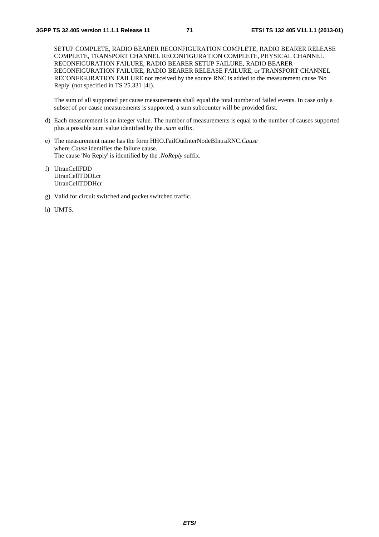SETUP COMPLETE, RADIO BEARER RECONFIGURATION COMPLETE, RADIO BEARER RELEASE COMPLETE, TRANSPORT CHANNEL RECONFIGURATION COMPLETE, PHYSICAL CHANNEL RECONFIGURATION FAILURE, RADIO BEARER SETUP FAILURE, RADIO BEARER RECONFIGURATION FAILURE, RADIO BEARER RELEASE FAILURE, or TRANSPORT CHANNEL RECONFIGURATION FAILURE not received by the source RNC is added to the measurement cause 'No Reply' (not specified in TS 25.331 [4]).

The sum of all supported per cause measurements shall equal the total number of failed events. In case only a subset of per cause measurements is supported, a sum subcounter will be provided first.

- d) Each measurement is an integer value. The number of measurements is equal to the number of causes supported plus a possible sum value identified by the *.sum* suffix.
- e) The measurement name has the form HHO.FailOutInterNodeBIntraRNC.*Cause* where *Cause* identifies the failure cause. The cause 'No Reply' is identified by the .*NoReply* suffix.
- f) UtranCellFDD UtranCellTDDLcr UtranCellTDDHcr
- g) Valid for circuit switched and packet switched traffic.
- h) UMTS.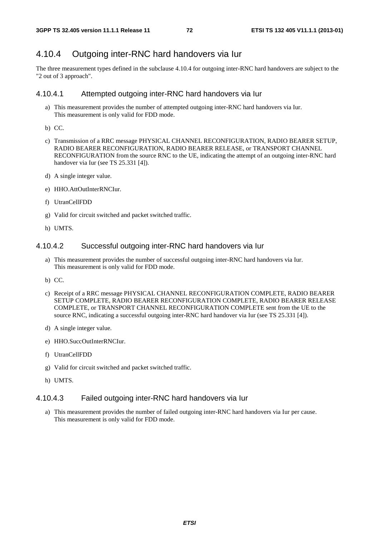# 4.10.4 Outgoing inter-RNC hard handovers via Iur

The three measurement types defined in the subclause 4.10.4 for outgoing inter-RNC hard handovers are subject to the "2 out of 3 approach".

#### 4.10.4.1 Attempted outgoing inter-RNC hard handovers via Iur

- a) This measurement provides the number of attempted outgoing inter-RNC hard handovers via Iur. This measurement is only valid for FDD mode.
- b) CC.
- c) Transmission of a RRC message PHYSICAL CHANNEL RECONFIGURATION, RADIO BEARER SETUP, RADIO BEARER RECONFIGURATION, RADIO BEARER RELEASE, or TRANSPORT CHANNEL RECONFIGURATION from the source RNC to the UE, indicating the attempt of an outgoing inter-RNC hard handover via Iur (see TS 25.331 [4]).
- d) A single integer value.
- e) HHO.AttOutInterRNCIur.
- f) UtranCellFDD
- g) Valid for circuit switched and packet switched traffic.
- h) UMTS.

#### 4.10.4.2 Successful outgoing inter-RNC hard handovers via Iur

- a) This measurement provides the number of successful outgoing inter-RNC hard handovers via Iur. This measurement is only valid for FDD mode.
- b) CC.
- c) Receipt of a RRC message PHYSICAL CHANNEL RECONFIGURATION COMPLETE, RADIO BEARER SETUP COMPLETE, RADIO BEARER RECONFIGURATION COMPLETE, RADIO BEARER RELEASE COMPLETE, or TRANSPORT CHANNEL RECONFIGURATION COMPLETE sent from the UE to the source RNC, indicating a successful outgoing inter-RNC hard handover via Iur (see TS 25.331 [4]).
- d) A single integer value.
- e) HHO.SuccOutInterRNCIur.
- f) UtranCellFDD
- g) Valid for circuit switched and packet switched traffic.
- h) UMTS.

#### 4.10.4.3 Failed outgoing inter-RNC hard handovers via Iur

a) This measurement provides the number of failed outgoing inter-RNC hard handovers via Iur per cause. This measurement is only valid for FDD mode.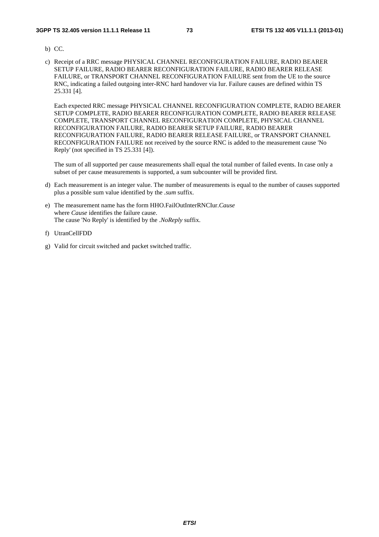- b) CC.
- c) Receipt of a RRC message PHYSICAL CHANNEL RECONFIGURATION FAILURE, RADIO BEARER SETUP FAILURE, RADIO BEARER RECONFIGURATION FAILURE, RADIO BEARER RELEASE FAILURE, or TRANSPORT CHANNEL RECONFIGURATION FAILURE sent from the UE to the source RNC, indicating a failed outgoing inter-RNC hard handover via Iur. Failure causes are defined within TS 25.331 [4].

Each expected RRC message PHYSICAL CHANNEL RECONFIGURATION COMPLETE, RADIO BEARER SETUP COMPLETE, RADIO BEARER RECONFIGURATION COMPLETE, RADIO BEARER RELEASE COMPLETE, TRANSPORT CHANNEL RECONFIGURATION COMPLETE, PHYSICAL CHANNEL RECONFIGURATION FAILURE, RADIO BEARER SETUP FAILURE, RADIO BEARER RECONFIGURATION FAILURE, RADIO BEARER RELEASE FAILURE, or TRANSPORT CHANNEL RECONFIGURATION FAILURE not received by the source RNC is added to the measurement cause 'No Reply' (not specified in TS 25.331 [4]).

The sum of all supported per cause measurements shall equal the total number of failed events. In case only a subset of per cause measurements is supported, a sum subcounter will be provided first.

- d) Each measurement is an integer value. The number of measurements is equal to the number of causes supported plus a possible sum value identified by the *.sum* suffix.
- e) The measurement name has the form HHO.FailOutInterRNCIur.*Cause* where *Cause* identifies the failure cause. The cause 'No Reply' is identified by the .*NoReply* suffix.
- f) UtranCellFDD
- g) Valid for circuit switched and packet switched traffic.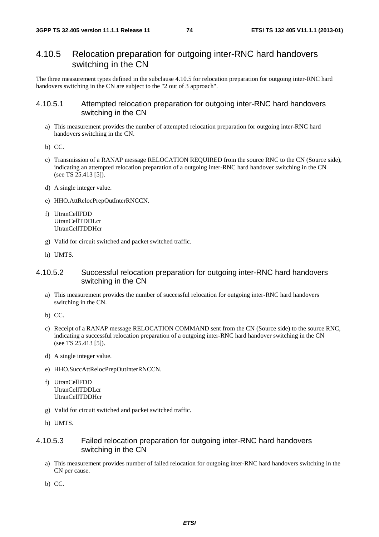# 4.10.5 Relocation preparation for outgoing inter-RNC hard handovers switching in the CN

The three measurement types defined in the subclause 4.10.5 for relocation preparation for outgoing inter-RNC hard handovers switching in the CN are subject to the "2 out of 3 approach".

#### 4.10.5.1 Attempted relocation preparation for outgoing inter-RNC hard handovers switching in the CN

- a) This measurement provides the number of attempted relocation preparation for outgoing inter-RNC hard handovers switching in the CN.
- b) CC.
- c) Transmission of a RANAP message RELOCATION REQUIRED from the source RNC to the CN (Source side), indicating an attempted relocation preparation of a outgoing inter-RNC hard handover switching in the CN (see TS 25.413 [5]).
- d) A single integer value.
- e) HHO.AttRelocPrepOutInterRNCCN.
- f) UtranCellFDD UtranCellTDDLcr UtranCellTDDHcr
- g) Valid for circuit switched and packet switched traffic.
- h) UMTS.

#### 4.10.5.2 Successful relocation preparation for outgoing inter-RNC hard handovers switching in the CN

- a) This measurement provides the number of successful relocation for outgoing inter-RNC hard handovers switching in the CN.
- b) CC.
- c) Receipt of a RANAP message RELOCATION COMMAND sent from the CN (Source side) to the source RNC, indicating a successful relocation preparation of a outgoing inter-RNC hard handover switching in the CN (see TS 25.413 [5]).
- d) A single integer value.
- e) HHO.SuccAttRelocPrepOutInterRNCCN.
- f) UtranCellFDD UtranCellTDDLcr UtranCellTDDHcr
- g) Valid for circuit switched and packet switched traffic.
- h) UMTS.

#### 4.10.5.3 Failed relocation preparation for outgoing inter-RNC hard handovers switching in the CN

- a) This measurement provides number of failed relocation for outgoing inter-RNC hard handovers switching in the CN per cause.
- b) CC.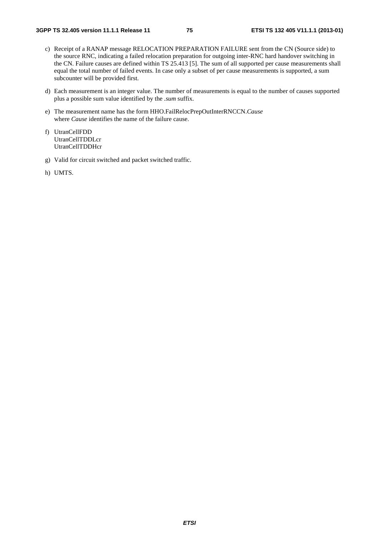- c) Receipt of a RANAP message RELOCATION PREPARATION FAILURE sent from the CN (Source side) to the source RNC, indicating a failed relocation preparation for outgoing inter-RNC hard handover switching in the CN. Failure causes are defined within TS 25.413 [5]. The sum of all supported per cause measurements shall equal the total number of failed events. In case only a subset of per cause measurements is supported, a sum subcounter will be provided first.
- d) Each measurement is an integer value. The number of measurements is equal to the number of causes supported plus a possible sum value identified by the *.sum* suffix.
- e) The measurement name has the form HHO.FailRelocPrepOutInterRNCCN.*Cause* where *Cause* identifies the name of the failure cause.
- f) UtranCellFDD UtranCellTDDLcr UtranCellTDDHcr
- g) Valid for circuit switched and packet switched traffic.
- h) UMTS.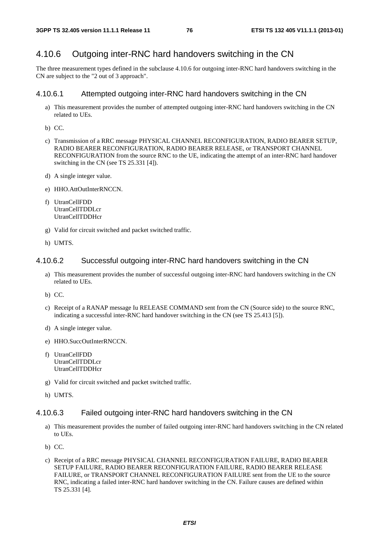### 4.10.6 Outgoing inter-RNC hard handovers switching in the CN

The three measurement types defined in the subclause 4.10.6 for outgoing inter-RNC hard handovers switching in the CN are subject to the "2 out of 3 approach".

#### 4.10.6.1 Attempted outgoing inter-RNC hard handovers switching in the CN

- a) This measurement provides the number of attempted outgoing inter-RNC hard handovers switching in the CN related to UEs.
- b) CC.
- c) Transmission of a RRC message PHYSICAL CHANNEL RECONFIGURATION, RADIO BEARER SETUP, RADIO BEARER RECONFIGURATION, RADIO BEARER RELEASE, or TRANSPORT CHANNEL RECONFIGURATION from the source RNC to the UE, indicating the attempt of an inter-RNC hard handover switching in the CN (see TS 25.331 [4]).
- d) A single integer value.
- e) HHO.AttOutInterRNCCN.
- f) UtranCellFDD UtranCellTDDLcr UtranCellTDDHcr
- g) Valid for circuit switched and packet switched traffic.
- h) UMTS.

#### 4.10.6.2 Successful outgoing inter-RNC hard handovers switching in the CN

- a) This measurement provides the number of successful outgoing inter-RNC hard handovers switching in the CN related to UEs.
- b) CC.
- c) Receipt of a RANAP message Iu RELEASE COMMAND sent from the CN (Source side) to the source RNC, indicating a successful inter-RNC hard handover switching in the CN (see TS 25.413 [5]).
- d) A single integer value.
- e) HHO.SuccOutInterRNCCN.
- f) UtranCellFDD UtranCellTDDLcr UtranCellTDDHcr
- g) Valid for circuit switched and packet switched traffic.
- h) UMTS.

#### 4.10.6.3 Failed outgoing inter-RNC hard handovers switching in the CN

- a) This measurement provides the number of failed outgoing inter-RNC hard handovers switching in the CN related to UEs.
- b) CC.
- c) Receipt of a RRC message PHYSICAL CHANNEL RECONFIGURATION FAILURE, RADIO BEARER SETUP FAILURE, RADIO BEARER RECONFIGURATION FAILURE, RADIO BEARER RELEASE FAILURE, or TRANSPORT CHANNEL RECONFIGURATION FAILURE sent from the UE to the source RNC, indicating a failed inter-RNC hard handover switching in the CN. Failure causes are defined within TS 25.331 [4].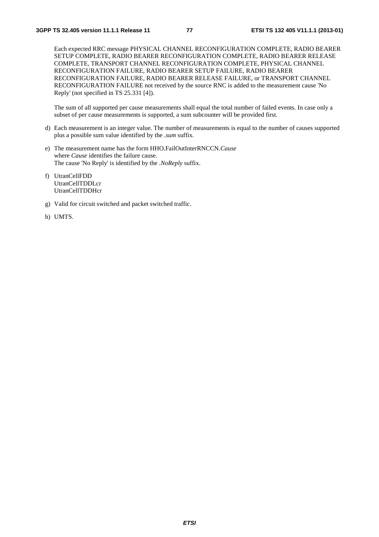Each expected RRC message PHYSICAL CHANNEL RECONFIGURATION COMPLETE, RADIO BEARER SETUP COMPLETE, RADIO BEARER RECONFIGURATION COMPLETE, RADIO BEARER RELEASE COMPLETE, TRANSPORT CHANNEL RECONFIGURATION COMPLETE, PHYSICAL CHANNEL RECONFIGURATION FAILURE, RADIO BEARER SETUP FAILURE, RADIO BEARER RECONFIGURATION FAILURE, RADIO BEARER RELEASE FAILURE, or TRANSPORT CHANNEL RECONFIGURATION FAILURE not received by the source RNC is added to the measurement cause 'No Reply' (not specified in TS 25.331 [4]).

The sum of all supported per cause measurements shall equal the total number of failed events. In case only a subset of per cause measurements is supported, a sum subcounter will be provided first.

- d) Each measurement is an integer value. The number of measurements is equal to the number of causes supported plus a possible sum value identified by the *.sum* suffix.
- e) The measurement name has the form HHO.FailOutInterRNCCN.*Cause* where *Cause* identifies the failure cause. The cause 'No Reply' is identified by the .*NoReply* suffix.
- f) UtranCellFDD UtranCellTDDLcr UtranCellTDDHcr
- g) Valid for circuit switched and packet switched traffic.
- h) UMTS.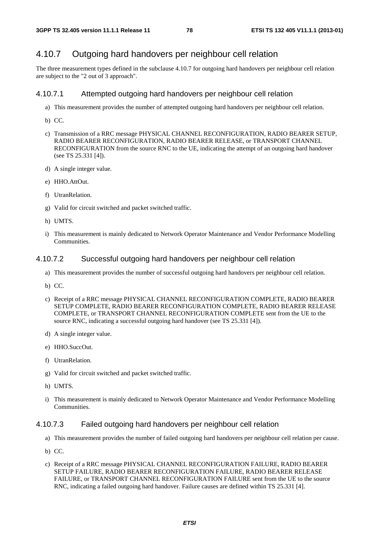### 4.10.7 Outgoing hard handovers per neighbour cell relation

The three measurement types defined in the subclause 4.10.7 for outgoing hard handovers per neighbour cell relation are subject to the "2 out of 3 approach".

#### 4.10.7.1 Attempted outgoing hard handovers per neighbour cell relation

- a) This measurement provides the number of attempted outgoing hard handovers per neighbour cell relation.
- b) CC.
- c) Transmission of a RRC message PHYSICAL CHANNEL RECONFIGURATION, RADIO BEARER SETUP, RADIO BEARER RECONFIGURATION, RADIO BEARER RELEASE, or TRANSPORT CHANNEL RECONFIGURATION from the source RNC to the UE, indicating the attempt of an outgoing hard handover (see TS 25.331 [4]).
- d) A single integer value.
- e) HHO.AttOut.
- f) UtranRelation.
- g) Valid for circuit switched and packet switched traffic.
- h) UMTS.
- i) This measurement is mainly dedicated to Network Operator Maintenance and Vendor Performance Modelling Communities.
- 4.10.7.2 Successful outgoing hard handovers per neighbour cell relation
	- a) This measurement provides the number of successful outgoing hard handovers per neighbour cell relation.
	- b) CC.
	- c) Receipt of a RRC message PHYSICAL CHANNEL RECONFIGURATION COMPLETE, RADIO BEARER SETUP COMPLETE, RADIO BEARER RECONFIGURATION COMPLETE, RADIO BEARER RELEASE COMPLETE, or TRANSPORT CHANNEL RECONFIGURATION COMPLETE sent from the UE to the source RNC, indicating a successful outgoing hard handover (see TS 25.331 [4]).
	- d) A single integer value.
	- e) HHO.SuccOut.
	- f) UtranRelation.
	- g) Valid for circuit switched and packet switched traffic.
	- h) UMTS.
	- i) This measurement is mainly dedicated to Network Operator Maintenance and Vendor Performance Modelling Communities.

#### 4.10.7.3 Failed outgoing hard handovers per neighbour cell relation

- a) This measurement provides the number of failed outgoing hard handovers per neighbour cell relation per cause.
- b) CC.
- c) Receipt of a RRC message PHYSICAL CHANNEL RECONFIGURATION FAILURE, RADIO BEARER SETUP FAILURE, RADIO BEARER RECONFIGURATION FAILURE, RADIO BEARER RELEASE FAILURE, or TRANSPORT CHANNEL RECONFIGURATION FAILURE sent from the UE to the source RNC, indicating a failed outgoing hard handover. Failure causes are defined within TS 25.331 [4].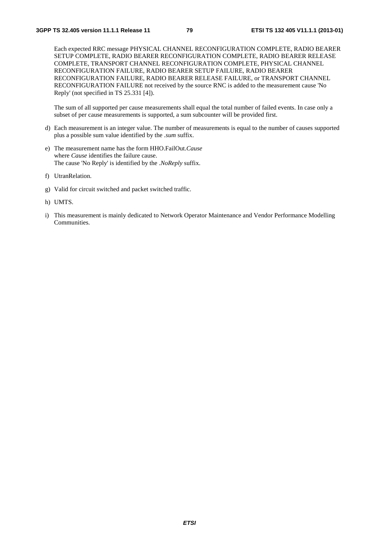Each expected RRC message PHYSICAL CHANNEL RECONFIGURATION COMPLETE, RADIO BEARER SETUP COMPLETE, RADIO BEARER RECONFIGURATION COMPLETE, RADIO BEARER RELEASE COMPLETE, TRANSPORT CHANNEL RECONFIGURATION COMPLETE, PHYSICAL CHANNEL RECONFIGURATION FAILURE, RADIO BEARER SETUP FAILURE, RADIO BEARER RECONFIGURATION FAILURE, RADIO BEARER RELEASE FAILURE, or TRANSPORT CHANNEL RECONFIGURATION FAILURE not received by the source RNC is added to the measurement cause 'No Reply' (not specified in TS 25.331 [4]).

The sum of all supported per cause measurements shall equal the total number of failed events. In case only a subset of per cause measurements is supported, a sum subcounter will be provided first.

- d) Each measurement is an integer value. The number of measurements is equal to the number of causes supported plus a possible sum value identified by the *.sum* suffix.
- e) The measurement name has the form HHO.FailOut.*Cause* where *Cause* identifies the failure cause. The cause 'No Reply' is identified by the .*NoReply* suffix.
- f) UtranRelation.
- g) Valid for circuit switched and packet switched traffic.
- h) UMTS.
- i) This measurement is mainly dedicated to Network Operator Maintenance and Vendor Performance Modelling Communities.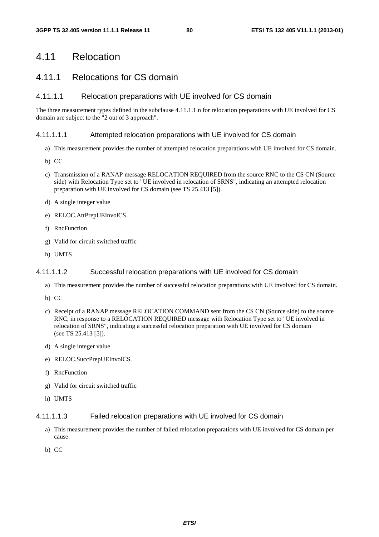# 4.11 Relocation

# 4.11.1 Relocations for CS domain

### 4.11.1.1 Relocation preparations with UE involved for CS domain

The three measurement types defined in the subclause 4.11.1.1.n for relocation preparations with UE involved for CS domain are subject to the "2 out of 3 approach".

#### 4.11.1.1.1 Attempted relocation preparations with UE involved for CS domain

- a) This measurement provides the number of attempted relocation preparations with UE involved for CS domain.
- b) CC
- c) Transmission of a RANAP message RELOCATION REQUIRED from the source RNC to the CS CN (Source side) with Relocation Type set to "UE involved in relocation of SRNS", indicating an attempted relocation preparation with UE involved for CS domain (see TS 25.413 [5]).
- d) A single integer value
- e) RELOC.AttPrepUEInvolCS.
- f) RncFunction
- g) Valid for circuit switched traffic
- h) UMTS

#### 4.11.1.1.2 Successful relocation preparations with UE involved for CS domain

- a) This measurement provides the number of successful relocation preparations with UE involved for CS domain.
- b) CC
- c) Receipt of a RANAP message RELOCATION COMMAND sent from the CS CN (Source side) to the source RNC, in response to a RELOCATION REQUIRED message with Relocation Type set to "UE involved in relocation of SRNS", indicating a successful relocation preparation with UE involved for CS domain (see TS 25.413 [5]).
- d) A single integer value
- e) RELOC.SuccPrepUEInvolCS.
- f) RncFunction
- g) Valid for circuit switched traffic
- h) UMTS

#### 4.11.1.1.3 Failed relocation preparations with UE involved for CS domain

- a) This measurement provides the number of failed relocation preparations with UE involved for CS domain per cause.
- b) CC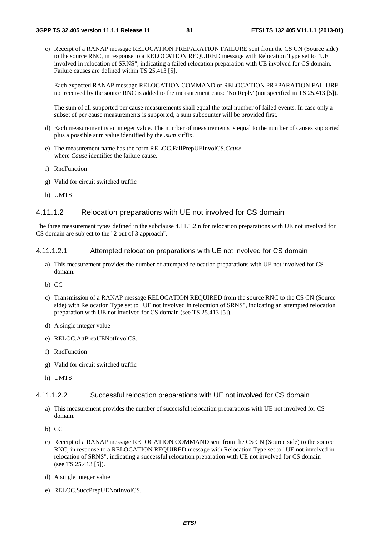c) Receipt of a RANAP message RELOCATION PREPARATION FAILURE sent from the CS CN (Source side) to the source RNC, in response to a RELOCATION REQUIRED message with Relocation Type set to "UE involved in relocation of SRNS", indicating a failed relocation preparation with UE involved for CS domain. Failure causes are defined within TS 25.413 [5].

Each expected RANAP message RELOCATION COMMAND or RELOCATION PREPARATION FAILURE not received by the source RNC is added to the measurement cause 'No Reply' (not specified in TS 25.413 [5]).

The sum of all supported per cause measurements shall equal the total number of failed events. In case only a subset of per cause measurements is supported, a sum subcounter will be provided first.

- d) Each measurement is an integer value. The number of measurements is equal to the number of causes supported plus a possible sum value identified by the *.sum* suffix.
- e) The measurement name has the form RELOC.FailPrepUEInvolCS.*Cause* where *Cause* identifies the failure cause.
- f) RncFunction
- g) Valid for circuit switched traffic
- h) UMTS

#### 4.11.1.2 Relocation preparations with UE not involved for CS domain

The three measurement types defined in the subclause 4.11.1.2.n for relocation preparations with UE not involved for CS domain are subject to the "2 out of 3 approach".

#### 4.11.1.2.1 Attempted relocation preparations with UE not involved for CS domain

- a) This measurement provides the number of attempted relocation preparations with UE not involved for CS domain.
- b) CC
- c) Transmission of a RANAP message RELOCATION REQUIRED from the source RNC to the CS CN (Source side) with Relocation Type set to "UE not involved in relocation of SRNS", indicating an attempted relocation preparation with UE not involved for CS domain (see TS 25.413 [5]).
- d) A single integer value
- e) RELOC.AttPrepUENotInvolCS.
- f) RncFunction
- g) Valid for circuit switched traffic
- h) UMTS

#### 4.11.1.2.2 Successful relocation preparations with UE not involved for CS domain

- a) This measurement provides the number of successful relocation preparations with UE not involved for CS domain.
- b) CC
- c) Receipt of a RANAP message RELOCATION COMMAND sent from the CS CN (Source side) to the source RNC, in response to a RELOCATION REQUIRED message with Relocation Type set to "UE not involved in relocation of SRNS", indicating a successful relocation preparation with UE not involved for CS domain (see TS 25.413 [5]).
- d) A single integer value
- e) RELOC.SuccPrepUENotInvolCS.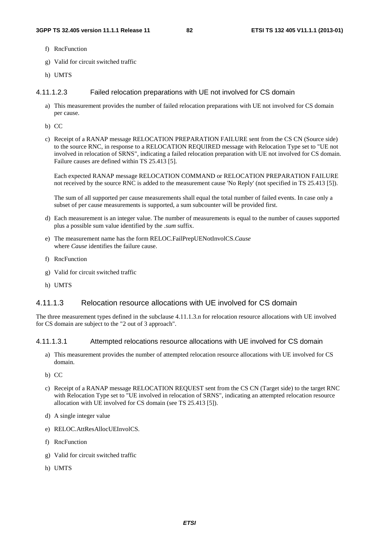- f) RncFunction
- g) Valid for circuit switched traffic
- h) UMTS

#### 4.11.1.2.3 Failed relocation preparations with UE not involved for CS domain

- a) This measurement provides the number of failed relocation preparations with UE not involved for CS domain per cause.
- b) CC
- c) Receipt of a RANAP message RELOCATION PREPARATION FAILURE sent from the CS CN (Source side) to the source RNC, in response to a RELOCATION REQUIRED message with Relocation Type set to "UE not involved in relocation of SRNS", indicating a failed relocation preparation with UE not involved for CS domain. Failure causes are defined within TS 25.413 [5].

Each expected RANAP message RELOCATION COMMAND or RELOCATION PREPARATION FAILURE not received by the source RNC is added to the measurement cause 'No Reply' (not specified in TS 25.413 [5]).

The sum of all supported per cause measurements shall equal the total number of failed events. In case only a subset of per cause measurements is supported, a sum subcounter will be provided first.

- d) Each measurement is an integer value. The number of measurements is equal to the number of causes supported plus a possible sum value identified by the *.sum* suffix.
- e) The measurement name has the form RELOC.FailPrepUENotInvolCS.*Cause* where *Cause* identifies the failure cause.
- f) RncFunction
- g) Valid for circuit switched traffic
- h) UMTS

#### 4.11.1.3 Relocation resource allocations with UE involved for CS domain

The three measurement types defined in the subclause 4.11.1.3.n for relocation resource allocations with UE involved for CS domain are subject to the "2 out of 3 approach".

#### 4.11.1.3.1 Attempted relocations resource allocations with UE involved for CS domain

- a) This measurement provides the number of attempted relocation resource allocations with UE involved for CS domain.
- b) CC
- c) Receipt of a RANAP message RELOCATION REQUEST sent from the CS CN (Target side) to the target RNC with Relocation Type set to "UE involved in relocation of SRNS", indicating an attempted relocation resource allocation with UE involved for CS domain (see TS 25.413 [5]).
- d) A single integer value
- e) RELOC.AttResAllocUEInvolCS.
- f) RncFunction
- g) Valid for circuit switched traffic
- h) UMTS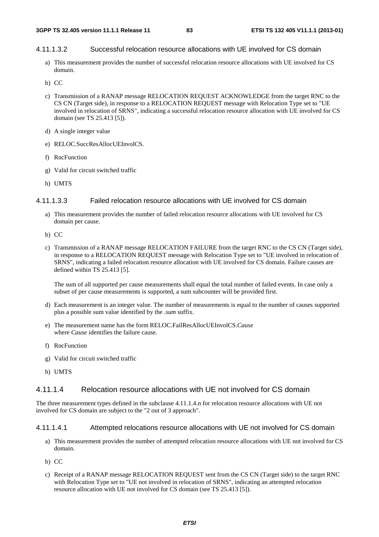#### 4.11.1.3.2 Successful relocation resource allocations with UE involved for CS domain

- a) This measurement provides the number of successful relocation resource allocations with UE involved for CS domain.
- b) CC
- c) Transmission of a RANAP message RELOCATION REQUEST ACKNOWLEDGE from the target RNC to the CS CN (Target side), in response to a RELOCATION REQUEST message with Relocation Type set to "UE involved in relocation of SRNS", indicating a successful relocation resource allocation with UE involved for CS domain (see TS 25.413 [5]).
- d) A single integer value
- e) RELOC.SuccResAllocUEInvolCS.
- f) RncFunction
- g) Valid for circuit switched traffic
- h) UMTS

#### 4.11.1.3.3 Failed relocation resource allocations with UE involved for CS domain

- a) This measurement provides the number of failed relocation resource allocations with UE involved for CS domain per cause.
- b) CC
- c) Transmission of a RANAP message RELOCATION FAILURE from the target RNC to the CS CN (Target side), in response to a RELOCATION REQUEST message with Relocation Type set to "UE involved in relocation of SRNS", indicating a failed relocation resource allocation with UE involved for CS domain. Failure causes are defined within TS 25.413 [5].

The sum of all supported per cause measurements shall equal the total number of failed events. In case only a subset of per cause measurements is supported, a sum subcounter will be provided first.

- d) Each measurement is an integer value. The number of measurements is equal to the number of causes supported plus a possible sum value identified by the *.sum* suffix.
- e) The measurement name has the form RELOC.FailResAllocUEInvolCS.*Cause* where *Cause* identifies the failure cause.
- f) RncFunction
- g) Valid for circuit switched traffic
- h) UMTS

#### 4.11.1.4 Relocation resource allocations with UE not involved for CS domain

The three measurement types defined in the subclause 4.11.1.4.n for relocation resource allocations with UE not involved for CS domain are subject to the "2 out of 3 approach".

#### 4.11.1.4.1 Attempted relocations resource allocations with UE not involved for CS domain

- a) This measurement provides the number of attempted relocation resource allocations with UE not involved for CS domain.
- b) CC
- c) Receipt of a RANAP message RELOCATION REQUEST sent from the CS CN (Target side) to the target RNC with Relocation Type set to "UE not involved in relocation of SRNS", indicating an attempted relocation resource allocation with UE not involved for CS domain (see TS 25.413 [5]).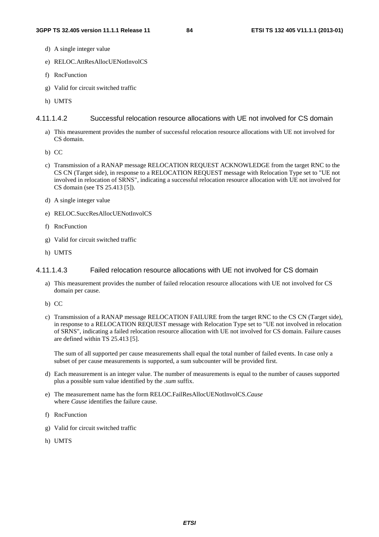- d) A single integer value
- e) RELOC.AttResAllocUENotInvolCS
- f) RncFunction
- g) Valid for circuit switched traffic
- h) UMTS

#### 4.11.1.4.2 Successful relocation resource allocations with UE not involved for CS domain

- a) This measurement provides the number of successful relocation resource allocations with UE not involved for CS domain.
- b) CC
- c) Transmission of a RANAP message RELOCATION REQUEST ACKNOWLEDGE from the target RNC to the CS CN (Target side), in response to a RELOCATION REQUEST message with Relocation Type set to "UE not involved in relocation of SRNS", indicating a successful relocation resource allocation with UE not involved for CS domain (see TS 25.413 [5]).
- d) A single integer value
- e) RELOC.SuccResAllocUENotInvolCS
- f) RncFunction
- g) Valid for circuit switched traffic
- h) UMTS

#### 4.11.1.4.3 Failed relocation resource allocations with UE not involved for CS domain

- a) This measurement provides the number of failed relocation resource allocations with UE not involved for CS domain per cause.
- b) CC
- c) Transmission of a RANAP message RELOCATION FAILURE from the target RNC to the CS CN (Target side), in response to a RELOCATION REQUEST message with Relocation Type set to "UE not involved in relocation of SRNS", indicating a failed relocation resource allocation with UE not involved for CS domain. Failure causes are defined within TS 25.413 [5].

The sum of all supported per cause measurements shall equal the total number of failed events. In case only a subset of per cause measurements is supported, a sum subcounter will be provided first.

- d) Each measurement is an integer value. The number of measurements is equal to the number of causes supported plus a possible sum value identified by the *.sum* suffix.
- e) The measurement name has the form RELOC.FailResAllocUENotInvolCS.*Cause* where *Cause* identifies the failure cause.
- f) RncFunction
- g) Valid for circuit switched traffic
- h) UMTS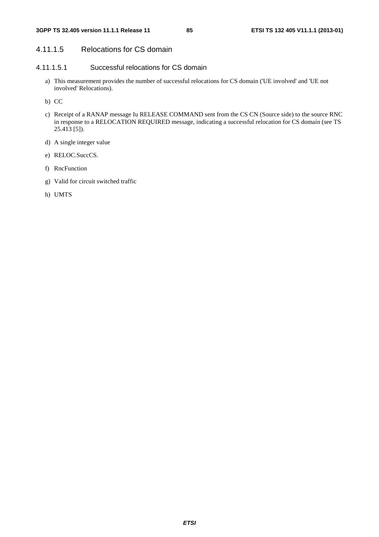# 4.11.1.5 Relocations for CS domain

### 4.11.1.5.1 Successful relocations for CS domain

- a) This measurement provides the number of successful relocations for CS domain ('UE involved' and 'UE not involved' Relocations).
- b) CC
- c) Receipt of a RANAP message Iu RELEASE COMMAND sent from the CS CN (Source side) to the source RNC in response to a RELOCATION REQUIRED message, indicating a successful relocation for CS domain (see TS 25.413 [5]).
- d) A single integer value
- e) RELOC.SuccCS.
- f) RncFunction
- g) Valid for circuit switched traffic
- h) UMTS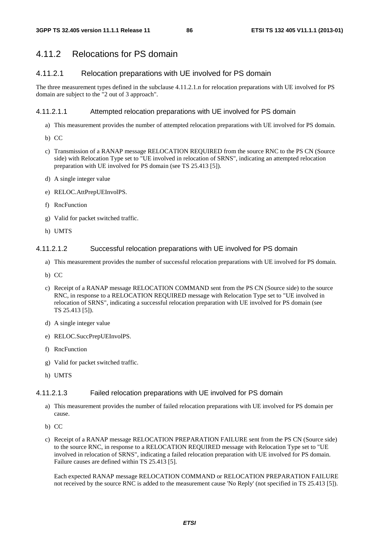# 4.11.2 Relocations for PS domain

### 4.11.2.1 Relocation preparations with UE involved for PS domain

The three measurement types defined in the subclause 4.11.2.1.n for relocation preparations with UE involved for PS domain are subject to the "2 out of 3 approach".

#### 4.11.2.1.1 Attempted relocation preparations with UE involved for PS domain

- a) This measurement provides the number of attempted relocation preparations with UE involved for PS domain.
- b) CC
- c) Transmission of a RANAP message RELOCATION REQUIRED from the source RNC to the PS CN (Source side) with Relocation Type set to "UE involved in relocation of SRNS", indicating an attempted relocation preparation with UE involved for PS domain (see TS 25.413 [5]).
- d) A single integer value
- e) RELOC.AttPrepUEInvolPS.
- f) RncFunction
- g) Valid for packet switched traffic.
- h) UMTS

#### 4.11.2.1.2 Successful relocation preparations with UE involved for PS domain

- a) This measurement provides the number of successful relocation preparations with UE involved for PS domain.
- b) CC
- c) Receipt of a RANAP message RELOCATION COMMAND sent from the PS CN (Source side) to the source RNC, in response to a RELOCATION REQUIRED message with Relocation Type set to "UE involved in relocation of SRNS", indicating a successful relocation preparation with UE involved for PS domain (see TS 25.413 [5]).
- d) A single integer value
- e) RELOC.SuccPrepUEInvolPS.
- f) RncFunction
- g) Valid for packet switched traffic.
- h) UMTS

#### 4.11.2.1.3 Failed relocation preparations with UE involved for PS domain

- a) This measurement provides the number of failed relocation preparations with UE involved for PS domain per cause.
- b) CC
- c) Receipt of a RANAP message RELOCATION PREPARATION FAILURE sent from the PS CN (Source side) to the source RNC, in response to a RELOCATION REQUIRED message with Relocation Type set to "UE involved in relocation of SRNS", indicating a failed relocation preparation with UE involved for PS domain. Failure causes are defined within TS 25.413 [5].

Each expected RANAP message RELOCATION COMMAND or RELOCATION PREPARATION FAILURE not received by the source RNC is added to the measurement cause 'No Reply' (not specified in TS 25.413 [5]).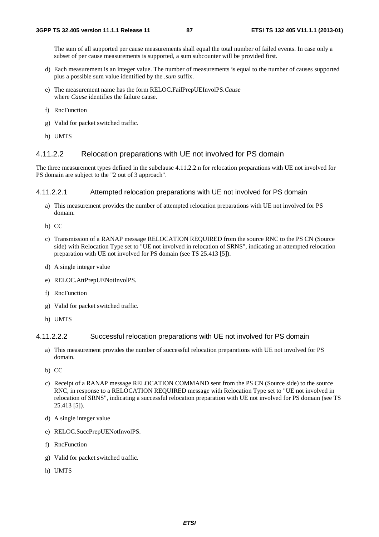The sum of all supported per cause measurements shall equal the total number of failed events. In case only a subset of per cause measurements is supported, a sum subcounter will be provided first.

- d) Each measurement is an integer value. The number of measurements is equal to the number of causes supported plus a possible sum value identified by the *.sum* suffix.
- e) The measurement name has the form RELOC.FailPrepUEInvolPS.*Cause* where *Cause* identifies the failure cause.
- f) RncFunction
- g) Valid for packet switched traffic.
- h) UMTS

#### 4.11.2.2 Relocation preparations with UE not involved for PS domain

The three measurement types defined in the subclause 4.11.2.2.n for relocation preparations with UE not involved for PS domain are subject to the "2 out of 3 approach".

#### 4.11.2.2.1 Attempted relocation preparations with UE not involved for PS domain

- a) This measurement provides the number of attempted relocation preparations with UE not involved for PS domain.
- b) CC
- c) Transmission of a RANAP message RELOCATION REQUIRED from the source RNC to the PS CN (Source side) with Relocation Type set to "UE not involved in relocation of SRNS", indicating an attempted relocation preparation with UE not involved for PS domain (see TS 25.413 [5]).
- d) A single integer value
- e) RELOC.AttPrepUENotInvolPS.
- f) RncFunction
- g) Valid for packet switched traffic.
- h) UMTS

#### 4.11.2.2.2 Successful relocation preparations with UE not involved for PS domain

- a) This measurement provides the number of successful relocation preparations with UE not involved for PS domain.
- b) CC
- c) Receipt of a RANAP message RELOCATION COMMAND sent from the PS CN (Source side) to the source RNC, in response to a RELOCATION REQUIRED message with Relocation Type set to "UE not involved in relocation of SRNS", indicating a successful relocation preparation with UE not involved for PS domain (see TS 25.413 [5]).
- d) A single integer value
- e) RELOC.SuccPrepUENotInvolPS.
- f) RncFunction
- g) Valid for packet switched traffic.
- h) UMTS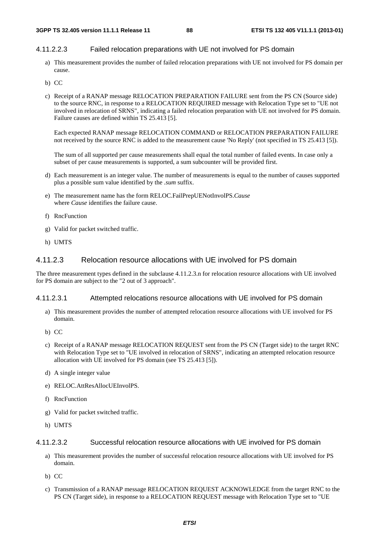#### 4.11.2.2.3 Failed relocation preparations with UE not involved for PS domain

- a) This measurement provides the number of failed relocation preparations with UE not involved for PS domain per cause.
- b) CC
- c) Receipt of a RANAP message RELOCATION PREPARATION FAILURE sent from the PS CN (Source side) to the source RNC, in response to a RELOCATION REQUIRED message with Relocation Type set to "UE not involved in relocation of SRNS", indicating a failed relocation preparation with UE not involved for PS domain. Failure causes are defined within TS 25.413 [5].

Each expected RANAP message RELOCATION COMMAND or RELOCATION PREPARATION FAILURE not received by the source RNC is added to the measurement cause 'No Reply' (not specified in TS 25.413 [5]).

The sum of all supported per cause measurements shall equal the total number of failed events. In case only a subset of per cause measurements is supported, a sum subcounter will be provided first.

- d) Each measurement is an integer value. The number of measurements is equal to the number of causes supported plus a possible sum value identified by the *.sum* suffix.
- e) The measurement name has the form RELOC.FailPrepUENotInvolPS.*Cause* where *Cause* identifies the failure cause.
- f) RncFunction
- g) Valid for packet switched traffic.
- h) UMTS

#### 4.11.2.3 Relocation resource allocations with UE involved for PS domain

The three measurement types defined in the subclause 4.11.2.3.n for relocation resource allocations with UE involved for PS domain are subject to the "2 out of 3 approach".

#### 4.11.2.3.1 Attempted relocations resource allocations with UE involved for PS domain

- a) This measurement provides the number of attempted relocation resource allocations with UE involved for PS domain.
- b) CC
- c) Receipt of a RANAP message RELOCATION REQUEST sent from the PS CN (Target side) to the target RNC with Relocation Type set to "UE involved in relocation of SRNS", indicating an attempted relocation resource allocation with UE involved for PS domain (see TS 25.413 [5]).
- d) A single integer value
- e) RELOC.AttResAllocUEInvolPS.
- f) RncFunction
- g) Valid for packet switched traffic.
- h) UMTS

#### 4.11.2.3.2 Successful relocation resource allocations with UE involved for PS domain

- a) This measurement provides the number of successful relocation resource allocations with UE involved for PS domain.
- b) CC
- c) Transmission of a RANAP message RELOCATION REQUEST ACKNOWLEDGE from the target RNC to the PS CN (Target side), in response to a RELOCATION REQUEST message with Relocation Type set to "UE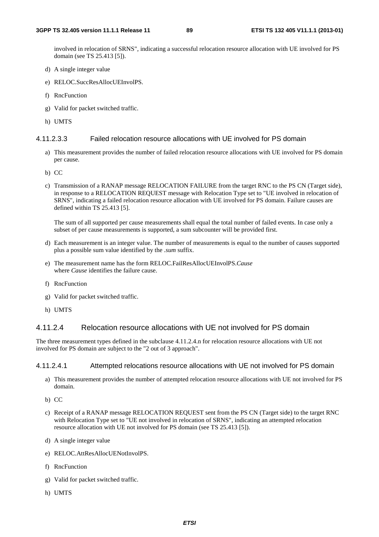involved in relocation of SRNS", indicating a successful relocation resource allocation with UE involved for PS domain (see TS 25.413 [5]).

- d) A single integer value
- e) RELOC.SuccResAllocUEInvolPS.
- f) RncFunction
- g) Valid for packet switched traffic.
- h) UMTS

#### 4.11.2.3.3 Failed relocation resource allocations with UE involved for PS domain

- a) This measurement provides the number of failed relocation resource allocations with UE involved for PS domain per cause.
- b) CC
- c) Transmission of a RANAP message RELOCATION FAILURE from the target RNC to the PS CN (Target side), in response to a RELOCATION REQUEST message with Relocation Type set to "UE involved in relocation of SRNS", indicating a failed relocation resource allocation with UE involved for PS domain. Failure causes are defined within TS 25.413 [5].

The sum of all supported per cause measurements shall equal the total number of failed events. In case only a subset of per cause measurements is supported, a sum subcounter will be provided first.

- d) Each measurement is an integer value. The number of measurements is equal to the number of causes supported plus a possible sum value identified by the *.sum* suffix.
- e) The measurement name has the form RELOC.FailResAllocUEInvolPS.*Cause* where *Cause* identifies the failure cause.
- f) RncFunction
- g) Valid for packet switched traffic.
- h) UMTS

#### 4.11.2.4 Relocation resource allocations with UE not involved for PS domain

The three measurement types defined in the subclause 4.11.2.4.n for relocation resource allocations with UE not involved for PS domain are subject to the "2 out of 3 approach".

#### 4.11.2.4.1 Attempted relocations resource allocations with UE not involved for PS domain

- a) This measurement provides the number of attempted relocation resource allocations with UE not involved for PS domain.
- b) CC
- c) Receipt of a RANAP message RELOCATION REQUEST sent from the PS CN (Target side) to the target RNC with Relocation Type set to "UE not involved in relocation of SRNS", indicating an attempted relocation resource allocation with UE not involved for PS domain (see TS 25.413 [5]).
- d) A single integer value
- e) RELOC.AttResAllocUENotInvolPS.
- f) RncFunction
- g) Valid for packet switched traffic.
- h) UMTS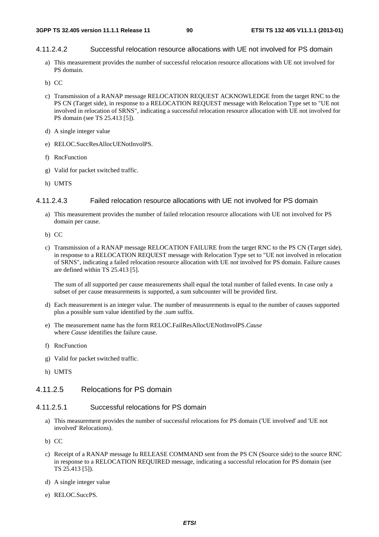#### 4.11.2.4.2 Successful relocation resource allocations with UE not involved for PS domain

- a) This measurement provides the number of successful relocation resource allocations with UE not involved for PS domain.
- b) CC
- c) Transmission of a RANAP message RELOCATION REQUEST ACKNOWLEDGE from the target RNC to the PS CN (Target side), in response to a RELOCATION REQUEST message with Relocation Type set to "UE not involved in relocation of SRNS", indicating a successful relocation resource allocation with UE not involved for PS domain (see TS 25.413 [5]).
- d) A single integer value
- e) RELOC.SuccResAllocUENotInvolPS.
- f) RncFunction
- g) Valid for packet switched traffic.
- h) UMTS

#### 4.11.2.4.3 Failed relocation resource allocations with UE not involved for PS domain

- a) This measurement provides the number of failed relocation resource allocations with UE not involved for PS domain per cause.
- b) CC
- c) Transmission of a RANAP message RELOCATION FAILURE from the target RNC to the PS CN (Target side), in response to a RELOCATION REQUEST message with Relocation Type set to "UE not involved in relocation of SRNS", indicating a failed relocation resource allocation with UE not involved for PS domain. Failure causes are defined within TS 25.413 [5].

The sum of all supported per cause measurements shall equal the total number of failed events. In case only a subset of per cause measurements is supported, a sum subcounter will be provided first.

- d) Each measurement is an integer value. The number of measurements is equal to the number of causes supported plus a possible sum value identified by the *.sum* suffix.
- e) The measurement name has the form RELOC.FailResAllocUENotInvolPS.*Cause* where *Cause* identifies the failure cause.
- f) RncFunction
- g) Valid for packet switched traffic.
- h) UMTS

### 4.11.2.5 Relocations for PS domain

#### 4.11.2.5.1 Successful relocations for PS domain

- a) This measurement provides the number of successful relocations for PS domain ('UE involved' and 'UE not involved' Relocations).
- b) CC
- c) Receipt of a RANAP message Iu RELEASE COMMAND sent from the PS CN (Source side) to the source RNC in response to a RELOCATION REQUIRED message, indicating a successful relocation for PS domain (see TS 25.413 [5]).
- d) A single integer value
- e) RELOC.SuccPS.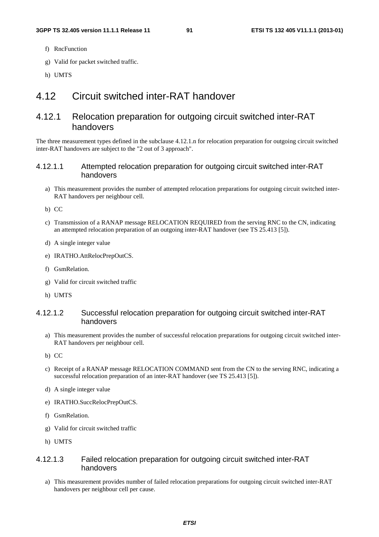- f) RncFunction
- g) Valid for packet switched traffic.
- h) UMTS

# 4.12 Circuit switched inter-RAT handover

# 4.12.1 Relocation preparation for outgoing circuit switched inter-RAT handovers

The three measurement types defined in the subclause 4.12.1.n for relocation preparation for outgoing circuit switched inter-RAT handovers are subject to the "2 out of 3 approach".

#### 4.12.1.1 Attempted relocation preparation for outgoing circuit switched inter-RAT handovers

a) This measurement provides the number of attempted relocation preparations for outgoing circuit switched inter-RAT handovers per neighbour cell.

b) CC

- c) Transmission of a RANAP message RELOCATION REQUIRED from the serving RNC to the CN, indicating an attempted relocation preparation of an outgoing inter-RAT handover (see TS 25.413 [5]).
- d) A single integer value
- e) IRATHO.AttRelocPrepOutCS.
- f) GsmRelation.
- g) Valid for circuit switched traffic
- h) UMTS

#### 4.12.1.2 Successful relocation preparation for outgoing circuit switched inter-RAT handovers

- a) This measurement provides the number of successful relocation preparations for outgoing circuit switched inter-RAT handovers per neighbour cell.
- b) CC
- c) Receipt of a RANAP message RELOCATION COMMAND sent from the CN to the serving RNC, indicating a successful relocation preparation of an inter-RAT handover (see TS 25.413 [5]).
- d) A single integer value
- e) IRATHO.SuccRelocPrepOutCS.
- f) GsmRelation.
- g) Valid for circuit switched traffic
- h) UMTS

#### 4.12.1.3 Failed relocation preparation for outgoing circuit switched inter-RAT handovers

a) This measurement provides number of failed relocation preparations for outgoing circuit switched inter-RAT handovers per neighbour cell per cause.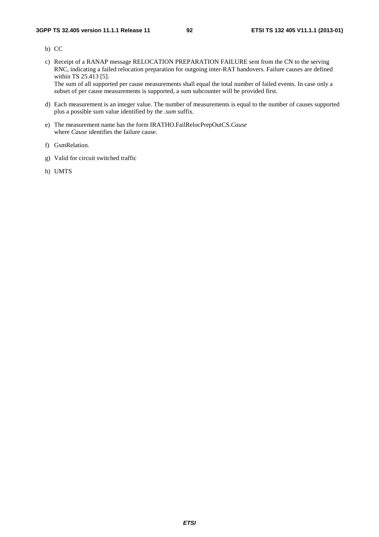- b) CC
- c) Receipt of a RANAP message RELOCATION PREPARATION FAILURE sent from the CN to the serving RNC, indicating a failed relocation preparation for outgoing inter-RAT handovers. Failure causes are defined within TS 25.413 [5]. The sum of all supported per cause measurements shall equal the total number of failed events. In case only a

subset of per cause measurements is supported, a sum subcounter will be provided first.

- d) Each measurement is an integer value. The number of measurements is equal to the number of causes supported plus a possible sum value identified by the *.sum* suffix.
- e) The measurement name has the form IRATHO.FailRelocPrepOutCS.*Cause* where *Cause* identifies the failure cause.
- f) GsmRelation.
- g) Valid for circuit switched traffic
- h) UMTS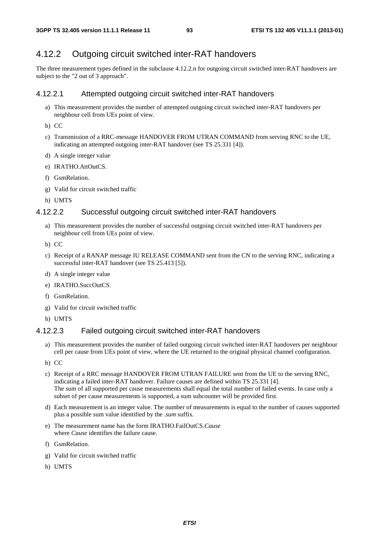# 4.12.2 Outgoing circuit switched inter-RAT handovers

The three measurement types defined in the subclause 4.12.2.n for outgoing circuit switched inter-RAT handovers are subject to the "2 out of 3 approach".

#### 4.12.2.1 Attempted outgoing circuit switched inter-RAT handovers

- a) This measurement provides the number of attempted outgoing circuit switched inter-RAT handovers per neighbour cell from UEs point of view.
- b) CC
- c) Transmission of a RRC-message HANDOVER FROM UTRAN COMMAND from serving RNC to the UE, indicating an attempted outgoing inter-RAT handover (see TS 25.331 [4]).
- d) A single integer value
- e) IRATHO.AttOutCS.
- f) GsmRelation.
- g) Valid for circuit switched traffic
- h) UMTS

#### 4.12.2.2 Successful outgoing circuit switched inter-RAT handovers

- a) This measurement provides the number of successful outgoing circuit switched inter-RAT handovers per neighbour cell from UEs point of view.
- b) CC
- c) Receipt of a RANAP message IU RELEASE COMMAND sent from the CN to the serving RNC, indicating a successful inter-RAT handover (see TS 25.413 [5]).
- d) A single integer value
- e) IRATHO.SuccOutCS.
- f) GsmRelation.
- g) Valid for circuit switched traffic
- h) UMTS

#### 4.12.2.3 Failed outgoing circuit switched inter-RAT handovers

- a) This measurement provides the number of failed outgoing circuit switched inter-RAT handovers per neighbour cell per cause from UEs point of view, where the UE returned to the original physical channel configuration.
- b) CC
- c) Receipt of a RRC message HANDOVER FROM UTRAN FAILURE sent from the UE to the serving RNC, indicating a failed inter-RAT handover. Failure causes are defined within TS 25.331 [4]. The sum of all supported per cause measurements shall equal the total number of failed events. In case only a subset of per cause measurements is supported, a sum subcounter will be provided first.
- d) Each measurement is an integer value. The number of measurements is equal to the number of causes supported plus a possible sum value identified by the *.sum* suffix.
- e) The measurement name has the form IRATHO.FailOutCS.*Cause* where *Cause* identifies the failure cause.
- f) GsmRelation.
- g) Valid for circuit switched traffic
- h) UMTS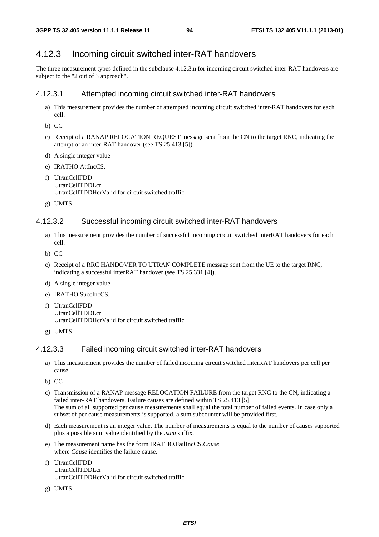# 4.12.3 Incoming circuit switched inter-RAT handovers

The three measurement types defined in the subclause 4.12.3.n for incoming circuit switched inter-RAT handovers are subject to the "2 out of 3 approach".

# 4.12.3.1 Attempted incoming circuit switched inter-RAT handovers

- a) This measurement provides the number of attempted incoming circuit switched inter-RAT handovers for each cell.
- b) CC
- c) Receipt of a RANAP RELOCATION REQUEST message sent from the CN to the target RNC, indicating the attempt of an inter-RAT handover (see TS 25.413 [5]).
- d) A single integer value
- e) IRATHO.AttIncCS.
- f) UtranCellFDD UtranCellTDDLcr UtranCellTDDHcrValid for circuit switched traffic
- g) UMTS

### 4.12.3.2 Successful incoming circuit switched inter-RAT handovers

- a) This measurement provides the number of successful incoming circuit switched interRAT handovers for each cell.
- b) CC
- c) Receipt of a RRC HANDOVER TO UTRAN COMPLETE message sent from the UE to the target RNC, indicating a successful interRAT handover (see TS 25.331 [4]).
- d) A single integer value
- e) IRATHO.SuccIncCS.
- f) UtranCellFDD UtranCellTDDLcr UtranCellTDDHcrValid for circuit switched traffic
- g) UMTS

#### 4.12.3.3 Failed incoming circuit switched inter-RAT handovers

- a) This measurement provides the number of failed incoming circuit switched interRAT handovers per cell per cause.
- b) CC
- c) Transmission of a RANAP message RELOCATION FAILURE from the target RNC to the CN, indicating a failed inter-RAT handovers. Failure causes are defined within TS 25.413 [5]. The sum of all supported per cause measurements shall equal the total number of failed events. In case only a subset of per cause measurements is supported, a sum subcounter will be provided first.
- d) Each measurement is an integer value. The number of measurements is equal to the number of causes supported plus a possible sum value identified by the *.sum* suffix.
- e) The measurement name has the form IRATHO.FailIncCS.*Cause* where *Cause* identifies the failure cause.
- f) UtranCellFDD UtranCellTDDLcr UtranCellTDDHcrValid for circuit switched traffic
- g) UMTS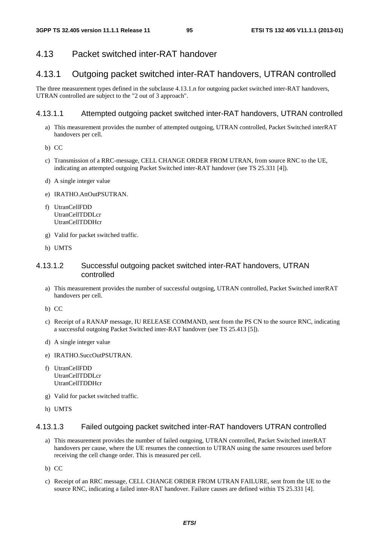# 4.13 Packet switched inter-RAT handover

# 4.13.1 Outgoing packet switched inter-RAT handovers, UTRAN controlled

The three measurement types defined in the subclause 4.13.1.n for outgoing packet switched inter-RAT handovers, UTRAN controlled are subject to the "2 out of 3 approach".

### 4.13.1.1 Attempted outgoing packet switched inter-RAT handovers, UTRAN controlled

- a) This measurement provides the number of attempted outgoing, UTRAN controlled, Packet Switched interRAT handovers per cell.
- b) CC
- c) Transmission of a RRC-message, CELL CHANGE ORDER FROM UTRAN, from source RNC to the UE, indicating an attempted outgoing Packet Switched inter-RAT handover (see TS 25.331 [4]).
- d) A single integer value
- e) IRATHO.AttOutPSUTRAN.
- f) UtranCellFDD UtranCellTDDLcr UtranCellTDDHcr
- g) Valid for packet switched traffic.
- h) UMTS

### 4.13.1.2 Successful outgoing packet switched inter-RAT handovers, UTRAN controlled

- a) This measurement provides the number of successful outgoing, UTRAN controlled, Packet Switched interRAT handovers per cell.
- b) CC
- c) Receipt of a RANAP message, IU RELEASE COMMAND, sent from the PS CN to the source RNC, indicating a successful outgoing Packet Switched inter-RAT handover (see TS 25.413 [5]).
- d) A single integer value
- e) IRATHO.SuccOutPSUTRAN.
- f) UtranCellFDD UtranCellTDDLcr UtranCellTDDHcr
- g) Valid for packet switched traffic.
- h) UMTS

#### 4.13.1.3 Failed outgoing packet switched inter-RAT handovers UTRAN controlled

- a) This measurement provides the number of failed outgoing, UTRAN controlled, Packet Switched interRAT handovers per cause, where the UE resumes the connection to UTRAN using the same resources used before receiving the cell change order. This is measured per cell.
- b) CC
- c) Receipt of an RRC message, CELL CHANGE ORDER FROM UTRAN FAILURE, sent from the UE to the source RNC, indicating a failed inter-RAT handover. Failure causes are defined within TS 25.331 [4].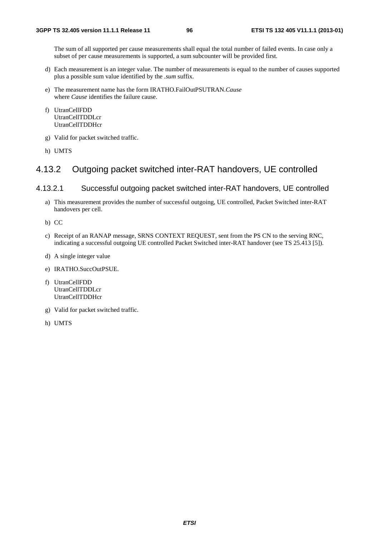The sum of all supported per cause measurements shall equal the total number of failed events. In case only a subset of per cause measurements is supported, a sum subcounter will be provided first.

- d) Each measurement is an integer value. The number of measurements is equal to the number of causes supported plus a possible sum value identified by the *.sum* suffix.
- e) The measurement name has the form IRATHO.FailOutPSUTRAN.*Cause* where *Cause* identifies the failure cause.
- f) UtranCellFDD UtranCellTDDLcr UtranCellTDDHcr
- g) Valid for packet switched traffic.
- h) UMTS

# 4.13.2 Outgoing packet switched inter-RAT handovers, UE controlled

#### 4.13.2.1 Successful outgoing packet switched inter-RAT handovers, UE controlled

- a) This measurement provides the number of successful outgoing, UE controlled, Packet Switched inter-RAT handovers per cell.
- b) CC
- c) Receipt of an RANAP message, SRNS CONTEXT REQUEST, sent from the PS CN to the serving RNC, indicating a successful outgoing UE controlled Packet Switched inter-RAT handover (see TS 25.413 [5]).
- d) A single integer value
- e) IRATHO.SuccOutPSUE.
- f) UtranCellFDD UtranCellTDDLcr UtranCellTDDHcr
- g) Valid for packet switched traffic.
- h) UMTS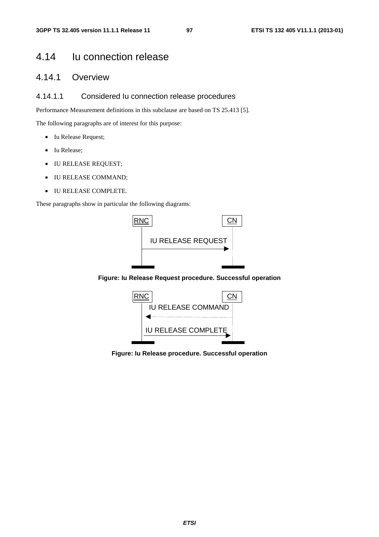# 4.14 Iu connection release

# 4.14.1 Overview

### 4.14.1.1 Considered Iu connection release procedures

Performance Measurement definitions in this subclause are based on TS 25.413 [5].

The following paragraphs are of interest for this purpose:

- Iu Release Request;
- Iu Release;
- IU RELEASE REQUEST;
- IU RELEASE COMMAND;
- IU RELEASE COMPLETE.

These paragraphs show in particular the following diagrams:



**Figure: Iu Release Request procedure. Successful operation** 



**Figure: Iu Release procedure. Successful operation**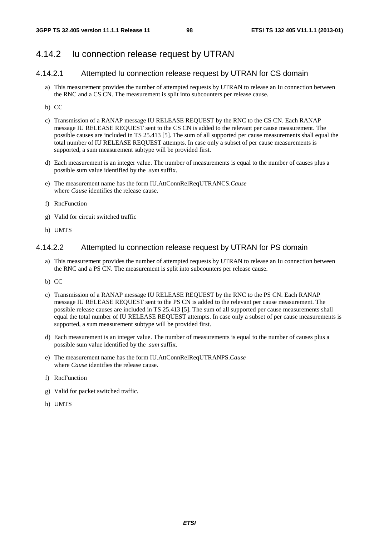# 4.14.2 Iu connection release request by UTRAN

### 4.14.2.1 Attempted Iu connection release request by UTRAN for CS domain

- a) This measurement provides the number of attempted requests by UTRAN to release an Iu connection between the RNC and a CS CN. The measurement is split into subcounters per release cause.
- b) CC
- c) Transmission of a RANAP message IU RELEASE REQUEST by the RNC to the CS CN. Each RANAP message IU RELEASE REQUEST sent to the CS CN is added to the relevant per cause measurement. The possible causes are included in TS 25.413 [5]. The sum of all supported per cause measurements shall equal the total number of IU RELEASE REQUEST attempts. In case only a subset of per cause measurements is supported, a sum measurement subtype will be provided first.
- d) Each measurement is an integer value. The number of measurements is equal to the number of causes plus a possible sum value identified by the *.sum* suffix.
- e) The measurement name has the form IU.AttConnRelReqUTRANCS.*Cause* where *Cause* identifies the release cause.
- f) RncFunction
- g) Valid for circuit switched traffic
- h) UMTS

#### 4.14.2.2 Attempted Iu connection release request by UTRAN for PS domain

- a) This measurement provides the number of attempted requests by UTRAN to release an Iu connection between the RNC and a PS CN. The measurement is split into subcounters per release cause.
- b) CC
- c) Transmission of a RANAP message IU RELEASE REQUEST by the RNC to the PS CN. Each RANAP message IU RELEASE REQUEST sent to the PS CN is added to the relevant per cause measurement. The possible release causes are included in TS 25.413 [5]. The sum of all supported per cause measurements shall equal the total number of IU RELEASE REQUEST attempts. In case only a subset of per cause measurements is supported, a sum measurement subtype will be provided first.
- d) Each measurement is an integer value. The number of measurements is equal to the number of causes plus a possible sum value identified by the *.sum* suffix.
- e) The measurement name has the form IU.AttConnRelReqUTRANPS.*Cause* where *Cause* identifies the release cause.
- f) RncFunction
- g) Valid for packet switched traffic.
- h) UMTS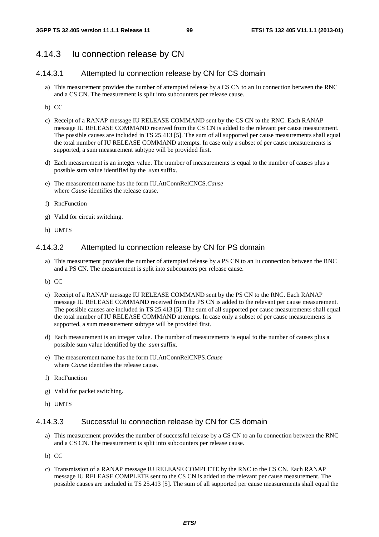# 4.14.3 Iu connection release by CN

### 4.14.3.1 Attempted Iu connection release by CN for CS domain

- a) This measurement provides the number of attempted release by a CS CN to an Iu connection between the RNC and a CS CN. The measurement is split into subcounters per release cause.
- b) CC
- c) Receipt of a RANAP message IU RELEASE COMMAND sent by the CS CN to the RNC. Each RANAP message IU RELEASE COMMAND received from the CS CN is added to the relevant per cause measurement. The possible causes are included in TS 25.413 [5]. The sum of all supported per cause measurements shall equal the total number of IU RELEASE COMMAND attempts. In case only a subset of per cause measurements is supported, a sum measurement subtype will be provided first.
- d) Each measurement is an integer value. The number of measurements is equal to the number of causes plus a possible sum value identified by the *.sum* suffix.
- e) The measurement name has the form IU.AttConnRelCNCS.*Cause* where *Cause* identifies the release cause.
- f) RncFunction
- g) Valid for circuit switching.
- h) UMTS

#### 4.14.3.2 Attempted Iu connection release by CN for PS domain

- a) This measurement provides the number of attempted release by a PS CN to an Iu connection between the RNC and a PS CN. The measurement is split into subcounters per release cause.
- b) CC
- c) Receipt of a RANAP message IU RELEASE COMMAND sent by the PS CN to the RNC. Each RANAP message IU RELEASE COMMAND received from the PS CN is added to the relevant per cause measurement. The possible causes are included in TS 25.413 [5]. The sum of all supported per cause measurements shall equal the total number of IU RELEASE COMMAND attempts. In case only a subset of per cause measurements is supported, a sum measurement subtype will be provided first.
- d) Each measurement is an integer value. The number of measurements is equal to the number of causes plus a possible sum value identified by the *.sum* suffix.
- e) The measurement name has the form IU.AttConnRelCNPS.*Cause* where *Cause* identifies the release cause.
- f) RncFunction
- g) Valid for packet switching.
- h) UMTS

#### 4.14.3.3 Successful Iu connection release by CN for CS domain

- a) This measurement provides the number of successful release by a CS CN to an Iu connection between the RNC and a CS CN. The measurement is split into subcounters per release cause.
- b) CC
- c) Transmission of a RANAP message IU RELEASE COMPLETE by the RNC to the CS CN. Each RANAP message IU RELEASE COMPLETE sent to the CS CN is added to the relevant per cause measurement. The possible causes are included in TS 25.413 [5]. The sum of all supported per cause measurements shall equal the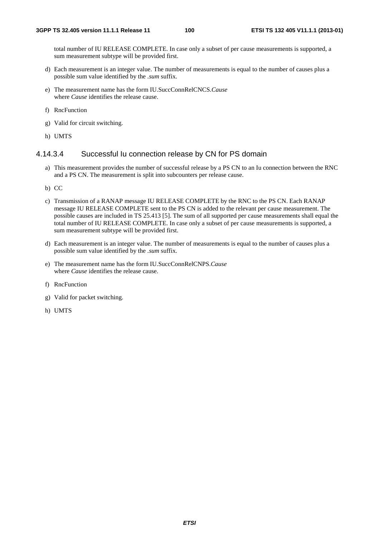total number of IU RELEASE COMPLETE. In case only a subset of per cause measurements is supported, a sum measurement subtype will be provided first.

- d) Each measurement is an integer value. The number of measurements is equal to the number of causes plus a possible sum value identified by the *.sum* suffix.
- e) The measurement name has the form IU.SuccConnRelCNCS.*Cause* where *Cause* identifies the release cause.
- f) RncFunction
- g) Valid for circuit switching.
- h) UMTS

#### 4.14.3.4 Successful Iu connection release by CN for PS domain

- a) This measurement provides the number of successful release by a PS CN to an Iu connection between the RNC and a PS CN. The measurement is split into subcounters per release cause.
- b) CC
- c) Transmission of a RANAP message IU RELEASE COMPLETE by the RNC to the PS CN. Each RANAP message IU RELEASE COMPLETE sent to the PS CN is added to the relevant per cause measurement. The possible causes are included in TS 25.413 [5]. The sum of all supported per cause measurements shall equal the total number of IU RELEASE COMPLETE. In case only a subset of per cause measurements is supported, a sum measurement subtype will be provided first.
- d) Each measurement is an integer value. The number of measurements is equal to the number of causes plus a possible sum value identified by the *.sum* suffix.
- e) The measurement name has the form IU.SuccConnRelCNPS.*Cause* where *Cause* identifies the release cause.
- f) RncFunction
- g) Valid for packet switching.
- h) UMTS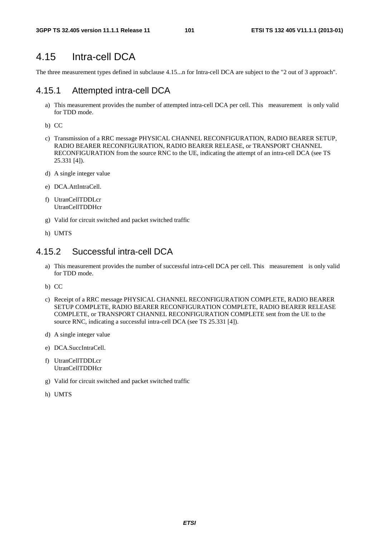# 4.15 Intra-cell DCA

The three measurement types defined in subclause 4.15...n for Intra-cell DCA are subject to the "2 out of 3 approach".

### 4.15.1 Attempted intra-cell DCA

- a) This measurement provides the number of attempted intra-cell DCA per cell. This measurement is only valid for TDD mode.
- b) CC
- c) Transmission of a RRC message PHYSICAL CHANNEL RECONFIGURATION, RADIO BEARER SETUP, RADIO BEARER RECONFIGURATION, RADIO BEARER RELEASE, or TRANSPORT CHANNEL RECONFIGURATION from the source RNC to the UE, indicating the attempt of an intra-cell DCA (see TS 25.331 [4]).
- d) A single integer value
- e) DCA.AttIntraCell.
- f) UtranCellTDDLcr UtranCellTDDHcr
- g) Valid for circuit switched and packet switched traffic
- h) UMTS

# 4.15.2 Successful intra-cell DCA

- a) This measurement provides the number of successful intra-cell DCA per cell. This measurement is only valid for TDD mode.
- b) CC
- c) Receipt of a RRC message PHYSICAL CHANNEL RECONFIGURATION COMPLETE, RADIO BEARER SETUP COMPLETE, RADIO BEARER RECONFIGURATION COMPLETE, RADIO BEARER RELEASE COMPLETE, or TRANSPORT CHANNEL RECONFIGURATION COMPLETE sent from the UE to the source RNC, indicating a successful intra-cell DCA (see TS 25.331 [4]).
- d) A single integer value
- e) DCA.SuccIntraCell.
- f) UtranCellTDDLcr UtranCellTDDHcr
- g) Valid for circuit switched and packet switched traffic
- h) UMTS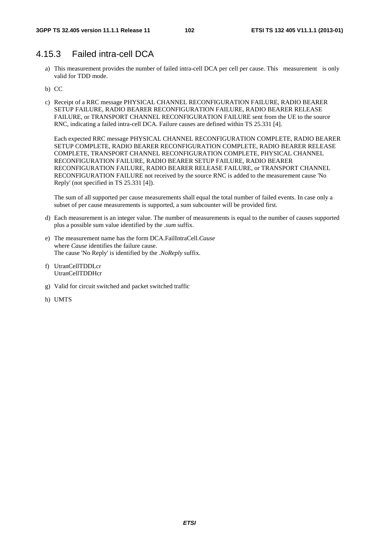# 4.15.3 Failed intra-cell DCA

- a) This measurement provides the number of failed intra-cell DCA per cell per cause. This measurement is only valid for TDD mode.
- b) CC
- c) Receipt of a RRC message PHYSICAL CHANNEL RECONFIGURATION FAILURE, RADIO BEARER SETUP FAILURE, RADIO BEARER RECONFIGURATION FAILURE, RADIO BEARER RELEASE FAILURE, or TRANSPORT CHANNEL RECONFIGURATION FAILURE sent from the UE to the source RNC, indicating a failed intra-cell DCA. Failure causes are defined within TS 25.331 [4].

Each expected RRC message PHYSICAL CHANNEL RECONFIGURATION COMPLETE, RADIO BEARER SETUP COMPLETE, RADIO BEARER RECONFIGURATION COMPLETE, RADIO BEARER RELEASE COMPLETE, TRANSPORT CHANNEL RECONFIGURATION COMPLETE, PHYSICAL CHANNEL RECONFIGURATION FAILURE, RADIO BEARER SETUP FAILURE, RADIO BEARER RECONFIGURATION FAILURE, RADIO BEARER RELEASE FAILURE, or TRANSPORT CHANNEL RECONFIGURATION FAILURE not received by the source RNC is added to the measurement cause 'No Reply' (not specified in TS 25.331 [4]).

The sum of all supported per cause measurements shall equal the total number of failed events. In case only a subset of per cause measurements is supported, a sum subcounter will be provided first.

- d) Each measurement is an integer value. The number of measurements is equal to the number of causes supported plus a possible sum value identified by the *.sum* suffix.
- e) The measurement name has the form DCA.FailIntraCell.*Cause* where *Cause* identifies the failure cause. The cause 'No Reply' is identified by the .*NoReply* suffix.
- f) UtranCellTDDLcr UtranCellTDDHcr
- g) Valid for circuit switched and packet switched traffic
- h) UMTS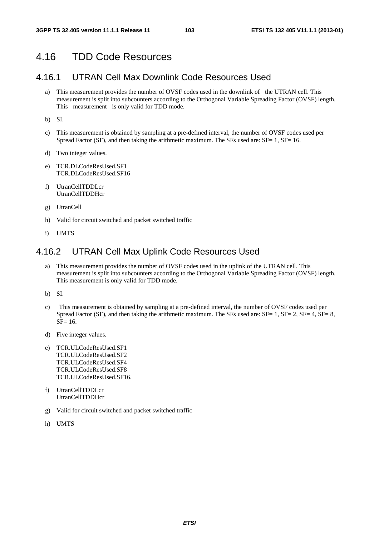# 4.16 TDD Code Resources

# 4.16.1 UTRAN Cell Max Downlink Code Resources Used

a) This measurement provides the number of OVSF codes used in the downlink of the UTRAN cell. This measurement is split into subcounters according to the Orthogonal Variable Spreading Factor (OVSF) length. This measurement is only valid for TDD mode.

b) SI.

- c) This measurement is obtained by sampling at a pre-defined interval, the number of OVSF codes used per Spread Factor (SF), and then taking the arithmetic maximum. The SFs used are: SF= 1, SF= 16.
- d) Two integer values.
- e) TCR.DLCodeResUsed.SF1 TCR.DLCodeResUsed.SF16
- f) UtranCellTDDLcr UtranCellTDDHcr
- g) UtranCell
- h) Valid for circuit switched and packet switched traffic
- i) UMTS

# 4.16.2 UTRAN Cell Max Uplink Code Resources Used

- a) This measurement provides the number of OVSF codes used in the uplink of the UTRAN cell. This measurement is split into subcounters according to the Orthogonal Variable Spreading Factor (OVSF) length. This measurement is only valid for TDD mode.
- b) SI.
- c) This measurement is obtained by sampling at a pre-defined interval, the number of OVSF codes used per Spread Factor (SF), and then taking the arithmetic maximum. The SFs used are:  $SF = 1$ ,  $SF = 2$ ,  $SF = 4$ ,  $SF = 8$ , SF= 16.
- d) Five integer values.
- e) TCR.ULCodeResUsed.SF1 TCR.ULCodeResUsed.SF2 TCR.ULCodeResUsed.SF4 TCR.ULCodeResUsed.SF8 TCR.ULCodeResUsed.SF16.
- f) UtranCellTDDLcr UtranCellTDDHcr
- g) Valid for circuit switched and packet switched traffic
- h) UMTS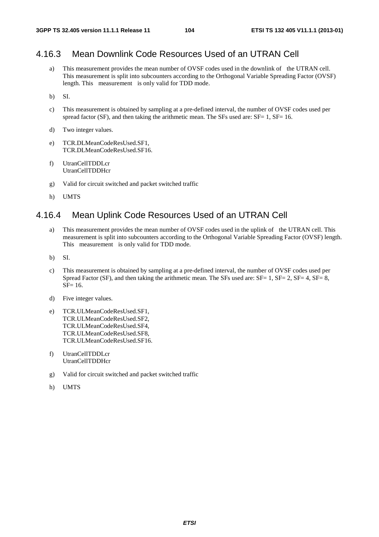# 4.16.3 Mean Downlink Code Resources Used of an UTRAN Cell

- a) This measurement provides the mean number of OVSF codes used in the downlink of the UTRAN cell. This measurement is split into subcounters according to the Orthogonal Variable Spreading Factor (OVSF) length. This measurement is only valid for TDD mode.
- b) SI.
- c) This measurement is obtained by sampling at a pre-defined interval, the number of OVSF codes used per spread factor (SF), and then taking the arithmetic mean. The SFs used are:  $SF = 1$ ,  $SF = 16$ .
- d) Two integer values.
- e) TCR.DLMeanCodeResUsed.SF1, TCR.DLMeanCodeResUsed.SF16.
- f) UtranCellTDDLcr UtranCellTDDHcr
- g) Valid for circuit switched and packet switched traffic
- h) UMTS

# 4.16.4 Mean Uplink Code Resources Used of an UTRAN Cell

- a) This measurement provides the mean number of OVSF codes used in the uplink of the UTRAN cell. This measurement is split into subcounters according to the Orthogonal Variable Spreading Factor (OVSF) length. This measurement is only valid for TDD mode.
- b) SI.
- c) This measurement is obtained by sampling at a pre-defined interval, the number of OVSF codes used per Spread Factor (SF), and then taking the arithmetic mean. The SFs used are: SF= 1, SF= 2, SF= 4, SF= 8, SF= 16.
- d) Five integer values.
- e) TCR.ULMeanCodeResUsed.SF1, TCR.ULMeanCodeResUsed.SF2, TCR.ULMeanCodeResUsed.SF4, TCR.ULMeanCodeResUsed.SF8, TCR.ULMeanCodeResUsed.SF16.
- f) UtranCellTDDLcr UtranCellTDDHcr
- g) Valid for circuit switched and packet switched traffic
- h) UMTS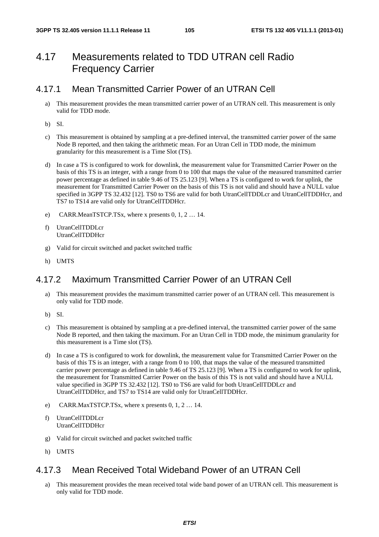# 4.17 Measurements related to TDD UTRAN cell Radio Frequency Carrier

# 4.17.1 Mean Transmitted Carrier Power of an UTRAN Cell

- a) This measurement provides the mean transmitted carrier power of an UTRAN cell. This measurement is only valid for TDD mode.
- b) SI.
- c) This measurement is obtained by sampling at a pre-defined interval, the transmitted carrier power of the same Node B reported, and then taking the arithmetic mean. For an Utran Cell in TDD mode, the minimum granularity for this measurement is a Time Slot (TS).
- d) In case a TS is configured to work for downlink, the measurement value for Transmitted Carrier Power on the basis of this TS is an integer, with a range from 0 to 100 that maps the value of the measured transmitted carrier power percentage as defined in table 9.46 of TS 25.123 [9]. When a TS is configured to work for uplink, the measurement for Transmitted Carrier Power on the basis of this TS is not valid and should have a NULL value specified in 3GPP TS 32.432 [12]. TS0 to TS6 are valid for both UtranCellTDDLcr and UtranCellTDDHcr, and TS7 to TS14 are valid only for UtranCellTDDHcr.
- e) CARR.MeanTSTCP.TSx, where x presents 0, 1, 2 … 14.
- f) UtranCellTDDLcr UtranCellTDDHcr
- g) Valid for circuit switched and packet switched traffic
- h) UMTS

# 4.17.2 Maximum Transmitted Carrier Power of an UTRAN Cell

- a) This measurement provides the maximum transmitted carrier power of an UTRAN cell. This measurement is only valid for TDD mode.
- b) SI.
- c) This measurement is obtained by sampling at a pre-defined interval, the transmitted carrier power of the same Node B reported, and then taking the maximum. For an Utran Cell in TDD mode, the minimum granularity for this measurement is a Time slot (TS).
- d) In case a TS is configured to work for downlink, the measurement value for Transmitted Carrier Power on the basis of this TS is an integer, with a range from 0 to 100, that maps the value of the measured transmitted carrier power percentage as defined in table 9.46 of TS 25.123 [9]. When a TS is configured to work for uplink, the measurement for Transmitted Carrier Power on the basis of this TS is not valid and should have a NULL value specified in 3GPP TS 32.432 [12]. TS0 to TS6 are valid for both UtranCellTDDLcr and UtranCellTDDHcr, and TS7 to TS14 are valid only for UtranCellTDDHcr.
- e) CARR.MaxTSTCP.TSx, where x presents 0, 1, 2 … 14.
- f) UtranCellTDDLcr UtranCellTDDHcr
- g) Valid for circuit switched and packet switched traffic
- h) UMTS

# 4.17.3 Mean Received Total Wideband Power of an UTRAN Cell

a) This measurement provides the mean received total wide band power of an UTRAN cell. This measurement is only valid for TDD mode.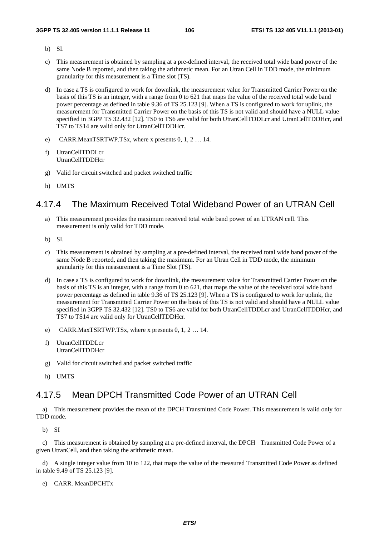- b) SI.
- c) This measurement is obtained by sampling at a pre-defined interval, the received total wide band power of the same Node B reported, and then taking the arithmetic mean. For an Utran Cell in TDD mode, the minimum granularity for this measurement is a Time slot (TS).
- d) In case a TS is configured to work for downlink, the measurement value for Transmitted Carrier Power on the basis of this TS is an integer, with a range from 0 to 621 that maps the value of the received total wide band power percentage as defined in table 9.36 of TS 25.123 [9]. When a TS is configured to work for uplink, the measurement for Transmitted Carrier Power on the basis of this TS is not valid and should have a NULL value specified in 3GPP TS 32.432 [12]. TS0 to TS6 are valid for both UtranCellTDDLcr and UtranCellTDDHcr, and TS7 to TS14 are valid only for UtranCellTDDHcr.
- e) CARR.MeanTSRTWP.TSx, where x presents 0, 1, 2 … 14.
- f) UtranCellTDDLcr UtranCellTDDHcr
- g) Valid for circuit switched and packet switched traffic
- h) UMTS

# 4.17.4 The Maximum Received Total Wideband Power of an UTRAN Cell

- a) This measurement provides the maximum received total wide band power of an UTRAN cell. This measurement is only valid for TDD mode.
- b) SI.
- c) This measurement is obtained by sampling at a pre-defined interval, the received total wide band power of the same Node B reported, and then taking the maximum. For an Utran Cell in TDD mode, the minimum granularity for this measurement is a Time Slot (TS).
- d) In case a TS is configured to work for downlink, the measurement value for Transmitted Carrier Power on the basis of this TS is an integer, with a range from 0 to 621, that maps the value of the received total wide band power percentage as defined in table 9.36 of TS 25.123 [9]. When a TS is configured to work for uplink, the measurement for Transmitted Carrier Power on the basis of this TS is not valid and should have a NULL value specified in 3GPP TS 32.432 [12]. TS0 to TS6 are valid for both UtranCellTDDLcr and UtranCellTDDHcr, and TS7 to TS14 are valid only for UtranCellTDDHcr.
- e) CARR.MaxTSRTWP.TSx, where x presents 0, 1, 2 … 14.
- f) UtranCellTDDLcr UtranCellTDDHcr
- g) Valid for circuit switched and packet switched traffic
- h) UMTS

# 4.17.5 Mean DPCH Transmitted Code Power of an UTRAN Cell

a) This measurement provides the mean of the DPCH Transmitted Code Power. This measurement is valid only for TDD mode.

b) SI

c) This measurement is obtained by sampling at a pre-defined interval, the DPCH Transmitted Code Power of a given UtranCell, and then taking the arithmetic mean.

d) A single integer value from 10 to 122, that maps the value of the measured Transmitted Code Power as defined in table 9.49 of TS 25.123 [9].

e) CARR. MeanDPCHTx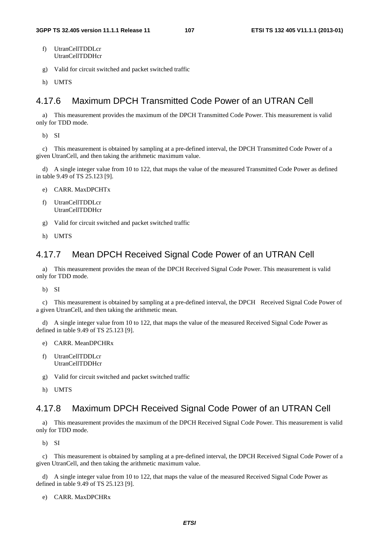- f) UtranCellTDDLcr UtranCellTDDHcr
- g) Valid for circuit switched and packet switched traffic
- h) UMTS

# 4.17.6 Maximum DPCH Transmitted Code Power of an UTRAN Cell

a) This measurement provides the maximum of the DPCH Transmitted Code Power. This measurement is valid only for TDD mode.

b) SI

c) This measurement is obtained by sampling at a pre-defined interval, the DPCH Transmitted Code Power of a given UtranCell, and then taking the arithmetic maximum value.

d) A single integer value from 10 to 122, that maps the value of the measured Transmitted Code Power as defined in table 9.49 of TS 25.123 [9].

- e) CARR. MaxDPCHTx
- f) UtranCellTDDLcr UtranCellTDDHcr
- g) Valid for circuit switched and packet switched traffic
- h) UMTS

# 4.17.7 Mean DPCH Received Signal Code Power of an UTRAN Cell

a) This measurement provides the mean of the DPCH Received Signal Code Power. This measurement is valid only for TDD mode.

b) SI

c) This measurement is obtained by sampling at a pre-defined interval, the DPCH Received Signal Code Power of a given UtranCell, and then taking the arithmetic mean.

d) A single integer value from 10 to 122, that maps the value of the measured Received Signal Code Power as defined in table 9.49 of TS 25.123 [9].

- e) CARR. MeanDPCHRx
- f) UtranCellTDDLcr UtranCellTDDHcr
- g) Valid for circuit switched and packet switched traffic
- h) UMTS

# 4.17.8 Maximum DPCH Received Signal Code Power of an UTRAN Cell

a) This measurement provides the maximum of the DPCH Received Signal Code Power. This measurement is valid only for TDD mode.

b) SI

c) This measurement is obtained by sampling at a pre-defined interval, the DPCH Received Signal Code Power of a given UtranCell, and then taking the arithmetic maximum value.

d) A single integer value from 10 to 122, that maps the value of the measured Received Signal Code Power as defined in table 9.49 of TS 25.123 [9].

e) CARR. MaxDPCHRx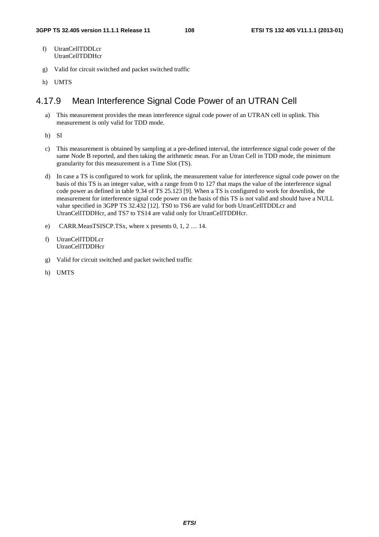- f) UtranCellTDDLcr UtranCellTDDHcr
- g) Valid for circuit switched and packet switched traffic
- h) UMTS

# 4.17.9 Mean Interference Signal Code Power of an UTRAN Cell

- a) This measurement provides the mean interference signal code power of an UTRAN cell in uplink. This measurement is only valid for TDD mode.
- b) SI
- c) This measurement is obtained by sampling at a pre-defined interval, the interference signal code power of the same Node B reported, and then taking the arithmetic mean. For an Utran Cell in TDD mode, the minimum granularity for this measurement is a Time Slot (TS).
- d) In case a TS is configured to work for uplink, the measurement value for interference signal code power on the basis of this TS is an integer value, with a range from 0 to 127 that maps the value of the interference signal code power as defined in table 9.34 of TS 25.123 [9]. When a TS is configured to work for downlink, the measurement for interference signal code power on the basis of this TS is not valid and should have a NULL value specified in 3GPP TS 32.432 [12]. TS0 to TS6 are valid for both UtranCellTDDLcr and UtranCellTDDHcr, and TS7 to TS14 are valid only for UtranCellTDDHcr.
- e) CARR.MeanTSISCP.TSx, where x presents 0, 1, 2 … 14.
- f) UtranCellTDDLcr UtranCellTDDHcr
- g) Valid for circuit switched and packet switched traffic
- h) UMTS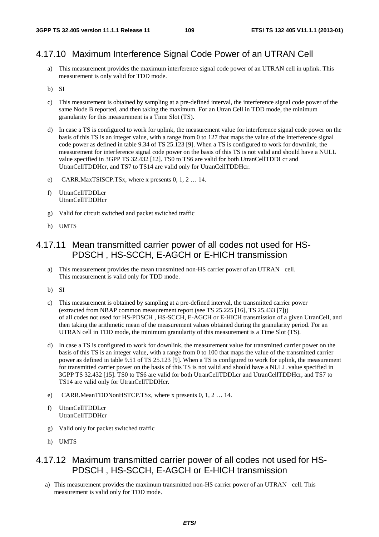### 4.17.10 Maximum Interference Signal Code Power of an UTRAN Cell

- a) This measurement provides the maximum interference signal code power of an UTRAN cell in uplink. This measurement is only valid for TDD mode.
- b) SI
- c) This measurement is obtained by sampling at a pre-defined interval, the interference signal code power of the same Node B reported, and then taking the maximum. For an Utran Cell in TDD mode, the minimum granularity for this measurement is a Time Slot (TS).
- d) In case a TS is configured to work for uplink, the measurement value for interference signal code power on the basis of this TS is an integer value, with a range from 0 to 127 that maps the value of the interference signal code power as defined in table 9.34 of TS 25.123 [9]. When a TS is configured to work for downlink, the measurement for interference signal code power on the basis of this TS is not valid and should have a NULL value specified in 3GPP TS 32.432 [12]. TS0 to TS6 are valid for both UtranCellTDDLcr and UtranCellTDDHcr, and TS7 to TS14 are valid only for UtranCellTDDHcr.
- e) CARR.MaxTSISCP.TSx, where x presents 0, 1, 2 … 14.
- f) UtranCellTDDLcr UtranCellTDDHcr
- g) Valid for circuit switched and packet switched traffic
- h) UMTS

### 4.17.11 Mean transmitted carrier power of all codes not used for HS-PDSCH , HS-SCCH, E-AGCH or E-HICH transmission

- a) This measurement provides the mean transmitted non-HS carrier power of an UTRAN cell. This measurement is valid only for TDD mode.
- b) SI
- c) This measurement is obtained by sampling at a pre-defined interval, the transmitted carrier power (extracted from NBAP common measurement report (see TS 25.225 [16], TS 25.433 [7])) of all codes not used for HS-PDSCH , HS-SCCH, E-AGCH or E-HICH transmission of a given UtranCell, and then taking the arithmetic mean of the measurement values obtained during the granularity period. For an UTRAN cell in TDD mode, the minimum granularity of this measurement is a Time Slot (TS).
- d) In case a TS is configured to work for downlink, the measurement value for transmitted carrier power on the basis of this TS is an integer value, with a range from 0 to 100 that maps the value of the transmitted carrier power as defined in table 9.51 of TS 25.123 [9]. When a TS is configured to work for uplink, the measurement for transmitted carrier power on the basis of this TS is not valid and should have a NULL value specified in 3GPP TS 32.432 [15]. TS0 to TS6 are valid for both UtranCellTDDLcr and UtranCellTDDHcr, and TS7 to TS14 are valid only for UtranCellTDDHcr.
- e) CARR.MeanTDDNonHSTCP.TSx, where x presents 0, 1, 2 … 14.
- f) UtranCellTDDLcr UtranCellTDDHcr
- g) Valid only for packet switched traffic
- h) UMTS

### 4.17.12 Maximum transmitted carrier power of all codes not used for HS-PDSCH , HS-SCCH, E-AGCH or E-HICH transmission

a) This measurement provides the maximum transmitted non-HS carrier power of an UTRAN cell. This measurement is valid only for TDD mode.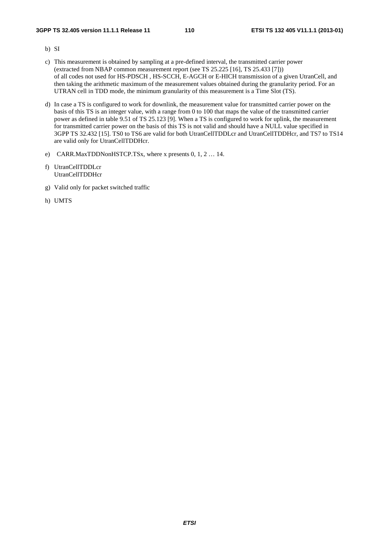- b) SI
- c) This measurement is obtained by sampling at a pre-defined interval, the transmitted carrier power (extracted from NBAP common measurement report (see TS 25.225 [16], TS 25.433 [7])) of all codes not used for HS-PDSCH , HS-SCCH, E-AGCH or E-HICH transmission of a given UtranCell, and then taking the arithmetic maximum of the measurement values obtained during the granularity period. For an UTRAN cell in TDD mode, the minimum granularity of this measurement is a Time Slot (TS).
- d) In case a TS is configured to work for downlink, the measurement value for transmitted carrier power on the basis of this TS is an integer value, with a range from 0 to 100 that maps the value of the transmitted carrier power as defined in table 9.51 of TS 25.123 [9]. When a TS is configured to work for uplink, the measurement for transmitted carrier power on the basis of this TS is not valid and should have a NULL value specified in 3GPP TS 32.432 [15]. TS0 to TS6 are valid for both UtranCellTDDLcr and UtranCellTDDHcr, and TS7 to TS14 are valid only for UtranCellTDDHcr.
- e) CARR.MaxTDDNonHSTCP.TSx, where x presents 0, 1, 2 … 14.
- f) UtranCellTDDLcr UtranCellTDDHcr
- g) Valid only for packet switched traffic
- h) UMTS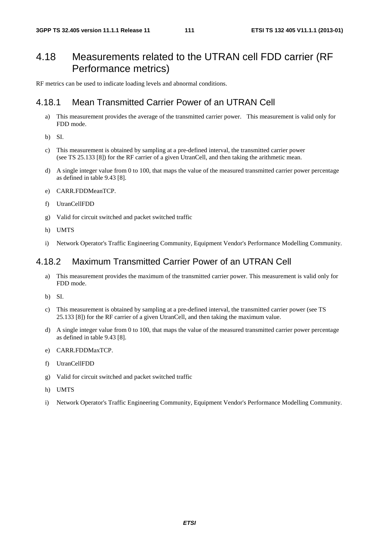# 4.18 Measurements related to the UTRAN cell FDD carrier (RF Performance metrics)

RF metrics can be used to indicate loading levels and abnormal conditions.

### 4.18.1 Mean Transmitted Carrier Power of an UTRAN Cell

- a) This measurement provides the average of the transmitted carrier power. This measurement is valid only for FDD mode.
- b) SI.
- c) This measurement is obtained by sampling at a pre-defined interval, the transmitted carrier power (see TS 25.133 [8]) for the RF carrier of a given UtranCell, and then taking the arithmetic mean.
- d) A single integer value from 0 to 100, that maps the value of the measured transmitted carrier power percentage as defined in table 9.43 [8].
- e) CARR.FDDMeanTCP.
- f) UtranCellFDD
- g) Valid for circuit switched and packet switched traffic
- h) UMTS
- i) Network Operator's Traffic Engineering Community, Equipment Vendor's Performance Modelling Community.

### 4.18.2 Maximum Transmitted Carrier Power of an UTRAN Cell

- a) This measurement provides the maximum of the transmitted carrier power. This measurement is valid only for FDD mode.
- b) SI.
- c) This measurement is obtained by sampling at a pre-defined interval, the transmitted carrier power (see TS 25.133 [8]) for the RF carrier of a given UtranCell, and then taking the maximum value.
- d) A single integer value from 0 to 100, that maps the value of the measured transmitted carrier power percentage as defined in table 9.43 [8].
- e) CARR.FDDMaxTCP.
- f) UtranCellFDD
- g) Valid for circuit switched and packet switched traffic
- h) UMTS
- i) Network Operator's Traffic Engineering Community, Equipment Vendor's Performance Modelling Community.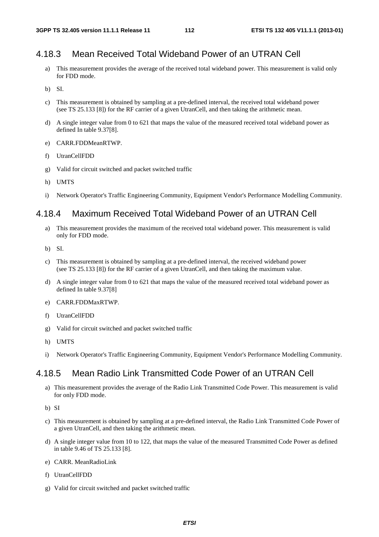### 4.18.3 Mean Received Total Wideband Power of an UTRAN Cell

- a) This measurement provides the average of the received total wideband power. This measurement is valid only for FDD mode.
- b) SI.
- c) This measurement is obtained by sampling at a pre-defined interval, the received total wideband power (see TS 25.133 [8]) for the RF carrier of a given UtranCell, and then taking the arithmetic mean.
- d) A single integer value from 0 to 621 that maps the value of the measured received total wideband power as defined In table 9.37[8].
- e) CARR.FDDMeanRTWP.
- f) UtranCellFDD
- g) Valid for circuit switched and packet switched traffic
- h) UMTS
- i) Network Operator's Traffic Engineering Community, Equipment Vendor's Performance Modelling Community.

### 4.18.4 Maximum Received Total Wideband Power of an UTRAN Cell

- a) This measurement provides the maximum of the received total wideband power. This measurement is valid only for FDD mode.
- b) SI.
- c) This measurement is obtained by sampling at a pre-defined interval, the received wideband power (see TS 25.133 [8]) for the RF carrier of a given UtranCell, and then taking the maximum value.
- d) A single integer value from 0 to 621 that maps the value of the measured received total wideband power as defined In table 9.37[8]
- e) CARR.FDDMaxRTWP.
- f) UtranCellFDD
- g) Valid for circuit switched and packet switched traffic
- h) UMTS
- i) Network Operator's Traffic Engineering Community, Equipment Vendor's Performance Modelling Community.

### 4.18.5 Mean Radio Link Transmitted Code Power of an UTRAN Cell

- a) This measurement provides the average of the Radio Link Transmitted Code Power. This measurement is valid for only FDD mode.
- b) SI
- c) This measurement is obtained by sampling at a pre-defined interval, the Radio Link Transmitted Code Power of a given UtranCell, and then taking the arithmetic mean.
- d) A single integer value from 10 to 122, that maps the value of the measured Transmitted Code Power as defined in table 9.46 of TS 25.133 [8].
- e) CARR. MeanRadioLink
- f) UtranCellFDD
- g) Valid for circuit switched and packet switched traffic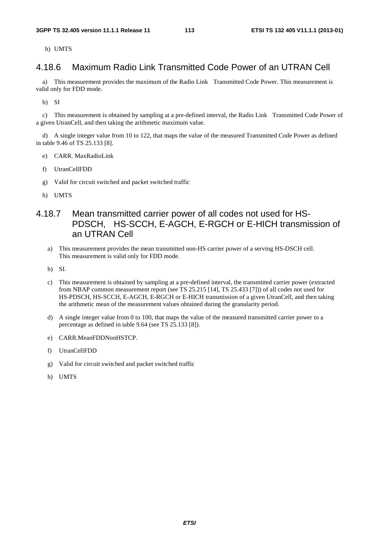h) UMTS

### 4.18.6 Maximum Radio Link Transmitted Code Power of an UTRAN Cell

a) This measurement provides the maximum of the Radio Link Transmitted Code Power. This measurement is valid only for FDD mode.

b) SI

c) This measurement is obtained by sampling at a pre-defined interval, the Radio Link Transmitted Code Power of a given UtranCell, and then taking the arithmetic maximum value.

d) A single integer value from 10 to 122, that maps the value of the measured Transmitted Code Power as defined in table 9.46 of TS 25.133 [8].

- e) CARR. MaxRadioLink
- f) UtranCellFDD
- g) Valid for circuit switched and packet switched traffic
- h) UMTS
- 4.18.7 Mean transmitted carrier power of all codes not used for HS-PDSCH, HS-SCCH, E-AGCH, E-RGCH or E-HICH transmission of an UTRAN Cell
	- a) This measurement provides the mean transmitted non-HS carrier power of a serving HS-DSCH cell. This measurement is valid only for FDD mode.
	- b) SI.
	- c) This measurement is obtained by sampling at a pre-defined interval, the transmitted carrier power (extracted from NBAP common measurement report (see TS 25.215 [14], TS 25.433 [7])) of all codes not used for HS-PDSCH, HS-SCCH, E-AGCH, E-RGCH or E-HICH transmission of a given UtranCell, and then taking the arithmetic mean of the measurement values obtained during the granularity period.
	- d) A single integer value from 0 to 100, that maps the value of the measured transmitted carrier power to a percentage as defined in table 9.64 (see TS 25.133 [8]).
	- e) CARR.MeanFDDNonHSTCP.
	- f) UtranCellFDD
	- g) Valid for circuit switched and packet switched traffic
	- h) UMTS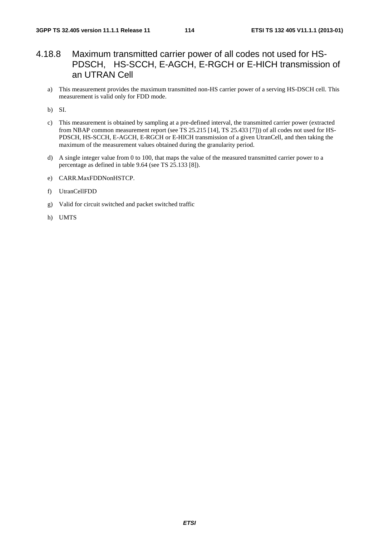### 4.18.8 Maximum transmitted carrier power of all codes not used for HS-PDSCH, HS-SCCH, E-AGCH, E-RGCH or E-HICH transmission of an UTRAN Cell

a) This measurement provides the maximum transmitted non-HS carrier power of a serving HS-DSCH cell. This measurement is valid only for FDD mode.

b) SI.

- c) This measurement is obtained by sampling at a pre-defined interval, the transmitted carrier power (extracted from NBAP common measurement report (see TS 25.215 [14], TS 25.433 [7])) of all codes not used for HS-PDSCH, HS-SCCH, E-AGCH, E-RGCH or E-HICH transmission of a given UtranCell, and then taking the maximum of the measurement values obtained during the granularity period.
- d) A single integer value from 0 to 100, that maps the value of the measured transmitted carrier power to a percentage as defined in table 9.64 (see TS 25.133 [8]).
- e) CARR.MaxFDDNonHSTCP.
- f) UtranCellFDD
- g) Valid for circuit switched and packet switched traffic
- h) UMTS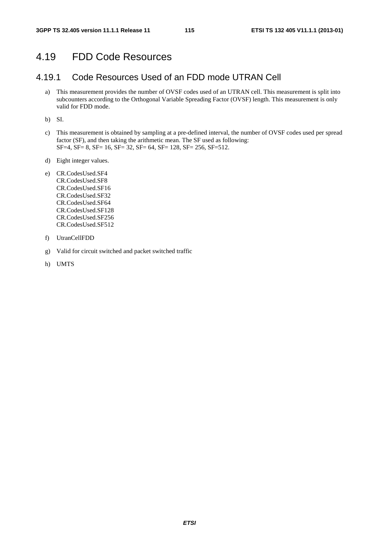### 4.19 FDD Code Resources

### 4.19.1 Code Resources Used of an FDD mode UTRAN Cell

a) This measurement provides the number of OVSF codes used of an UTRAN cell. This measurement is split into subcounters according to the Orthogonal Variable Spreading Factor (OVSF) length. This measurement is only valid for FDD mode.

b) SI.

- c) This measurement is obtained by sampling at a pre-defined interval, the number of OVSF codes used per spread factor (SF), and then taking the arithmetic mean. The SF used as following: SF=4, SF= 8, SF= 16, SF= 32, SF= 64, SF= 128, SF= 256, SF=512.
- d) Eight integer values.
- e) CR.CodesUsed.SF4 CR.CodesUsed.SF8 CR.CodesUsed.SF16 CR.CodesUsed.SF32 CR.CodesUsed.SF64 CR.CodesUsed.SF128 CR.CodesUsed.SF256 CR.CodesUsed.SF512
- f) UtranCellFDD
- g) Valid for circuit switched and packet switched traffic
- h) UMTS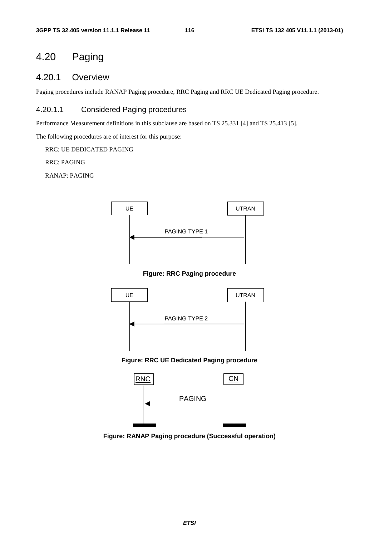# 4.20 Paging

### 4.20.1 Overview

Paging procedures include RANAP Paging procedure, RRC Paging and RRC UE Dedicated Paging procedure.

### 4.20.1.1 Considered Paging procedures

Performance Measurement definitions in this subclause are based on TS 25.331 [4] and TS 25.413 [5].

The following procedures are of interest for this purpose:

RRC: UE DEDICATED PAGING

RRC: PAGING

RANAP: PAGING



**Figure: RRC Paging procedure** 



#### **Figure: RRC UE Dedicated Paging procedure**



**Figure: RANAP Paging procedure (Successful operation)**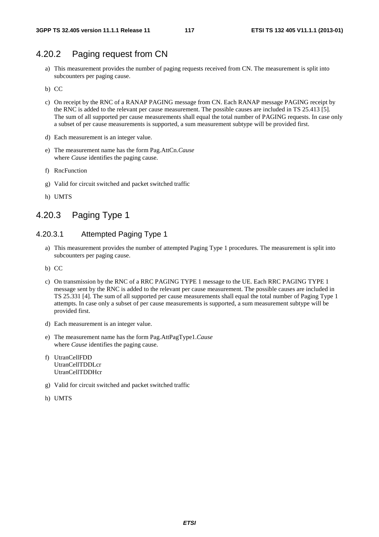## 4.20.2 Paging request from CN

- a) This measurement provides the number of paging requests received from CN. The measurement is split into subcounters per paging cause.
- b) CC
- c) On receipt by the RNC of a RANAP PAGING message from CN. Each RANAP message PAGING receipt by the RNC is added to the relevant per cause measurement. The possible causes are included in TS 25.413 [5]. The sum of all supported per cause measurements shall equal the total number of PAGING requests. In case only a subset of per cause measurements is supported, a sum measurement subtype will be provided first.
- d) Each measurement is an integer value.
- e) The measurement name has the form Pag.AttCn.*Cause* where *Cause* identifies the paging cause.
- f) RncFunction
- g) Valid for circuit switched and packet switched traffic
- h) UMTS

# 4.20.3 Paging Type 1

### 4.20.3.1 Attempted Paging Type 1

- a) This measurement provides the number of attempted Paging Type 1 procedures. The measurement is split into subcounters per paging cause.
- b) CC
- c) On transmission by the RNC of a RRC PAGING TYPE 1 message to the UE. Each RRC PAGING TYPE 1 message sent by the RNC is added to the relevant per cause measurement. The possible causes are included in TS 25.331 [4]. The sum of all supported per cause measurements shall equal the total number of Paging Type 1 attempts. In case only a subset of per cause measurements is supported, a sum measurement subtype will be provided first.
- d) Each measurement is an integer value.
- e) The measurement name has the form Pag.AttPagType1.*Cause* where *Cause* identifies the paging cause.
- f) UtranCellFDD UtranCellTDDLcr UtranCellTDDHcr
- g) Valid for circuit switched and packet switched traffic
- h) UMTS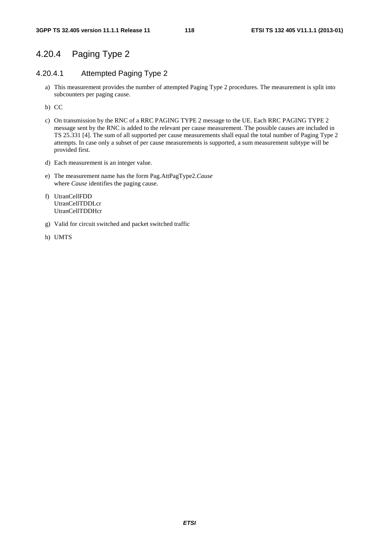## 4.20.4 Paging Type 2

### 4.20.4.1 Attempted Paging Type 2

- a) This measurement provides the number of attempted Paging Type 2 procedures. The measurement is split into subcounters per paging cause.
- b) CC
- c) On transmission by the RNC of a RRC PAGING TYPE 2 message to the UE. Each RRC PAGING TYPE 2 message sent by the RNC is added to the relevant per cause measurement. The possible causes are included in TS 25.331 [4]. The sum of all supported per cause measurements shall equal the total number of Paging Type 2 attempts. In case only a subset of per cause measurements is supported, a sum measurement subtype will be provided first.
- d) Each measurement is an integer value.
- e) The measurement name has the form Pag.AttPagType2.*Cause* where *Cause* identifies the paging cause.
- f) UtranCellFDD UtranCellTDDLcr UtranCellTDDHcr
- g) Valid for circuit switched and packet switched traffic
- h) UMTS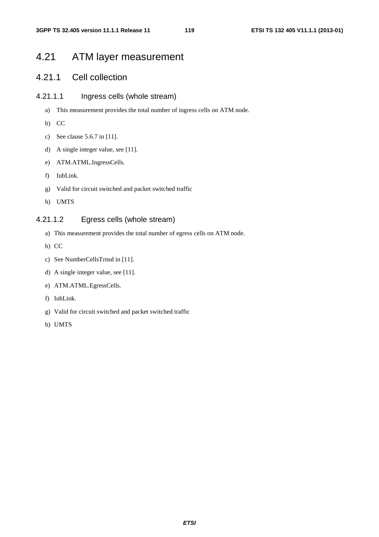# 4.21 ATM layer measurement

### 4.21.1 Cell collection

### 4.21.1.1 Ingress cells (whole stream)

- a) This measurement provides the total number of ingress cells on ATM node.
- b) CC
- c) See clause 5.6.7 in [11].
- d) A single integer value, see [11].
- e) ATM.ATML.IngressCells.
- f) IubLink.
- g) Valid for circuit switched and packet switched traffic
- h) UMTS

### 4.21.1.2 Egress cells (whole stream)

- a) This measurement provides the total number of egress cells on ATM node.
- b) CC
- c) See NumberCellsTrnsd in [11].
- d) A single integer value, see [11].
- e) ATM.ATML.EgressCells.
- f) IubLink.
- g) Valid for circuit switched and packet switched traffic
- h) UMTS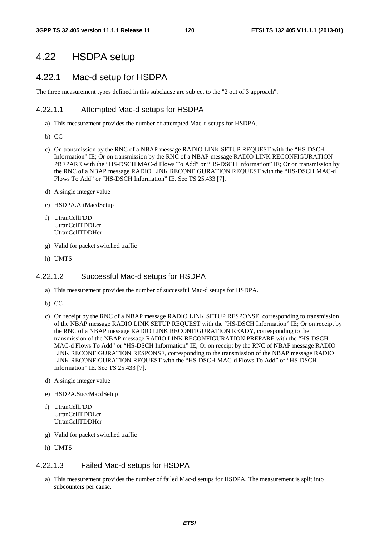### 4.22 HSDPA setup

### 4.22.1 Mac-d setup for HSDPA

The three measurement types defined in this subclause are subject to the "2 out of 3 approach".

#### 4.22.1.1 Attempted Mac-d setups for HSDPA

- a) This measurement provides the number of attempted Mac-d setups for HSDPA.
- b) CC
- c) On transmission by the RNC of a NBAP message RADIO LINK SETUP REQUEST with the "HS-DSCH Information" IE; Or on transmission by the RNC of a NBAP message RADIO LINK RECONFIGURATION PREPARE with the "HS-DSCH MAC-d Flows To Add" or "HS-DSCH Information" IE; Or on transmission by the RNC of a NBAP message RADIO LINK RECONFIGURATION REQUEST with the "HS-DSCH MAC-d Flows To Add" or "HS-DSCH Information" IE. See TS 25.433 [7].
- d) A single integer value
- e) HSDPA.AttMacdSetup
- f) UtranCellFDD UtranCellTDDLcr UtranCellTDDHcr
- g) Valid for packet switched traffic
- h) UMTS

### 4.22.1.2 Successful Mac-d setups for HSDPA

- a) This measurement provides the number of successful Mac-d setups for HSDPA.
- b) CC
- c) On receipt by the RNC of a NBAP message RADIO LINK SETUP RESPONSE, corresponding to transmission of the NBAP message RADIO LINK SETUP REQUEST with the "HS-DSCH Information" IE; Or on receipt by the RNC of a NBAP message RADIO LINK RECONFIGURATION READY, corresponding to the transmission of the NBAP message RADIO LINK RECONFIGURATION PREPARE with the "HS-DSCH MAC-d Flows To Add" or "HS-DSCH Information" IE; Or on receipt by the RNC of NBAP message RADIO LINK RECONFIGURATION RESPONSE, corresponding to the transmission of the NBAP message RADIO LINK RECONFIGURATION REQUEST with the "HS-DSCH MAC-d Flows To Add" or "HS-DSCH Information" IE. See TS 25.433 [7].
- d) A single integer value
- e) HSDPA.SuccMacdSetup
- f) UtranCellFDD UtranCellTDDLcr UtranCellTDDHcr
- g) Valid for packet switched traffic
- h) UMTS

### 4.22.1.3 Failed Mac-d setups for HSDPA

a) This measurement provides the number of failed Mac-d setups for HSDPA. The measurement is split into subcounters per cause.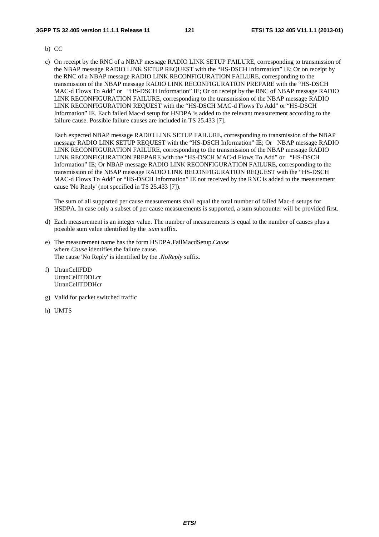#### **3GPP TS 32.405 version 11.1.1 Release 11 121 ETSI TS 132 405 V11.1.1 (2013-01)**

- b) CC
- c) On receipt by the RNC of a NBAP message RADIO LINK SETUP FAILURE, corresponding to transmission of the NBAP message RADIO LINK SETUP REQUEST with the "HS-DSCH Information" IE; Or on receipt by the RNC of a NBAP message RADIO LINK RECONFIGURATION FAILURE, corresponding to the transmission of the NBAP message RADIO LINK RECONFIGURATION PREPARE with the "HS-DSCH MAC-d Flows To Add" or "HS-DSCH Information" IE; Or on receipt by the RNC of NBAP message RADIO LINK RECONFIGURATION FAILURE, corresponding to the transmission of the NBAP message RADIO LINK RECONFIGURATION REQUEST with the "HS-DSCH MAC-d Flows To Add" or "HS-DSCH Information" IE. Each failed Mac-d setup for HSDPA is added to the relevant measurement according to the failure cause. Possible failure causes are included in TS 25.433 [7].

Each expected NBAP message RADIO LINK SETUP FAILURE, corresponding to transmission of the NBAP message RADIO LINK SETUP REQUEST with the "HS-DSCH Information" IE; Or NBAP message RADIO LINK RECONFIGURATION FAILURE, corresponding to the transmission of the NBAP message RADIO LINK RECONFIGURATION PREPARE with the "HS-DSCH MAC-d Flows To Add" or "HS-DSCH Information" IE; Or NBAP message RADIO LINK RECONFIGURATION FAILURE, corresponding to the transmission of the NBAP message RADIO LINK RECONFIGURATION REQUEST with the "HS-DSCH MAC-d Flows To Add" or "HS-DSCH Information" IE not received by the RNC is added to the measurement cause 'No Reply' (not specified in TS 25.433 [7]).

The sum of all supported per cause measurements shall equal the total number of failed Mac-d setups for HSDPA. In case only a subset of per cause measurements is supported, a sum subcounter will be provided first.

- d) Each measurement is an integer value. The number of measurements is equal to the number of causes plus a possible sum value identified by the .*sum* suffix.
- e) The measurement name has the form HSDPA.FailMacdSetup.*Cause*  where *Cause* identifies the failure cause. The cause 'No Reply' is identified by the .*NoReply* suffix.
- f) UtranCellFDD UtranCellTDDLcr UtranCellTDDHcr
- g) Valid for packet switched traffic
- h) UMTS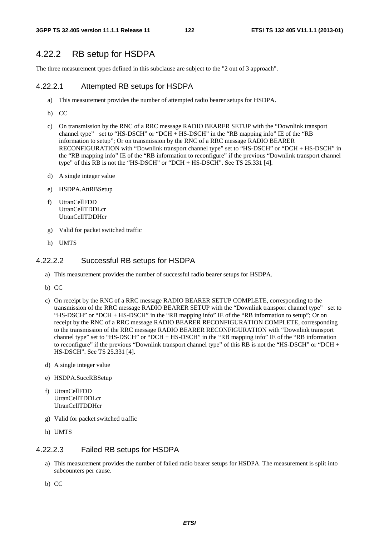### 4.22.2 RB setup for HSDPA

The three measurement types defined in this subclause are subject to the "2 out of 3 approach".

#### 4.22.2.1 Attempted RB setups for HSDPA

- a) This measurement provides the number of attempted radio bearer setups for HSDPA.
- b) CC
- c) On transmission by the RNC of a RRC message RADIO BEARER SETUP with the "Downlink transport channel type" set to "HS-DSCH" or "DCH + HS-DSCH" in the "RB mapping info" IE of the "RB information to setup"; Or on transmission by the RNC of a RRC message RADIO BEARER RECONFIGURATION with "Downlink transport channel type" set to "HS-DSCH" or "DCH + HS-DSCH" in the "RB mapping info" IE of the "RB information to reconfigure" if the previous "Downlink transport channel type" of this RB is not the "HS-DSCH" or "DCH + HS-DSCH". See TS 25.331 [4].
- d) A single integer value
- e) HSDPA.AttRBSetup
- f) UtranCellFDD UtranCellTDDLcr UtranCellTDDHcr
- g) Valid for packet switched traffic
- h) UMTS

#### 4.22.2.2 Successful RB setups for HSDPA

- a) This measurement provides the number of successful radio bearer setups for HSDPA.
- b) CC
- c) On receipt by the RNC of a RRC message RADIO BEARER SETUP COMPLETE, corresponding to the transmission of the RRC message RADIO BEARER SETUP with the "Downlink transport channel type" set to "HS-DSCH" or "DCH + HS-DSCH" in the "RB mapping info" IE of the "RB information to setup"; Or on receipt by the RNC of a RRC message RADIO BEARER RECONFIGURATION COMPLETE, corresponding to the transmission of the RRC message RADIO BEARER RECONFIGURATION with "Downlink transport channel type" set to "HS-DSCH" or "DCH + HS-DSCH" in the "RB mapping info" IE of the "RB information to reconfigure" if the previous "Downlink transport channel type" of this RB is not the "HS-DSCH" or "DCH + HS-DSCH". See TS 25.331 [4].
- d) A single integer value
- e) HSDPA.SuccRBSetup
- f) UtranCellFDD UtranCellTDDLcr UtranCellTDDHcr
- g) Valid for packet switched traffic
- h) UMTS

#### 4.22.2.3 Failed RB setups for HSDPA

- a) This measurement provides the number of failed radio bearer setups for HSDPA. The measurement is split into subcounters per cause.
- b) CC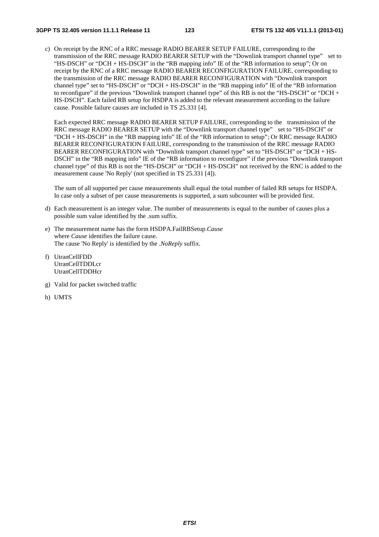c) On receipt by the RNC of a RRC message RADIO BEARER SETUP FAILURE, corresponding to the transmission of the RRC message RADIO BEARER SETUP with the "Downlink transport channel type" set to "HS-DSCH" or "DCH + HS-DSCH" in the "RB mapping info" IE of the "RB information to setup"; Or on receipt by the RNC of a RRC message RADIO BEARER RECONFIGURATION FAILURE, corresponding to the transmission of the RRC message RADIO BEARER RECONFIGURATION with "Downlink transport channel type" set to "HS-DSCH" or "DCH + HS-DSCH" in the "RB mapping info" IE of the "RB information to reconfigure" if the previous "Downlink transport channel type" of this RB is not the "HS-DSCH" or "DCH + HS-DSCH". Each failed RB setup for HSDPA is added to the relevant measurement according to the failure cause. Possible failure causes are included in TS 25.331 [4].

Each expected RRC message RADIO BEARER SETUP FAILURE, corresponding to the transmission of the RRC message RADIO BEARER SETUP with the "Downlink transport channel type" set to "HS-DSCH" or "DCH + HS-DSCH" in the "RB mapping info" IE of the "RB information to setup"; Or RRC message RADIO BEARER RECONFIGURATION FAILURE, corresponding to the transmission of the RRC message RADIO BEARER RECONFIGURATION with "Downlink transport channel type" set to "HS-DSCH" or "DCH + HS-DSCH" in the "RB mapping info" IE of the "RB information to reconfigure" if the previous "Downlink transport channel type" of this RB is not the "HS-DSCH" or "DCH + HS-DSCH" not received by the RNC is added to the measurement cause 'No Reply' (not specified in TS 25.331 [4]).

The sum of all supported per cause measurements shall equal the total number of failed RB setups for HSDPA. In case only a subset of per cause measurements is supported, a sum subcounter will be provided first.

- d) Each measurement is an integer value. The number of measurements is equal to the number of causes plus a possible sum value identified by the .sum suffix.
- e) The measurement name has the form HSDPA.FailRBSetup.*Cause* where *Cause* identifies the failure cause. The cause 'No Reply' is identified by the .*NoReply* suffix.
- f) UtranCellFDD UtranCellTDDLcr UtranCellTDDHcr
- g) Valid for packet switched traffic
- h) UMTS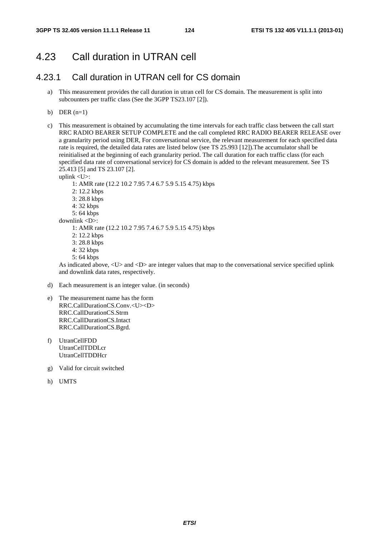# 4.23 Call duration in UTRAN cell

### 4.23.1 Call duration in UTRAN cell for CS domain

- a) This measurement provides the call duration in utran cell for CS domain. The measurement is split into subcounters per traffic class (See the 3GPP TS23.107 [2]).
- b) DER  $(n=1)$
- c) This measurement is obtained by accumulating the time intervals for each traffic class between the call start RRC RADIO BEARER SETUP COMPLETE and the call completed RRC RADIO BEARER RELEASE over a granularity period using DER, For conversational service, the relevant measurement for each specified data rate is required, the detailed data rates are listed below (see TS 25.993 [12]).The accumulator shall be reinitialised at the beginning of each granularity period. The call duration for each traffic class (for each specified data rate of conversational service) for CS domain is added to the relevant measurement. See TS 25.413 [5] and TS 23.107 [2].

uplink <U>:

- 1: AMR rate (12.2 10.2 7.95 7.4 6.7 5.9 5.15 4.75) kbps
- 2: 12.2 kbps
- 3: 28.8 kbps
- 4: 32 kbps
- 5: 64 kbps
- downlink <D>:
	- 1: AMR rate (12.2 10.2 7.95 7.4 6.7 5.9 5.15 4.75) kbps
	- 2: 12.2 kbps
	- 3: 28.8 kbps
	- 4: 32 kbps
	- 5: 64 kbps

As indicated above, <U> and <D> are integer values that map to the conversational service specified uplink and downlink data rates, respectively.

- d) Each measurement is an integer value. (in seconds)
- e) The measurement name has the form RRC.CallDurationCS.Conv.<U><D> RRC.CallDurationCS.Strm RRC.CallDurationCS.Intact RRC.CallDurationCS.Bgrd.
- f) UtranCellFDD UtranCellTDDLcr UtranCellTDDHcr
- g) Valid for circuit switched
- h) UMTS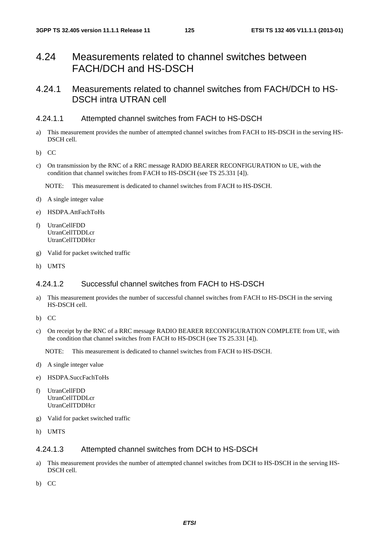# 4.24 Measurements related to channel switches between FACH/DCH and HS-DSCH

### 4.24.1 Measurements related to channel switches from FACH/DCH to HS-DSCH intra UTRAN cell

### 4.24.1.1 Attempted channel switches from FACH to HS-DSCH

- a) This measurement provides the number of attempted channel switches from FACH to HS-DSCH in the serving HS-DSCH cell.
- b) CC
- c) On transmission by the RNC of a RRC message RADIO BEARER RECONFIGURATION to UE, with the condition that channel switches from FACH to HS-DSCH (see TS 25.331 [4]).
	- NOTE: This measurement is dedicated to channel switches from FACH to HS-DSCH.
- d) A single integer value
- e) HSDPA.AttFachToHs
- f) UtranCellFDD UtranCellTDDLcr UtranCellTDDHcr
- g) Valid for packet switched traffic
- h) UMTS

### 4.24.1.2 Successful channel switches from FACH to HS-DSCH

- a) This measurement provides the number of successful channel switches from FACH to HS-DSCH in the serving HS-DSCH cell.
- b) CC
- c) On receipt by the RNC of a RRC message RADIO BEARER RECONFIGURATION COMPLETE from UE, with the condition that channel switches from FACH to HS-DSCH (see TS 25.331 [4]).

NOTE: This measurement is dedicated to channel switches from FACH to HS-DSCH.

- d) A single integer value
- e) HSDPA.SuccFachToHs
- f) UtranCellFDD UtranCellTDDLcr UtranCellTDDHcr
- g) Valid for packet switched traffic
- h) UMTS

### 4.24.1.3 Attempted channel switches from DCH to HS-DSCH

- a) This measurement provides the number of attempted channel switches from DCH to HS-DSCH in the serving HS-DSCH cell.
- b) CC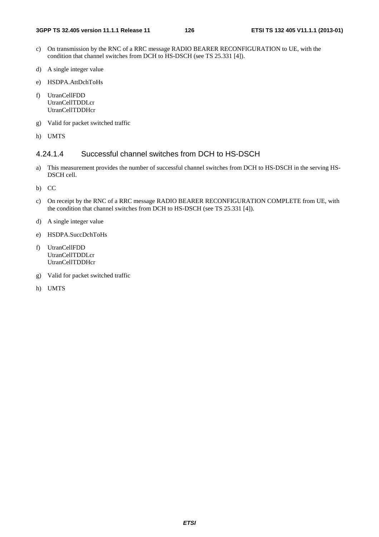- c) On transmission by the RNC of a RRC message RADIO BEARER RECONFIGURATION to UE, with the condition that channel switches from DCH to HS-DSCH (see TS 25.331 [4]).
- d) A single integer value
- e) HSDPA.AttDchToHs
- f) UtranCellFDD UtranCellTDDLcr UtranCellTDDHcr
- g) Valid for packet switched traffic
- h) UMTS

### 4.24.1.4 Successful channel switches from DCH to HS-DSCH

- a) This measurement provides the number of successful channel switches from DCH to HS-DSCH in the serving HS-DSCH cell.
- b) CC
- c) On receipt by the RNC of a RRC message RADIO BEARER RECONFIGURATION COMPLETE from UE, with the condition that channel switches from DCH to HS-DSCH (see TS 25.331 [4]).
- d) A single integer value
- e) HSDPA.SuccDchToHs
- f) UtranCellFDD UtranCellTDDLcr UtranCellTDDHcr
- g) Valid for packet switched traffic
- h) UMTS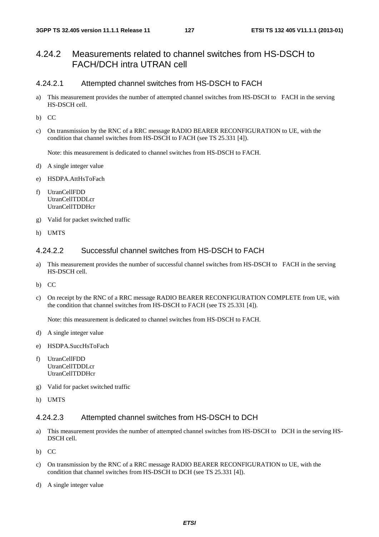### 4.24.2 Measurements related to channel switches from HS-DSCH to FACH/DCH intra UTRAN cell

#### 4.24.2.1 Attempted channel switches from HS-DSCH to FACH

- a) This measurement provides the number of attempted channel switches from HS-DSCH to FACH in the serving HS-DSCH cell.
- b) CC
- c) On transmission by the RNC of a RRC message RADIO BEARER RECONFIGURATION to UE, with the condition that channel switches from HS-DSCH to FACH (see TS 25.331 [4]).

Note: this measurement is dedicated to channel switches from HS-DSCH to FACH.

- d) A single integer value
- e) HSDPA.AttHsToFach
- f) UtranCellFDD UtranCellTDDLcr UtranCellTDDHcr
- g) Valid for packet switched traffic
- h) UMTS

### 4.24.2.2 Successful channel switches from HS-DSCH to FACH

- a) This measurement provides the number of successful channel switches from HS-DSCH to FACH in the serving HS-DSCH cell.
- b) CC
- c) On receipt by the RNC of a RRC message RADIO BEARER RECONFIGURATION COMPLETE from UE, with the condition that channel switches from HS-DSCH to FACH (see TS 25.331 [4]).

Note: this measurement is dedicated to channel switches from HS-DSCH to FACH.

- d) A single integer value
- e) HSDPA.SuccHsToFach
- f) UtranCellFDD UtranCellTDDLcr UtranCellTDDHcr
- g) Valid for packet switched traffic
- h) UMTS

#### 4.24.2.3 Attempted channel switches from HS-DSCH to DCH

- a) This measurement provides the number of attempted channel switches from HS-DSCH to DCH in the serving HS-DSCH cell.
- b) CC
- c) On transmission by the RNC of a RRC message RADIO BEARER RECONFIGURATION to UE, with the condition that channel switches from HS-DSCH to DCH (see TS 25.331 [4]).
- d) A single integer value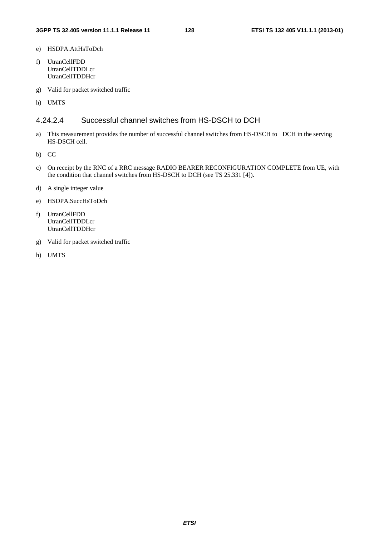- e) HSDPA.AttHsToDch
- f) UtranCellFDD UtranCellTDDLcr UtranCellTDDHcr
- g) Valid for packet switched traffic
- h) UMTS

### 4.24.2.4 Successful channel switches from HS-DSCH to DCH

- a) This measurement provides the number of successful channel switches from HS-DSCH to DCH in the serving HS-DSCH cell.
- b) CC
- c) On receipt by the RNC of a RRC message RADIO BEARER RECONFIGURATION COMPLETE from UE, with the condition that channel switches from HS-DSCH to DCH (see TS 25.331 [4]).
- d) A single integer value
- e) HSDPA.SuccHsToDch
- f) UtranCellFDD UtranCellTDDLcr UtranCellTDDHcr
- g) Valid for packet switched traffic
- h) UMTS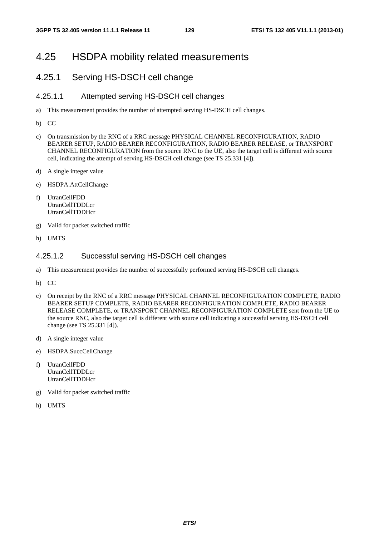### 4.25 HSDPA mobility related measurements

### 4.25.1 Serving HS-DSCH cell change

#### 4.25.1.1 Attempted serving HS-DSCH cell changes

- a) This measurement provides the number of attempted serving HS-DSCH cell changes.
- b) CC
- c) On transmission by the RNC of a RRC message PHYSICAL CHANNEL RECONFIGURATION, RADIO BEARER SETUP, RADIO BEARER RECONFIGURATION, RADIO BEARER RELEASE, or TRANSPORT CHANNEL RECONFIGURATION from the source RNC to the UE, also the target cell is different with source cell, indicating the attempt of serving HS-DSCH cell change (see TS 25.331 [4]).
- d) A single integer value
- e) HSDPA.AttCellChange
- f) UtranCellFDD UtranCellTDDLcr UtranCellTDDHcr
- g) Valid for packet switched traffic
- h) UMTS

#### 4.25.1.2 Successful serving HS-DSCH cell changes

- a) This measurement provides the number of successfully performed serving HS-DSCH cell changes.
- b) CC
- c) On receipt by the RNC of a RRC message PHYSICAL CHANNEL RECONFIGURATION COMPLETE, RADIO BEARER SETUP COMPLETE, RADIO BEARER RECONFIGURATION COMPLETE, RADIO BEARER RELEASE COMPLETE, or TRANSPORT CHANNEL RECONFIGURATION COMPLETE sent from the UE to the source RNC, also the target cell is different with source cell indicating a successful serving HS-DSCH cell change (see TS 25.331 [4]).
- d) A single integer value
- e) HSDPA.SuccCellChange
- f) UtranCellFDD UtranCellTDDLcr UtranCellTDDHcr
- g) Valid for packet switched traffic
- h) UMTS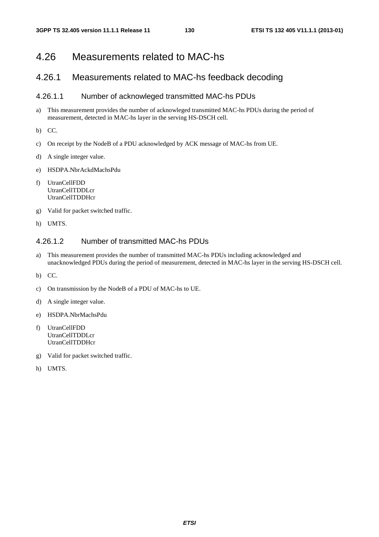# 4.26 Measurements related to MAC-hs

### 4.26.1 Measurements related to MAC-hs feedback decoding

### 4.26.1.1 Number of acknowleged transmitted MAC-hs PDUs

- a) This measurement provides the number of acknowleged transmitted MAC-hs PDUs during the period of measurement, detected in MAC-hs layer in the serving HS-DSCH cell.
- b) CC.
- c) On receipt by the NodeB of a PDU acknowledged by ACK message of MAC-hs from UE.
- d) A single integer value.
- e) HSDPA.NbrAckdMachsPdu
- f) UtranCellFDD UtranCellTDDLcr **UtranCellTDDHcr**
- g) Valid for packet switched traffic.
- h) UMTS.

### 4.26.1.2 Number of transmitted MAC-hs PDUs

- a) This measurement provides the number of transmitted MAC-hs PDUs including acknowledged and unacknowledged PDUs during the period of measurement, detected in MAC-hs layer in the serving HS-DSCH cell.
- b) CC.
- c) On transmission by the NodeB of a PDU of MAC-hs to UE.
- d) A single integer value.
- e) HSDPA.NbrMachsPdu
- f) UtranCellFDD UtranCellTDDLcr UtranCellTDDHcr
- g) Valid for packet switched traffic.
- h) UMTS.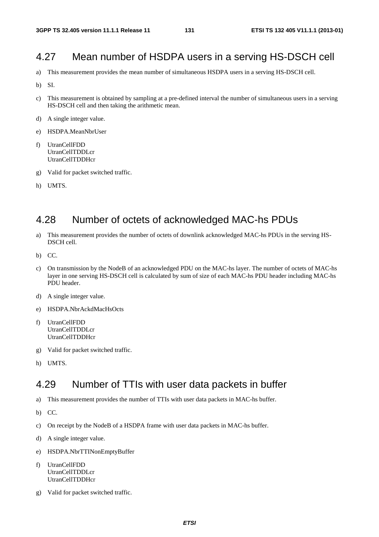# 4.27 Mean number of HSDPA users in a serving HS-DSCH cell

- a) This measurement provides the mean number of simultaneous HSDPA users in a serving HS-DSCH cell.
- b) SI.
- c) This measurement is obtained by sampling at a pre-defined interval the number of simultaneous users in a serving HS-DSCH cell and then taking the arithmetic mean.
- d) A single integer value.
- e) HSDPA.MeanNbrUser
- f) UtranCellFDD UtranCellTDDLcr UtranCellTDDHcr
- g) Valid for packet switched traffic.
- h) UMTS.

# 4.28 Number of octets of acknowledged MAC-hs PDUs

- a) This measurement provides the number of octets of downlink acknowledged MAC-hs PDUs in the serving HS-DSCH cell.
- b) CC.
- c) On transmission by the NodeB of an acknowledged PDU on the MAC-hs layer. The number of octets of MAC-hs layer in one serving HS-DSCH cell is calculated by sum of size of each MAC-hs PDU header including MAC-hs PDU header.
- d) A single integer value.
- e) HSDPA.NbrAckdMacHsOcts
- f) UtranCellFDD UtranCellTDDLcr UtranCellTDDHcr
- g) Valid for packet switched traffic.
- h) UMTS.

# 4.29 Number of TTIs with user data packets in buffer

- a) This measurement provides the number of TTIs with user data packets in MAC-hs buffer.
- b) CC.
- c) On receipt by the NodeB of a HSDPA frame with user data packets in MAC-hs buffer.
- d) A single integer value.
- e) HSDPA.NbrTTINonEmptyBuffer
- f) UtranCellFDD UtranCellTDDLcr UtranCellTDDHcr
- g) Valid for packet switched traffic.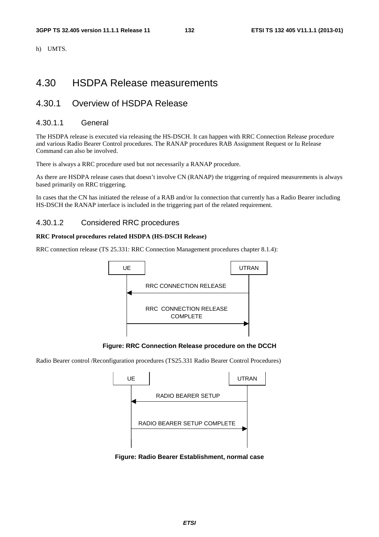h) UMTS.

# 4.30 HSDPA Release measurements

# 4.30.1 Overview of HSDPA Release

#### 4.30.1.1 General

The HSDPA release is executed via releasing the HS-DSCH. It can happen with RRC Connection Release procedure and various Radio Bearer Control procedures. The RANAP procedures RAB Assignment Request or Iu Release Command can also be involved.

There is always a RRC procedure used but not necessarily a RANAP procedure.

As there are HSDPA release cases that doesn't involve CN (RANAP) the triggering of required measurements is always based primarily on RRC triggering.

In cases that the CN has initiated the release of a RAB and/or Iu connection that currently has a Radio Bearer including HS-DSCH the RANAP interface is included in the triggering part of the related requirement.

#### 4.30.1.2 Considered RRC procedures

#### **RRC Protocol procedures related HSDPA (HS-DSCH Release)**

RRC connection release (TS 25.331: RRC Connection Management procedures chapter 8.1.4):



**Figure: RRC Connection Release procedure on the DCCH** 

Radio Bearer control /Reconfiguration procedures (TS25.331 Radio Bearer Control Procedures)



**Figure: Radio Bearer Establishment, normal case**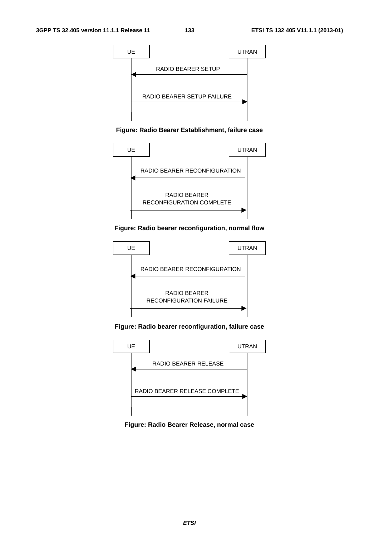

#### **Figure: Radio Bearer Establishment, failure case**



#### **Figure: Radio bearer reconfiguration, normal flow**



#### **Figure: Radio bearer reconfiguration, failure case**



**Figure: Radio Bearer Release, normal case**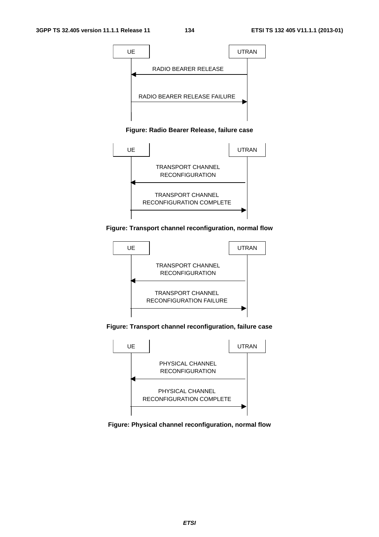

#### **Figure: Radio Bearer Release, failure case**



#### **Figure: Transport channel reconfiguration, normal flow**



**Figure: Transport channel reconfiguration, failure case** 



#### **Figure: Physical channel reconfiguration, normal flow**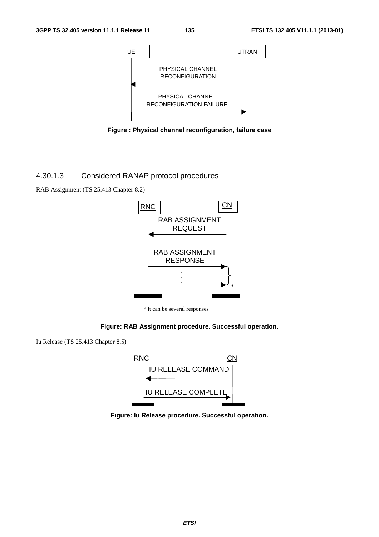

**Figure : Physical channel reconfiguration, failure case** 

#### 4.30.1.3 Considered RANAP protocol procedures

RAB Assignment (TS 25.413 Chapter 8.2)



\* it can be several responses

#### **Figure: RAB Assignment procedure. Successful operation.**

Iu Release (TS 25.413 Chapter 8.5)



**Figure: Iu Release procedure. Successful operation.**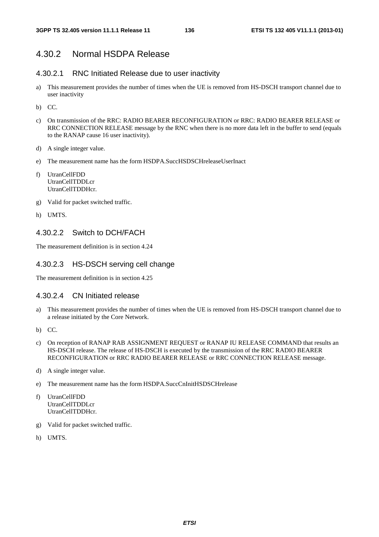### 4.30.2 Normal HSDPA Release

#### 4.30.2.1 RNC Initiated Release due to user inactivity

- a) This measurement provides the number of times when the UE is removed from HS-DSCH transport channel due to user inactivity
- b) CC.
- c) On transmission of the RRC: RADIO BEARER RECONFIGURATION or RRC: RADIO BEARER RELEASE or RRC CONNECTION RELEASE message by the RNC when there is no more data left in the buffer to send (equals to the RANAP cause 16 user inactivity).
- d) A single integer value.
- e) The measurement name has the form HSDPA.SuccHSDSCHreleaseUserInact
- f) UtranCellFDD UtranCellTDDLcr UtranCellTDDHcr.
- g) Valid for packet switched traffic.
- h) UMTS.

#### 4.30.2.2 Switch to DCH/FACH

The measurement definition is in section 4.24

#### 4.30.2.3 HS-DSCH serving cell change

The measurement definition is in section 4.25

#### 4.30.2.4 CN Initiated release

- a) This measurement provides the number of times when the UE is removed from HS-DSCH transport channel due to a release initiated by the Core Network.
- b) CC.
- c) On reception of RANAP RAB ASSIGNMENT REQUEST or RANAP IU RELEASE COMMAND that results an HS-DSCH release. The release of HS-DSCH is executed by the transmission of the RRC RADIO BEARER RECONFIGURATION or RRC RADIO BEARER RELEASE or RRC CONNECTION RELEASE message.
- d) A single integer value.
- e) The measurement name has the form HSDPA.SuccCnInitHSDSCHrelease
- f) UtranCellFDD UtranCellTDDLcr UtranCellTDDHcr.
- g) Valid for packet switched traffic.
- h) UMTS.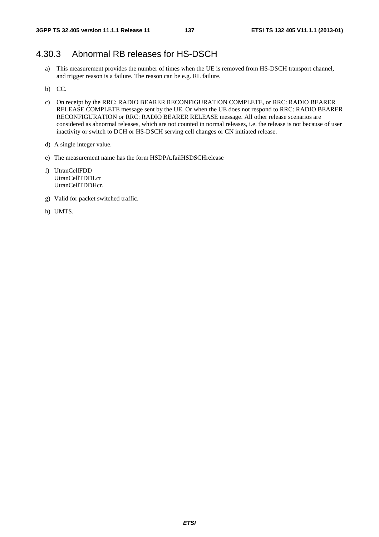### 4.30.3 Abnormal RB releases for HS-DSCH

- a) This measurement provides the number of times when the UE is removed from HS-DSCH transport channel, and trigger reason is a failure. The reason can be e.g. RL failure.
- b) CC.
- c) On receipt by the RRC: RADIO BEARER RECONFIGURATION COMPLETE, or RRC: RADIO BEARER RELEASE COMPLETE message sent by the UE. Or when the UE does not respond to RRC: RADIO BEARER RECONFIGURATION or RRC: RADIO BEARER RELEASE message. All other release scenarios are considered as abnormal releases, which are not counted in normal releases, i.e. the release is not because of user inactivity or switch to DCH or HS-DSCH serving cell changes or CN initiated release.
- d) A single integer value.
- e) The measurement name has the form HSDPA.failHSDSCHrelease
- f) UtranCellFDD UtranCellTDDLcr UtranCellTDDHcr.
- g) Valid for packet switched traffic.
- h) UMTS.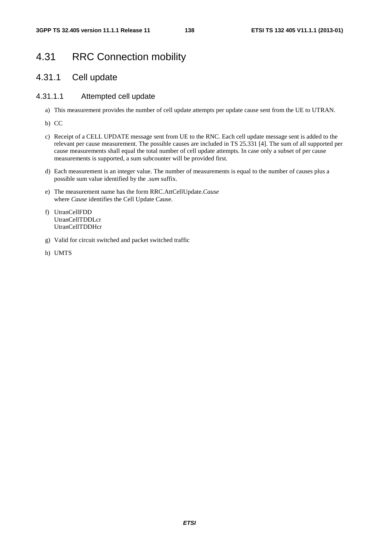# 4.31 RRC Connection mobility

### 4.31.1 Cell update

### 4.31.1.1 Attempted cell update

- a) This measurement provides the number of cell update attempts per update cause sent from the UE to UTRAN.
- b) CC
- c) Receipt of a CELL UPDATE message sent from UE to the RNC. Each cell update message sent is added to the relevant per cause measurement. The possible causes are included in TS 25.331 [4]. The sum of all supported per cause measurements shall equal the total number of cell update attempts. In case only a subset of per cause measurements is supported, a sum subcounter will be provided first.
- d) Each measurement is an integer value. The number of measurements is equal to the number of causes plus a possible sum value identified by the *.sum* suffix.
- e) The measurement name has the form RRC.AttCellUpdate.*Cause* where *Cause* identifies the Cell Update Cause.
- f) UtranCellFDD UtranCellTDDLcr UtranCellTDDHcr
- g) Valid for circuit switched and packet switched traffic
- h) UMTS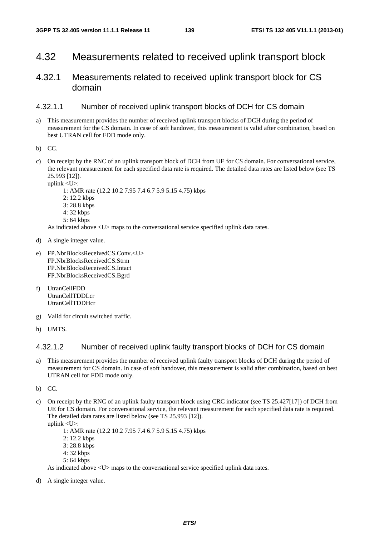### 4.32 Measurements related to received uplink transport block

### 4.32.1 Measurements related to received uplink transport block for CS domain

#### 4.32.1.1 Number of received uplink transport blocks of DCH for CS domain

- a) This measurement provides the number of received uplink transport blocks of DCH during the period of measurement for the CS domain. In case of soft handover, this measurement is valid after combination, based on best UTRAN cell for FDD mode only.
- b) CC.
- c) On receipt by the RNC of an uplink transport block of DCH from UE for CS domain. For conversational service, the relevant measurement for each specified data rate is required. The detailed data rates are listed below (see TS 25.993 [12]).

uplink <U>: 1: AMR rate (12.2 10.2 7.95 7.4 6.7 5.9 5.15 4.75) kbps 2: 12.2 kbps 3: 28.8 kbps 4: 32 kbps 5: 64 kbps

As indicated above  $\langle U \rangle$  maps to the conversational service specified uplink data rates.

- d) A single integer value.
- e) FP.NbrBlocksReceivedCS.Conv.<U> FP.NbrBlocksReceivedCS.Strm FP.NbrBlocksReceivedCS.Intact FP.NbrBlocksReceivedCS.Bgrd
- f) UtranCellFDD UtranCellTDDLcr UtranCellTDDHcr
- g) Valid for circuit switched traffic.
- h) UMTS.

### 4.32.1.2 Number of received uplink faulty transport blocks of DCH for CS domain

- a) This measurement provides the number of received uplink faulty transport blocks of DCH during the period of measurement for CS domain. In case of soft handover, this measurement is valid after combination, based on best UTRAN cell for FDD mode only.
- b) CC.
- c) On receipt by the RNC of an uplink faulty transport block using CRC indicator (see TS 25.427[17]) of DCH from UE for CS domain. For conversational service, the relevant measurement for each specified data rate is required. The detailed data rates are listed below (see TS 25.993 [12]). uplink <U>:

 1: AMR rate (12.2 10.2 7.95 7.4 6.7 5.9 5.15 4.75) kbps 2: 12.2 kbps 3: 28.8 kbps 4: 32 kbps 5: 64 kbps As indicated above  $\langle U \rangle$  maps to the conversational service specified uplink data rates.

d) A single integer value.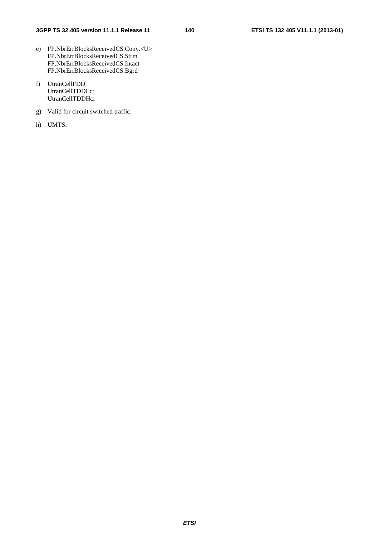- e) FP.NbrErrBlocksReceivedCS.Conv.<U> FP.NbrErrBlocksReceivedCS.Strm FP.NbrErrBlocksReceivedCS.Intact FP.NbrErrBlocksReceivedCS.Bgrd
- f) UtranCellFDD UtranCellTDDLcr UtranCellTDDHcr
- g) Valid for circuit switched traffic.
- h) UMTS.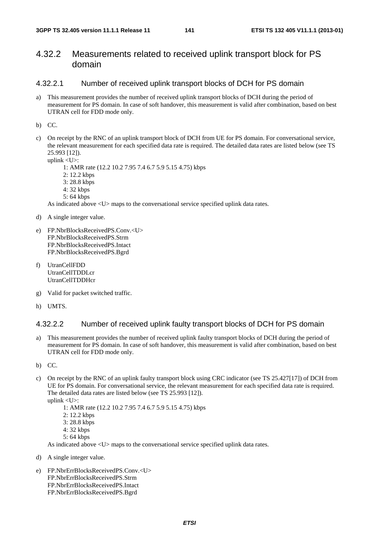### 4.32.2 Measurements related to received uplink transport block for PS domain

#### 4.32.2.1 Number of received uplink transport blocks of DCH for PS domain

a) This measurement provides the number of received uplink transport blocks of DCH during the period of measurement for PS domain. In case of soft handover, this measurement is valid after combination, based on best UTRAN cell for FDD mode only.

b) CC.

c) On receipt by the RNC of an uplink transport block of DCH from UE for PS domain. For conversational service, the relevant measurement for each specified data rate is required. The detailed data rates are listed below (see TS 25.993 [12]).

uplink <U>:

1: AMR rate (12.2 10.2 7.95 7.4 6.7 5.9 5.15 4.75) kbps

- 2: 12.2 kbps
- 3: 28.8 kbps
- 4: 32 kbps
- 5: 64 kbps

As indicated above <U> maps to the conversational service specified uplink data rates.

- d) A single integer value.
- e) FP.NbrBlocksReceivedPS.Conv.<U> FP.NbrBlocksReceivedPS.Strm FP.NbrBlocksReceivedPS.Intact FP.NbrBlocksReceivedPS.Bgrd
- f) UtranCellFDD UtranCellTDDLcr UtranCellTDDHcr
- g) Valid for packet switched traffic.
- h) UMTS.

#### 4.32.2.2 Number of received uplink faulty transport blocks of DCH for PS domain

- a) This measurement provides the number of received uplink faulty transport blocks of DCH during the period of measurement for PS domain. In case of soft handover, this measurement is valid after combination, based on best UTRAN cell for FDD mode only.
- b) CC.
- c) On receipt by the RNC of an uplink faulty transport block using CRC indicator (see TS 25.427[17]) of DCH from UE for PS domain. For conversational service, the relevant measurement for each specified data rate is required. The detailed data rates are listed below (see TS 25.993 [12]).
	- uplink <U>:

1: AMR rate (12.2 10.2 7.95 7.4 6.7 5.9 5.15 4.75) kbps

- 2: 12.2 kbps
- 3: 28.8 kbps
- 4: 32 kbps
- $5:64$  kbps

As indicated above <U> maps to the conversational service specified uplink data rates.

- d) A single integer value.
- e) FP.NbrErrBlocksReceivedPS.Conv.<U> FP.NbrErrBlocksReceivedPS.Strm FP.NbrErrBlocksReceivedPS.Intact FP.NbrErrBlocksReceivedPS.Bgrd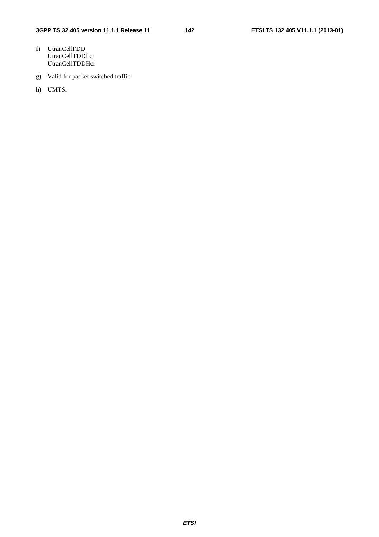- f) UtranCellFDD UtranCellTDDLcr UtranCellTDDHcr
- g) Valid for packet switched traffic.
- h) UMTS.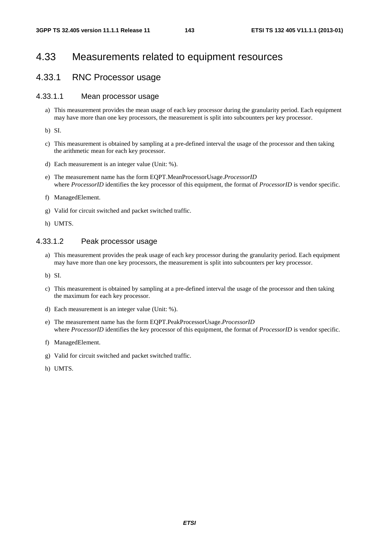# 4.33 Measurements related to equipment resources

### 4.33.1 RNC Processor usage

### 4.33.1.1 Mean processor usage

a) This measurement provides the mean usage of each key processor during the granularity period. Each equipment may have more than one key processors, the measurement is split into subcounters per key processor.

b) SI.

- c) This measurement is obtained by sampling at a pre-defined interval the usage of the processor and then taking the arithmetic mean for each key processor.
- d) Each measurement is an integer value (Unit: %).
- e) The measurement name has the form EQPT.MeanProcessorUsage.*ProcessorID*  where *ProcessorID* identifies the key processor of this equipment, the format of *ProcessorID* is vendor specific.
- f) ManagedElement.
- g) Valid for circuit switched and packet switched traffic.
- h) UMTS.

#### 4.33.1.2 Peak processor usage

a) This measurement provides the peak usage of each key processor during the granularity period. Each equipment may have more than one key processors, the measurement is split into subcounters per key processor.

b) SI.

- c) This measurement is obtained by sampling at a pre-defined interval the usage of the processor and then taking the maximum for each key processor.
- d) Each measurement is an integer value (Unit: %).
- e) The measurement name has the form EQPT.PeakProcessorUsage.*ProcessorID*  where *ProcessorID* identifies the key processor of this equipment, the format of *ProcessorID* is vendor specific.
- f) ManagedElement.
- g) Valid for circuit switched and packet switched traffic.
- h) UMTS.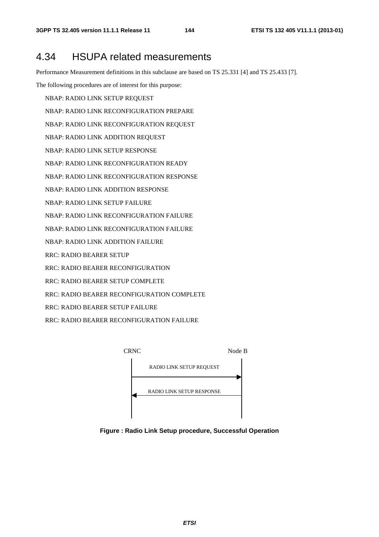# 4.34 HSUPA related measurements

Performance Measurement definitions in this subclause are based on TS 25.331 [4] and TS 25.433 [7].

The following procedures are of interest for this purpose:

- NBAP: RADIO LINK SETUP REQUEST
- NBAP: RADIO LINK RECONFIGURATION PREPARE
- NBAP: RADIO LINK RECONFIGURATION REQUEST
- NBAP: RADIO LINK ADDITION REQUEST
- NBAP: RADIO LINK SETUP RESPONSE
- NBAP: RADIO LINK RECONFIGURATION READY
- NBAP: RADIO LINK RECONFIGURATION RESPONSE
- NBAP: RADIO LINK ADDITION RESPONSE
- NBAP: RADIO LINK SETUP FAILURE
- NBAP: RADIO LINK RECONFIGURATION FAILURE
- NBAP: RADIO LINK RECONFIGURATION FAILURE
- NBAP: RADIO LINK ADDITION FAILURE
- RRC: RADIO BEARER SETUP
- RRC: RADIO BEARER RECONFIGURATION
- RRC: RADIO BEARER SETUP COMPLETE
- RRC: RADIO BEARER RECONFIGURATION COMPLETE
- RRC: RADIO BEARER SETUP FAILURE
- RRC: RADIO BEARER RECONFIGURATION FAILURE



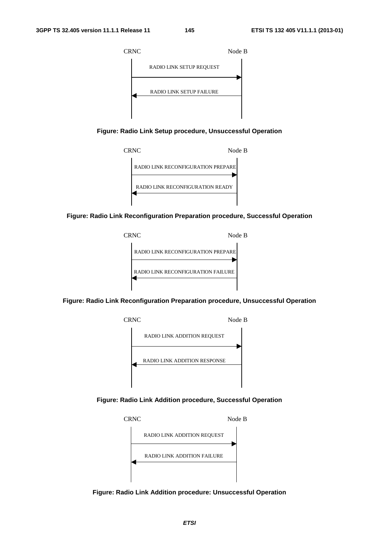

**Figure: Radio Link Setup procedure, Unsuccessful Operation** 



**Figure: Radio Link Reconfiguration Preparation procedure, Successful Operation** 



**Figure: Radio Link Reconfiguration Preparation procedure, Unsuccessful Operation** 



**Figure: Radio Link Addition procedure, Successful Operation** 



**Figure: Radio Link Addition procedure: Unsuccessful Operation**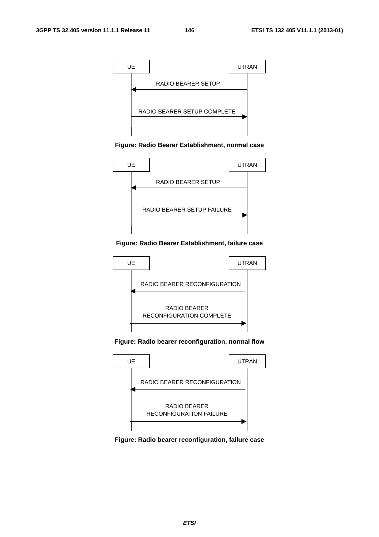

**Figure: Radio Bearer Establishment, normal case** 



**Figure: Radio Bearer Establishment, failure case** 



**Figure: Radio bearer reconfiguration, normal flow** 



**Figure: Radio bearer reconfiguration, failure case**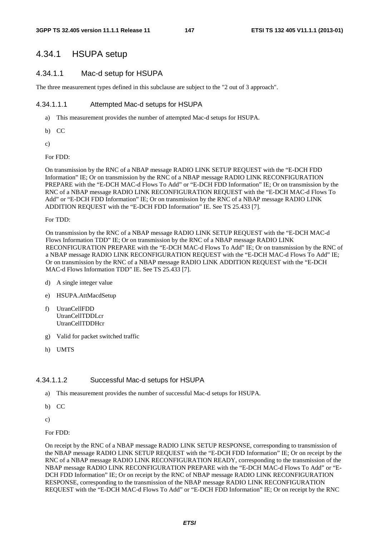# 4.34.1 HSUPA setup

#### 4.34.1.1 Mac-d setup for HSUPA

The three measurement types defined in this subclause are subject to the "2 out of 3 approach".

#### 4.34.1.1.1 Attempted Mac-d setups for HSUPA

- a) This measurement provides the number of attempted Mac-d setups for HSUPA.
- b) CC
- c)

For FDD:

On transmission by the RNC of a NBAP message RADIO LINK SETUP REQUEST with the "E-DCH FDD Information" IE; Or on transmission by the RNC of a NBAP message RADIO LINK RECONFIGURATION PREPARE with the "E-DCH MAC-d Flows To Add" or "E-DCH FDD Information" IE; Or on transmission by the RNC of a NBAP message RADIO LINK RECONFIGURATION REQUEST with the "E-DCH MAC-d Flows To Add" or "E-DCH FDD Information" IE; Or on transmission by the RNC of a NBAP message RADIO LINK ADDITION REQUEST with the "E-DCH FDD Information" IE. See TS 25.433 [7].

For TDD:

On transmission by the RNC of a NBAP message RADIO LINK SETUP REQUEST with the "E-DCH MAC-d Flows Information TDD" IE; Or on transmission by the RNC of a NBAP message RADIO LINK RECONFIGURATION PREPARE with the "E-DCH MAC-d Flows To Add" IE; Or on transmission by the RNC of a NBAP message RADIO LINK RECONFIGURATION REQUEST with the "E-DCH MAC-d Flows To Add" IE; Or on transmission by the RNC of a NBAP message RADIO LINK ADDITION REQUEST with the "E-DCH MAC-d Flows Information TDD" IE. See TS 25.433 [7].

- d) A single integer value
- e) HSUPA.AttMacdSetup
- f) UtranCellFDD UtranCellTDDLcr UtranCellTDDHcr
- g) Valid for packet switched traffic
- h) UMTS

#### 4.34.1.1.2 Successful Mac-d setups for HSUPA

- a) This measurement provides the number of successful Mac-d setups for HSUPA.
- b) CC
- c)

For FDD:

On receipt by the RNC of a NBAP message RADIO LINK SETUP RESPONSE, corresponding to transmission of the NBAP message RADIO LINK SETUP REQUEST with the "E-DCH FDD Information" IE; Or on receipt by the RNC of a NBAP message RADIO LINK RECONFIGURATION READY, corresponding to the transmission of the NBAP message RADIO LINK RECONFIGURATION PREPARE with the "E-DCH MAC-d Flows To Add" or "E-DCH FDD Information" IE; Or on receipt by the RNC of NBAP message RADIO LINK RECONFIGURATION RESPONSE, corresponding to the transmission of the NBAP message RADIO LINK RECONFIGURATION REQUEST with the "E-DCH MAC-d Flows To Add" or "E-DCH FDD Information" IE; Or on receipt by the RNC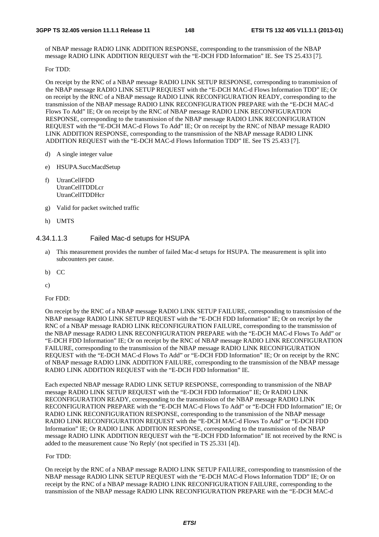of NBAP message RADIO LINK ADDITION RESPONSE, corresponding to the transmission of the NBAP message RADIO LINK ADDITION REQUEST with the "E-DCH FDD Information" IE. See TS 25.433 [7].

For TDD:

On receipt by the RNC of a NBAP message RADIO LINK SETUP RESPONSE, corresponding to transmission of the NBAP message RADIO LINK SETUP REQUEST with the "E-DCH MAC-d Flows Information TDD" IE; Or on receipt by the RNC of a NBAP message RADIO LINK RECONFIGURATION READY, corresponding to the transmission of the NBAP message RADIO LINK RECONFIGURATION PREPARE with the "E-DCH MAC-d Flows To Add" IE; Or on receipt by the RNC of NBAP message RADIO LINK RECONFIGURATION RESPONSE, corresponding to the transmission of the NBAP message RADIO LINK RECONFIGURATION REQUEST with the "E-DCH MAC-d Flows To Add" IE; Or on receipt by the RNC of NBAP message RADIO LINK ADDITION RESPONSE, corresponding to the transmission of the NBAP message RADIO LINK ADDITION REQUEST with the "E-DCH MAC-d Flows Information TDD" IE. See TS 25.433 [7].

- d) A single integer value
- e) HSUPA.SuccMacdSetup
- f) UtranCellFDD UtranCellTDDLcr UtranCellTDDHcr
- g) Valid for packet switched traffic
- h) UMTS

#### 4.34.1.1.3 Failed Mac-d setups for HSUPA

- a) This measurement provides the number of failed Mac-d setups for HSUPA. The measurement is split into subcounters per cause.
- b) CC
- c)

For FDD:

On receipt by the RNC of a NBAP message RADIO LINK SETUP FAILURE, corresponding to transmission of the NBAP message RADIO LINK SETUP REQUEST with the "E-DCH FDD Information" IE; Or on receipt by the RNC of a NBAP message RADIO LINK RECONFIGURATION FAILURE, corresponding to the transmission of the NBAP message RADIO LINK RECONFIGURATION PREPARE with the "E-DCH MAC-d Flows To Add" or "E-DCH FDD Information" IE; Or on receipt by the RNC of NBAP message RADIO LINK RECONFIGURATION FAILURE, corresponding to the transmission of the NBAP message RADIO LINK RECONFIGURATION REQUEST with the "E-DCH MAC-d Flows To Add" or "E-DCH FDD Information" IE; Or on receipt by the RNC of NBAP message RADIO LINK ADDITION FAILURE, corresponding to the transmission of the NBAP message RADIO LINK ADDITION REQUEST with the "E-DCH FDD Information" IE.

Each expected NBAP message RADIO LINK SETUP RESPONSE, corresponding to transmission of the NBAP message RADIO LINK SETUP REQUEST with the "E-DCH FDD Information" IE; Or RADIO LINK RECONFIGURATION READY, corresponding to the transmission of the NBAP message RADIO LINK RECONFIGURATION PREPARE with the "E-DCH MAC-d Flows To Add" or "E-DCH FDD Information" IE; Or RADIO LINK RECONFIGURATION RESPONSE, corresponding to the transmission of the NBAP message RADIO LINK RECONFIGURATION REQUEST with the "E-DCH MAC-d Flows To Add" or "E-DCH FDD Information" IE; Or RADIO LINK ADDITION RESPONSE, corresponding to the transmission of the NBAP message RADIO LINK ADDITION REQUEST with the "E-DCH FDD Information" IE not received by the RNC is added to the measurement cause 'No Reply' (not specified in TS 25.331 [4]).

#### For TDD:

On receipt by the RNC of a NBAP message RADIO LINK SETUP FAILURE, corresponding to transmission of the NBAP message RADIO LINK SETUP REQUEST with the "E-DCH MAC-d Flows Information TDD" IE; Or on receipt by the RNC of a NBAP message RADIO LINK RECONFIGURATION FAILURE, corresponding to the transmission of the NBAP message RADIO LINK RECONFIGURATION PREPARE with the "E-DCH MAC-d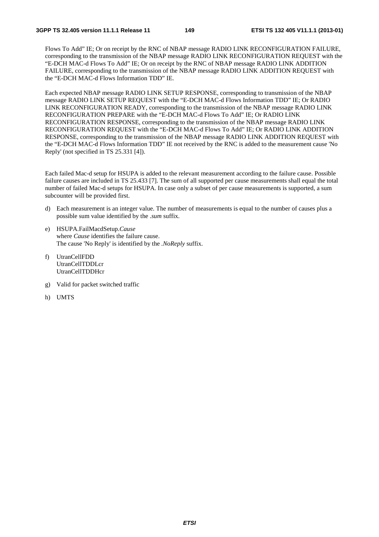Flows To Add" IE; Or on receipt by the RNC of NBAP message RADIO LINK RECONFIGURATION FAILURE, corresponding to the transmission of the NBAP message RADIO LINK RECONFIGURATION REQUEST with the "E-DCH MAC-d Flows To Add" IE; Or on receipt by the RNC of NBAP message RADIO LINK ADDITION FAILURE, corresponding to the transmission of the NBAP message RADIO LINK ADDITION REQUEST with the "E-DCH MAC-d Flows Information TDD" IE.

Each expected NBAP message RADIO LINK SETUP RESPONSE, corresponding to transmission of the NBAP message RADIO LINK SETUP REQUEST with the "E-DCH MAC-d Flows Information TDD" IE; Or RADIO LINK RECONFIGURATION READY, corresponding to the transmission of the NBAP message RADIO LINK RECONFIGURATION PREPARE with the "E-DCH MAC-d Flows To Add" IE; Or RADIO LINK RECONFIGURATION RESPONSE, corresponding to the transmission of the NBAP message RADIO LINK RECONFIGURATION REQUEST with the "E-DCH MAC-d Flows To Add" IE; Or RADIO LINK ADDITION RESPONSE, corresponding to the transmission of the NBAP message RADIO LINK ADDITION REQUEST with the "E-DCH MAC-d Flows Information TDD" IE not received by the RNC is added to the measurement cause 'No Reply' (not specified in TS 25.331 [4]).

Each failed Mac-d setup for HSUPA is added to the relevant measurement according to the failure cause. Possible failure causes are included in TS 25.433 [7]. The sum of all supported per cause measurements shall equal the total number of failed Mac-d setups for HSUPA. In case only a subset of per cause measurements is supported, a sum subcounter will be provided first.

- d) Each measurement is an integer value. The number of measurements is equal to the number of causes plus a possible sum value identified by the .*sum* suffix.
- e) HSUPA.FailMacdSetup.*Cause*  where *Cause* identifies the failure cause. The cause 'No Reply' is identified by the *.NoReply* suffix.
- f) UtranCellFDD UtranCellTDDLcr UtranCellTDDHcr
- g) Valid for packet switched traffic
- h) UMTS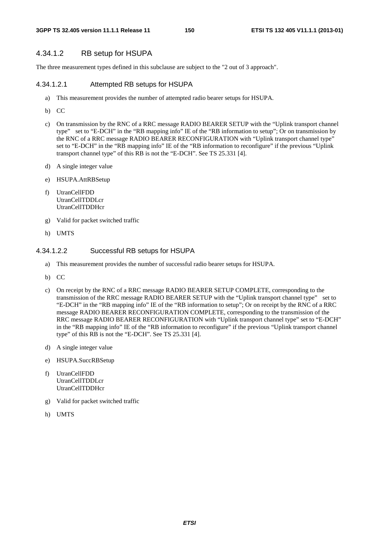#### 4.34.1.2 RB setup for HSUPA

The three measurement types defined in this subclause are subject to the "2 out of 3 approach".

#### 4.34.1.2.1 Attempted RB setups for HSUPA

- a) This measurement provides the number of attempted radio bearer setups for HSUPA.
- b) CC
- c) On transmission by the RNC of a RRC message RADIO BEARER SETUP with the "Uplink transport channel type" set to "E-DCH" in the "RB mapping info" IE of the "RB information to setup"; Or on transmission by the RNC of a RRC message RADIO BEARER RECONFIGURATION with "Uplink transport channel type" set to "E-DCH" in the "RB mapping info" IE of the "RB information to reconfigure" if the previous "Uplink transport channel type" of this RB is not the "E-DCH". See TS 25.331 [4].
- d) A single integer value
- e) HSUPA.AttRBSetup
- f) UtranCellFDD UtranCellTDDLcr UtranCellTDDHcr
- g) Valid for packet switched traffic
- h) UMTS

#### 4.34.1.2.2 Successful RB setups for HSUPA

- a) This measurement provides the number of successful radio bearer setups for HSUPA.
- b) CC
- c) On receipt by the RNC of a RRC message RADIO BEARER SETUP COMPLETE, corresponding to the transmission of the RRC message RADIO BEARER SETUP with the "Uplink transport channel type" set to "E-DCH" in the "RB mapping info" IE of the "RB information to setup"; Or on receipt by the RNC of a RRC message RADIO BEARER RECONFIGURATION COMPLETE, corresponding to the transmission of the RRC message RADIO BEARER RECONFIGURATION with "Uplink transport channel type" set to "E-DCH" in the "RB mapping info" IE of the "RB information to reconfigure" if the previous "Uplink transport channel type" of this RB is not the "E-DCH". See TS 25.331 [4].
- d) A single integer value
- e) HSUPA.SuccRBSetup
- f) UtranCellFDD UtranCellTDDLcr UtranCellTDDHcr
- g) Valid for packet switched traffic
- h) UMTS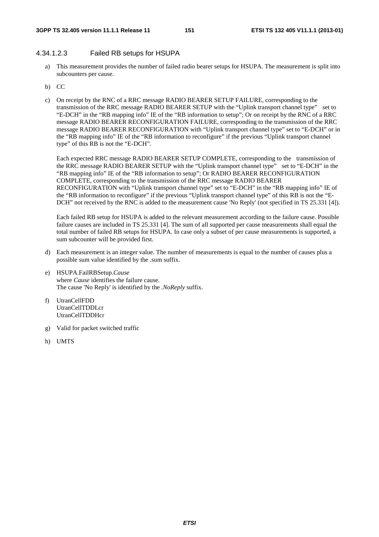#### 4.34.1.2.3 Failed RB setups for HSUPA

- a) This measurement provides the number of failed radio bearer setups for HSUPA. The measurement is split into subcounters per cause.
- b) CC
- c) On receipt by the RNC of a RRC message RADIO BEARER SETUP FAILURE, corresponding to the transmission of the RRC message RADIO BEARER SETUP with the "Uplink transport channel type" set to "E-DCH" in the "RB mapping info" IE of the "RB information to setup"; Or on receipt by the RNC of a RRC message RADIO BEARER RECONFIGURATION FAILURE, corresponding to the transmission of the RRC message RADIO BEARER RECONFIGURATION with "Uplink transport channel type" set to "E-DCH" or in the "RB mapping info" IE of the "RB information to reconfigure" if the previous "Uplink transport channel type" of this RB is not the "E-DCH".

Each expected RRC message RADIO BEARER SETUP COMPLETE, corresponding to the transmission of the RRC message RADIO BEARER SETUP with the "Uplink transport channel type" set to "E-DCH" in the "RB mapping info" IE of the "RB information to setup"; Or RADIO BEARER RECONFIGURATION COMPLETE, corresponding to the transmission of the RRC message RADIO BEARER RECONFIGURATION with "Uplink transport channel type" set to "E-DCH" in the "RB mapping info" IE of the "RB information to reconfigure" if the previous "Uplink transport channel type" of this RB is not the "E-DCH" not received by the RNC is added to the measurement cause 'No Reply' (not specified in TS 25.331 [4]).

Each failed RB setup for HSUPA is added to the relevant measurement according to the failure cause. Possible failure causes are included in TS 25.331 [4]. The sum of all supported per cause measurements shall equal the total number of failed RB setups for HSUPA. In case only a subset of per cause measurements is supported, a sum subcounter will be provided first.

- d) Each measurement is an integer value. The number of measurements is equal to the number of causes plus a possible sum value identified by the .sum suffix.
- e) HSUPA.FailRBSetup.*Cause* where *Cause* identifies the failure cause. The cause 'No Reply' is identified by the *.NoReply* suffix.
- f) UtranCellFDD UtranCellTDDLcr UtranCellTDDHcr
- g) Valid for packet switched traffic
- h) UMTS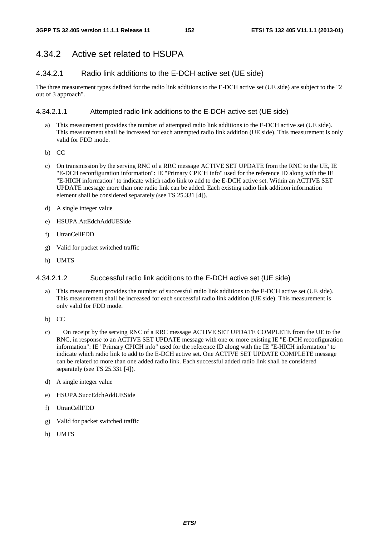# 4.34.2 Active set related to HSUPA

## 4.34.2.1 Radio link additions to the E-DCH active set (UE side)

The three measurement types defined for the radio link additions to the E-DCH active set (UE side) are subject to the "2 out of 3 approach".

#### 4.34.2.1.1 Attempted radio link additions to the E-DCH active set (UE side)

- a) This measurement provides the number of attempted radio link additions to the E-DCH active set (UE side). This measurement shall be increased for each attempted radio link addition (UE side). This measurement is only valid for FDD mode.
- b) CC
- c) On transmission by the serving RNC of a RRC message ACTIVE SET UPDATE from the RNC to the UE, IE "E-DCH reconfiguration information": IE "Primary CPICH info" used for the reference ID along with the IE "E-HICH information" to indicate which radio link to add to the E-DCH active set. Within an ACTIVE SET UPDATE message more than one radio link can be added. Each existing radio link addition information element shall be considered separately (see TS 25.331 [4]).
- d) A single integer value
- e) HSUPA.AttEdchAddUESide
- f) UtranCellFDD
- g) Valid for packet switched traffic
- h) UMTS

#### 4.34.2.1.2 Successful radio link additions to the E-DCH active set (UE side)

- This measurement provides the number of successful radio link additions to the E-DCH active set (UE side). This measurement shall be increased for each successful radio link addition (UE side). This measurement is only valid for FDD mode.
- b) CC
- c) On receipt by the serving RNC of a RRC message ACTIVE SET UPDATE COMPLETE from the UE to the RNC, in response to an ACTIVE SET UPDATE message with one or more existing IE "E-DCH reconfiguration information": IE "Primary CPICH info" used for the reference ID along with the IE "E-HICH information" to indicate which radio link to add to the E-DCH active set. One ACTIVE SET UPDATE COMPLETE message can be related to more than one added radio link. Each successful added radio link shall be considered separately (see TS 25.331 [4]).
- d) A single integer value
- e) HSUPA.SuccEdchAddUESide
- f) UtranCellFDD
- g) Valid for packet switched traffic
- h) UMTS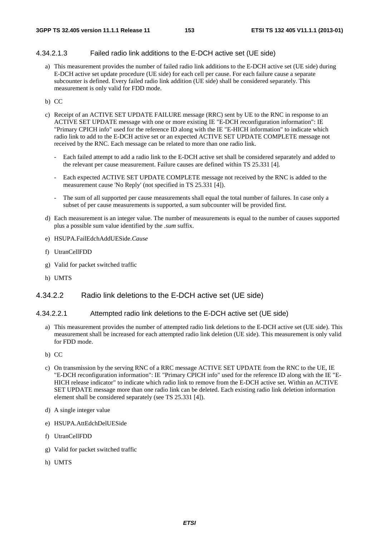#### 4.34.2.1.3 Failed radio link additions to the E-DCH active set (UE side)

a) This measurement provides the number of failed radio link additions to the E-DCH active set (UE side) during E-DCH active set update procedure (UE side) for each cell per cause. For each failure cause a separate subcounter is defined. Every failed radio link addition (UE side) shall be considered separately. This measurement is only valid for FDD mode.

#### b) CC

- c) Receipt of an ACTIVE SET UPDATE FAILURE message (RRC) sent by UE to the RNC in response to an ACTIVE SET UPDATE message with one or more existing IE "E-DCH reconfiguration information": IE "Primary CPICH info" used for the reference ID along with the IE "E-HICH information" to indicate which radio link to add to the E-DCH active set or an expected ACTIVE SET UPDATE COMPLETE message not received by the RNC. Each message can be related to more than one radio link.
	- Each failed attempt to add a radio link to the E-DCH active set shall be considered separately and added to the relevant per cause measurement. Failure causes are defined within TS 25.331 [4].
	- Each expected ACTIVE SET UPDATE COMPLETE message not received by the RNC is added to the measurement cause 'No Reply' (not specified in TS 25.331 [4]).
	- The sum of all supported per cause measurements shall equal the total number of failures. In case only a subset of per cause measurements is supported, a sum subcounter will be provided first.
- d) Each measurement is an integer value. The number of measurements is equal to the number of causes supported plus a possible sum value identified by the *.sum* suffix.
- e) HSUPA.FailEdchAddUESide.*Cause*
- f) UtranCellFDD
- g) Valid for packet switched traffic
- h) UMTS

#### 4.34.2.2 Radio link deletions to the E-DCH active set (UE side)

#### 4.34.2.2.1 Attempted radio link deletions to the E-DCH active set (UE side)

- a) This measurement provides the number of attempted radio link deletions to the E-DCH active set (UE side). This measurement shall be increased for each attempted radio link deletion (UE side). This measurement is only valid for FDD mode.
- b) CC
- c) On transmission by the serving RNC of a RRC message ACTIVE SET UPDATE from the RNC to the UE, IE "E-DCH reconfiguration information": IE "Primary CPICH info" used for the reference ID along with the IE "E-HICH release indicator" to indicate which radio link to remove from the E-DCH active set. Within an ACTIVE SET UPDATE message more than one radio link can be deleted. Each existing radio link deletion information element shall be considered separately (see TS 25.331 [4]).
- d) A single integer value
- e) HSUPA.AttEdchDelUESide
- f) UtranCellFDD
- g) Valid for packet switched traffic
- h) UMTS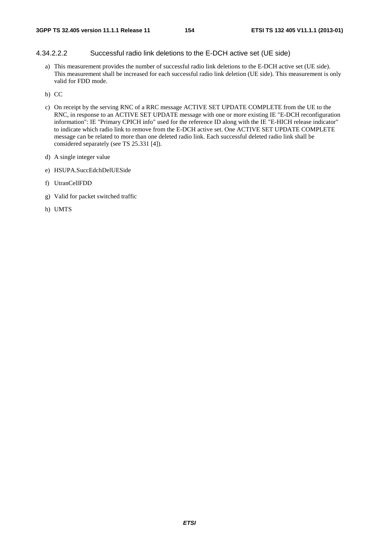#### 4.34.2.2.2 Successful radio link deletions to the E-DCH active set (UE side)

a) This measurement provides the number of successful radio link deletions to the E-DCH active set (UE side). This measurement shall be increased for each successful radio link deletion (UE side). This measurement is only valid for FDD mode.

b) CC

- c) On receipt by the serving RNC of a RRC message ACTIVE SET UPDATE COMPLETE from the UE to the RNC, in response to an ACTIVE SET UPDATE message with one or more existing IE "E-DCH reconfiguration information": IE "Primary CPICH info" used for the reference ID along with the IE "E-HICH release indicator" to indicate which radio link to remove from the E-DCH active set. One ACTIVE SET UPDATE COMPLETE message can be related to more than one deleted radio link. Each successful deleted radio link shall be considered separately (see TS 25.331 [4]).
- d) A single integer value
- e) HSUPA.SuccEdchDelUESide
- f) UtranCellFDD
- g) Valid for packet switched traffic
- h) UMTS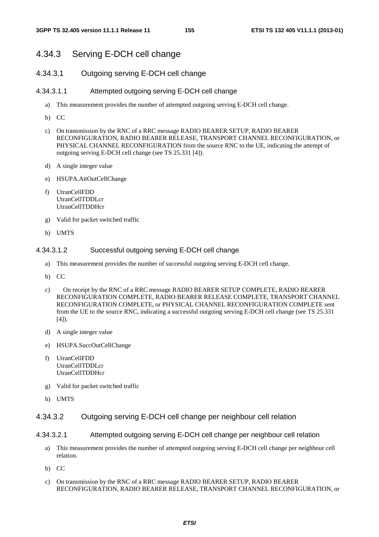# 4.34.3 Serving E-DCH cell change

## 4.34.3.1 Outgoing serving E-DCH cell change

#### 4.34.3.1.1 Attempted outgoing serving E-DCH cell change

- a) This measurement provides the number of attempted outgoing serving E-DCH cell change.
- b) CC
- c) On transmission by the RNC of a RRC message RADIO BEARER SETUP, RADIO BEARER RECONFIGURATION, RADIO BEARER RELEASE, TRANSPORT CHANNEL RECONFIGURATION, or PHYSICAL CHANNEL RECONFIGURATION from the source RNC to the UE, indicating the attempt of outgoing serving E-DCH cell change (see TS 25.331 [4]).
- d) A single integer value
- e) HSUPA.AttOutCellChange
- f) UtranCellFDD UtranCellTDDLcr UtranCellTDDHcr
- g) Valid for packet switched traffic
- h) UMTS

#### 4.34.3.1.2 Successful outgoing serving E-DCH cell change

- a) This measurement provides the number of successful outgoing serving E-DCH cell change.
- b) CC
- c) On receipt by the RNC of a RRC message RADIO BEARER SETUP COMPLETE, RADIO BEARER RECONFIGURATION COMPLETE, RADIO BEARER RELEASE COMPLETE, TRANSPORT CHANNEL RECONFIGURATION COMPLETE, or PHYSICAL CHANNEL RECONFIGURATION COMPLETE sent from the UE to the source RNC, indicating a successful outgoing serving E-DCH cell change (see TS 25.331  $[4]$ ).
- d) A single integer value
- e) HSUPA.SuccOutCellChange
- f) UtranCellFDD UtranCellTDDLcr UtranCellTDDHcr
- g) Valid for packet switched traffic
- h) UMTS

#### 4.34.3.2 Outgoing serving E-DCH cell change per neighbour cell relation

- 4.34.3.2.1 Attempted outgoing serving E-DCH cell change per neighbour cell relation
	- a) This measurement provides the number of attempted outgoing serving E-DCH cell change per neighbour cell relation.
	- b) CC
	- c) On transmission by the RNC of a RRC message RADIO BEARER SETUP, RADIO BEARER RECONFIGURATION, RADIO BEARER RELEASE, TRANSPORT CHANNEL RECONFIGURATION, or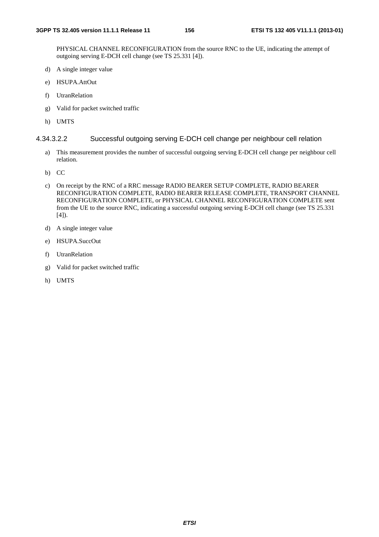PHYSICAL CHANNEL RECONFIGURATION from the source RNC to the UE, indicating the attempt of outgoing serving E-DCH cell change (see TS 25.331 [4]).

- d) A single integer value
- e) HSUPA.AttOut
- f) UtranRelation
- g) Valid for packet switched traffic
- h) UMTS

#### 4.34.3.2.2 Successful outgoing serving E-DCH cell change per neighbour cell relation

- a) This measurement provides the number of successful outgoing serving E-DCH cell change per neighbour cell relation.
- b) CC
- c) On receipt by the RNC of a RRC message RADIO BEARER SETUP COMPLETE, RADIO BEARER RECONFIGURATION COMPLETE, RADIO BEARER RELEASE COMPLETE, TRANSPORT CHANNEL RECONFIGURATION COMPLETE, or PHYSICAL CHANNEL RECONFIGURATION COMPLETE sent from the UE to the source RNC, indicating a successful outgoing serving E-DCH cell change (see TS 25.331 [4]).
- d) A single integer value
- e) HSUPA.SuccOut
- f) UtranRelation
- g) Valid for packet switched traffic
- h) UMTS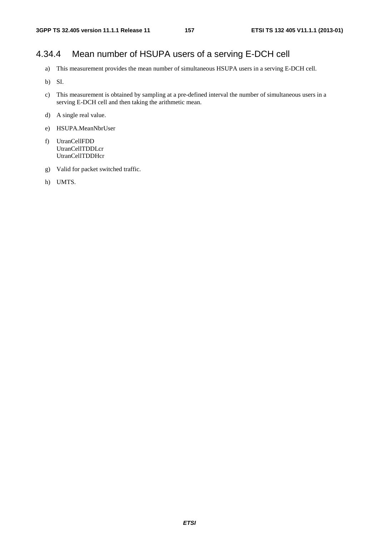# 4.34.4 Mean number of HSUPA users of a serving E-DCH cell

- a) This measurement provides the mean number of simultaneous HSUPA users in a serving E-DCH cell.
- b) SI.
- c) This measurement is obtained by sampling at a pre-defined interval the number of simultaneous users in a serving E-DCH cell and then taking the arithmetic mean.
- d) A single real value.
- e) HSUPA.MeanNbrUser
- f) UtranCellFDD UtranCellTDDLcr UtranCellTDDHcr
- g) Valid for packet switched traffic.
- h) UMTS.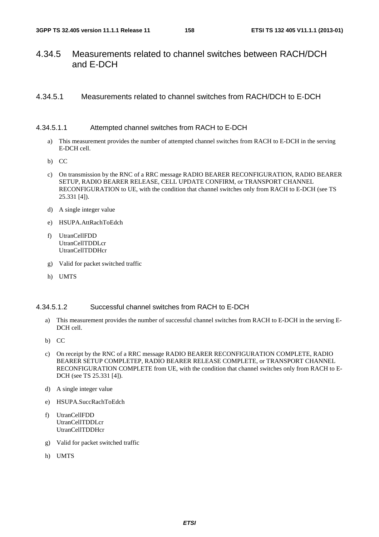# 4.34.5 Measurements related to channel switches between RACH/DCH and E-DCH

## 4.34.5.1 Measurements related to channel switches from RACH/DCH to E-DCH

#### 4.34.5.1.1 Attempted channel switches from RACH to E-DCH

- a) This measurement provides the number of attempted channel switches from RACH to E-DCH in the serving E-DCH cell.
- b) CC
- c) On transmission by the RNC of a RRC message RADIO BEARER RECONFIGURATION, RADIO BEARER SETUP, RADIO BEARER RELEASE, CELL UPDATE CONFIRM, or TRANSPORT CHANNEL RECONFIGURATION to UE, with the condition that channel switches only from RACH to E-DCH (see TS 25.331 [4]).
- d) A single integer value
- e) HSUPA.AttRachToEdch
- f) UtranCellFDD UtranCellTDDLcr UtranCellTDDHcr
- g) Valid for packet switched traffic
- h) UMTS

#### 4.34.5.1.2 Successful channel switches from RACH to E-DCH

- a) This measurement provides the number of successful channel switches from RACH to E-DCH in the serving E-DCH cell.
- b) CC
- c) On receipt by the RNC of a RRC message RADIO BEARER RECONFIGURATION COMPLETE, RADIO BEARER SETUP COMPLETEP, RADIO BEARER RELEASE COMPLETE, or TRANSPORT CHANNEL RECONFIGURATION COMPLETE from UE, with the condition that channel switches only from RACH to E-DCH (see TS 25.331 [4]).
- d) A single integer value
- e) HSUPA.SuccRachToEdch
- f) UtranCellFDD UtranCellTDDLcr UtranCellTDDHcr
- g) Valid for packet switched traffic
- h) UMTS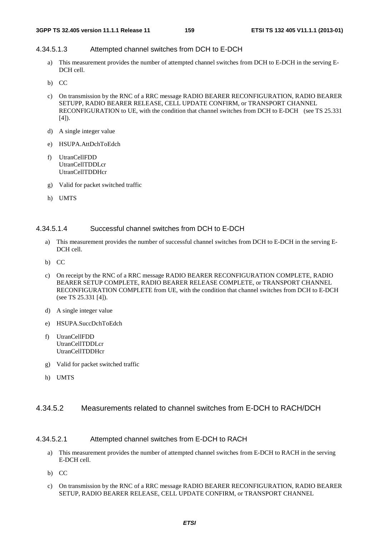## 4.34.5.1.3 Attempted channel switches from DCH to E-DCH

- a) This measurement provides the number of attempted channel switches from DCH to E-DCH in the serving E-DCH cell.
- b) CC
- c) On transmission by the RNC of a RRC message RADIO BEARER RECONFIGURATION, RADIO BEARER SETUPP, RADIO BEARER RELEASE, CELL UPDATE CONFIRM, or TRANSPORT CHANNEL RECONFIGURATION to UE, with the condition that channel switches from DCH to E-DCH (see TS 25.331  $[4]$ ).
- d) A single integer value
- e) HSUPA.AttDchToEdch
- f) UtranCellFDD UtranCellTDDLcr UtranCellTDDHcr
- g) Valid for packet switched traffic
- h) UMTS

#### 4.34.5.1.4 Successful channel switches from DCH to E-DCH

- a) This measurement provides the number of successful channel switches from DCH to E-DCH in the serving E-DCH cell.
- b) CC
- c) On receipt by the RNC of a RRC message RADIO BEARER RECONFIGURATION COMPLETE, RADIO BEARER SETUP COMPLETE, RADIO BEARER RELEASE COMPLETE, or TRANSPORT CHANNEL RECONFIGURATION COMPLETE from UE, with the condition that channel switches from DCH to E-DCH (see TS 25.331 [4]).
- d) A single integer value
- e) HSUPA.SuccDchToEdch
- f) UtranCellFDD UtranCellTDDLcr UtranCellTDDHcr
- g) Valid for packet switched traffic
- h) UMTS

## 4.34.5.2 Measurements related to channel switches from E-DCH to RACH/DCH

#### 4.34.5.2.1 Attempted channel switches from E-DCH to RACH

- a) This measurement provides the number of attempted channel switches from E-DCH to RACH in the serving E-DCH cell.
- b) CC
- c) On transmission by the RNC of a RRC message RADIO BEARER RECONFIGURATION, RADIO BEARER SETUP, RADIO BEARER RELEASE, CELL UPDATE CONFIRM, or TRANSPORT CHANNEL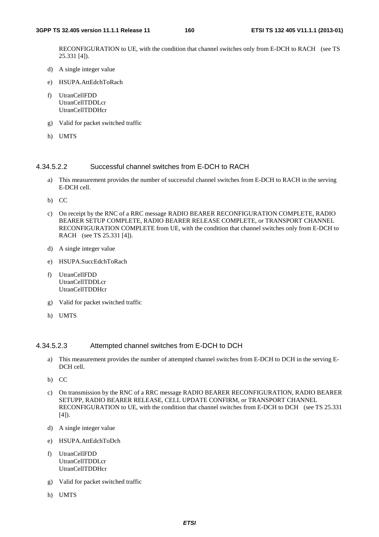RECONFIGURATION to UE, with the condition that channel switches only from E-DCH to RACH (see TS 25.331 [4]).

- d) A single integer value
- e) HSUPA.AttEdchToRach
- f) UtranCellFDD UtranCellTDDLcr UtranCellTDDHcr
- g) Valid for packet switched traffic
- h) UMTS

#### 4.34.5.2.2 Successful channel switches from E-DCH to RACH

- a) This measurement provides the number of successful channel switches from E-DCH to RACH in the serving E-DCH cell.
- b) CC
- c) On receipt by the RNC of a RRC message RADIO BEARER RECONFIGURATION COMPLETE, RADIO BEARER SETUP COMPLETE, RADIO BEARER RELEASE COMPLETE, or TRANSPORT CHANNEL RECONFIGURATION COMPLETE from UE, with the condition that channel switches only from E-DCH to RACH (see TS 25.331 [4]).
- d) A single integer value
- e) HSUPA.SuccEdchToRach
- f) UtranCellFDD UtranCellTDDLcr UtranCellTDDHcr
- g) Valid for packet switched traffic
- h) UMTS

#### 4.34.5.2.3 Attempted channel switches from E-DCH to DCH

- a) This measurement provides the number of attempted channel switches from E-DCH to DCH in the serving E-DCH cell.
- b) CC
- c) On transmission by the RNC of a RRC message RADIO BEARER RECONFIGURATION, RADIO BEARER SETUPP, RADIO BEARER RELEASE, CELL UPDATE CONFIRM, or TRANSPORT CHANNEL RECONFIGURATION to UE, with the condition that channel switches from E-DCH to DCH (see TS 25.331 [4]).
- d) A single integer value
- e) HSUPA.AttEdchToDch
- f) UtranCellFDD UtranCellTDDLcr **UtranCellTDDHcr**
- g) Valid for packet switched traffic
- h) UMTS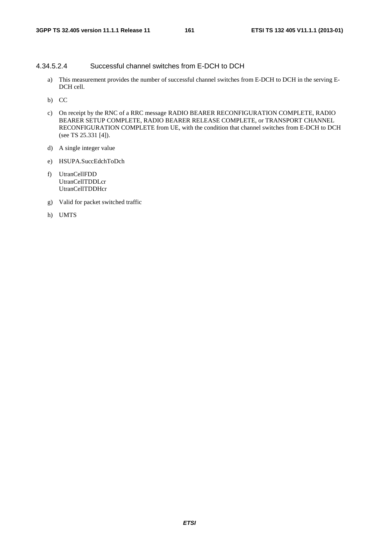## 4.34.5.2.4 Successful channel switches from E-DCH to DCH

- a) This measurement provides the number of successful channel switches from E-DCH to DCH in the serving E-DCH cell.
- b) CC
- c) On receipt by the RNC of a RRC message RADIO BEARER RECONFIGURATION COMPLETE, RADIO BEARER SETUP COMPLETE, RADIO BEARER RELEASE COMPLETE, or TRANSPORT CHANNEL RECONFIGURATION COMPLETE from UE, with the condition that channel switches from E-DCH to DCH (see TS 25.331 [4]).
- d) A single integer value
- e) HSUPA.SuccEdchToDch
- f) UtranCellFDD UtranCellTDDLcr UtranCellTDDHcr
- g) Valid for packet switched traffic
- h) UMTS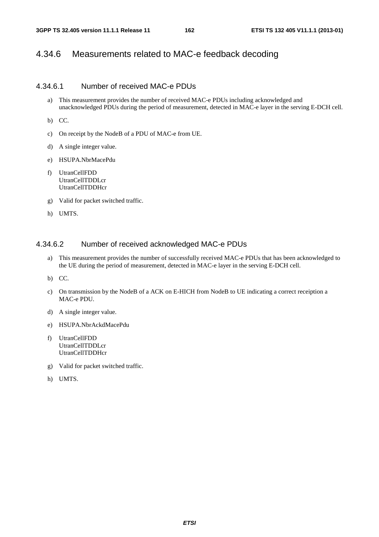# 4.34.6 Measurements related to MAC-e feedback decoding

#### 4.34.6.1 Number of received MAC-e PDUs

a) This measurement provides the number of received MAC-e PDUs including acknowledged and unacknowledged PDUs during the period of measurement, detected in MAC-e layer in the serving E-DCH cell.

b) CC.

- c) On receipt by the NodeB of a PDU of MAC-e from UE.
- d) A single integer value.
- e) HSUPA.NbrMacePdu
- f) UtranCellFDD UtranCellTDDLcr UtranCellTDDHcr
- g) Valid for packet switched traffic.
- h) UMTS.

## 4.34.6.2 Number of received acknowledged MAC-e PDUs

- a) This measurement provides the number of successfully received MAC-e PDUs that has been acknowledged to the UE during the period of measurement, detected in MAC-e layer in the serving E-DCH cell.
- b) CC.
- c) On transmission by the NodeB of a ACK on E-HICH from NodeB to UE indicating a correct receiption a MAC-e PDU.
- d) A single integer value.
- e) HSUPA.NbrAckdMacePdu
- f) UtranCellFDD UtranCellTDDLcr UtranCellTDDHcr
- g) Valid for packet switched traffic.
- h) UMTS.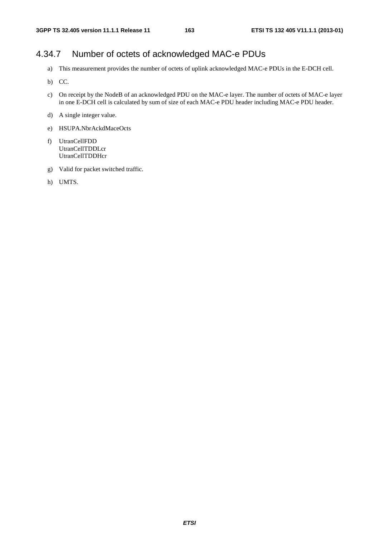# 4.34.7 Number of octets of acknowledged MAC-e PDUs

- a) This measurement provides the number of octets of uplink acknowledged MAC-e PDUs in the E-DCH cell.
- b) CC.
- c) On receipt by the NodeB of an acknowledged PDU on the MAC-e layer. The number of octets of MAC-e layer in one E-DCH cell is calculated by sum of size of each MAC-e PDU header including MAC-e PDU header.
- d) A single integer value.
- e) HSUPA.NbrAckdMaceOcts
- f) UtranCellFDD UtranCellTDDLcr UtranCellTDDHcr
- g) Valid for packet switched traffic.
- h) UMTS.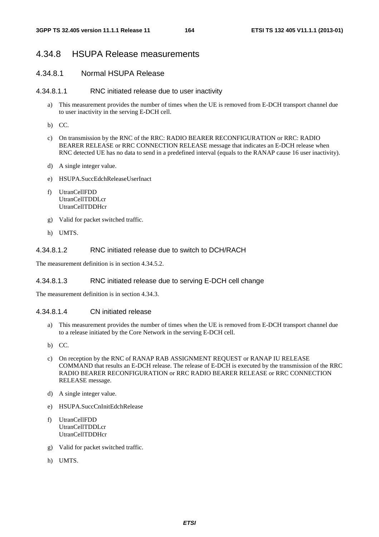# 4.34.8 HSUPA Release measurements

## 4.34.8.1 Normal HSUPA Release

#### 4.34.8.1.1 RNC initiated release due to user inactivity

- a) This measurement provides the number of times when the UE is removed from E-DCH transport channel due to user inactivity in the serving E-DCH cell.
- b) CC.
- c) On transmission by the RNC of the RRC: RADIO BEARER RECONFIGURATION or RRC: RADIO BEARER RELEASE or RRC CONNECTION RELEASE message that indicates an E-DCH release when RNC detected UE has no data to send in a predefined interval (equals to the RANAP cause 16 user inactivity).
- d) A single integer value.
- e) HSUPA.SuccEdchReleaseUserInact
- f) UtranCellFDD UtranCellTDDLcr UtranCellTDDHcr
- g) Valid for packet switched traffic.
- h) UMTS.

## 4.34.8.1.2 RNC initiated release due to switch to DCH/RACH

The measurement definition is in section 4.34.5.2.

#### 4.34.8.1.3 RNC initiated release due to serving E-DCH cell change

The measurement definition is in section 4.34.3.

#### 4.34.8.1.4 CN initiated release

- a) This measurement provides the number of times when the UE is removed from E-DCH transport channel due to a release initiated by the Core Network in the serving E-DCH cell.
- b) CC.
- c) On reception by the RNC of RANAP RAB ASSIGNMENT REQUEST or RANAP IU RELEASE COMMAND that results an E-DCH release. The release of E-DCH is executed by the transmission of the RRC RADIO BEARER RECONFIGURATION or RRC RADIO BEARER RELEASE or RRC CONNECTION RELEASE message.
- d) A single integer value.
- e) HSUPA.SuccCnInitEdchRelease
- f) UtranCellFDD UtranCellTDDLcr UtranCellTDDHcr
- g) Valid for packet switched traffic.
- h) UMTS.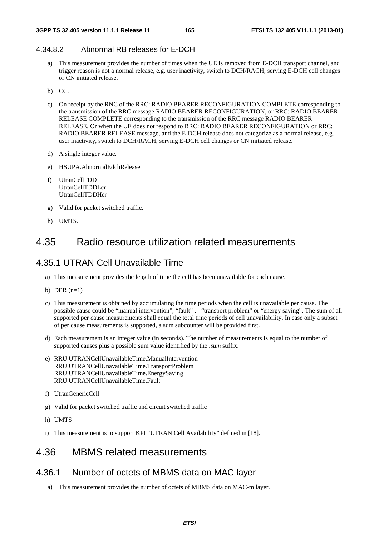# 4.34.8.2 Abnormal RB releases for E-DCH

- a) This measurement provides the number of times when the UE is removed from E-DCH transport channel, and trigger reason is not a normal release, e.g. user inactivity, switch to DCH/RACH, serving E-DCH cell changes or CN initiated release.
- b) CC.
- c) On receipt by the RNC of the RRC: RADIO BEARER RECONFIGURATION COMPLETE corresponding to the transmission of the RRC message RADIO BEARER RECONFIGURATION, or RRC: RADIO BEARER RELEASE COMPLETE corresponding to the transmission of the RRC message RADIO BEARER RELEASE. Or when the UE does not respond to RRC: RADIO BEARER RECONFIGURATION or RRC: RADIO BEARER RELEASE message, and the E-DCH release does not categorize as a normal release, e.g. user inactivity, switch to DCH/RACH, serving E-DCH cell changes or CN initiated release.
- d) A single integer value.
- e) HSUPA.AbnormalEdchRelease
- f) UtranCellFDD UtranCellTDDLcr UtranCellTDDHcr
- g) Valid for packet switched traffic.
- h) UMTS.

# 4.35 Radio resource utilization related measurements

# 4.35.1 UTRAN Cell Unavailable Time

- a) This measurement provides the length of time the cell has been unavailable for each cause.
- b) DER  $(n=1)$
- c) This measurement is obtained by accumulating the time periods when the cell is unavailable per cause. The possible cause could be "manual intervention", "fault", "transport problem" or "energy saving". The sum of all supported per cause measurements shall equal the total time periods of cell unavailability. In case only a subset of per cause measurements is supported, a sum subcounter will be provided first.
- d) Each measurement is an integer value (in seconds). The number of measurements is equal to the number of supported causes plus a possible sum value identified by the *.sum* suffix.
- e) RRU.UTRANCellUnavailableTime.ManualIntervention RRU.UTRANCellUnavailableTime.TransportProblem RRU.UTRANCellUnavailableTime.EnergySaving RRU.UTRANCellUnavailableTime.Fault
- f) UtranGenericCell
- g) Valid for packet switched traffic and circuit switched traffic
- h) UMTS
- i) This measurement is to support KPI "UTRAN Cell Availability" defined in [18].

# 4.36 MBMS related measurements

# 4.36.1 Number of octets of MBMS data on MAC layer

a) This measurement provides the number of octets of MBMS data on MAC-m layer.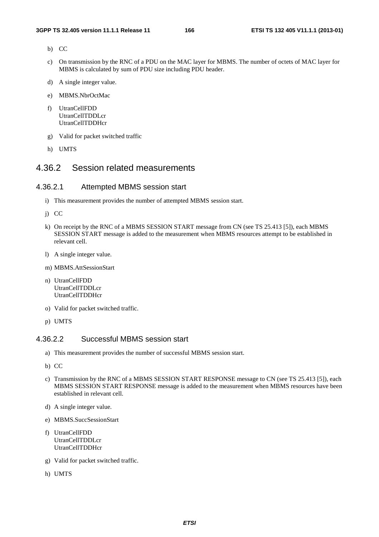- b) CC
- c) On transmission by the RNC of a PDU on the MAC layer for MBMS. The number of octets of MAC layer for MBMS is calculated by sum of PDU size including PDU header.
- d) A single integer value.
- e) MBMS.NbrOctMac
- f) UtranCellFDD UtranCellTDDLcr UtranCellTDDHcr
- g) Valid for packet switched traffic
- h) UMTS

# 4.36.2 Session related measurements

## 4.36.2.1 Attempted MBMS session start

- i) This measurement provides the number of attempted MBMS session start.
- j) CC
- k) On receipt by the RNC of a MBMS SESSION START message from CN (see TS 25.413 [5]), each MBMS SESSION START message is added to the measurement when MBMS resources attempt to be established in relevant cell.
- l) A single integer value.
- m) MBMS.AttSessionStart
- n) UtranCellFDD UtranCellTDDLcr UtranCellTDDHcr
- o) Valid for packet switched traffic.
- p) UMTS

#### 4.36.2.2 Successful MBMS session start

- a) This measurement provides the number of successful MBMS session start.
- b) CC
- c) Transmission by the RNC of a MBMS SESSION START RESPONSE message to CN (see TS 25.413 [5]), each MBMS SESSION START RESPONSE message is added to the measurement when MBMS resources have been established in relevant cell.
- d) A single integer value.
- e) MBMS.SuccSessionStart
- f) UtranCellFDD UtranCellTDDLcr UtranCellTDDHcr
- g) Valid for packet switched traffic.
- h) UMTS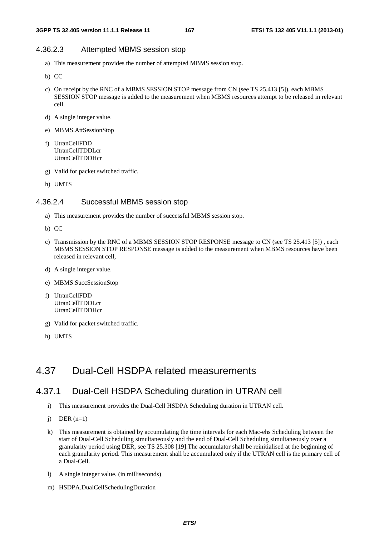# 4.36.2.3 Attempted MBMS session stop

- a) This measurement provides the number of attempted MBMS session stop.
- b) CC
- c) On receipt by the RNC of a MBMS SESSION STOP message from CN (see TS 25.413 [5]), each MBMS SESSION STOP message is added to the measurement when MBMS resources attempt to be released in relevant cell.
- d) A single integer value.
- e) MBMS.AttSessionStop
- f) UtranCellFDD UtranCellTDDLcr UtranCellTDDHcr
- g) Valid for packet switched traffic.
- h) UMTS

#### 4.36.2.4 Successful MBMS session stop

- a) This measurement provides the number of successful MBMS session stop.
- b) CC
- c) Transmission by the RNC of a MBMS SESSION STOP RESPONSE message to CN (see TS 25.413 [5]) , each MBMS SESSION STOP RESPONSE message is added to the measurement when MBMS resources have been released in relevant cell,
- d) A single integer value.
- e) MBMS.SuccSessionStop
- f) UtranCellFDD UtranCellTDDLcr UtranCellTDDHcr
- g) Valid for packet switched traffic.
- h) UMTS

# 4.37 Dual-Cell HSDPA related measurements

# 4.37.1 Dual-Cell HSDPA Scheduling duration in UTRAN cell

- i) This measurement provides the Dual-Cell HSDPA Scheduling duration in UTRAN cell.
- $i)$  DER  $(n=1)$
- k) This measurement is obtained by accumulating the time intervals for each Mac-ehs Scheduling between the start of Dual-Cell Scheduling simultaneously and the end of Dual-Cell Scheduling simultaneously over a granularity period using DER, see TS 25.308 [19].The accumulator shall be reinitialised at the beginning of each granularity period. This measurement shall be accumulated only if the UTRAN cell is the primary cell of a Dual-Cell.
- l) A single integer value. (in milliseconds)
- m) HSDPA.DualCellSchedulingDuration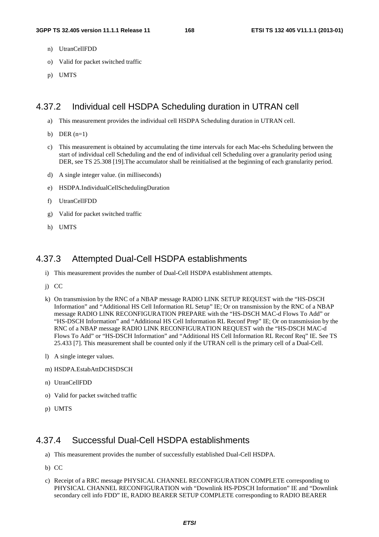- n) UtranCellFDD
- o) Valid for packet switched traffic
- p) UMTS

# 4.37.2 Individual cell HSDPA Scheduling duration in UTRAN cell

- a) This measurement provides the individual cell HSDPA Scheduling duration in UTRAN cell.
- b) DER  $(n=1)$
- c) This measurement is obtained by accumulating the time intervals for each Mac-ehs Scheduling between the start of individual cell Scheduling and the end of individual cell Scheduling over a granularity period using DER, see TS 25.308 [19].The accumulator shall be reinitialised at the beginning of each granularity period.
- d) A single integer value. (in milliseconds)
- e) HSDPA.IndividualCellSchedulingDuration
- f) UtranCellFDD
- g) Valid for packet switched traffic
- h) UMTS

# 4.37.3 Attempted Dual-Cell HSDPA establishments

- i) This measurement provides the number of Dual-Cell HSDPA establishment attempts.
- j) CC
- k) On transmission by the RNC of a NBAP message RADIO LINK SETUP REQUEST with the "HS-DSCH Information" and "Additional HS Cell Information RL Setup" IE; Or on transmission by the RNC of a NBAP message RADIO LINK RECONFIGURATION PREPARE with the "HS-DSCH MAC-d Flows To Add" or "HS-DSCH Information" and "Additional HS Cell Information RL Reconf Prep" IE; Or on transmission by the RNC of a NBAP message RADIO LINK RECONFIGURATION REQUEST with the "HS-DSCH MAC-d Flows To Add" or "HS-DSCH Information" and "Additional HS Cell Information RL Reconf Req" IE. See TS 25.433 [7]. This measurement shall be counted only if the UTRAN cell is the primary cell of a Dual-Cell.
- l) A single integer values.
- m) HSDPA.EstabAttDCHSDSCH
- n) UtranCellFDD
- o) Valid for packet switched traffic
- p) UMTS

# 4.37.4 Successful Dual-Cell HSDPA establishments

- a) This measurement provides the number of successfully established Dual-Cell HSDPA.
- b) CC
- c) Receipt of a RRC message PHYSICAL CHANNEL RECONFIGURATION COMPLETE corresponding to PHYSICAL CHANNEL RECONFIGURATION with "Downlink HS-PDSCH Information" IE and "Downlink secondary cell info FDD" IE, RADIO BEARER SETUP COMPLETE corresponding to RADIO BEARER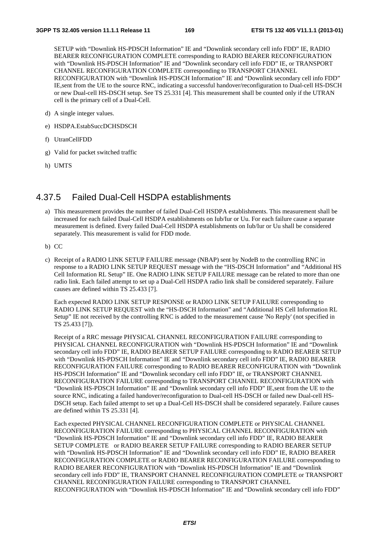SETUP with "Downlink HS-PDSCH Information" IE and "Downlink secondary cell info FDD" IE, RADIO BEARER RECONFIGURATION COMPLETE corresponding to RADIO BEARER RECONFIGURATION with "Downlink HS-PDSCH Information" IE and "Downlink secondary cell info FDD" IE, or TRANSPORT CHANNEL RECONFIGURATION COMPLETE corresponding to TRANSPORT CHANNEL RECONFIGURATION with "Downlink HS-PDSCH Information" IE and "Downlink secondary cell info FDD" IE,sent from the UE to the source RNC, indicating a successful handover/reconfiguration to Dual-cell HS-DSCH or new Dual-cell HS-DSCH setup. See TS 25.331 [4]. This measurement shall be counted only if the UTRAN cell is the primary cell of a Dual-Cell.

- d) A single integer values.
- e) HSDPA.EstabSuccDCHSDSCH
- f) UtranCellFDD
- g) Valid for packet switched traffic
- h) UMTS

# 4.37.5 Failed Dual-Cell HSDPA establishments

- a) This measurement provides the number of failed Dual-Cell HSDPA establishments. This measurement shall be increased for each failed Dual-Cell HSDPA establishments on Iub/Iur or Uu. For each failure cause a separate measurement is defined. Every failed Dual-Cell HSDPA establishments on Iub/Iur or Uu shall be considered separately. This measurement is valid for FDD mode.
- b) CC
- c) Receipt of a RADIO LINK SETUP FAILURE message (NBAP) sent by NodeB to the controlling RNC in response to a RADIO LINK SETUP REQUEST message with the "HS-DSCH Information" and "Additional HS Cell Information RL Setup" IE. One RADIO LINK SETUP FAILURE message can be related to more than one radio link. Each failed attempt to set up a Dual-Cell HSDPA radio link shall be considered separately. Failure causes are defined within TS 25.433 [7].

Each expected RADIO LINK SETUP RESPONSE or RADIO LINK SETUP FAILURE corresponding to RADIO LINK SETUP REQUEST with the "HS-DSCH Information" and "Additional HS Cell Information RL Setup" IE not received by the controlling RNC is added to the measurement cause 'No Reply' (not specified in TS 25.433 [7]).

Receipt of a RRC message PHYSICAL CHANNEL RECONFIGURATION FAILURE corresponding to PHYSICAL CHANNEL RECONFIGURATION with "Downlink HS-PDSCH Information" IE and "Downlink secondary cell info FDD" IE, RADIO BEARER SETUP FAILURE corresponding to RADIO BEARER SETUP with "Downlink HS-PDSCH Information" IE and "Downlink secondary cell info FDD" IE, RADIO BEARER RECONFIGURATION FAILURE corresponding to RADIO BEARER RECONFIGURATION with "Downlink HS-PDSCH Information" IE and "Downlink secondary cell info FDD" IE, or TRANSPORT CHANNEL RECONFIGURATION FAILURE corresponding to TRANSPORT CHANNEL RECONFIGURATION with "Downlink HS-PDSCH Information" IE and "Downlink secondary cell info FDD" IE,sent from the UE to the source RNC, indicating a failed handover/reconfiguration to Dual-cell HS-DSCH or failed new Dual-cell HS-DSCH setup. Each failed attempt to set up a Dual-Cell HS-DSCH shall be considered separately. Failure causes are defined within TS 25.331 [4].

Each expected PHYSICAL CHANNEL RECONFIGURATION COMPLETE or PHYSICAL CHANNEL RECONFIGURATION FAILURE corresponding to PHYSICAL CHANNEL RECONFIGURATION with "Downlink HS-PDSCH Information" IE and "Downlink secondary cell info FDD" IE, RADIO BEARER SETUP COMPLETE or RADIO BEARER SETUP FAILURE corresponding to RADIO BEARER SETUP with "Downlink HS-PDSCH Information" IE and "Downlink secondary cell info FDD" IE, RADIO BEARER RECONFIGURATION COMPLETE or RADIO BEARER RECONFIGURATION FAILURE corresponding to RADIO BEARER RECONFIGURATION with "Downlink HS-PDSCH Information" IE and "Downlink secondary cell info FDD" IE, TRANSPORT CHANNEL RECONFIGURATION COMPLETE or TRANSPORT CHANNEL RECONFIGURATION FAILURE corresponding to TRANSPORT CHANNEL RECONFIGURATION with "Downlink HS-PDSCH Information" IE and "Downlink secondary cell info FDD"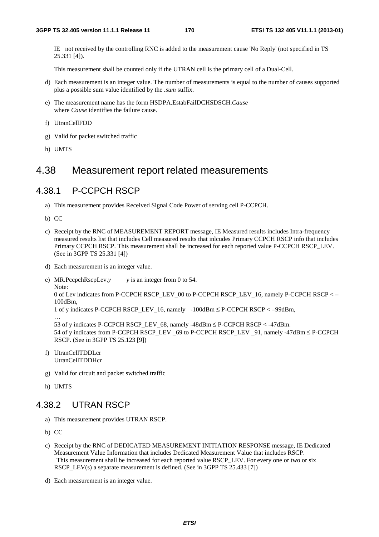IE not received by the controlling RNC is added to the measurement cause 'No Reply' (not specified in TS 25.331 [4]).

This measurement shall be counted only if the UTRAN cell is the primary cell of a Dual-Cell.

- d) Each measurement is an integer value. The number of measurements is equal to the number of causes supported plus a possible sum value identified by the *.sum* suffix.
- e) The measurement name has the form HSDPA.EstabFailDCHSDSCH.*Cause* where *Cause* identifies the failure cause.
- f) UtranCellFDD
- g) Valid for packet switched traffic
- h) UMTS

# 4.38 Measurement report related measurements

# 4.38.1 P-CCPCH RSCP

- a) This measurement provides Received Signal Code Power of serving cell P-CCPCH.
- b) CC
- c) Receipt by the RNC of MEASUREMENT REPORT message, IE Measured results includes Intra-frequency measured results list that includes Cell measured results that inlcudes Primary CCPCH RSCP info that includes Primary CCPCH RSCP. This measurement shall be increased for each reported value P-CCPCH RSCP\_LEV. (See in 3GPP TS 25.331 [4])
- d) Each measurement is an integer value.

e) MR.PccpchRscpLev.*y y* is an integer from 0 to 54.

Note: 0 of Lev indicates from P-CCPCH RSCP\_LEV\_00 to P-CCPCH RSCP\_LEV\_16, namely P-CCPCH RSCP < – 100dBm,

```
1 of y indicates P-CCPCH RSCP_LEV_16, namely -100dBm ≤ P-CCPCH RSCP < –99dBm,
```
… 53 of y indicates P-CCPCH RSCP\_LEV\_68, namely -48dBm ≤ P-CCPCH RSCP < -47dBm. 54 of y indicates from P-CCPCH RSCP\_LEV \_69 to P-CCPCH RSCP\_LEV \_91, namely -47dBm ≤ P-CCPCH RSCP. (See in 3GPP TS 25.123 [9])

- f) UtranCellTDDLcr UtranCellTDDHcr
- g) Valid for circuit and packet switched traffic
- h) UMTS

# 4.38.2 UTRAN RSCP

- a) This measurement provides UTRAN RSCP.
- b) CC
- c) Receipt by the RNC of DEDICATED MEASUREMENT INITIATION RESPONSE message, IE Dedicated Measurement Value Information that includes Dedicated Measurement Value that includes RSCP. This measurement shall be increased for each reported value RSCP\_LEV. For every one or two or six RSCP\_LEV(s) a separate measurement is defined. (See in 3GPP TS 25.433 [7])
- d) Each measurement is an integer value.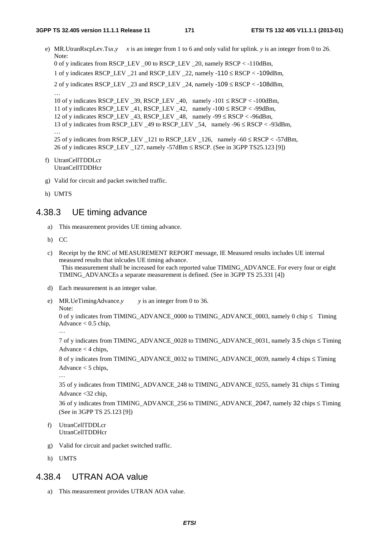e) MR.UtranRscpLev.Tsx.*y*  $x$  is an integer from 1 to 6 and only valid for uplink. *y* is an integer from 0 to 26. Note: 0 of y indicates from RSCP\_LEV \_00 to RSCP\_LEV \_20, namely RSCP < -110dBm, 1 of y indicates RSCP\_LEV \_21 and RSCP\_LEV \_22, namely -110 ≤ RSCP < -109dBm, 2 of y indicates RSCP\_LEV \_23 and RSCP\_LEV \_24, namely -109 ≤ RSCP < -108dBm,

10 of y indicates RSCP\_LEV \_39, RSCP\_LEV \_40, namely -101 ≤ RSCP < -100dBm,

11 of y indicates RSCP\_LEV  $41$ , RSCP\_LEV  $42$ , namely  $-100 \leq RSCP < -99dBm$ ,

12 of y indicates RSCP\_LEV  $-43$ , RSCP\_LEV  $-48$ , namely  $-99 \leq RSCP < -96dBm$ ,

13 of y indicates from RSCP\_LEV \_49 to RSCP\_LEV \_54, namely -96 ≤ RSCP < -93dBm,

25 of y indicates from RSCP\_LEV \_121 to RSCP\_LEV \_126, namely -60  $\leq$  RSCP < -57dBm, 26 of y indicates RSCP\_LEV \_127, namely -57dBm ≤ RSCP. (See in 3GPP TS25.123 [9])

f) UtranCellTDDLcr UtranCellTDDHcr

g) Valid for circuit and packet switched traffic.

h) UMTS

…

…

# 4.38.3 UE timing advance

- a) This measurement provides UE timing advance.
- b) CC
- c) Receipt by the RNC of MEASUREMENT REPORT message, IE Measured results includes UE internal measured results that inlcudes UE timing advance. This measurement shall be increased for each reported value TIMING\_ADVANCE. For every four or eight TIMING\_ADVANCEs a separate measurement is defined. (See in 3GPP TS 25.331 [4])
- d) Each measurement is an integer value.
- e) MR.UeTimingAdvance.*y y* is an integer from 0 to 36.
	- Note:

…

0 of y indicates from TIMING\_ADVANCE\_0000 to TIMING\_ADVANCE\_0003, namely 0 chip ≤ Timing Advance  $< 0.5$  chip,

7 of y indicates from TIMING\_ADVANCE\_0028 to TIMING\_ADVANCE\_0031, namely 3.5 chips ≤ Timing

Advance  $<$  4 chips,

```
8 of y indicates from TIMING_ADVANCE_0032 to TIMING_ADVANCE_0039, namely 4 chips ≤ Timing 
Advance < 5 chips,
```
…

35 of y indicates from TIMING\_ADVANCE\_248 to TIMING\_ADVANCE\_0255, namely 31 chips ≤ Timing Advance <32 chip,

36 of y indicates from TIMING\_ADVANCE\_256 to TIMING\_ADVANCE\_2047, namely 32 chips ≤ Timing (See in 3GPP TS 25.123 [9])

- f) UtranCellTDDLcr UtranCellTDDHcr
- g) Valid for circuit and packet switched traffic.
- h) UMTS

# 4.38.4 UTRAN AOA value

a) This measurement provides UTRAN AOA value.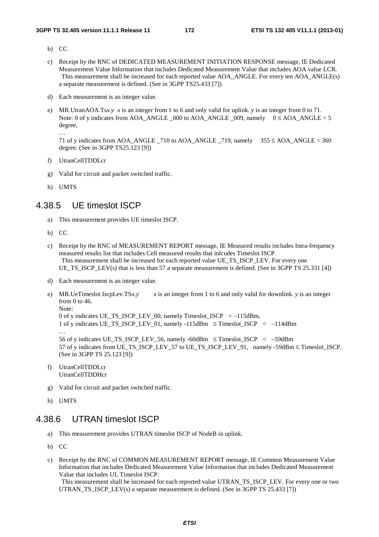- b) CC
- c) Receipt by the RNC of DEDICATED MEASUREMENT INITIATION RESPONSE message, IE Dedicated Measurement Value Information that includes Dedicated Measurement Value that includes AOA value LCR. This measurement shall be increased for each reported value AOA\_ANGLE. For every ten AOA\_ANGLE(s) a separate measurement is defined. (See in 3GPP TS25.433 [7])
- d) Each measurement is an integer value.
- e) MR.UtranAOA.Ts*x*.*y x* is an integer from 1 to 6 and only valid for uplink. *y* is an integer from 0 to 71. Note: 0 of y indicates from AOA\_ANGLE  $\,$  000 to AOA\_ANGLE  $\,$  009, namely  $\,$  0  $\leq$  AOA\_ANGLE  $\lt$  5 degree,

71 of y indicates from AOA\_ANGLE \_710 to AOA\_ANGLE \_719, namely 355 ≤ AOA\_ANGLE < 360 degree. (See in 3GPP TS25.123 [9])

- f) UtranCellTDDLcr
- g) Valid for circuit and packet switched traffic.
- h) UMTS

…

# 4.38.5 UE timeslot ISCP

- a) This measurement provides UE timeslot ISCP.
- b) CC
- c) Receipt by the RNC of MEASUREMENT REPORT message, IE Measured results includes Intra-frequency measured results list that includes Cell measured results that inlcudes Timeslot ISCP. This measurement shall be increased for each reported value UE\_TS\_ISCP\_LEV. For every one UE\_TS\_ISCP\_LEV(s) that is less than 57 a separate measurement is defined. (See in 3GPP TS 25.331 [4])
- d) Each measurement is an integer value.
- e) MR.UeTimeslot IscpLev.TS $x, y$  x is an integer from 1 to 6 and only valid for downlink. *y* is an integer from 0 to 46. Note:

0 of y indicates UE\_TS\_ISCP\_LEV\_00, namely Timeslot\_ISCP < –115dBm,

```
1 of y indicates UE_TS_ISCP_LEV_01, namely -115dBm ≤ Timeslot_ISCP < –114dBm
```
…

56 of y indicates UE\_TS\_ISCP\_LEV\_56, namely -60dBm ≤ Timeslot\_ISCP < –59dBm 57 of y indicates from UE\_TS\_ISCP\_LEV\_57 to UE\_TS\_ISCP\_LEV\_91, namely -59dBm ≤ Timeslot\_ISCP. (See in 3GPP TS 25.123 [9])

- f) UtranCellTDDLcr UtranCellTDDHcr
- g) Valid for circuit and packet switched traffic.
- h) UMTS

# 4.38.6 UTRAN timeslot ISCP

- a) This measurement provides UTRAN timeslot ISCP of NodeB in uplink.
- b) CC

c) Receipt by the RNC of COMMON MEASUREMENT REPORT message, IE Common Measurement Value Information that includes Dedicated Measurement Value Information that includes Dedicated Measurement Value that includes UL Timeslot ISCP.

 This measurement shall be increased for each reported value UTRAN\_TS\_ISCP\_LEV. For every one or two UTRAN TS ISCP LEV(s) a separate measurement is defined. (See in 3GPP TS 25.433 [7])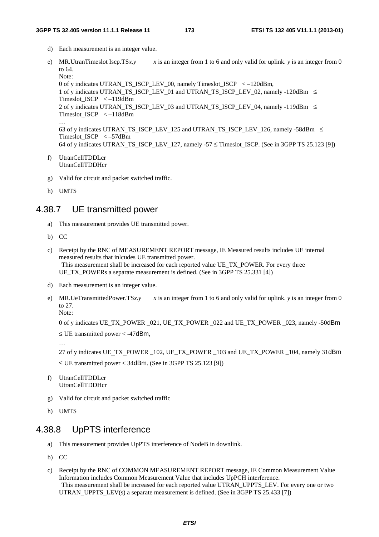- d) Each measurement is an integer value.
- e) MR.UtranTimeslot Iscp.TS*x*.y  $x$  is an integer from 1 to 6 and only valid for uplink. *y* is an integer from 0 to 64. Note: 0 of y indicates UTRAN\_TS\_ISCP\_LEV\_00, namely Timeslot\_ISCP < –120dBm, 1 of y indicates UTRAN\_TS\_ISCP\_LEV\_01 and UTRAN\_TS\_ISCP\_LEV\_02, namely -120dBm  $\leq$ Timeslot\_ISCP < –119dBm 2 of y indicates UTRAN\_TS\_ISCP\_LEV\_03 and UTRAN\_TS\_ISCP\_LEV\_04, namely -119dBm ≤ Timeslot\_ISCP < –118dBm … 63 of y indicates UTRAN\_TS\_ISCP\_LEV\_125 and UTRAN\_TS\_ISCP\_LEV\_126, namely -58dBm  $\leq$ Timeslot\_ISCP < –57dBm 64 of y indicates UTRAN\_TS\_ISCP\_LEV\_127, namely -57  $\leq$  Timeslot\_ISCP. (See in 3GPP TS 25.123 [9])
- f) UtranCellTDDLcr UtranCellTDDHcr
- g) Valid for circuit and packet switched traffic.
- h) UMTS

# 4.38.7 UE transmitted power

- a) This measurement provides UE transmitted power.
- b) CC
- c) Receipt by the RNC of MEASUREMENT REPORT message, IE Measured results includes UE internal measured results that inlcudes UE transmitted power. This measurement shall be increased for each reported value UE\_TX\_POWER. For every three UE TX POWERs a separate measurement is defined. (See in 3GPP TS 25.331 [4])
- d) Each measurement is an integer value.
- e) MR.UeTransmittedPower.TS*x*.*y*  $x$  is an integer from 1 to 6 and only valid for uplink. *y* is an integer from 0 to 27.

Note:

```
0 of y indicates UE_TX_POWER _021, UE_TX_POWER _022 and UE_TX_POWER _023, namely -50dBm 
\leq UE transmitted power < -47dBm,
```
…

```
27 of y indicates UE_TX_POWER _102, UE_TX_POWER _103 and UE_TX_POWER _104, namely 31dBm
≤ UE transmitted power < 34dBm. (See in 3GPP TS 25.123 [9])
```
- f) UtranCellTDDLcr UtranCellTDDHcr
- g) Valid for circuit and packet switched traffic
- h) UMTS

# 4.38.8 UpPTS interference

- a) This measurement provides UpPTS interference of NodeB in downlink.
- b) CC
- c) Receipt by the RNC of COMMON MEASUREMENT REPORT message, IE Common Measurement Value Information includes Common Measurement Value that includes UpPCH interference. This measurement shall be increased for each reported value UTRAN\_UPPTS\_LEV. For every one or two UTRAN\_UPPTS\_LEV(s) a separate measurement is defined. (See in 3GPP TS 25.433 [7])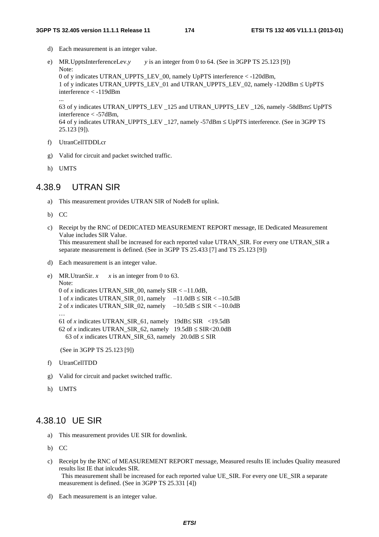- d) Each measurement is an integer value.
- e) MR.UpptsInterferenceLev.*y y* is an integer from 0 to 64. (See in 3GPP TS 25.123 [9]) Note: 0 of y indicates UTRAN\_UPPTS\_LEV\_00, namely UpPTS interference < -120dBm, 1 of y indicates UTRAN\_UPPTS\_LEV\_01 and UTRAN\_UPPTS\_LEV\_02, namely -120dBm ≤ UpPTS interference < -119dBm ...

63 of y indicates UTRAN\_UPPTS\_LEV \_125 and UTRAN\_UPPTS\_LEV \_126, namely -58dBm≤ UpPTS interference < -57dBm,

```
64 of y indicates UTRAN_UPPTS_LEV _127, namely -57dBm ≤ UpPTS interference. (See in 3GPP TS 
25.123 [9]).
```
- f) UtranCellTDDLcr
- g) Valid for circuit and packet switched traffic.
- h) UMTS

# 4.38.9 UTRAN SIR

- a) This measurement provides UTRAN SIR of NodeB for uplink.
- b) CC
- c) Receipt by the RNC of DEDICATED MEASUREMENT REPORT message, IE Dedicated Measurement Value includes SIR Value. This measurement shall be increased for each reported value UTRAN\_SIR. For every one UTRAN\_SIR a separate measurement is defined. (See in 3GPP TS 25.433 [7] and TS 25.123 [9])
- d) Each measurement is an integer value.

```
e) MR.UtranSir. x \times x is an integer from 0 to 63.
    Note: 
    0 of x indicates UTRAN_SIR_00, namely SIR < –11.0dB, 
    1 of x indicates UTRAN_SIR_01, namely -11.0dB \leq SIR < -10.5dB2 of x indicates UTRAN_SIR_02, namely -10.5dB \leq SIR < -10.0dB… 
    61 of x indicates UTRAN_SIR 61, namely 19dB \leq SIR <19.5dB
    62 of x indicates UTRAN_SIR_62, namely 19.5dB \leq SIR < 20.0dB63 of x indicates UTRAN_SIR_63, namely 20.0dB \leq SIR
```
(See in 3GPP TS 25.123 [9])

- f) UtranCellTDD
- g) Valid for circuit and packet switched traffic.
- h) UMTS

# 4.38.10 UE SIR

- a) This measurement provides UE SIR for downlink.
- b) CC
- c) Receipt by the RNC of MEASUREMENT REPORT message, Measured results IE includes Quality measured results list IE that inlcudes SIR. This measurement shall be increased for each reported value UE\_SIR. For every one UE\_SIR a separate measurement is defined. (See in 3GPP TS 25.331 [4])
- d) Each measurement is an integer value.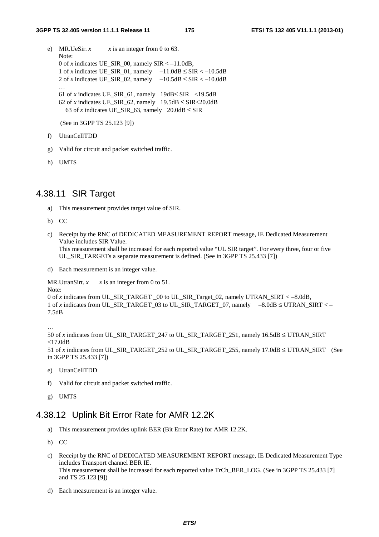- e) MR.UeSir.  $x \times x$  is an integer from 0 to 63. Note: 0 of *x* indicates UE\_SIR\_00, namely  $SIR < -11.0dB$ , 1 of *x* indicates UE\_SIR\_01, namely  $-11.0dB \leq SIR < -10.5dB$ 2 of *x* indicates UE\_SIR\_02, namely  $-10.5dB \leq SIR < -10.0dB$ … 61 of *x* indicates UE\_SIR\_61, namely  $19dB \leq SIR$  <19.5dB 62 of *x* indicates UE\_SIR\_62, namely  $19.5dB \leq SIR < 20.0dB$ 63 of *x* indicates UE\_SIR\_63, namely  $20.0dB \leq$  SIR (See in 3GPP TS 25.123 [9])
- f) UtranCellTDD
- g) Valid for circuit and packet switched traffic.
- h) UMTS

# 4.38.11 SIR Target

- a) This measurement provides target value of SIR.
- b) CC
- c) Receipt by the RNC of DEDICATED MEASUREMENT REPORT message, IE Dedicated Measurement Value includes SIR Value. This measurement shall be increased for each reported value "UL SIR target". For every three, four or five UL\_SIR\_TARGETs a separate measurement is defined. (See in 3GPP TS 25.433 [7])
- d) Each measurement is an integer value.

MR.UtranSirt.  $x \times x$  is an integer from 0 to 51.

```
Note: 
0 of x indicates from UL_SIR_TARGET _00 to UL_SIR_Target_02, namely UTRAN_SIRT < –8.0dB, 
1 of x indicates from UL_SIR_TARGET_03 to UL_SIR_TARGET_07, namely -8.0dB \leq UTRAN SIRT < –
7.5dB
```
…

```
50 of x indicates from UL_SIR_TARGET_247 to UL_SIR_TARGET_251, namely 16.5dB ≤ UTRAN_SIRT 
<17.0dB
```
51 of *x* indicates from UL\_SIR\_TARGET\_252 to UL\_SIR\_TARGET\_255, namely 17.0dB ≤ UTRAN\_SIRT (See in 3GPP TS 25.433 [7])

- e) UtranCellTDD
- f) Valid for circuit and packet switched traffic.
- g) UMTS

# 4.38.12 Uplink Bit Error Rate for AMR 12.2K

- a) This measurement provides uplink BER (Bit Error Rate) for AMR 12.2K.
- b) CC
- c) Receipt by the RNC of DEDICATED MEASUREMENT REPORT message, IE Dedicated Measurement Type includes Transport channel BER IE. This measurement shall be increased for each reported value TrCh\_BER\_LOG. (See in 3GPP TS 25.433 [7] and TS 25.123 [9])
- d) Each measurement is an integer value.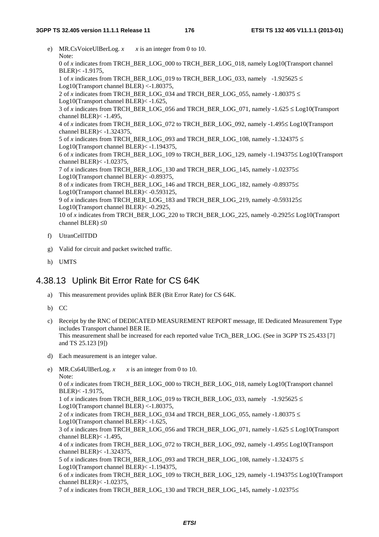- e) MR.CsVoiceUlBerLog.  $x = x$  is an integer from 0 to 10. Note: 0 of *x* indicates from TRCH\_BER\_LOG\_000 to TRCH\_BER\_LOG\_018, namely Log10(Transport channel  $BLER) < -1.9175$ , 1 of *x* indicates from TRCH\_BER\_LOG\_019 to TRCH\_BER\_LOG\_033, namely -1.925625  $\leq$ Log10(Transport channel BLER) <-1.80375, 2 of *x* indicates from TRCH\_BER\_LOG\_034 and TRCH\_BER\_LOG\_055, namely -1.80375  $\leq$ Log10(Transport channel BLER)< -1.625, 3 of *x* indicates from TRCH\_BER\_LOG\_056 and TRCH\_BER\_LOG\_071, namely -1.625  $\leq$  Log10(Transport channel BLER)< -1.495, 4 of *x* indicates from TRCH\_BER\_LOG\_072 to TRCH\_BER\_LOG\_092, namely -1.495≤ Log10(Transport channel BLER)< -1.324375, 5 of *x* indicates from TRCH\_BER\_LOG\_093 and TRCH\_BER\_LOG\_108, namely -1.324375  $\leq$ Log10(Transport channel BLER)< -1.194375, 6 of *x* indicates from TRCH\_BER\_LOG\_109 to TRCH\_BER\_LOG\_129, namely -1.194375≤ Log10(Transport channel BLER)< -1.02375, 7 of *x* indicates from TRCH\_BER\_LOG\_130 and TRCH\_BER\_LOG\_145, namely -1.02375≤ Log10(Transport channel BLER)< -0.89375, 8 of *x* indicates from TRCH\_BER\_LOG\_146 and TRCH\_BER\_LOG\_182, namely -0.89375≤ Log10(Transport channel BLER)< -0.593125, 9 of *x* indicates from TRCH\_BER\_LOG\_183 and TRCH\_BER\_LOG\_219, namely -0.593125 $\leq$ Log10(Transport channel BLER)< -0.2925, 10 of *x* indicates from TRCH\_BER\_LOG\_220 to TRCH\_BER\_LOG\_225, namely -0.2925≤ Log10(Transport channel BLER) ≤0
- f) UtranCellTDD
- g) Valid for circuit and packet switched traffic.
- h) UMTS

# 4.38.13 Uplink Bit Error Rate for CS 64K

a) This measurement provides uplink BER (Bit Error Rate) for CS 64K.

b) CC

- c) Receipt by the RNC of DEDICATED MEASUREMENT REPORT message, IE Dedicated Measurement Type includes Transport channel BER IE. This measurement shall be increased for each reported value TrCh\_BER\_LOG. (See in 3GPP TS 25.433 [7] and TS 25.123 [9])
- d) Each measurement is an integer value.
- e) MR.Cs64UlBerLog.  $x \times x$  is an integer from 0 to 10. Note: 0 of *x* indicates from TRCH\_BER\_LOG\_000 to TRCH\_BER\_LOG\_018, namely Log10(Transport channel BLER)< -1.9175, 1 of *x* indicates from TRCH\_BER\_LOG\_019 to TRCH\_BER\_LOG\_033, namely  $-1.925625 \le$ Log10(Transport channel BLER) <-1.80375, 2 of *x* indicates from TRCH\_BER\_LOG\_034 and TRCH\_BER\_LOG\_055, namely -1.80375  $\le$ Log10(Transport channel BLER)< -1.625, 3 of *x* indicates from TRCH\_BER\_LOG\_056 and TRCH\_BER\_LOG\_071, namely -1.625  $\leq$  Log10(Transport channel BLER $\ge$  -1.495. 4 of *x* indicates from TRCH\_BER\_LOG\_072 to TRCH\_BER\_LOG\_092, namely -1.495≤ Log10(Transport channel BLER)< -1.324375, 5 of *x* indicates from TRCH\_BER\_LOG\_093 and TRCH\_BER\_LOG\_108, namely -1.324375  $\leq$ Log10(Transport channel BLER)< -1.194375, 6 of *x* indicates from TRCH\_BER\_LOG\_109 to TRCH\_BER\_LOG\_129, namely -1.194375≤ Log10(Transport channel BLER)< -1.02375, 7 of *x* indicates from TRCH\_BER\_LOG\_130 and TRCH\_BER\_LOG\_145, namely -1.02375≤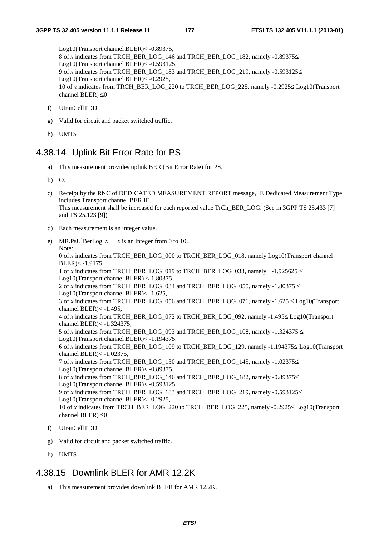Log10(Transport channel BLER)< -0.89375, 8 of *x* indicates from TRCH\_BER\_LOG\_146 and TRCH\_BER\_LOG\_182, namely -0.89375≤ Log10(Transport channel BLER)< -0.593125, 9 of *x* indicates from TRCH\_BER\_LOG\_183 and TRCH\_BER\_LOG\_219, namely -0.593125≤ Log10(Transport channel BLER)< -0.2925, 10 of *x* indicates from TRCH\_BER\_LOG\_220 to TRCH\_BER\_LOG\_225, namely -0.2925≤ Log10(Transport channel BLER)  $\leq 0$ 

- f) UtranCellTDD
- g) Valid for circuit and packet switched traffic.
- h) UMTS

# 4.38.14 Uplink Bit Error Rate for PS

- a) This measurement provides uplink BER (Bit Error Rate) for PS.
- b) CC
- c) Receipt by the RNC of DEDICATED MEASUREMENT REPORT message, IE Dedicated Measurement Type includes Transport channel BER IE. This measurement shall be increased for each reported value TrCh\_BER\_LOG. (See in 3GPP TS 25.433 [7] and TS 25.123 [9])
- d) Each measurement is an integer value.
- e) MR.PsUlBerLog.  $x \times x$  is an integer from 0 to 10. Note: 0 of *x* indicates from TRCH\_BER\_LOG\_000 to TRCH\_BER\_LOG\_018, namely Log10(Transport channel BLER)< -1.9175, 1 of *x* indicates from TRCH\_BER\_LOG\_019 to TRCH\_BER\_LOG\_033, namely -1.925625  $\leq$ Log10(Transport channel BLER) <-1.80375, 2 of *x* indicates from TRCH\_BER\_LOG\_034 and TRCH\_BER\_LOG\_055, namely -1.80375  $\leq$ Log10(Transport channel BLER)< -1.625, 3 of *x* indicates from TRCH\_BER\_LOG\_056 and TRCH\_BER\_LOG\_071, namely -1.625 ≤ Log10(Transport channel BLER)< -1.495, 4 of *x* indicates from TRCH\_BER\_LOG\_072 to TRCH\_BER\_LOG\_092, namely -1.495≤ Log10(Transport channel BLER)< -1.324375, 5 of *x* indicates from TRCH\_BER\_LOG\_093 and TRCH\_BER\_LOG\_108, namely -1.324375  $\leq$ Log10(Transport channel BLER)< -1.194375, 6 of *x* indicates from TRCH\_BER\_LOG\_109 to TRCH\_BER\_LOG\_129, namely -1.194375≤ Log10(Transport channel BLER)< -1.02375, 7 of *x* indicates from TRCH\_BER\_LOG\_130 and TRCH\_BER\_LOG\_145, namely -1.02375≤ Log10(Transport channel BLER)< -0.89375, 8 of *x* indicates from TRCH\_BER\_LOG\_146 and TRCH\_BER\_LOG\_182, namely -0.89375≤ Log10(Transport channel BLER)< -0.593125, 9 of *x* indicates from TRCH\_BER\_LOG\_183 and TRCH\_BER\_LOG\_219, namely -0.593125≤ Log10(Transport channel BLER)< -0.2925, 10 of *x* indicates from TRCH\_BER\_LOG\_220 to TRCH\_BER\_LOG\_225, namely -0.2925≤ Log10(Transport channel BLER)  $\leq 0$
- f) UtranCellTDD
- g) Valid for circuit and packet switched traffic.
- h) UMTS

# 4.38.15 Downlink BLER for AMR 12.2K

a) This measurement provides downlink BLER for AMR 12.2K.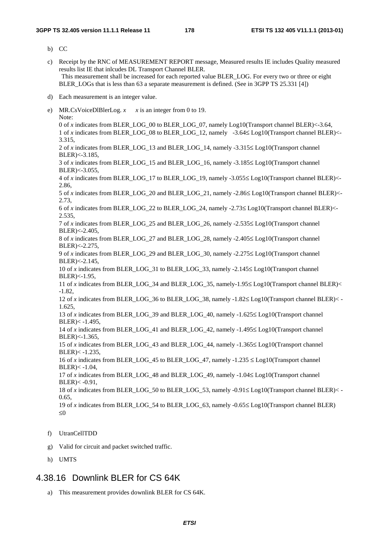b) CC

- c) Receipt by the RNC of MEASUREMENT REPORT message, Measured results IE includes Quality measured results list IE that inlcudes DL Transport Channel BLER. This measurement shall be increased for each reported value BLER\_LOG. For every two or three or eight BLER\_LOGs that is less than 63 a separate measurement is defined. (See in 3GPP TS 25.331 [4])
- d) Each measurement is an integer value.
- e) MR.CsVoiceDlBlerLog.  $x \times x$  is an integer from 0 to 19. Note: 0 of *x* indicates from BLER\_LOG\_00 to BLER\_LOG\_07, namely Log10(Transport channel BLER)<-3.64, 1 of *x* indicates from BLER\_LOG\_08 to BLER\_LOG\_12, namely -3.64≤ Log10(Transport channel BLER)<- 3.315, 2 of *x* indicates from BLER\_LOG\_13 and BLER\_LOG\_14, namely -3.315≤ Log10(Transport channel BLER)<-3.185, 3 of *x* indicates from BLER\_LOG\_15 and BLER\_LOG\_16, namely -3.185≤ Log10(Transport channel BLER)<-3.055, 4 of *x* indicates from BLER\_LOG\_17 to BLER\_LOG\_19, namely -3.055≤ Log10(Transport channel BLER)<- 2.86, 5 of *x* indicates from BLER\_LOG\_20 and BLER\_LOG\_21, namely -2.86≤ Log10(Transport channel BLER)<- 2.73, 6 of *x* indicates from BLER\_LOG\_22 to BLER\_LOG\_24, namely -2.73≤ Log10(Transport channel BLER)<- 2.535, 7 of *x* indicates from BLER\_LOG\_25 and BLER\_LOG\_26, namely -2.535≤ Log10(Transport channel BLER)<-2.405, 8 of *x* indicates from BLER\_LOG\_27 and BLER\_LOG\_28, namely -2.405≤ Log10(Transport channel BLER)<-2.275, 9 of *x* indicates from BLER\_LOG\_29 and BLER\_LOG\_30, namely -2.275≤ Log10(Transport channel BLER)<-2.145, 10 of *x* indicates from BLER\_LOG\_31 to BLER\_LOG\_33, namely -2.145≤ Log10(Transport channel BLER)<-1.95, 11 of *x* indicates from BLER\_LOG\_34 and BLER\_LOG\_35, namely-1.95≤ Log10(Transport channel BLER)< -1.82, 12 of *x* indicates from BLER\_LOG\_36 to BLER\_LOG\_38, namely -1.82≤ Log10(Transport channel BLER)< - 1.625, 13 of *x* indicates from BLER\_LOG\_39 and BLER\_LOG\_40, namely -1.625≤ Log10(Transport channel BLER)< -1.495, 14 of *x* indicates from BLER\_LOG\_41 and BLER\_LOG\_42, namely -1.495≤ Log10(Transport channel BLER)<-1.365, 15 of *x* indicates from BLER\_LOG\_43 and BLER\_LOG\_44, namely -1.365≤ Log10(Transport channel BLER)< -1.235, 16 of *x* indicates from BLER\_LOG\_45 to BLER\_LOG\_47, namely  $-1.235 \leq$  Log10(Transport channel  $BLER) < -1.04$ . 17 of *x* indicates from BLER\_LOG\_48 and BLER\_LOG\_49, namely -1.04≤ Log10(Transport channel  $BLER) < -0.91$ , 18 of *x* indicates from BLER\_LOG\_50 to BLER\_LOG\_53, namely -0.91≤ Log10(Transport channel BLER)< - 0.65, 19 of *x* indicates from BLER\_LOG\_54 to BLER\_LOG\_63, namely -0.65≤ Log10(Transport channel BLER) ≤0
- f) UtranCellTDD
- g) Valid for circuit and packet switched traffic.
- h) UMTS

# 4.38.16 Downlink BLER for CS 64K

a) This measurement provides downlink BLER for CS 64K.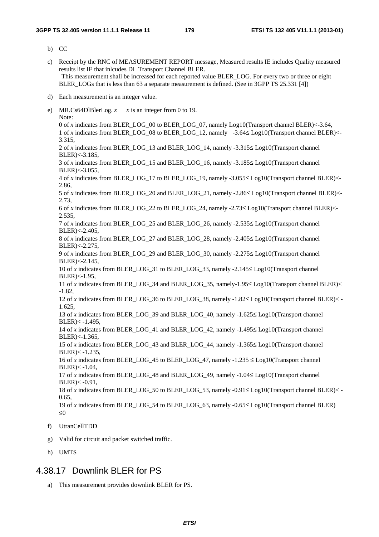- b) CC
- c) Receipt by the RNC of MEASUREMENT REPORT message, Measured results IE includes Quality measured results list IE that inlcudes DL Transport Channel BLER. This measurement shall be increased for each reported value BLER\_LOG. For every two or three or eight BLER\_LOGs that is less than 63 a separate measurement is defined. (See in 3GPP TS 25.331 [4])
- d) Each measurement is an integer value.
- e) MR.Cs64DlBlerLog.  $x \times x$  is an integer from 0 to 19. Note: 0 of *x* indicates from BLER\_LOG\_00 to BLER\_LOG\_07, namely Log10(Transport channel BLER)<-3.64, 1 of *x* indicates from BLER\_LOG\_08 to BLER\_LOG\_12, namely -3.64≤ Log10(Transport channel BLER)<- 3.315, 2 of *x* indicates from BLER\_LOG\_13 and BLER\_LOG\_14, namely -3.315≤ Log10(Transport channel BLER)<-3.185, 3 of *x* indicates from BLER\_LOG\_15 and BLER\_LOG\_16, namely -3.185≤ Log10(Transport channel BLER)<-3.055, 4 of *x* indicates from BLER\_LOG\_17 to BLER\_LOG\_19, namely -3.055≤ Log10(Transport channel BLER)<- 2.86, 5 of *x* indicates from BLER\_LOG\_20 and BLER\_LOG\_21, namely -2.86≤ Log10(Transport channel BLER)<- 2.73, 6 of *x* indicates from BLER\_LOG\_22 to BLER\_LOG\_24, namely -2.73≤ Log10(Transport channel BLER)<- 2.535, 7 of *x* indicates from BLER\_LOG\_25 and BLER\_LOG\_26, namely -2.535≤ Log10(Transport channel BLER)<-2.405, 8 of *x* indicates from BLER\_LOG\_27 and BLER\_LOG\_28, namely -2.405≤ Log10(Transport channel BLER)<-2.275, 9 of *x* indicates from BLER\_LOG\_29 and BLER\_LOG\_30, namely -2.275≤ Log10(Transport channel BLER)<-2.145, 10 of *x* indicates from BLER\_LOG\_31 to BLER\_LOG\_33, namely -2.145≤ Log10(Transport channel BLER)<-1.95, 11 of *x* indicates from BLER\_LOG\_34 and BLER\_LOG\_35, namely-1.95≤ Log10(Transport channel BLER)< -1.82, 12 of *x* indicates from BLER\_LOG\_36 to BLER\_LOG\_38, namely -1.82≤ Log10(Transport channel BLER)< - 1.625, 13 of *x* indicates from BLER\_LOG\_39 and BLER\_LOG\_40, namely -1.625≤ Log10(Transport channel BLER)< -1.495, 14 of *x* indicates from BLER\_LOG\_41 and BLER\_LOG\_42, namely -1.495≤ Log10(Transport channel BLER)<-1.365, 15 of *x* indicates from BLER\_LOG\_43 and BLER\_LOG\_44, namely -1.365≤ Log10(Transport channel BLER)< -1.235, 16 of *x* indicates from BLER\_LOG\_45 to BLER\_LOG\_47, namely  $-1.235 \leq$  Log10(Transport channel  $BLER) < -1.04$ . 17 of *x* indicates from BLER\_LOG\_48 and BLER\_LOG\_49, namely -1.04≤ Log10(Transport channel  $BLER) < -0.91$ , 18 of *x* indicates from BLER\_LOG\_50 to BLER\_LOG\_53, namely -0.91≤ Log10(Transport channel BLER)< - 0.65, 19 of *x* indicates from BLER\_LOG\_54 to BLER\_LOG\_63, namely -0.65≤ Log10(Transport channel BLER) ≤0 f) UtranCellTDD
- g) Valid for circuit and packet switched traffic.
- h) UMTS

# 4.38.17 Downlink BLER for PS

a) This measurement provides downlink BLER for PS.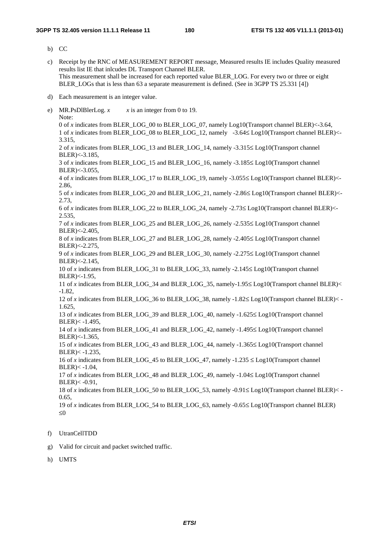- b) CC
- c) Receipt by the RNC of MEASUREMENT REPORT message, Measured results IE includes Quality measured results list IE that inlcudes DL Transport Channel BLER. This measurement shall be increased for each reported value BLER\_LOG. For every two or three or eight BLER\_LOGs that is less than 63 a separate measurement is defined. (See in 3GPP TS 25.331 [4])
- d) Each measurement is an integer value.
- e) MR.PsDlBlerLog.  $x \rightarrow x$  is an integer from 0 to 19. Note: 0 of *x* indicates from BLER\_LOG\_00 to BLER\_LOG\_07, namely Log10(Transport channel BLER)<-3.64, 1 of *x* indicates from BLER\_LOG\_08 to BLER\_LOG\_12, namely -3.64≤ Log10(Transport channel BLER)<- 3.315, 2 of *x* indicates from BLER\_LOG\_13 and BLER\_LOG\_14, namely -3.315≤ Log10(Transport channel BLER)<-3.185, 3 of *x* indicates from BLER\_LOG\_15 and BLER\_LOG\_16, namely -3.185≤ Log10(Transport channel BLER)<-3.055, 4 of *x* indicates from BLER\_LOG\_17 to BLER\_LOG\_19, namely -3.055≤ Log10(Transport channel BLER)<- 2.86, 5 of *x* indicates from BLER\_LOG\_20 and BLER\_LOG\_21, namely -2.86≤ Log10(Transport channel BLER)<- 2.73, 6 of *x* indicates from BLER\_LOG\_22 to BLER\_LOG\_24, namely -2.73≤ Log10(Transport channel BLER)<- 2.535, 7 of *x* indicates from BLER\_LOG\_25 and BLER\_LOG\_26, namely -2.535≤ Log10(Transport channel BLER)<-2.405, 8 of *x* indicates from BLER\_LOG\_27 and BLER\_LOG\_28, namely -2.405≤ Log10(Transport channel BLER)<-2.275, 9 of *x* indicates from BLER\_LOG\_29 and BLER\_LOG\_30, namely -2.275≤ Log10(Transport channel BLER)<-2.145, 10 of *x* indicates from BLER\_LOG\_31 to BLER\_LOG\_33, namely -2.145≤ Log10(Transport channel BLER)<-1.95, 11 of *x* indicates from BLER\_LOG\_34 and BLER\_LOG\_35, namely-1.95≤ Log10(Transport channel BLER)< -1.82, 12 of *x* indicates from BLER\_LOG\_36 to BLER\_LOG\_38, namely -1.82≤ Log10(Transport channel BLER)< - 1.625, 13 of *x* indicates from BLER\_LOG\_39 and BLER\_LOG\_40, namely -1.625≤ Log10(Transport channel BLER)< -1.495, 14 of *x* indicates from BLER\_LOG\_41 and BLER\_LOG\_42, namely -1.495≤ Log10(Transport channel BLER)<-1.365, 15 of *x* indicates from BLER\_LOG\_43 and BLER\_LOG\_44, namely -1.365≤ Log10(Transport channel BLER)< -1.235, 16 of *x* indicates from BLER\_LOG\_45 to BLER\_LOG\_47, namely  $-1.235 \leq$  Log10(Transport channel  $BLER) < -1.04$ . 17 of *x* indicates from BLER\_LOG\_48 and BLER\_LOG\_49, namely -1.04≤ Log10(Transport channel BLER)< -0.91, 18 of *x* indicates from BLER\_LOG\_50 to BLER\_LOG\_53, namely -0.91≤ Log10(Transport channel BLER)< - 0.65, 19 of *x* indicates from BLER\_LOG\_54 to BLER\_LOG\_63, namely -0.65≤ Log10(Transport channel BLER) ≤0
- f) UtranCellTDD
- g) Valid for circuit and packet switched traffic.
- h) UMTS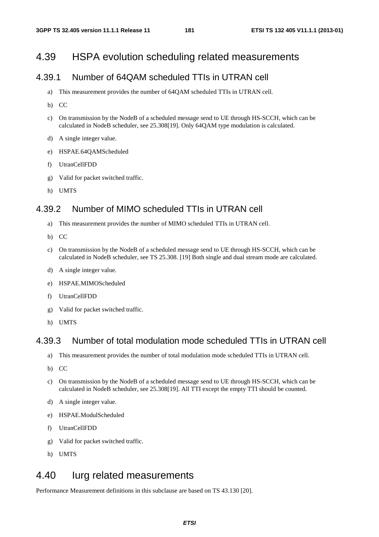## 4.39 HSPA evolution scheduling related measurements

## 4.39.1 Number of 64QAM scheduled TTIs in UTRAN cell

- a) This measurement provides the number of 64QAM scheduled TTIs in UTRAN cell.
- b) CC
- c) On transmission by the NodeB of a scheduled message send to UE through HS-SCCH, which can be calculated in NodeB scheduler, see 25.308[19]. Only 64QAM type modulation is calculated.
- d) A single integer value.
- e) HSPAE.64QAMScheduled
- f) UtranCellFDD
- g) Valid for packet switched traffic.
- h) UMTS

### 4.39.2 Number of MIMO scheduled TTIs in UTRAN cell

- a) This measurement provides the number of MIMO scheduled TTIs in UTRAN cell.
- b) CC
- c) On transmission by the NodeB of a scheduled message send to UE through HS-SCCH, which can be calculated in NodeB scheduler, see TS 25.308. [19] Both single and dual stream mode are calculated.
- d) A single integer value.
- e) HSPAE.MIMOScheduled
- f) UtranCellFDD
- g) Valid for packet switched traffic.
- h) UMTS

#### 4.39.3 Number of total modulation mode scheduled TTIs in UTRAN cell

- a) This measurement provides the number of total modulation mode scheduled TTIs in UTRAN cell.
- b) CC
- c) On transmission by the NodeB of a scheduled message send to UE through HS-SCCH, which can be calculated in NodeB scheduler, see 25.308[19]. All TTI except the empty TTI should be counted.
- d) A single integer value.
- e) HSPAE.ModulScheduled
- f) UtranCellFDD
- g) Valid for packet switched traffic.
- h) UMTS

## 4.40 Iurg related measurements

Performance Measurement definitions in this subclause are based on TS 43.130 [20].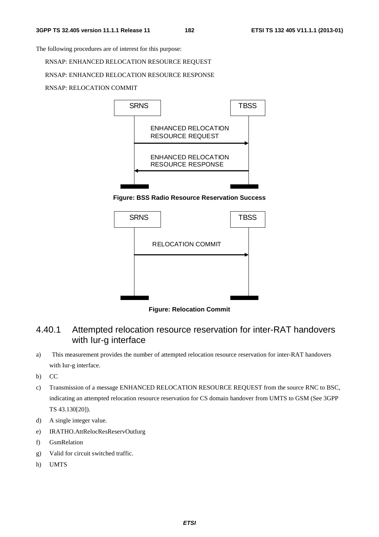The following procedures are of interest for this purpose:

RNSAP: ENHANCED RELOCATION RESOURCE REQUEST

#### RNSAP: ENHANCED RELOCATION RESOURCE RESPONSE

RNSAP: RELOCATION COMMIT



**Figure: BSS Radio Resource Reservation Success** 



**Figure: Relocation Commit** 

## 4.40.1 Attempted relocation resource reservation for inter-RAT handovers with Iur-g interface

- a) This measurement provides the number of attempted relocation resource reservation for inter-RAT handovers with Iur-g interface.
- b) CC
- c) Transmission of a message ENHANCED RELOCATION RESOURCE REQUEST from the source RNC to BSC, indicating an attempted relocation resource reservation for CS domain handover from UMTS to GSM (See 3GPP TS 43.130[20]).
- d) A single integer value.
- e) IRATHO.AttRelocResReservOutIurg
- f) GsmRelation
- g) Valid for circuit switched traffic.
- h) UMTS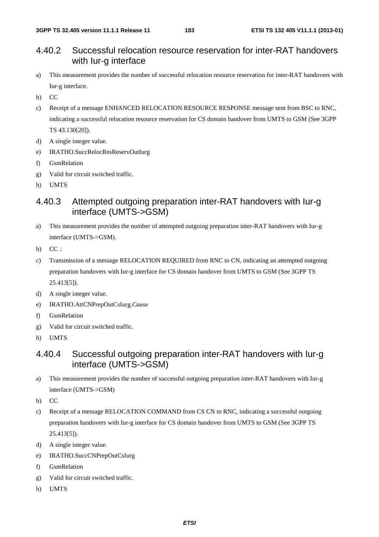#### 4.40.2 Successful relocation resource reservation for inter-RAT handovers with Iur-g interface

- a) This measurement provides the number of successful relocation resource reservation for inter-RAT handovers with Iur-g interface.
- b) CC
- c) Receipt of a message ENHANCED RELOCATION RESOURCE RESPONSE message sent from BSC to RNC, indicating a successful relocation resource reservation for CS domain handover from UMTS to GSM (See 3GPP TS 43.130[20]).
- d) A single integer value.
- e) IRATHO.SuccRelocResReservOutIurg
- f) GsmRelation
- g) Valid for circuit switched traffic.
- h) UMTS

### 4.40.3 Attempted outgoing preparation inter-RAT handovers with Iur-g interface (UMTS->GSM)

- a) This measurement provides the number of attempted outgoing preparation inter-RAT handovers with Iur-g interface (UMTS->GSM).
- b) CC;
- c) Transmission of a message RELOCATION REQUIRED from RNC to CN, indicating an attempted outgoing preparation handovers with Iur-g interface for CS domain handover from UMTS to GSM (See 3GPP TS 25.413[5]).
- d) A single integer value.
- e) IRATHO.AttCNPrepOutCsIurg.*Cause*
- f) GsmRelation
- g) Valid for circuit switched traffic.
- h) UMTS

## 4.40.4 Successful outgoing preparation inter-RAT handovers with Iur-g interface (UMTS->GSM)

- a) This measurement provides the number of successful outgoing preparation inter-RAT handovers with Iur-g interface (UMTS->GSM)
- b) CC
- c) Receipt of a message RELOCATION COMMAND from CS CN to RNC, indicating a successful outgoing preparation handovers with Iur-g interface for CS domain handover from UMTS to GSM (See 3GPP TS 25.413[5]).
- d) A single integer value.
- e) IRATHO.SuccCNPrepOutCsIurg
- f) GsmRelation
- g) Valid for circuit switched traffic.
- h) UMTS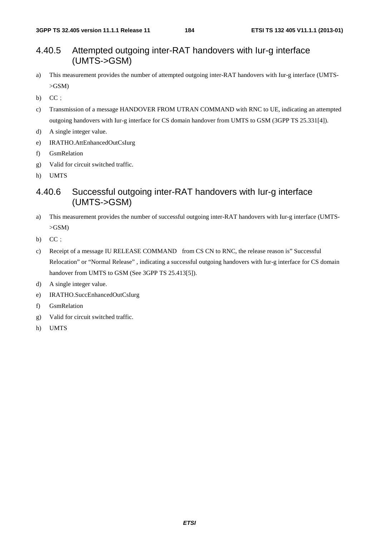### 4.40.5 Attempted outgoing inter-RAT handovers with Iur-g interface (UMTS->GSM)

- a) This measurement provides the number of attempted outgoing inter-RAT handovers with Iur-g interface (UMTS-  $>$ GSM $)$
- b)  $CC$ ;
- c) Transmission of a message HANDOVER FROM UTRAN COMMAND with RNC to UE, indicating an attempted outgoing handovers with Iur-g interface for CS domain handover from UMTS to GSM (3GPP TS 25.331[4]).
- d) A single integer value.
- e) IRATHO.AttEnhancedOutCsIurg
- f) GsmRelation
- g) Valid for circuit switched traffic.
- h) UMTS

## 4.40.6 Successful outgoing inter-RAT handovers with Iur-g interface (UMTS->GSM)

- a) This measurement provides the number of successful outgoing inter-RAT handovers with Iur-g interface (UMTS- >GSM)
- b)  $CC$ ;
- c) Receipt of a message IU RELEASE COMMAND from CS CN to RNC, the release reason is" Successful Relocation" or "Normal Release" , indicating a successful outgoing handovers with Iur-g interface for CS domain handover from UMTS to GSM (See 3GPP TS 25.413[5]).
- d) A single integer value.
- e) IRATHO.SuccEnhancedOutCsIurg
- f) GsmRelation
- g) Valid for circuit switched traffic.
- h) UMTS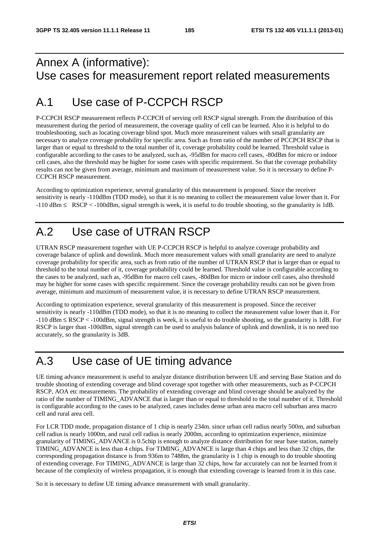## Annex A (informative): Use cases for measurement report related measurements

# A.1 Use case of P-CCPCH RSCP

P-CCPCH RSCP measurement reflects P-CCPCH of serving cell RSCP signal strength. From the distribution of this measurement during the period of measurement, the coverage quality of cell can be learned. Also it is helpful to do troubleshooting, such as locating coverage blind spot. Much more measurement values with small granularity are necessary to analyze coverage probability for specific area. Such as from ratio of the number of PCCPCH RSCP that is larger than or equal to threshold to the total number of it, coverage probability could be learned. Threshold value is configurable according to the cases to be analyzed, such as, -95dBm for macro cell cases, -80dBm for micro or indoor cell cases, also the threshold may be higher for some cases with specific requirement. So that the coverage probability results can not be given from average, minimum and maximum of measurement value. So it is necessary to define P-CCPCH RSCP measurement.

According to optimization experience, several granularity of this measurement is proposed. Since the receiver sensitivity is nearly -110dBm (TDD mode), so that it is no meaning to collect the measurement value lower than it. For -110 dBm ≤ RSCP < -100dBm, signal strength is week, it is useful to do trouble shooting, so the granularity is 1dB.

# A.2 Use case of UTRAN RSCP

UTRAN RSCP measurement together with UE P-CCPCH RSCP is helpful to analyze coverage probability and coverage balance of uplink and downlink. Much more measurement values with small granularity are need to analyze coverage probability for specific area, such as from ratio of the number of UTRAN RSCP that is larger than or equal to threshold to the total number of it, coverage probability could be learned. Threshold value is configurable according to the cases to be analyzed, such as, -95dBm for macro cell cases, -80dBm for micro or indoor cell cases, also threshold may be higher for some cases with specific requirement. Since the coverage probability results can not be given from average, minimum and maximum of measurement value, it is necessary to define UTRAN RSCP measurement.

According to optimization experience, several granularity of this measurement is proposed. Since the receiver sensitivity is nearly -110dBm (TDD mode), so that it is no meaning to collect the measurement value lower than it. For -110 dBm ≤ RSCP < -100dBm, signal strength is week, it is useful to do trouble shooting, so the granularity is 1dB. For RSCP is larger than -100dBm, signal strength can be used to analysis balance of uplink and downlink, it is no need too accurately, so the granularity is 3dB.

## A.3 Use case of UE timing advance

UE timing advance measurement is useful to analyze distance distribution between UE and serving Base Station and do trouble shooting of extending coverage and blind coverage spot together with other measurements, such as P-CCPCH RSCP, AOA etc measurements. The probability of extending coverage and blind coverage should be analyzed by the ratio of the number of TIMING\_ADVANCE that is larger than or equal to threshold to the total number of it. Threshold is configurable according to the cases to be analyzed, cases includes dense urban area macro cell suburban area macro cell and rural area cell.

For LCR TDD mode, propagation distance of 1 chip is nearly 234m. since urban cell radius nearly 500m, and suburban cell radius is nearly 1000m, and rural cell radius is nearly 2000m, according to optimization experience, minimize granularity of TIMING\_ADVANCE is 0.5chip is enough to analyze distance distribution for near base station, namely TIMING\_ADVANCE is less than 4 chips. For TIMING\_ADVANCE is large than 4 chips and less than 32 chips, the corresponding propagation distance is from 936m to 7488m, the granularity is 1 chip is enough to do trouble shooting of extending coverage. For TIMING\_ADVANCE is large than 32 chips, how far accurately can not be learned from it because of the complexity of wireless propagation, it is enough that extending coverage is learned from it in this case.

So it is necessary to define UE timing advance measurement with small granularity.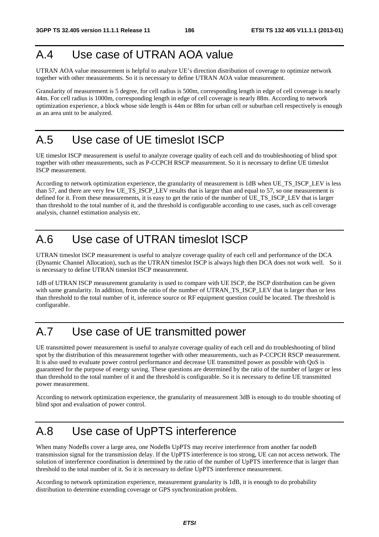# A.4 Use case of UTRAN AOA value

UTRAN AOA value measurement is helpful to analyze UE's direction distribution of coverage to optimize network together with other measurements. So it is necessary to define UTRAN AOA value measurement.

Granularity of measurement is 5 degree, for cell radius is 500m, corresponding length in edge of cell coverage is nearly 44m. For cell radius is 1000m, corresponding length in edge of cell coverage is nearly 88m. According to network optimization experience, a block whose side length is 44m or 88m for urban cell or suburban cell respectively is enough as an area unit to be analyzed.

# A.5 Use case of UE timeslot ISCP

UE timeslot ISCP measurement is useful to analyze coverage quality of each cell and do troubleshooting of blind spot together with other measurements, such as P-CCPCH RSCP measurement. So it is necessary to define UE timeslot ISCP measurement.

According to network optimization experience, the granularity of measurement is 1dB when UE\_TS\_ISCP\_LEV is less than 57, and there are very few UE\_TS\_ISCP\_LEV results that is larger than and equal to 57, so one measurement is defined for it. From these measurements, it is easy to get the ratio of the number of UE\_TS\_ISCP\_LEV that is larger than threshold to the total number of it, and the threshold is configurable according to use cases, such as cell coverage analysis, channel estimation analysis etc.

# A.6 Use case of UTRAN timeslot ISCP

UTRAN timeslot ISCP measurement is useful to analyze coverage quality of each cell and performance of the DCA (Dynamic Channel Allocation), such as the UTRAN timeslot ISCP is always high then DCA does not work well. So it is necessary to define UTRAN timeslot ISCP measurement.

1dB of UTRAN ISCP measurement granularity is used to compare with UE ISCP, the ISCP distribution can be given with same granularity. In addition, from the ratio of the number of UTRAN\_TS\_ISCP\_LEV that is larger than or less than threshold to the total number of it, inference source or RF equipment question could be located. The threshold is configurable.

# A.7 Use case of UE transmitted power

UE transmitted power measurement is useful to analyze coverage quality of each cell and do troubleshooting of blind spot by the distribution of this measurement together with other measurements, such as P-CCPCH RSCP measurement. It is also used to evaluate power control performance and decrease UE transmitted power as possible with QoS is guaranteed for the purpose of energy saving. These questions are determined by the ratio of the number of larger or less than threshold to the total number of it and the threshold is configurable. So it is necessary to define UE transmitted power measurement.

According to network optimization experience, the granularity of measurement 3dB is enough to do trouble shooting of blind spot and evaluation of power control.

# A.8 Use case of UpPTS interference

When many NodeBs cover a large area, one NodeBs UpPTS may receive interference from another far nodeB transmission signal for the transmission delay. If the UpPTS interference is too strong, UE can not access network. The solution of interference coordination is determined by the ratio of the number of UpPTS interference that is larger than threshold to the total number of it. So it is necessary to define UpPTS interference measurement.

According to network optimization experience, measurement granularity is 1dB, it is enough to do probability distribution to determine extending coverage or GPS synchronization problem.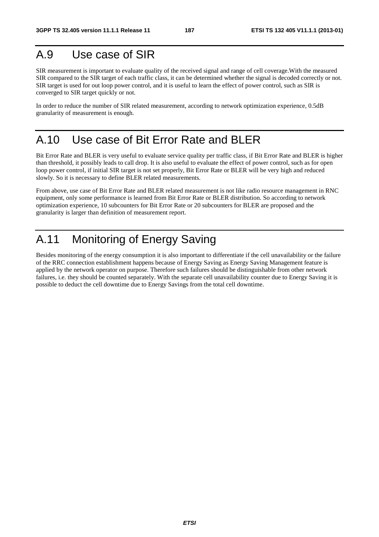## A.9 Use case of SIR

SIR measurement is important to evaluate quality of the received signal and range of cell coverage.With the measured SIR compared to the SIR target of each traffic class, it can be determined whether the signal is decoded correctly or not. SIR target is used for out loop power control, and it is useful to learn the effect of power control, such as SIR is converged to SIR target quickly or not.

In order to reduce the number of SIR related measurement, according to network optimization experience, 0.5dB granularity of measurement is enough.

## A.10 Use case of Bit Error Rate and BLER

Bit Error Rate and BLER is very useful to evaluate service quality per traffic class, if Bit Error Rate and BLER is higher than threshold, it possibly leads to call drop. It is also useful to evaluate the effect of power control, such as for open loop power control, if initial SIR target is not set properly, Bit Error Rate or BLER will be very high and reduced slowly. So it is necessary to define BLER related measurements.

From above, use case of Bit Error Rate and BLER related measurement is not like radio resource management in RNC equipment, only some performance is learned from Bit Error Rate or BLER distribution. So according to network optimization experience, 10 subcounters for Bit Error Rate or 20 subcounters for BLER are proposed and the granularity is larger than definition of measurement report.

# A.11 Monitoring of Energy Saving

Besides monitoring of the energy consumption it is also important to differentiate if the cell unavailability or the failure of the RRC connection establishment happens because of Energy Saving as Energy Saving Management feature is applied by the network operator on purpose. Therefore such failures should be distinguishable from other network failures, i.e. they should be counted separately. With the separate cell unavailability counter due to Energy Saving it is possible to deduct the cell downtime due to Energy Savings from the total cell downtime.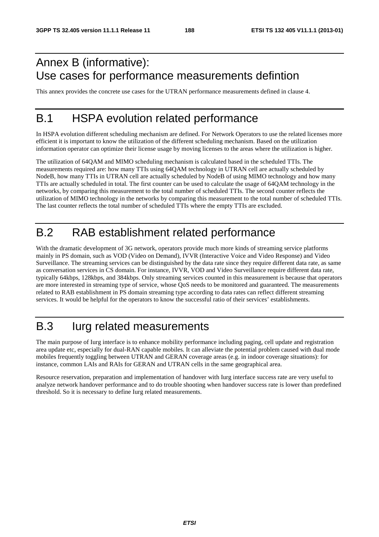# Annex B (informative): Use cases for performance measurements defintion

This annex provides the concrete use cases for the UTRAN performance measurements defined in clause 4.

## B.1 HSPA evolution related performance

In HSPA evolution different scheduling mechanism are defined. For Network Operators to use the related licenses more efficient it is important to know the utilization of the different scheduling mechanism. Based on the utilization information operator can optimize their license usage by moving licenses to the areas where the utilization is higher.

The utilization of 64QAM and MIMO scheduling mechanism is calculated based in the scheduled TTIs. The measurements required are: how many TTIs using 64QAM technology in UTRAN cell are actually scheduled by NodeB, how many TTIs in UTRAN cell are actually scheduled by NodeB of using MIMO technology and how many TTIs are actually scheduled in total. The first counter can be used to calculate the usage of 64QAM technology in the networks, by comparing this measurement to the total number of scheduled TTIs. The second counter reflects the utilization of MIMO technology in the networks by comparing this measurement to the total number of scheduled TTIs. The last counter reflects the total number of scheduled TTIs where the empty TTIs are excluded.

# B.2 RAB establishment related performance

With the dramatic development of 3G network, operators provide much more kinds of streaming service platforms mainly in PS domain, such as VOD (Video on Demand), IVVR (Interactive Voice and Video Response) and Video Surveillance. The streaming services can be distinguished by the data rate since they require different data rate, as same as conversation services in CS domain. For instance, IVVR, VOD and Video Surveillance require different data rate, typically 64kbps, 128kbps, and 384kbps. Only streaming services counted in this measurement is because that operators are more interested in streaming type of service, whose QoS needs to be monitored and guaranteed. The measurements related to RAB establishment in PS domain streaming type according to data rates can reflect different streaming services. It would be helpful for the operators to know the successful ratio of their services' establishments.

# B.3 Iurg related measurements

The main purpose of Iurg interface is to enhance mobility performance including paging, cell update and registration area update etc, especially for dual-RAN capable mobiles. It can alleviate the potential problem caused with dual mode mobiles frequently toggling between UTRAN and GERAN coverage areas (e.g. in indoor coverage situations): for instance, common LAIs and RAIs for GERAN and UTRAN cells in the same geographical area.

Resource reservation, preparation and implementation of handover with Iurg interface success rate are very useful to analyze network handover performance and to do trouble shooting when handover success rate is lower than predefined threshold. So it is necessary to define Iurg related measurements.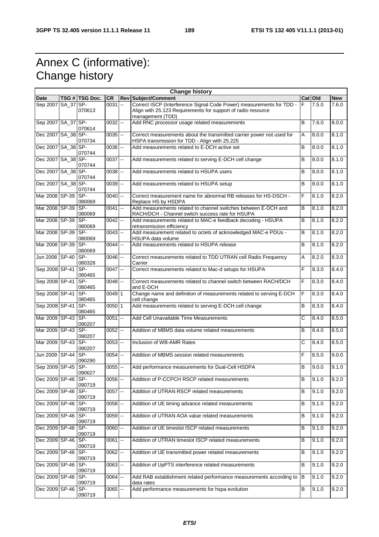# Annex C (informative): Change history

| <b>Change history</b> |  |                |            |                |                                                                       |                       |         |            |
|-----------------------|--|----------------|------------|----------------|-----------------------------------------------------------------------|-----------------------|---------|------------|
| <b>Date</b>           |  | TSG # TSG Doc. | <b>CR</b>  |                | <b>Rev Subject/Comment</b>                                            |                       | Cat Old | <b>New</b> |
| Sep 2007 SA_37 SP-    |  |                | 0031       | lee.           | Correct ISCP (Interference Signal Code Power) measurements for TDD -  | F                     | 7.5.0   | 7.6.0      |
|                       |  | 070613         |            |                | Align with 25.123 Requirements for support of radio resource          |                       |         |            |
|                       |  |                |            |                | management (TDD)                                                      |                       |         |            |
| Sep 2007 SA_37 SP-    |  |                | $0032$ --  |                | Add RNC processor usage related measurements                          | B                     | 7.6.0   | 8.0.0      |
|                       |  | 070614         |            |                |                                                                       |                       |         |            |
| Dec 2007 SA_38 SP-    |  |                |            |                |                                                                       |                       |         | 8.1.0      |
|                       |  |                | $0035$ $-$ |                | Correct measurements about the transmitted carrier power not used for | Α                     | 8.0.0   |            |
|                       |  | 070734         |            |                | HSPA transmission for TDD - Align with 25.225                         |                       |         |            |
| Dec 2007 SA_38 SP-    |  |                | $0036$ $-$ |                | Add measurements related to E-DCH active set                          | B                     | 8.0.0   | 8.1.0      |
|                       |  | 070744         |            |                |                                                                       |                       |         |            |
| Dec 2007 SA_38 SP-    |  |                | $0037 -$   |                | Add measurements related to serving E-DCH cell change                 | B                     | 8.0.0   | 8.1.0      |
|                       |  | 070744         |            |                |                                                                       |                       |         |            |
| Dec 2007 SA_38 SP-    |  |                | 0038       | Щ,             | Add measurements related to HSUPA users                               | B                     | 8.0.0   | 8.1.0      |
|                       |  | 070744         |            |                |                                                                       |                       |         |            |
|                       |  |                |            |                |                                                                       | $\overline{B}$        |         |            |
| Dec 2007 SA_38 SP-    |  |                | $0039 -$   |                | Add measurements related to HSUPA setup                               |                       | 8.0.0   | 8.1.0      |
|                       |  | 070744         |            |                |                                                                       |                       |         |            |
| Mar 2008 SP-39        |  | SP-            | 0040       | цц.            | Correct measurement name for abnormal RB releases for HS-DSCH -       | F                     | 8.1.0   | 8.2.0      |
|                       |  | 080069         |            |                | Replace HS by HSDPA                                                   |                       |         |            |
| Mar 2008 SP-39        |  | SP-            | $0041$ $-$ |                | Add measurements related to channel switches between E-DCH and        | B                     | 8.1.0   | 8.2.0      |
|                       |  | 080069         |            |                | RACH/DCH - Channel switch success rate for HSUPA                      |                       |         |            |
| Mar 2008 SP-39        |  | SP-            | $0042$ --  |                | Add measurements related to MAC-e feedback decoding - HSUPA           | B                     | 8.1.0   | 8.2.0      |
|                       |  | 080069         |            |                | retransmission efficiency                                             |                       |         |            |
|                       |  |                |            |                |                                                                       |                       |         |            |
| Mar 2008 SP-39        |  | SP-            | 0043       | Ξ.             | Add measurement related to octets of acknowledged MAC-e PDUs -        | B                     | 8.1.0   | 8.2.0      |
|                       |  | 080069         |            |                | HSUPA data volume                                                     |                       |         |            |
| Mar 2008 SP-39        |  | <b>SP-</b>     | 0044       | <b>Let</b>     | Add measurements related to HSUPA release                             | $\overline{B}$        | 8.1.0   | 8.2.0      |
|                       |  | 080069         |            |                |                                                                       |                       |         |            |
| Jun 2008 SP-40        |  | SP-            | $0046$ --  |                | Correct measurements related to TDD UTRAN cell Radio Frequency        | A                     | 8.2.0   | 8.3.0      |
|                       |  | 080328         |            |                | Carrier                                                               |                       |         |            |
| Sep 2008 SP-41        |  | SP-            | $0047$ --  |                | Correct measurements related to Mac-d setups for HSUPA                | F                     | 8.3.0   | 8.4.0      |
|                       |  |                |            |                |                                                                       |                       |         |            |
|                       |  | 080465         |            |                |                                                                       |                       |         |            |
| Sep 2008 SP-41 SP-    |  |                | $0048$ $-$ |                | Correct measurements related to channel switch between RACH/DCH       | F                     | 8.3.0   | 8.4.0      |
|                       |  | 080465         |            |                | and E-DCH                                                             |                       |         |            |
| Sep 2008 SP-41        |  | SP-            | 0049 1     |                | Change name and definition of measurements related to serving E-DCH   | F                     | 8.3.0   | 8.4.0      |
|                       |  | 080465         |            |                | cell change                                                           |                       |         |            |
| Sep 2008 SP-41        |  | SP-            | 0050 1     |                | Add measurements related to serving E-DCH cell change                 | B                     | 8.3.0   | 8.4.0      |
|                       |  | 080465         |            |                |                                                                       |                       |         |            |
|                       |  |                |            |                |                                                                       |                       |         |            |
| Mar 2009 SP-43        |  | SP-            | 0051       | --             | Add Cell Unavailable Time Measurements                                | $\overline{\text{c}}$ | 8.4.0   | 8.5.0      |
|                       |  | 090207         |            |                |                                                                       |                       |         |            |
| Mar 2009 SP-43        |  | SP-            | $0052$ --  |                | Addition of MBMS data volume related measurements                     | B                     | 8.4.0   | 8.5.0      |
|                       |  | 090207         |            |                |                                                                       |                       |         |            |
| Mar 2009 SP-43 SP-    |  |                | $0053 -$   |                | Inclusion of WB-AMR Rates                                             | C                     | 8.4.0   | 8.5.0      |
|                       |  | 090207         |            |                |                                                                       |                       |         |            |
| Jun 2009 SP-44        |  | SP-            | 0054       | Щ,             | Addition of MBMS session related measurements                         | F                     | 8.5.0   | 9.0.0      |
|                       |  | 090290         |            |                |                                                                       |                       |         |            |
|                       |  |                |            |                |                                                                       |                       |         |            |
| Sep 2009 SP-45        |  | SP-            | $0055 -$   |                | Add performance measurements for Dual-Cell HSDPA                      | B                     | 9.0.0   | 9.1.0      |
|                       |  | 090627         |            |                |                                                                       |                       |         |            |
| Dec 2009 SP-46 SP-    |  |                | $0056$ $-$ |                | Addition of P-CCPCH RSCP related measurements                         | в                     | 9.1.0   | 9.2.0      |
|                       |  | 090719         |            |                |                                                                       |                       |         |            |
| Dec 2009 SP-46 SP-    |  |                | $0057$ $-$ |                | Addition of UTRAN RSCP related measurements                           | B                     | 9.1.0   | 9.2.0      |
|                       |  | 090719         |            |                |                                                                       |                       |         |            |
| Dec 2009 SP-46 SP-    |  |                | $0058$ $-$ |                | Addition of UE timing advance related measurements                    | B                     | 9.1.0   | 9.2.0      |
|                       |  | 090719         |            |                |                                                                       |                       |         |            |
|                       |  |                |            |                |                                                                       |                       |         |            |
| Dec 2009 SP-46        |  | SP-            | 0059       | н,             | Addition of UTRAN AOA value related measurements                      | B                     | 9.1.0   | 9.2.0      |
|                       |  | 090719         |            |                |                                                                       |                       |         |            |
| Dec 2009 SP-46        |  | SP-            | 0060       | <sub>--</sub>  | Addition of UE timeslot ISCP related measurements                     | B                     | 9.1.0   | 9.2.0      |
|                       |  | 090719         |            |                |                                                                       |                       |         |            |
| Dec 2009 SP-46        |  | ISP-           | 0061       | Щ,             | Addition of UTRAN timeslot ISCP related measurements                  | $\sf B$               | 9.1.0   | 9.2.0      |
|                       |  | 090719         |            |                |                                                                       |                       |         |            |
| Dec 2009 SP-46 SP-    |  |                |            |                | Addition of UE transmitted power related measurements                 |                       |         |            |
|                       |  |                | $0062$ --  |                |                                                                       | В                     | 9.1.0   | 9.2.0      |
|                       |  | 090719         |            |                |                                                                       |                       |         |            |
| Dec 2009 SP-46        |  | SP-            | $0063$ $-$ |                | Addition of UpPTS interference related measurements                   | B                     | 9.1.0   | 9.2.0      |
|                       |  | 090719         |            |                |                                                                       |                       |         |            |
| Dec 2009 SP-46        |  | ISP-           | $0064$ $-$ |                | Add RAB establishment related performance measurements according to   | в                     | 9.1.0   | 9.2.0      |
|                       |  | 090719         |            |                | data rates                                                            |                       |         |            |
| Dec 2009 SP-46        |  | SP-            | 0065       | $\mathbb{Z}^2$ | Add performance measurements for hspa evolution                       | B                     | 9.1.0   | 9.2.0      |
|                       |  | 090719         |            |                |                                                                       |                       |         |            |
|                       |  |                |            |                |                                                                       |                       |         |            |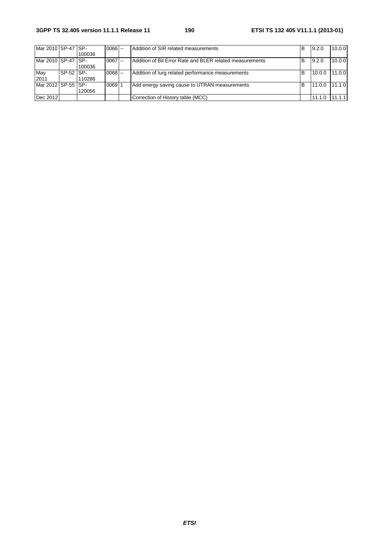| Mar 2010 SP-47 SP-   |           |        | $0066$ -- | Addition of SIR related measurements                     | B | 9.2.0  | 10.0.0 |
|----------------------|-----------|--------|-----------|----------------------------------------------------------|---|--------|--------|
|                      |           | 100036 |           |                                                          |   |        |        |
| Mar 2010 ISP-47 ISP- |           |        | $0067$ -  | Addition of Bit Error Rate and BLER related measurements | B | 9.2.0  | 10.0.0 |
|                      |           | 100036 |           |                                                          |   |        |        |
| May                  | SP-52 SP- |        | $0068$ -- | Addition of lurg related performance measurements        | в | 10.0.0 | 11.0.0 |
| 2011                 |           | 110286 |           |                                                          |   |        |        |
| Mar 2012 ISP-55 ISP- |           |        | 006911    | Add energy saving cause to UTRAN measurements            | в | 11.0.0 | 11.1.0 |
|                      |           | 120056 |           |                                                          |   |        |        |
| Dec 2012             |           |        |           | Correction of History table (MCC)                        |   | 11.1.0 | 11.1.1 |